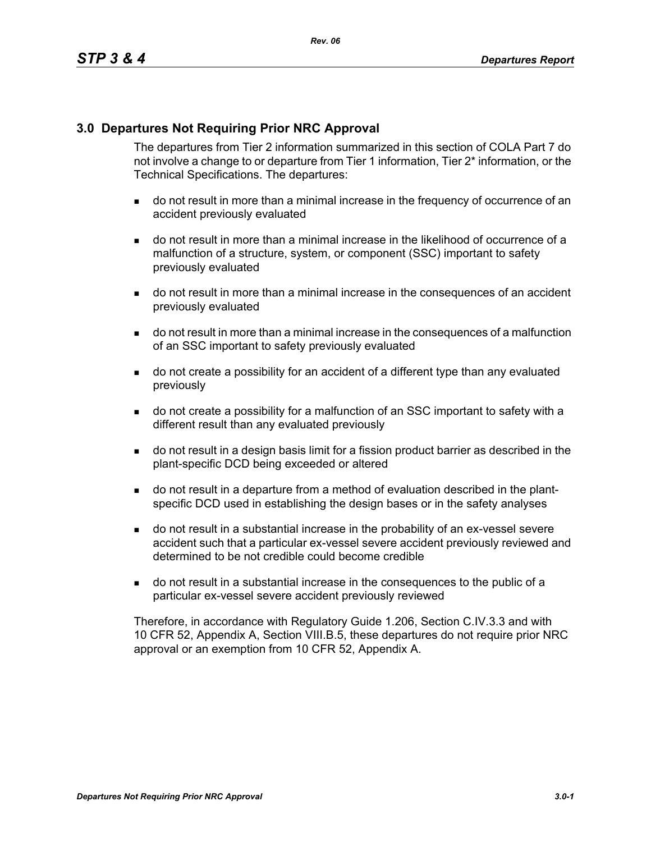### **3.0 Departures Not Requiring Prior NRC Approval**

The departures from Tier 2 information summarized in this section of COLA Part 7 do not involve a change to or departure from Tier 1 information, Tier 2\* information, or the Technical Specifications. The departures:

- do not result in more than a minimal increase in the frequency of occurrence of an accident previously evaluated
- do not result in more than a minimal increase in the likelihood of occurrence of a malfunction of a structure, system, or component (SSC) important to safety previously evaluated
- do not result in more than a minimal increase in the consequences of an accident previously evaluated
- do not result in more than a minimal increase in the consequences of a malfunction of an SSC important to safety previously evaluated
- do not create a possibility for an accident of a different type than any evaluated previously
- do not create a possibility for a malfunction of an SSC important to safety with a different result than any evaluated previously
- do not result in a design basis limit for a fission product barrier as described in the plant-specific DCD being exceeded or altered
- do not result in a departure from a method of evaluation described in the plantspecific DCD used in establishing the design bases or in the safety analyses
- do not result in a substantial increase in the probability of an ex-vessel severe accident such that a particular ex-vessel severe accident previously reviewed and determined to be not credible could become credible
- do not result in a substantial increase in the consequences to the public of a particular ex-vessel severe accident previously reviewed

Therefore, in accordance with Regulatory Guide 1.206, Section C.IV.3.3 and with 10 CFR 52, Appendix A, Section VIII.B.5, these departures do not require prior NRC approval or an exemption from 10 CFR 52, Appendix A.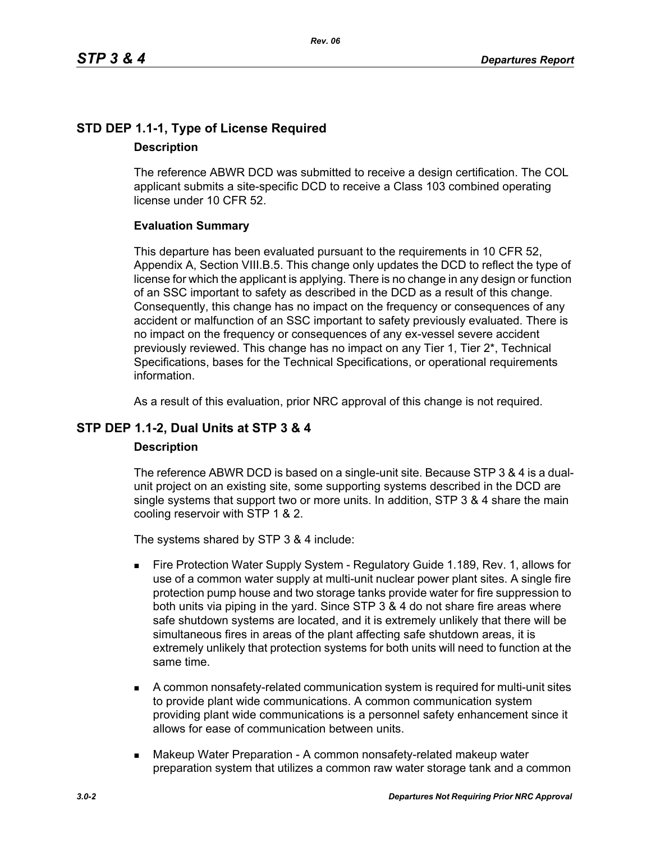# **STD DEP 1.1-1, Type of License Required Description**

The reference ABWR DCD was submitted to receive a design certification. The COL applicant submits a site-specific DCD to receive a Class 103 combined operating license under 10 CFR 52.

### **Evaluation Summary**

This departure has been evaluated pursuant to the requirements in 10 CFR 52, Appendix A, Section VIII.B.5. This change only updates the DCD to reflect the type of license for which the applicant is applying. There is no change in any design or function of an SSC important to safety as described in the DCD as a result of this change. Consequently, this change has no impact on the frequency or consequences of any accident or malfunction of an SSC important to safety previously evaluated. There is no impact on the frequency or consequences of any ex-vessel severe accident previously reviewed. This change has no impact on any Tier 1, Tier 2\*, Technical Specifications, bases for the Technical Specifications, or operational requirements information.

As a result of this evaluation, prior NRC approval of this change is not required.

# **STP DEP 1.1-2, Dual Units at STP 3 & 4**

### **Description**

The reference ABWR DCD is based on a single-unit site. Because STP 3 & 4 is a dualunit project on an existing site, some supporting systems described in the DCD are single systems that support two or more units. In addition, STP 3 & 4 share the main cooling reservoir with STP 1 & 2.

The systems shared by STP 3 & 4 include:

- Fire Protection Water Supply System Regulatory Guide 1.189, Rev. 1, allows for use of a common water supply at multi-unit nuclear power plant sites. A single fire protection pump house and two storage tanks provide water for fire suppression to both units via piping in the yard. Since STP 3 & 4 do not share fire areas where safe shutdown systems are located, and it is extremely unlikely that there will be simultaneous fires in areas of the plant affecting safe shutdown areas, it is extremely unlikely that protection systems for both units will need to function at the same time.
- A common nonsafety-related communication system is required for multi-unit sites to provide plant wide communications. A common communication system providing plant wide communications is a personnel safety enhancement since it allows for ease of communication between units.
- **Makeup Water Preparation A common nonsafety-related makeup water** preparation system that utilizes a common raw water storage tank and a common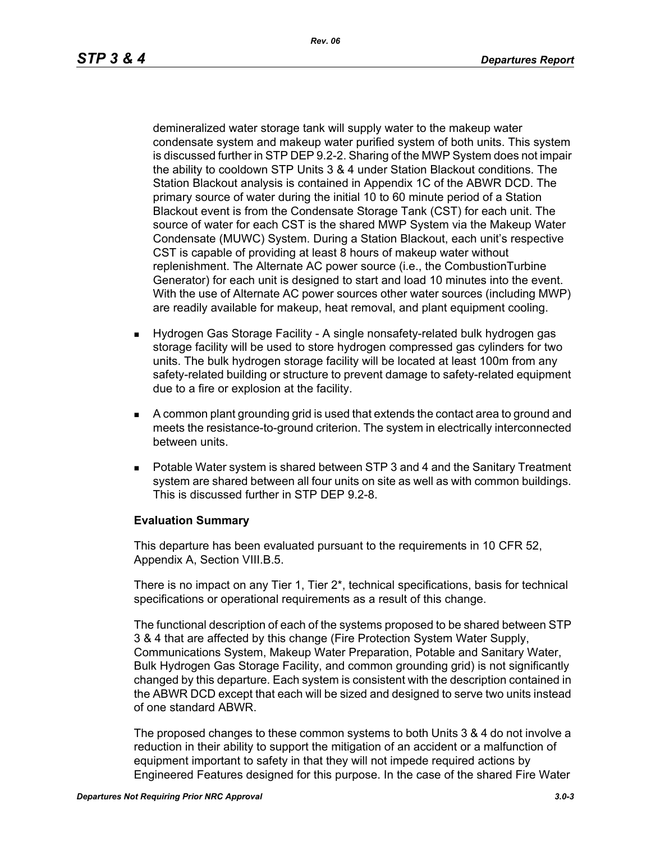demineralized water storage tank will supply water to the makeup water condensate system and makeup water purified system of both units. This system is discussed further in STP DEP 9.2-2. Sharing of the MWP System does not impair the ability to cooldown STP Units 3 & 4 under Station Blackout conditions. The Station Blackout analysis is contained in Appendix 1C of the ABWR DCD. The primary source of water during the initial 10 to 60 minute period of a Station Blackout event is from the Condensate Storage Tank (CST) for each unit. The source of water for each CST is the shared MWP System via the Makeup Water Condensate (MUWC) System. During a Station Blackout, each unit's respective CST is capable of providing at least 8 hours of makeup water without replenishment. The Alternate AC power source (i.e., the CombustionTurbine Generator) for each unit is designed to start and load 10 minutes into the event. With the use of Alternate AC power sources other water sources (including MWP) are readily available for makeup, heat removal, and plant equipment cooling.

- Hydrogen Gas Storage Facility A single nonsafety-related bulk hydrogen gas storage facility will be used to store hydrogen compressed gas cylinders for two units. The bulk hydrogen storage facility will be located at least 100m from any safety-related building or structure to prevent damage to safety-related equipment due to a fire or explosion at the facility.
- A common plant grounding grid is used that extends the contact area to ground and meets the resistance-to-ground criterion. The system in electrically interconnected between units.
- Potable Water system is shared between STP 3 and 4 and the Sanitary Treatment system are shared between all four units on site as well as with common buildings. This is discussed further in STP DEP 9.2-8.

#### **Evaluation Summary**

This departure has been evaluated pursuant to the requirements in 10 CFR 52, Appendix A, Section VIII.B.5.

There is no impact on any Tier 1, Tier 2\*, technical specifications, basis for technical specifications or operational requirements as a result of this change.

The functional description of each of the systems proposed to be shared between STP 3 & 4 that are affected by this change (Fire Protection System Water Supply, Communications System, Makeup Water Preparation, Potable and Sanitary Water, Bulk Hydrogen Gas Storage Facility, and common grounding grid) is not significantly changed by this departure. Each system is consistent with the description contained in the ABWR DCD except that each will be sized and designed to serve two units instead of one standard ABWR.

The proposed changes to these common systems to both Units 3 & 4 do not involve a reduction in their ability to support the mitigation of an accident or a malfunction of equipment important to safety in that they will not impede required actions by Engineered Features designed for this purpose. In the case of the shared Fire Water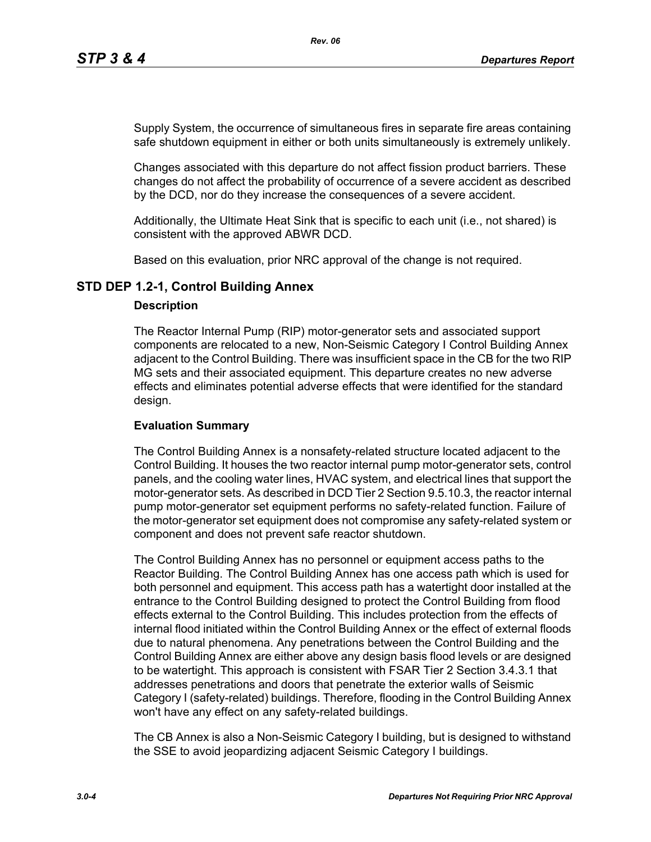Supply System, the occurrence of simultaneous fires in separate fire areas containing safe shutdown equipment in either or both units simultaneously is extremely unlikely.

Changes associated with this departure do not affect fission product barriers. These changes do not affect the probability of occurrence of a severe accident as described by the DCD, nor do they increase the consequences of a severe accident.

Additionally, the Ultimate Heat Sink that is specific to each unit (i.e., not shared) is consistent with the approved ABWR DCD.

Based on this evaluation, prior NRC approval of the change is not required.

### **STD DEP 1.2-1, Control Building Annex**

#### **Description**

The Reactor Internal Pump (RIP) motor-generator sets and associated support components are relocated to a new, Non-Seismic Category I Control Building Annex adjacent to the Control Building. There was insufficient space in the CB for the two RIP MG sets and their associated equipment. This departure creates no new adverse effects and eliminates potential adverse effects that were identified for the standard design.

### **Evaluation Summary**

The Control Building Annex is a nonsafety-related structure located adjacent to the Control Building. It houses the two reactor internal pump motor-generator sets, control panels, and the cooling water lines, HVAC system, and electrical lines that support the motor-generator sets. As described in DCD Tier 2 Section 9.5.10.3, the reactor internal pump motor-generator set equipment performs no safety-related function. Failure of the motor-generator set equipment does not compromise any safety-related system or component and does not prevent safe reactor shutdown.

The Control Building Annex has no personnel or equipment access paths to the Reactor Building. The Control Building Annex has one access path which is used for both personnel and equipment. This access path has a watertight door installed at the entrance to the Control Building designed to protect the Control Building from flood effects external to the Control Building. This includes protection from the effects of internal flood initiated within the Control Building Annex or the effect of external floods due to natural phenomena. Any penetrations between the Control Building and the Control Building Annex are either above any design basis flood levels or are designed to be watertight. This approach is consistent with FSAR Tier 2 Section 3.4.3.1 that addresses penetrations and doors that penetrate the exterior walls of Seismic Category I (safety-related) buildings. Therefore, flooding in the Control Building Annex won't have any effect on any safety-related buildings.

The CB Annex is also a Non-Seismic Category I building, but is designed to withstand the SSE to avoid jeopardizing adjacent Seismic Category I buildings.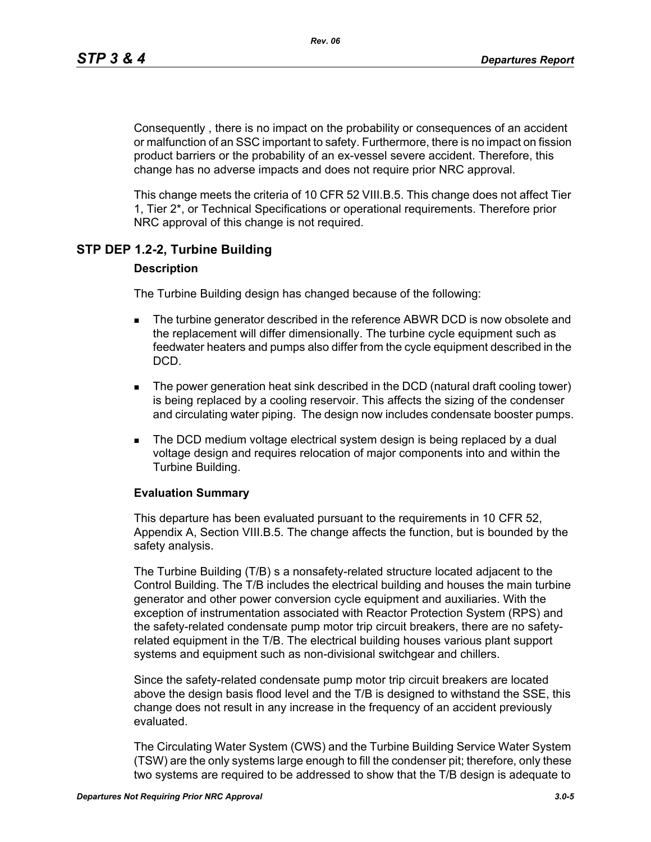Consequently , there is no impact on the probability or consequences of an accident or malfunction of an SSC important to safety. Furthermore, there is no impact on fission product barriers or the probability of an ex-vessel severe accident. Therefore, this change has no adverse impacts and does not require prior NRC approval.

This change meets the criteria of 10 CFR 52 VIII.B.5. This change does not affect Tier 1, Tier 2\*, or Technical Specifications or operational requirements. Therefore prior NRC approval of this change is not required.

### **STP DEP 1.2-2, Turbine Building**

#### **Description**

The Turbine Building design has changed because of the following:

- **The turbine generator described in the reference ABWR DCD is now obsolete and** the replacement will differ dimensionally. The turbine cycle equipment such as feedwater heaters and pumps also differ from the cycle equipment described in the DCD.
- The power generation heat sink described in the DCD (natural draft cooling tower) is being replaced by a cooling reservoir. This affects the sizing of the condenser and circulating water piping. The design now includes condensate booster pumps.
- **The DCD medium voltage electrical system design is being replaced by a dual** voltage design and requires relocation of major components into and within the Turbine Building.

#### **Evaluation Summary**

This departure has been evaluated pursuant to the requirements in 10 CFR 52, Appendix A, Section VIII.B.5. The change affects the function, but is bounded by the safety analysis.

The Turbine Building (T/B) s a nonsafety-related structure located adjacent to the Control Building. The T/B includes the electrical building and houses the main turbine generator and other power conversion cycle equipment and auxiliaries. With the exception of instrumentation associated with Reactor Protection System (RPS) and the safety-related condensate pump motor trip circuit breakers, there are no safetyrelated equipment in the T/B. The electrical building houses various plant support systems and equipment such as non-divisional switchgear and chillers.

Since the safety-related condensate pump motor trip circuit breakers are located above the design basis flood level and the T/B is designed to withstand the SSE, this change does not result in any increase in the frequency of an accident previously evaluated.

The Circulating Water System (CWS) and the Turbine Building Service Water System (TSW) are the only systems large enough to fill the condenser pit; therefore, only these two systems are required to be addressed to show that the T/B design is adequate to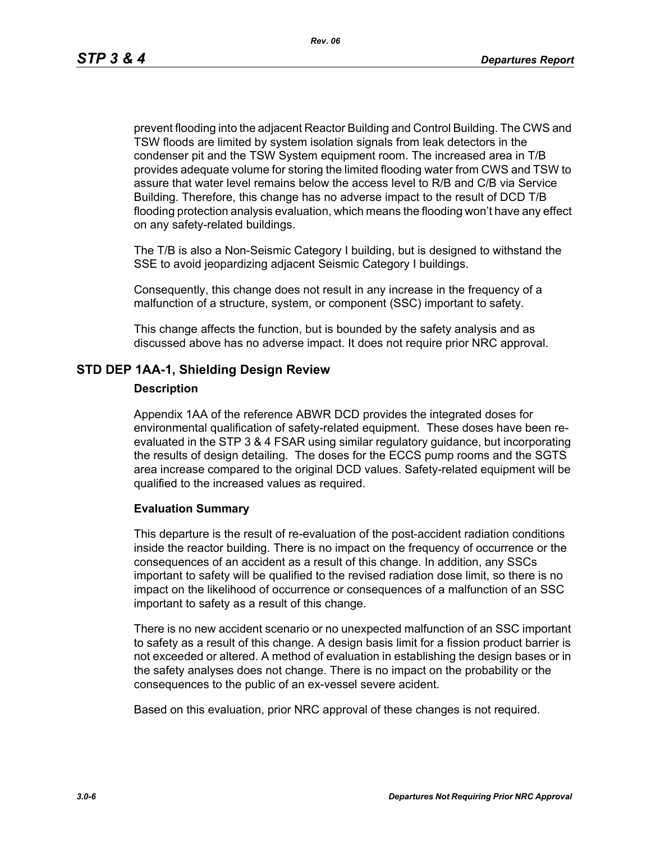prevent flooding into the adjacent Reactor Building and Control Building. The CWS and TSW floods are limited by system isolation signals from leak detectors in the condenser pit and the TSW System equipment room. The increased area in T/B provides adequate volume for storing the limited flooding water from CWS and TSW to assure that water level remains below the access level to R/B and C/B via Service Building. Therefore, this change has no adverse impact to the result of DCD T/B flooding protection analysis evaluation, which means the flooding won't have any effect on any safety-related buildings.

The T/B is also a Non-Seismic Category I building, but is designed to withstand the SSE to avoid jeopardizing adjacent Seismic Category I buildings.

Consequently, this change does not result in any increase in the frequency of a malfunction of a structure, system, or component (SSC) important to safety.

This change affects the function, but is bounded by the safety analysis and as discussed above has no adverse impact. It does not require prior NRC approval.

#### **STD DEP 1AA-1, Shielding Design Review**

#### **Description**

Appendix 1AA of the reference ABWR DCD provides the integrated doses for environmental qualification of safety-related equipment. These doses have been reevaluated in the STP 3 & 4 FSAR using similar regulatory guidance, but incorporating the results of design detailing. The doses for the ECCS pump rooms and the SGTS area increase compared to the original DCD values. Safety-related equipment will be qualified to the increased values as required.

#### **Evaluation Summary**

This departure is the result of re-evaluation of the post-accident radiation conditions inside the reactor building. There is no impact on the frequency of occurrence or the consequences of an accident as a result of this change. In addition, any SSCs important to safety will be qualified to the revised radiation dose limit, so there is no impact on the likelihood of occurrence or consequences of a malfunction of an SSC important to safety as a result of this change.

There is no new accident scenario or no unexpected malfunction of an SSC important to safety as a result of this change. A design basis limit for a fission product barrier is not exceeded or altered. A method of evaluation in establishing the design bases or in the safety analyses does not change. There is no impact on the probability or the consequences to the public of an ex-vessel severe acident.

Based on this evaluation, prior NRC approval of these changes is not required.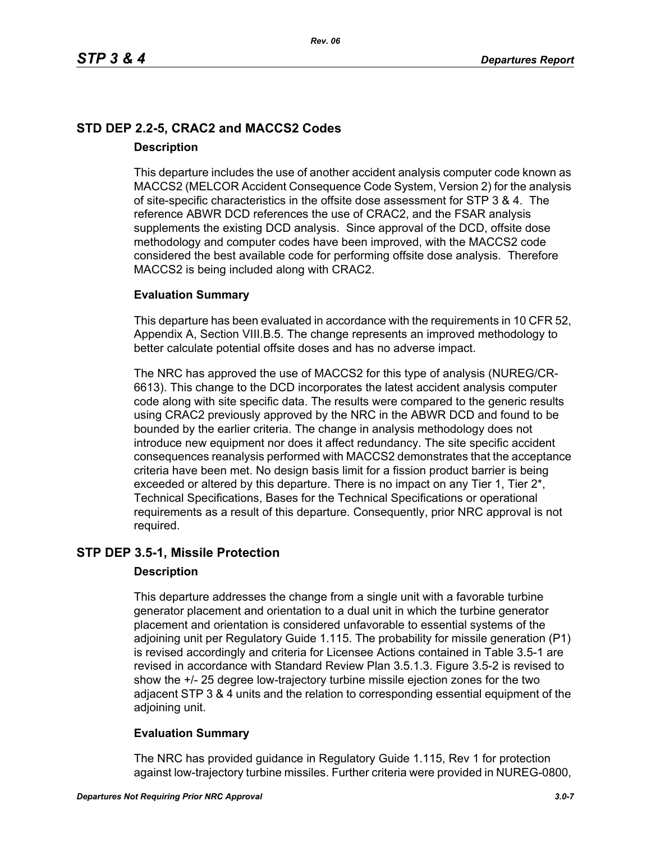# **STD DEP 2.2-5, CRAC2 and MACCS2 Codes Description**

This departure includes the use of another accident analysis computer code known as MACCS2 (MELCOR Accident Consequence Code System, Version 2) for the analysis of site-specific characteristics in the offsite dose assessment for STP 3 & 4. The reference ABWR DCD references the use of CRAC2, and the FSAR analysis supplements the existing DCD analysis. Since approval of the DCD, offsite dose methodology and computer codes have been improved, with the MACCS2 code considered the best available code for performing offsite dose analysis. Therefore MACCS2 is being included along with CRAC2.

### **Evaluation Summary**

This departure has been evaluated in accordance with the requirements in 10 CFR 52, Appendix A, Section VIII.B.5. The change represents an improved methodology to better calculate potential offsite doses and has no adverse impact.

The NRC has approved the use of MACCS2 for this type of analysis (NUREG/CR-6613). This change to the DCD incorporates the latest accident analysis computer code along with site specific data. The results were compared to the generic results using CRAC2 previously approved by the NRC in the ABWR DCD and found to be bounded by the earlier criteria. The change in analysis methodology does not introduce new equipment nor does it affect redundancy. The site specific accident consequences reanalysis performed with MACCS2 demonstrates that the acceptance criteria have been met. No design basis limit for a fission product barrier is being exceeded or altered by this departure. There is no impact on any Tier 1, Tier 2<sup>\*</sup>, Technical Specifications, Bases for the Technical Specifications or operational requirements as a result of this departure. Consequently, prior NRC approval is not required.

### **STP DEP 3.5-1, Missile Protection**

### **Description**

This departure addresses the change from a single unit with a favorable turbine generator placement and orientation to a dual unit in which the turbine generator placement and orientation is considered unfavorable to essential systems of the adjoining unit per Regulatory Guide 1.115. The probability for missile generation (P1) is revised accordingly and criteria for Licensee Actions contained in Table 3.5-1 are revised in accordance with Standard Review Plan 3.5.1.3. Figure 3.5-2 is revised to show the +/- 25 degree low-trajectory turbine missile ejection zones for the two adjacent STP 3 & 4 units and the relation to corresponding essential equipment of the adjoining unit.

### **Evaluation Summary**

The NRC has provided guidance in Regulatory Guide 1.115, Rev 1 for protection against low-trajectory turbine missiles. Further criteria were provided in NUREG-0800,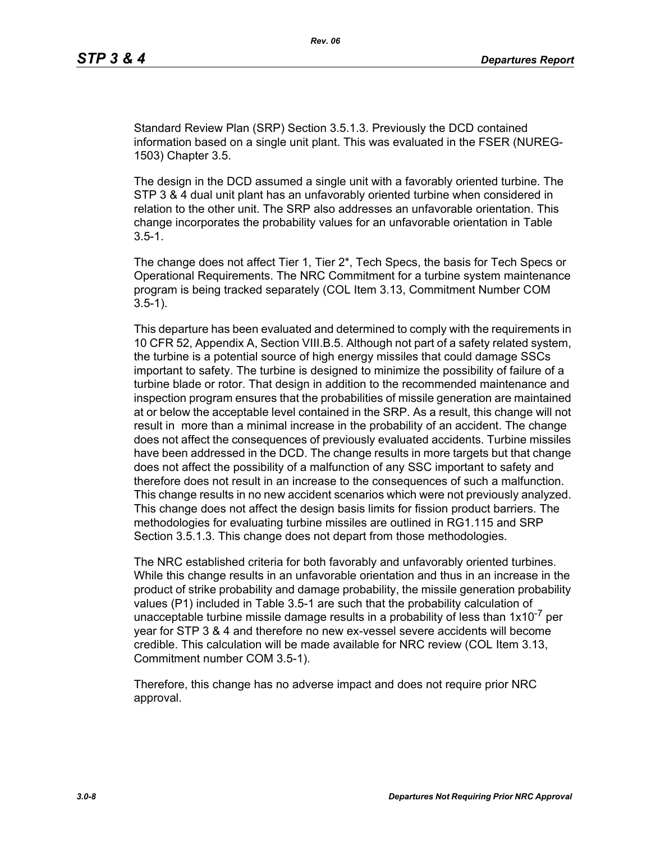Standard Review Plan (SRP) Section 3.5.1.3. Previously the DCD contained information based on a single unit plant. This was evaluated in the FSER (NUREG-1503) Chapter 3.5.

The design in the DCD assumed a single unit with a favorably oriented turbine. The STP 3 & 4 dual unit plant has an unfavorably oriented turbine when considered in relation to the other unit. The SRP also addresses an unfavorable orientation. This change incorporates the probability values for an unfavorable orientation in Table  $3.5 - 1.$ 

The change does not affect Tier 1, Tier 2\*, Tech Specs, the basis for Tech Specs or Operational Requirements. The NRC Commitment for a turbine system maintenance program is being tracked separately (COL Item 3.13, Commitment Number COM 3.5-1).

This departure has been evaluated and determined to comply with the requirements in 10 CFR 52, Appendix A, Section VIII.B.5. Although not part of a safety related system, the turbine is a potential source of high energy missiles that could damage SSCs important to safety. The turbine is designed to minimize the possibility of failure of a turbine blade or rotor. That design in addition to the recommended maintenance and inspection program ensures that the probabilities of missile generation are maintained at or below the acceptable level contained in the SRP. As a result, this change will not result in more than a minimal increase in the probability of an accident. The change does not affect the consequences of previously evaluated accidents. Turbine missiles have been addressed in the DCD. The change results in more targets but that change does not affect the possibility of a malfunction of any SSC important to safety and therefore does not result in an increase to the consequences of such a malfunction. This change results in no new accident scenarios which were not previously analyzed. This change does not affect the design basis limits for fission product barriers. The methodologies for evaluating turbine missiles are outlined in RG1.115 and SRP Section 3.5.1.3. This change does not depart from those methodologies.

The NRC established criteria for both favorably and unfavorably oriented turbines. While this change results in an unfavorable orientation and thus in an increase in the product of strike probability and damage probability, the missile generation probability values (P1) included in Table 3.5-1 are such that the probability calculation of unacceptable turbine missile damage results in a probability of less than  $1x10^{-7}$  per year for STP 3 & 4 and therefore no new ex-vessel severe accidents will become credible. This calculation will be made available for NRC review (COL Item 3.13, Commitment number COM 3.5-1).

Therefore, this change has no adverse impact and does not require prior NRC approval.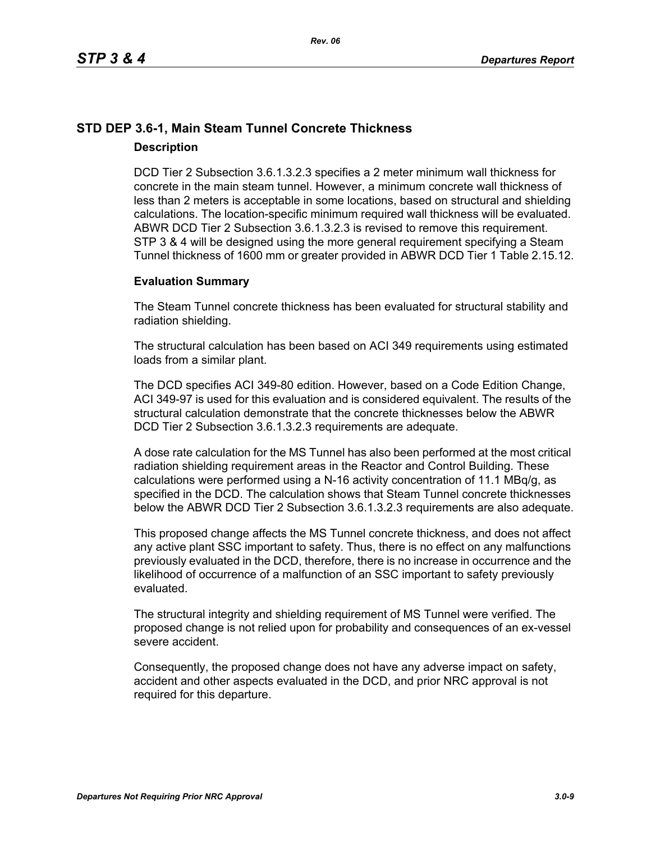# **STD DEP 3.6-1, Main Steam Tunnel Concrete Thickness Description**

DCD Tier 2 Subsection 3.6.1.3.2.3 specifies a 2 meter minimum wall thickness for concrete in the main steam tunnel. However, a minimum concrete wall thickness of less than 2 meters is acceptable in some locations, based on structural and shielding calculations. The location-specific minimum required wall thickness will be evaluated. ABWR DCD Tier 2 Subsection 3.6.1.3.2.3 is revised to remove this requirement. STP 3 & 4 will be designed using the more general requirement specifying a Steam Tunnel thickness of 1600 mm or greater provided in ABWR DCD Tier 1 Table 2.15.12.

#### **Evaluation Summary**

The Steam Tunnel concrete thickness has been evaluated for structural stability and radiation shielding.

The structural calculation has been based on ACI 349 requirements using estimated loads from a similar plant.

The DCD specifies ACI 349-80 edition. However, based on a Code Edition Change, ACI 349-97 is used for this evaluation and is considered equivalent. The results of the structural calculation demonstrate that the concrete thicknesses below the ABWR DCD Tier 2 Subsection 3.6.1.3.2.3 requirements are adequate.

A dose rate calculation for the MS Tunnel has also been performed at the most critical radiation shielding requirement areas in the Reactor and Control Building. These calculations were performed using a N-16 activity concentration of 11.1 MBq/g, as specified in the DCD. The calculation shows that Steam Tunnel concrete thicknesses below the ABWR DCD Tier 2 Subsection 3.6.1.3.2.3 requirements are also adequate.

This proposed change affects the MS Tunnel concrete thickness, and does not affect any active plant SSC important to safety. Thus, there is no effect on any malfunctions previously evaluated in the DCD, therefore, there is no increase in occurrence and the likelihood of occurrence of a malfunction of an SSC important to safety previously evaluated.

The structural integrity and shielding requirement of MS Tunnel were verified. The proposed change is not relied upon for probability and consequences of an ex-vessel severe accident.

Consequently, the proposed change does not have any adverse impact on safety, accident and other aspects evaluated in the DCD, and prior NRC approval is not required for this departure.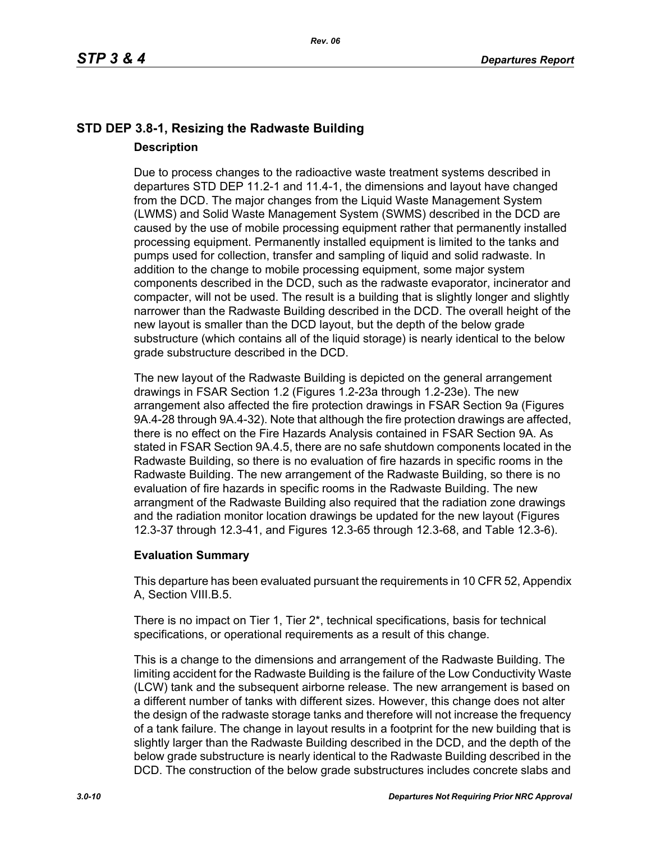# **STD DEP 3.8-1, Resizing the Radwaste Building Description**

Due to process changes to the radioactive waste treatment systems described in departures STD DEP 11.2-1 and 11.4-1, the dimensions and layout have changed from the DCD. The major changes from the Liquid Waste Management System (LWMS) and Solid Waste Management System (SWMS) described in the DCD are caused by the use of mobile processing equipment rather that permanently installed processing equipment. Permanently installed equipment is limited to the tanks and pumps used for collection, transfer and sampling of liquid and solid radwaste. In addition to the change to mobile processing equipment, some major system components described in the DCD, such as the radwaste evaporator, incinerator and compacter, will not be used. The result is a building that is slightly longer and slightly narrower than the Radwaste Building described in the DCD. The overall height of the new layout is smaller than the DCD layout, but the depth of the below grade substructure (which contains all of the liquid storage) is nearly identical to the below grade substructure described in the DCD.

The new layout of the Radwaste Building is depicted on the general arrangement drawings in FSAR Section 1.2 (Figures 1.2-23a through 1.2-23e). The new arrangement also affected the fire protection drawings in FSAR Section 9a (Figures 9A.4-28 through 9A.4-32). Note that although the fire protection drawings are affected, there is no effect on the Fire Hazards Analysis contained in FSAR Section 9A. As stated in FSAR Section 9A.4.5, there are no safe shutdown components located in the Radwaste Building, so there is no evaluation of fire hazards in specific rooms in the Radwaste Building. The new arrangement of the Radwaste Building, so there is no evaluation of fire hazards in specific rooms in the Radwaste Building. The new arrangment of the Radwaste Building also required that the radiation zone drawings and the radiation monitor location drawings be updated for the new layout (Figures 12.3-37 through 12.3-41, and Figures 12.3-65 through 12.3-68, and Table 12.3-6).

### **Evaluation Summary**

This departure has been evaluated pursuant the requirements in 10 CFR 52, Appendix A, Section VIII.B.5.

There is no impact on Tier 1, Tier  $2^*$ , technical specifications, basis for technical specifications, or operational requirements as a result of this change.

This is a change to the dimensions and arrangement of the Radwaste Building. The limiting accident for the Radwaste Building is the failure of the Low Conductivity Waste (LCW) tank and the subsequent airborne release. The new arrangement is based on a different number of tanks with different sizes. However, this change does not alter the design of the radwaste storage tanks and therefore will not increase the frequency of a tank failure. The change in layout results in a footprint for the new building that is slightly larger than the Radwaste Building described in the DCD, and the depth of the below grade substructure is nearly identical to the Radwaste Building described in the DCD. The construction of the below grade substructures includes concrete slabs and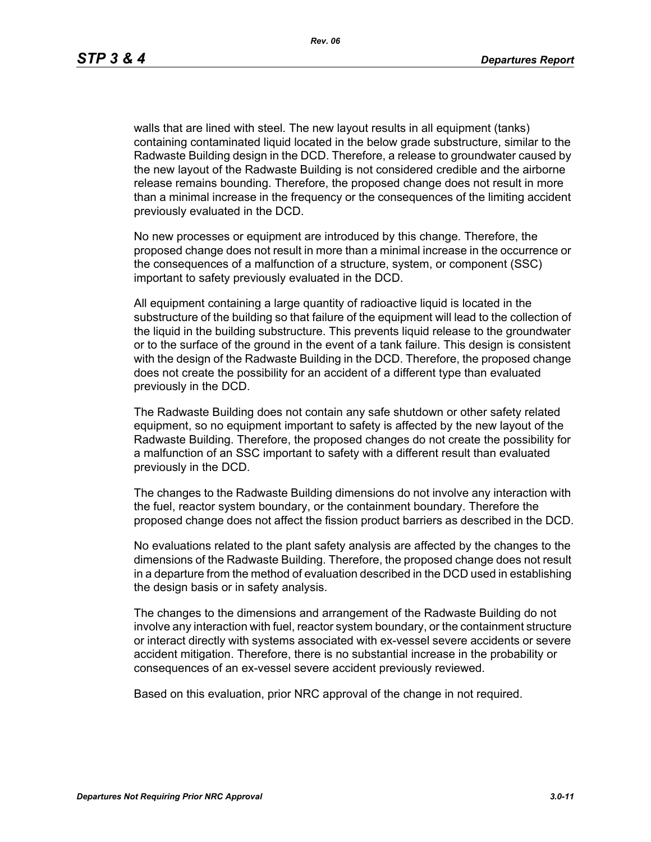walls that are lined with steel. The new layout results in all equipment (tanks) containing contaminated liquid located in the below grade substructure, similar to the Radwaste Building design in the DCD. Therefore, a release to groundwater caused by the new layout of the Radwaste Building is not considered credible and the airborne release remains bounding. Therefore, the proposed change does not result in more than a minimal increase in the frequency or the consequences of the limiting accident previously evaluated in the DCD.

No new processes or equipment are introduced by this change. Therefore, the proposed change does not result in more than a minimal increase in the occurrence or the consequences of a malfunction of a structure, system, or component (SSC) important to safety previously evaluated in the DCD.

All equipment containing a large quantity of radioactive liquid is located in the substructure of the building so that failure of the equipment will lead to the collection of the liquid in the building substructure. This prevents liquid release to the groundwater or to the surface of the ground in the event of a tank failure. This design is consistent with the design of the Radwaste Building in the DCD. Therefore, the proposed change does not create the possibility for an accident of a different type than evaluated previously in the DCD.

The Radwaste Building does not contain any safe shutdown or other safety related equipment, so no equipment important to safety is affected by the new layout of the Radwaste Building. Therefore, the proposed changes do not create the possibility for a malfunction of an SSC important to safety with a different result than evaluated previously in the DCD.

The changes to the Radwaste Building dimensions do not involve any interaction with the fuel, reactor system boundary, or the containment boundary. Therefore the proposed change does not affect the fission product barriers as described in the DCD.

No evaluations related to the plant safety analysis are affected by the changes to the dimensions of the Radwaste Building. Therefore, the proposed change does not result in a departure from the method of evaluation described in the DCD used in establishing the design basis or in safety analysis.

The changes to the dimensions and arrangement of the Radwaste Building do not involve any interaction with fuel, reactor system boundary, or the containment structure or interact directly with systems associated with ex-vessel severe accidents or severe accident mitigation. Therefore, there is no substantial increase in the probability or consequences of an ex-vessel severe accident previously reviewed.

Based on this evaluation, prior NRC approval of the change in not required.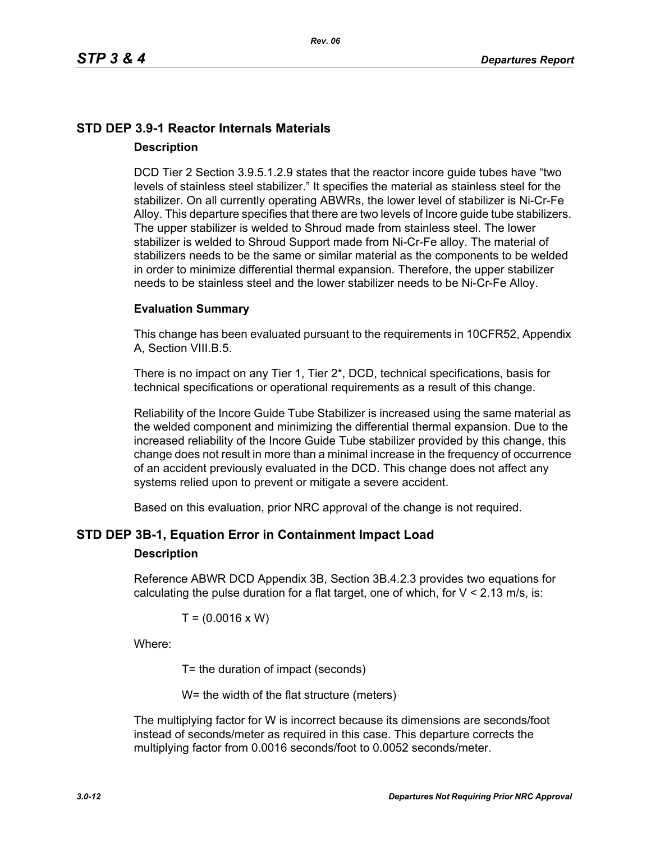# **STD DEP 3.9-1 Reactor Internals Materials Description**

DCD Tier 2 Section 3.9.5.1.2.9 states that the reactor incore guide tubes have "two levels of stainless steel stabilizer." It specifies the material as stainless steel for the stabilizer. On all currently operating ABWRs, the lower level of stabilizer is Ni-Cr-Fe Alloy. This departure specifies that there are two levels of Incore guide tube stabilizers. The upper stabilizer is welded to Shroud made from stainless steel. The lower stabilizer is welded to Shroud Support made from Ni-Cr-Fe alloy. The material of stabilizers needs to be the same or similar material as the components to be welded in order to minimize differential thermal expansion. Therefore, the upper stabilizer needs to be stainless steel and the lower stabilizer needs to be Ni-Cr-Fe Alloy.

#### **Evaluation Summary**

This change has been evaluated pursuant to the requirements in 10CFR52, Appendix A, Section VIII.B.5.

There is no impact on any Tier 1, Tier 2\*, DCD, technical specifications, basis for technical specifications or operational requirements as a result of this change.

Reliability of the Incore Guide Tube Stabilizer is increased using the same material as the welded component and minimizing the differential thermal expansion. Due to the increased reliability of the Incore Guide Tube stabilizer provided by this change, this change does not result in more than a minimal increase in the frequency of occurrence of an accident previously evaluated in the DCD. This change does not affect any systems relied upon to prevent or mitigate a severe accident.

Based on this evaluation, prior NRC approval of the change is not required.

### **STD DEP 3B-1, Equation Error in Containment Impact Load**

#### **Description**

Reference ABWR DCD Appendix 3B, Section 3B.4.2.3 provides two equations for calculating the pulse duration for a flat target, one of which, for  $V < 2.13$  m/s, is:

$$
T = (0.0016 \times W)
$$

Where:

T= the duration of impact (seconds)

W= the width of the flat structure (meters)

The multiplying factor for W is incorrect because its dimensions are seconds/foot instead of seconds/meter as required in this case. This departure corrects the multiplying factor from 0.0016 seconds/foot to 0.0052 seconds/meter.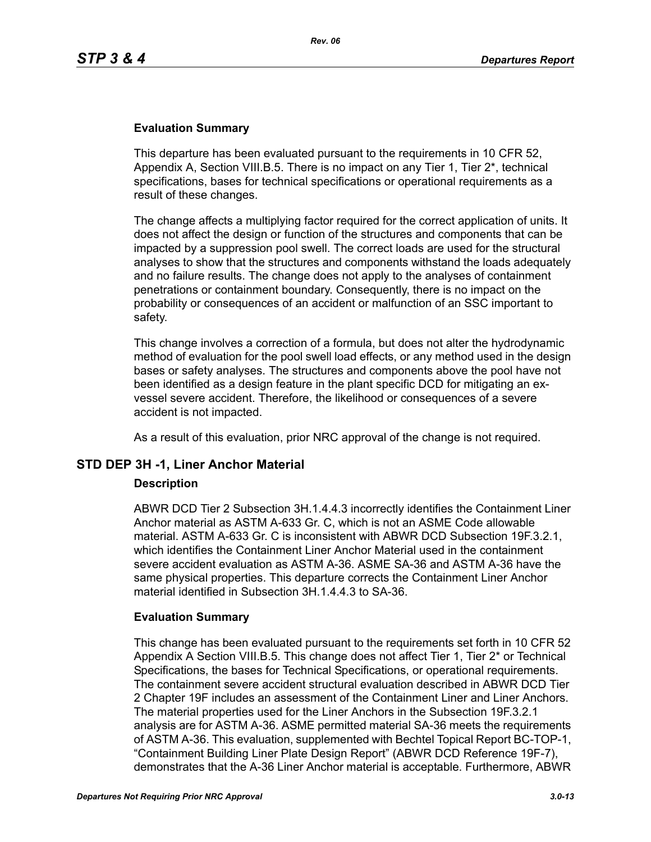### **Evaluation Summary**

This departure has been evaluated pursuant to the requirements in 10 CFR 52, Appendix A, Section VIII.B.5. There is no impact on any Tier 1, Tier 2\*, technical specifications, bases for technical specifications or operational requirements as a result of these changes.

The change affects a multiplying factor required for the correct application of units. It does not affect the design or function of the structures and components that can be impacted by a suppression pool swell. The correct loads are used for the structural analyses to show that the structures and components withstand the loads adequately and no failure results. The change does not apply to the analyses of containment penetrations or containment boundary. Consequently, there is no impact on the probability or consequences of an accident or malfunction of an SSC important to safety.

This change involves a correction of a formula, but does not alter the hydrodynamic method of evaluation for the pool swell load effects, or any method used in the design bases or safety analyses. The structures and components above the pool have not been identified as a design feature in the plant specific DCD for mitigating an exvessel severe accident. Therefore, the likelihood or consequences of a severe accident is not impacted.

As a result of this evaluation, prior NRC approval of the change is not required.

### **STD DEP 3H -1, Liner Anchor Material**

#### **Description**

ABWR DCD Tier 2 Subsection 3H.1.4.4.3 incorrectly identifies the Containment Liner Anchor material as ASTM A-633 Gr. C, which is not an ASME Code allowable material. ASTM A-633 Gr. C is inconsistent with ABWR DCD Subsection 19F.3.2.1, which identifies the Containment Liner Anchor Material used in the containment severe accident evaluation as ASTM A-36. ASME SA-36 and ASTM A-36 have the same physical properties. This departure corrects the Containment Liner Anchor material identified in Subsection 3H.1.4.4.3 to SA-36.

#### **Evaluation Summary**

This change has been evaluated pursuant to the requirements set forth in 10 CFR 52 Appendix A Section VIII.B.5. This change does not affect Tier 1, Tier 2\* or Technical Specifications, the bases for Technical Specifications, or operational requirements. The containment severe accident structural evaluation described in ABWR DCD Tier 2 Chapter 19F includes an assessment of the Containment Liner and Liner Anchors. The material properties used for the Liner Anchors in the Subsection 19F.3.2.1 analysis are for ASTM A-36. ASME permitted material SA-36 meets the requirements of ASTM A-36. This evaluation, supplemented with Bechtel Topical Report BC-TOP-1, "Containment Building Liner Plate Design Report" (ABWR DCD Reference 19F-7), demonstrates that the A-36 Liner Anchor material is acceptable. Furthermore, ABWR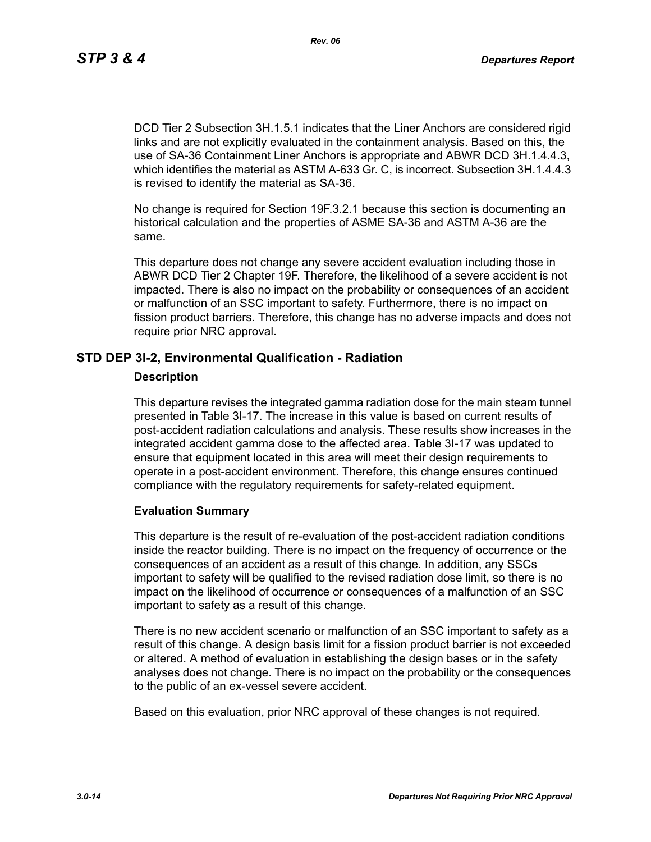DCD Tier 2 Subsection 3H.1.5.1 indicates that the Liner Anchors are considered rigid links and are not explicitly evaluated in the containment analysis. Based on this, the use of SA-36 Containment Liner Anchors is appropriate and ABWR DCD 3H.1.4.4.3, which identifies the material as ASTM A-633 Gr. C, is incorrect. Subsection 3H.1.4.4.3 is revised to identify the material as SA-36.

No change is required for Section 19F.3.2.1 because this section is documenting an historical calculation and the properties of ASME SA-36 and ASTM A-36 are the same.

This departure does not change any severe accident evaluation including those in ABWR DCD Tier 2 Chapter 19F. Therefore, the likelihood of a severe accident is not impacted. There is also no impact on the probability or consequences of an accident or malfunction of an SSC important to safety. Furthermore, there is no impact on fission product barriers. Therefore, this change has no adverse impacts and does not require prior NRC approval.

### **STD DEP 3I-2, Environmental Qualification - Radiation**

#### **Description**

This departure revises the integrated gamma radiation dose for the main steam tunnel presented in Table 3I-17. The increase in this value is based on current results of post-accident radiation calculations and analysis. These results show increases in the integrated accident gamma dose to the affected area. Table 3I-17 was updated to ensure that equipment located in this area will meet their design requirements to operate in a post-accident environment. Therefore, this change ensures continued compliance with the regulatory requirements for safety-related equipment.

### **Evaluation Summary**

This departure is the result of re-evaluation of the post-accident radiation conditions inside the reactor building. There is no impact on the frequency of occurrence or the consequences of an accident as a result of this change. In addition, any SSCs important to safety will be qualified to the revised radiation dose limit, so there is no impact on the likelihood of occurrence or consequences of a malfunction of an SSC important to safety as a result of this change.

There is no new accident scenario or malfunction of an SSC important to safety as a result of this change. A design basis limit for a fission product barrier is not exceeded or altered. A method of evaluation in establishing the design bases or in the safety analyses does not change. There is no impact on the probability or the consequences to the public of an ex-vessel severe accident.

Based on this evaluation, prior NRC approval of these changes is not required.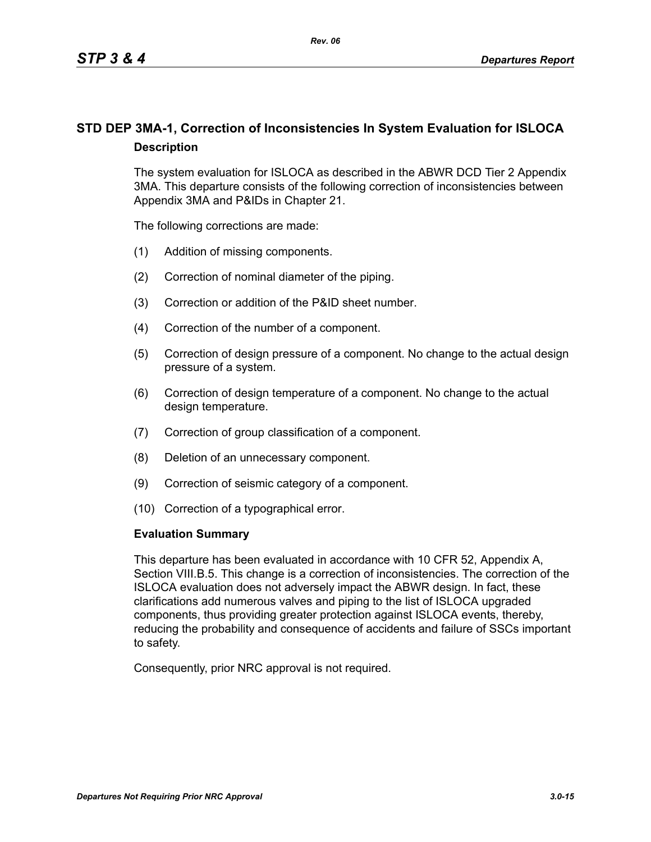# **STD DEP 3MA-1, Correction of Inconsistencies In System Evaluation for ISLOCA Description**

The system evaluation for ISLOCA as described in the ABWR DCD Tier 2 Appendix 3MA. This departure consists of the following correction of inconsistencies between Appendix 3MA and P&IDs in Chapter 21.

The following corrections are made:

- (1) Addition of missing components.
- (2) Correction of nominal diameter of the piping.
- (3) Correction or addition of the P&ID sheet number.
- (4) Correction of the number of a component.
- (5) Correction of design pressure of a component. No change to the actual design pressure of a system.
- (6) Correction of design temperature of a component. No change to the actual design temperature.
- (7) Correction of group classification of a component.
- (8) Deletion of an unnecessary component.
- (9) Correction of seismic category of a component.
- (10) Correction of a typographical error.

#### **Evaluation Summary**

This departure has been evaluated in accordance with 10 CFR 52, Appendix A, Section VIII.B.5. This change is a correction of inconsistencies. The correction of the ISLOCA evaluation does not adversely impact the ABWR design. In fact, these clarifications add numerous valves and piping to the list of ISLOCA upgraded components, thus providing greater protection against ISLOCA events, thereby, reducing the probability and consequence of accidents and failure of SSCs important to safety.

Consequently, prior NRC approval is not required.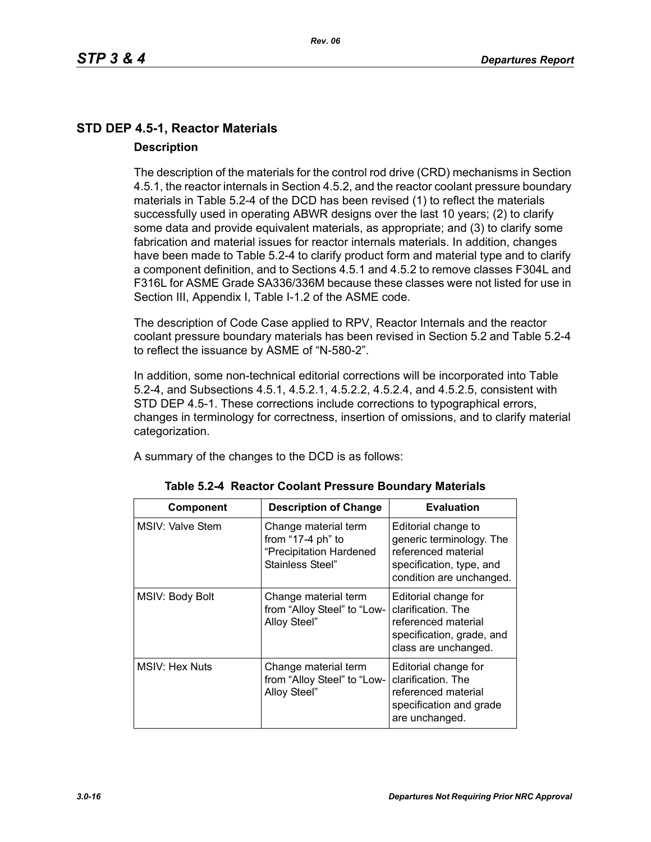# **STD DEP 4.5-1, Reactor Materials Description**

The description of the materials for the control rod drive (CRD) mechanisms in Section 4.5.1, the reactor internals in Section 4.5.2, and the reactor coolant pressure boundary materials in Table 5.2-4 of the DCD has been revised (1) to reflect the materials successfully used in operating ABWR designs over the last 10 years; (2) to clarify some data and provide equivalent materials, as appropriate; and (3) to clarify some fabrication and material issues for reactor internals materials. In addition, changes have been made to Table 5.2-4 to clarify product form and material type and to clarify a component definition, and to Sections 4.5.1 and 4.5.2 to remove classes F304L and F316L for ASME Grade SA336/336M because these classes were not listed for use in Section III, Appendix I, Table I-1.2 of the ASME code.

The description of Code Case applied to RPV, Reactor Internals and the reactor coolant pressure boundary materials has been revised in Section 5.2 and Table 5.2-4 to reflect the issuance by ASME of "N-580-2".

In addition, some non-technical editorial corrections will be incorporated into Table 5.2-4, and Subsections 4.5.1, 4.5.2.1, 4.5.2.2, 4.5.2.4, and 4.5.2.5, consistent with STD DEP 4.5-1. These corrections include corrections to typographical errors, changes in terminology for correctness, insertion of omissions, and to clarify material categorization.

A summary of the changes to the DCD is as follows:

| <b>Component</b>      | <b>Description of Change</b>                                                             | <b>Evaluation</b>                                                                                                              |
|-----------------------|------------------------------------------------------------------------------------------|--------------------------------------------------------------------------------------------------------------------------------|
| MSIV: Valve Stem      | Change material term<br>from "17-4 ph" to<br>"Precipitation Hardened<br>Stainless Steel" | Editorial change to<br>generic terminology. The<br>referenced material<br>specification, type, and<br>condition are unchanged. |
| MSIV: Body Bolt       | Change material term<br>from "Alloy Steel" to "Low-<br>Alloy Steel"                      | Editorial change for<br>clarification. The<br>referenced material<br>specification, grade, and<br>class are unchanged.         |
| <b>MSIV: Hex Nuts</b> | Change material term<br>from "Alloy Steel" to "Low-<br>Alloy Steel"                      | Editorial change for<br>clarification. The<br>referenced material<br>specification and grade<br>are unchanged.                 |

|  |  | Table 5.2-4 Reactor Coolant Pressure Boundary Materials |  |
|--|--|---------------------------------------------------------|--|
|--|--|---------------------------------------------------------|--|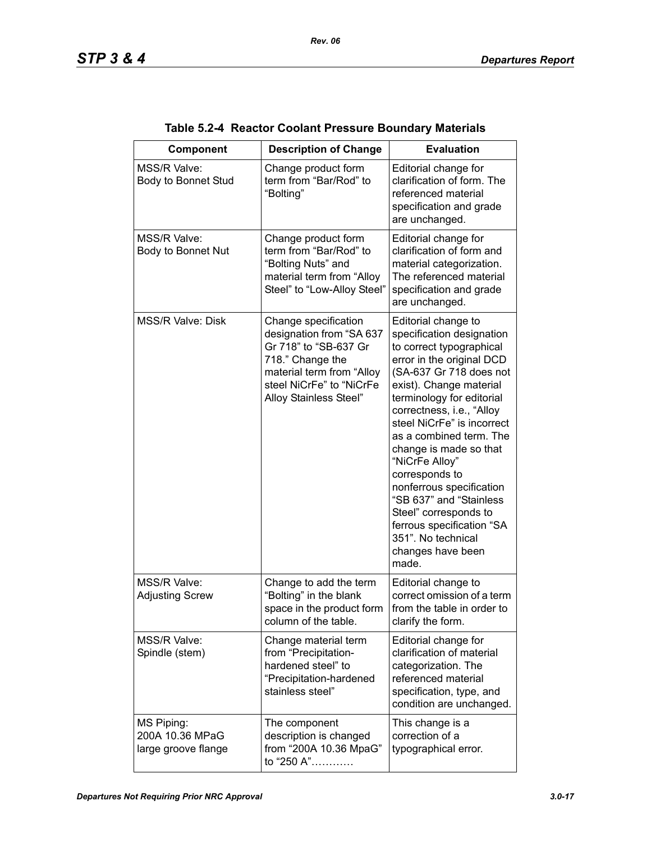| Component                                            | <b>Description of Change</b>                                                                                                                                                     | <b>Evaluation</b>                                                                                                                                                                                                                                                                                                                                                                                                                                                                                                 |
|------------------------------------------------------|----------------------------------------------------------------------------------------------------------------------------------------------------------------------------------|-------------------------------------------------------------------------------------------------------------------------------------------------------------------------------------------------------------------------------------------------------------------------------------------------------------------------------------------------------------------------------------------------------------------------------------------------------------------------------------------------------------------|
| MSS/R Valve:<br>Body to Bonnet Stud                  | Change product form<br>term from "Bar/Rod" to<br>"Bolting"                                                                                                                       | Editorial change for<br>clarification of form. The<br>referenced material<br>specification and grade<br>are unchanged.                                                                                                                                                                                                                                                                                                                                                                                            |
| <b>MSS/R Valve:</b><br>Body to Bonnet Nut            | Change product form<br>term from "Bar/Rod" to<br>"Bolting Nuts" and<br>material term from "Alloy<br>Steel" to "Low-Alloy Steel"                                                  | Editorial change for<br>clarification of form and<br>material categorization.<br>The referenced material<br>specification and grade<br>are unchanged.                                                                                                                                                                                                                                                                                                                                                             |
| <b>MSS/R Valve: Disk</b>                             | Change specification<br>designation from "SA 637<br>Gr 718" to "SB-637 Gr<br>718." Change the<br>material term from "Alloy<br>steel NiCrFe" to "NiCrFe<br>Alloy Stainless Steel" | Editorial change to<br>specification designation<br>to correct typographical<br>error in the original DCD<br>(SA-637 Gr 718 does not<br>exist). Change material<br>terminology for editorial<br>correctness, i.e., "Alloy<br>steel NiCrFe" is incorrect<br>as a combined term. The<br>change is made so that<br>"NiCrFe Alloy"<br>corresponds to<br>nonferrous specification<br>"SB 637" and "Stainless<br>Steel" corresponds to<br>ferrous specification "SA<br>351". No technical<br>changes have been<br>made. |
| MSS/R Valve:<br><b>Adjusting Screw</b>               | Change to add the term<br>"Bolting" in the blank<br>space in the product form<br>column of the table.                                                                            | Editorial change to<br>correct omission of a term<br>from the table in order to<br>clarify the form.                                                                                                                                                                                                                                                                                                                                                                                                              |
| MSS/R Valve:<br>Spindle (stem)                       | Change material term<br>from "Precipitation-<br>hardened steel" to<br>"Precipitation-hardened<br>stainless steel"                                                                | Editorial change for<br>clarification of material<br>categorization. The<br>referenced material<br>specification, type, and<br>condition are unchanged.                                                                                                                                                                                                                                                                                                                                                           |
| MS Piping:<br>200A 10.36 MPaG<br>large groove flange | The component<br>description is changed<br>from "200A 10.36 MpaG"<br>to "250 A"                                                                                                  | This change is a<br>correction of a<br>typographical error.                                                                                                                                                                                                                                                                                                                                                                                                                                                       |

| Table 5.2-4 Reactor Coolant Pressure Boundary Materials |  |
|---------------------------------------------------------|--|
|                                                         |  |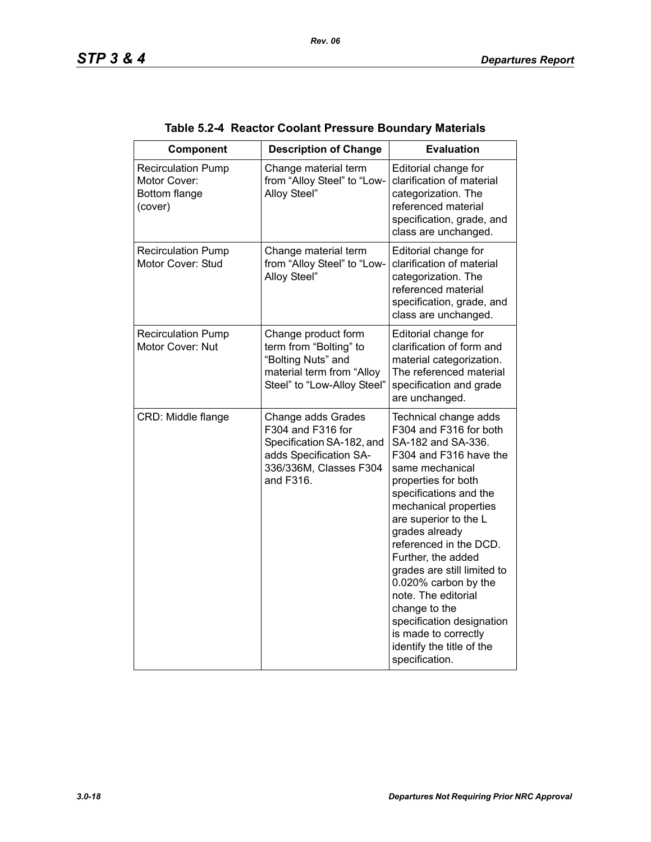| Component                                                             | <b>Description of Change</b>                                                                                                          | <b>Evaluation</b>                                                                                                                                                                                                                                                                                                                                                                                                                                                                          |
|-----------------------------------------------------------------------|---------------------------------------------------------------------------------------------------------------------------------------|--------------------------------------------------------------------------------------------------------------------------------------------------------------------------------------------------------------------------------------------------------------------------------------------------------------------------------------------------------------------------------------------------------------------------------------------------------------------------------------------|
| <b>Recirculation Pump</b><br>Motor Cover:<br>Bottom flange<br>(cover) | Change material term<br>from "Alloy Steel" to "Low-<br>Alloy Steel"                                                                   | Editorial change for<br>clarification of material<br>categorization. The<br>referenced material<br>specification, grade, and<br>class are unchanged.                                                                                                                                                                                                                                                                                                                                       |
| <b>Recirculation Pump</b><br>Motor Cover: Stud                        | Change material term<br>from "Alloy Steel" to "Low-<br>Alloy Steel"                                                                   | Editorial change for<br>clarification of material<br>categorization. The<br>referenced material<br>specification, grade, and<br>class are unchanged.                                                                                                                                                                                                                                                                                                                                       |
| <b>Recirculation Pump</b><br>Motor Cover: Nut                         | Change product form<br>term from "Bolting" to<br>"Bolting Nuts" and<br>material term from "Alloy<br>Steel" to "Low-Alloy Steel"       | Editorial change for<br>clarification of form and<br>material categorization.<br>The referenced material<br>specification and grade<br>are unchanged.                                                                                                                                                                                                                                                                                                                                      |
| CRD: Middle flange                                                    | Change adds Grades<br>F304 and F316 for<br>Specification SA-182, and<br>adds Specification SA-<br>336/336M, Classes F304<br>and F316. | Technical change adds<br>F304 and F316 for both<br>SA-182 and SA-336.<br>F304 and F316 have the<br>same mechanical<br>properties for both<br>specifications and the<br>mechanical properties<br>are superior to the L<br>grades already<br>referenced in the DCD.<br>Further, the added<br>grades are still limited to<br>0.020% carbon by the<br>note. The editorial<br>change to the<br>specification designation<br>is made to correctly<br>identify the title of the<br>specification. |

# **Table 5.2-4 Reactor Coolant Pressure Boundary Materials**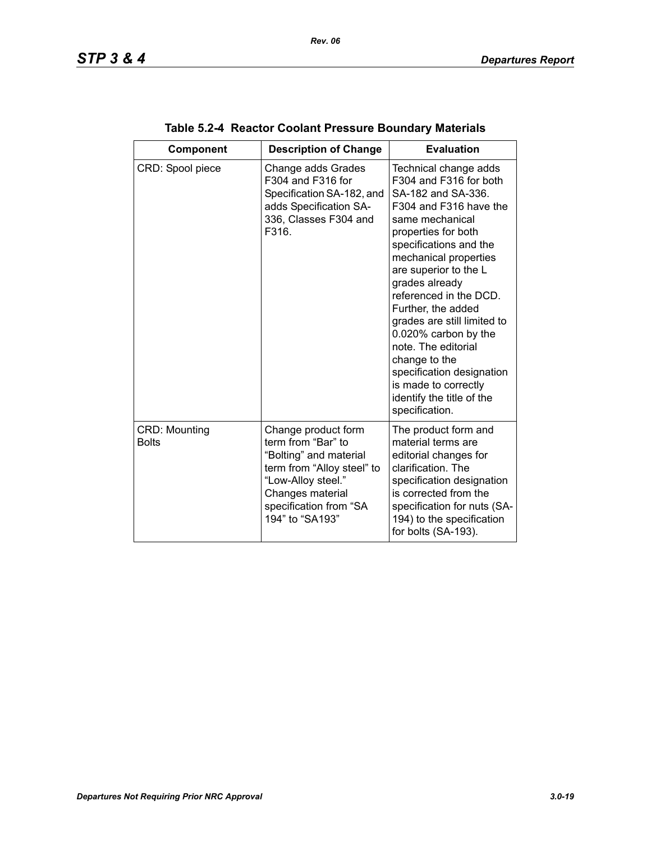| Component                            | <b>Description of Change</b>                                                                                                                                                             | <b>Evaluation</b>                                                                                                                                                                                                                                                                                                                                                                                                                                                                          |
|--------------------------------------|------------------------------------------------------------------------------------------------------------------------------------------------------------------------------------------|--------------------------------------------------------------------------------------------------------------------------------------------------------------------------------------------------------------------------------------------------------------------------------------------------------------------------------------------------------------------------------------------------------------------------------------------------------------------------------------------|
| CRD: Spool piece                     | Change adds Grades<br>F304 and F316 for<br>Specification SA-182, and<br>adds Specification SA-<br>336, Classes F304 and<br>F316.                                                         | Technical change adds<br>F304 and F316 for both<br>SA-182 and SA-336.<br>F304 and F316 have the<br>same mechanical<br>properties for both<br>specifications and the<br>mechanical properties<br>are superior to the L<br>grades already<br>referenced in the DCD.<br>Further, the added<br>grades are still limited to<br>0.020% carbon by the<br>note. The editorial<br>change to the<br>specification designation<br>is made to correctly<br>identify the title of the<br>specification. |
| <b>CRD: Mounting</b><br><b>Bolts</b> | Change product form<br>term from "Bar" to<br>"Bolting" and material<br>term from "Alloy steel" to<br>"Low-Alloy steel."<br>Changes material<br>specification from "SA<br>194" to "SA193" | The product form and<br>material terms are<br>editorial changes for<br>clarification. The<br>specification designation<br>is corrected from the<br>specification for nuts (SA-<br>194) to the specification<br>for bolts (SA-193).                                                                                                                                                                                                                                                         |

| Table 5.2-4 Reactor Coolant Pressure Boundary Materials |  |
|---------------------------------------------------------|--|
|                                                         |  |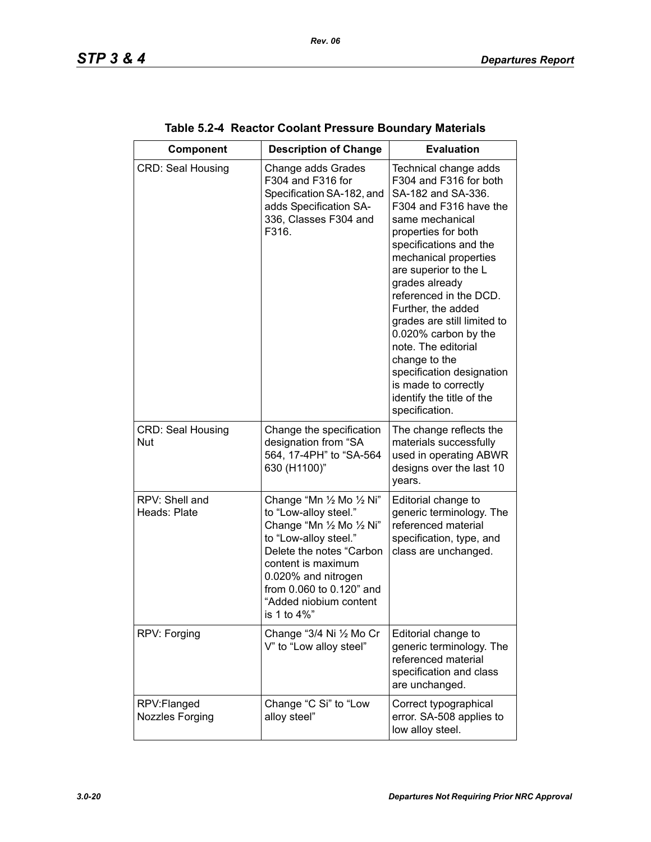| Component                             | <b>Description of Change</b>                                                                                                                                                                                                                           | <b>Evaluation</b>                                                                                                                                                                                                                                                                                                                                                                                                                                                                          |
|---------------------------------------|--------------------------------------------------------------------------------------------------------------------------------------------------------------------------------------------------------------------------------------------------------|--------------------------------------------------------------------------------------------------------------------------------------------------------------------------------------------------------------------------------------------------------------------------------------------------------------------------------------------------------------------------------------------------------------------------------------------------------------------------------------------|
| <b>CRD: Seal Housing</b>              | Change adds Grades<br>F304 and F316 for<br>Specification SA-182, and<br>adds Specification SA-<br>336, Classes F304 and<br>F316.                                                                                                                       | Technical change adds<br>F304 and F316 for both<br>SA-182 and SA-336.<br>F304 and F316 have the<br>same mechanical<br>properties for both<br>specifications and the<br>mechanical properties<br>are superior to the L<br>grades already<br>referenced in the DCD.<br>Further, the added<br>grades are still limited to<br>0.020% carbon by the<br>note. The editorial<br>change to the<br>specification designation<br>is made to correctly<br>identify the title of the<br>specification. |
| <b>CRD: Seal Housing</b><br>Nut       | Change the specification<br>designation from "SA<br>564, 17-4PH" to "SA-564<br>630 (H1100)"                                                                                                                                                            | The change reflects the<br>materials successfully<br>used in operating ABWR<br>designs over the last 10<br>years.                                                                                                                                                                                                                                                                                                                                                                          |
| RPV: Shell and<br>Heads: Plate        | Change "Mn 1/2 Mo 1/2 Ni"<br>to "Low-alloy steel."<br>Change "Mn 1/2 Mo 1/2 Ni"<br>to "Low-alloy steel."<br>Delete the notes "Carbon<br>content is maximum<br>0.020% and nitrogen<br>from 0.060 to 0.120" and<br>"Added niobium content<br>is 1 to 4%" | Editorial change to<br>generic terminology. The<br>referenced material<br>specification, type, and<br>class are unchanged.                                                                                                                                                                                                                                                                                                                                                                 |
| RPV: Forging                          | Change "3/4 Ni 1/2 Mo Cr<br>V" to "Low alloy steel"                                                                                                                                                                                                    | Editorial change to<br>generic terminology. The<br>referenced material<br>specification and class<br>are unchanged.                                                                                                                                                                                                                                                                                                                                                                        |
| RPV:Flanged<br><b>Nozzles Forging</b> | Change "C Si" to "Low<br>alloy steel"                                                                                                                                                                                                                  | Correct typographical<br>error. SA-508 applies to<br>low alloy steel.                                                                                                                                                                                                                                                                                                                                                                                                                      |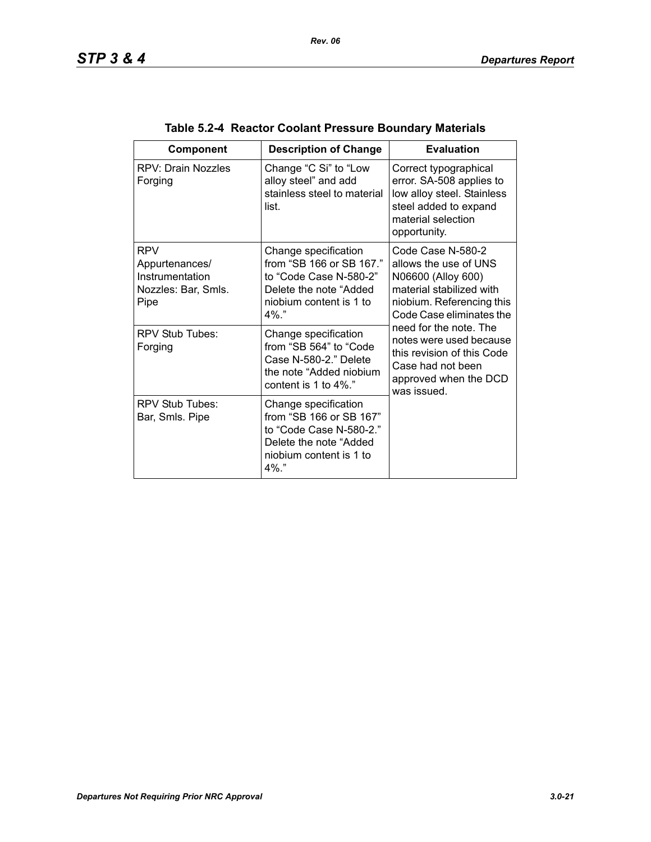| Component                                                                      | <b>Description of Change</b>                                                                                                                | <b>Evaluation</b>                                                                                                                                                                                                                                                                                     |
|--------------------------------------------------------------------------------|---------------------------------------------------------------------------------------------------------------------------------------------|-------------------------------------------------------------------------------------------------------------------------------------------------------------------------------------------------------------------------------------------------------------------------------------------------------|
| RPV: Drain Nozzles<br>Forging                                                  | Change "C Si" to "Low<br>alloy steel" and add<br>stainless steel to material<br>list.                                                       | Correct typographical<br>error. SA-508 applies to<br>low alloy steel. Stainless<br>steel added to expand<br>material selection<br>opportunity.                                                                                                                                                        |
| <b>RPV</b><br>Appurtenances/<br>Instrumentation<br>Nozzles: Bar, Smls.<br>Pipe | Change specification<br>from "SB 166 or SB 167."<br>to "Code Case N-580-2"<br>Delete the note "Added"<br>niobium content is 1 to<br>$4\%$ " | Code Case N-580-2<br>allows the use of UNS<br>N06600 (Alloy 600)<br>material stabilized with<br>niobium. Referencing this<br>Code Case eliminates the<br>need for the note. The<br>notes were used because<br>this revision of this Code<br>Case had not been<br>approved when the DCD<br>was issued. |
| RPV Stub Tubes:<br>Forging                                                     | Change specification<br>from "SB 564" to "Code<br>Case N-580-2." Delete<br>the note "Added niobium<br>content is 1 to $4\%$ ."              |                                                                                                                                                                                                                                                                                                       |
| RPV Stub Tubes:<br>Bar, Smls. Pipe                                             | Change specification<br>from "SB 166 or SB 167"<br>to "Code Case N-580-2."<br>Delete the note "Added<br>niobium content is 1 to<br>$4\%$ "  |                                                                                                                                                                                                                                                                                                       |

| Table 5.2-4 Reactor Coolant Pressure Boundary Materials |  |
|---------------------------------------------------------|--|
|                                                         |  |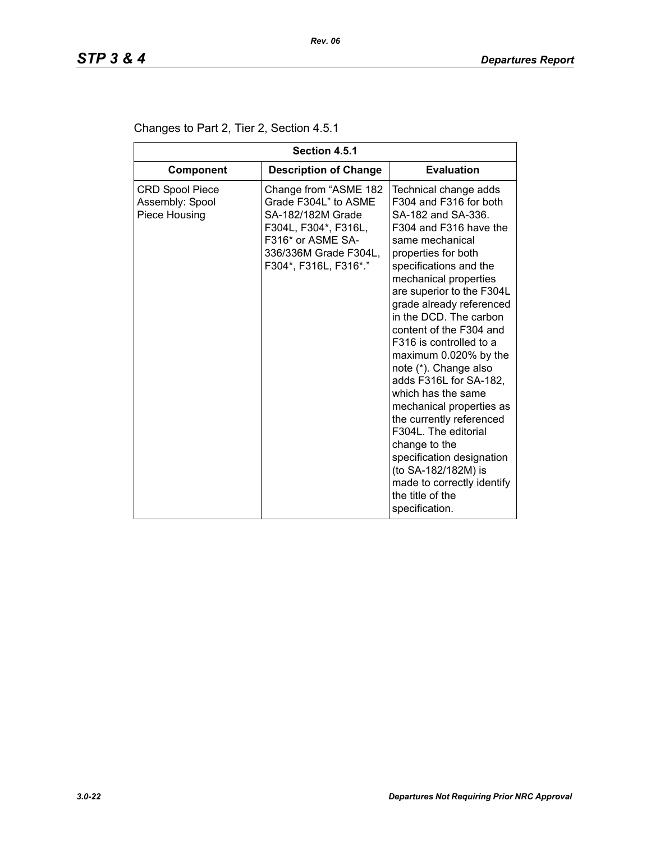| Section 4.5.1                                              |                                                                                                                                                                   |                                                                                                                                                                                                                                                                                                                                                                                                                                                                                                                                                                                                                                                                  |  |
|------------------------------------------------------------|-------------------------------------------------------------------------------------------------------------------------------------------------------------------|------------------------------------------------------------------------------------------------------------------------------------------------------------------------------------------------------------------------------------------------------------------------------------------------------------------------------------------------------------------------------------------------------------------------------------------------------------------------------------------------------------------------------------------------------------------------------------------------------------------------------------------------------------------|--|
| <b>Component</b>                                           | <b>Description of Change</b>                                                                                                                                      | <b>Evaluation</b>                                                                                                                                                                                                                                                                                                                                                                                                                                                                                                                                                                                                                                                |  |
| <b>CRD Spool Piece</b><br>Assembly: Spool<br>Piece Housing | Change from "ASME 182<br>Grade F304L" to ASME<br>SA-182/182M Grade<br>F304L, F304*, F316L,<br>F316* or ASME SA-<br>336/336M Grade F304L,<br>F304*, F316L, F316*." | Technical change adds<br>F304 and F316 for both<br>SA-182 and SA-336.<br>F304 and F316 have the<br>same mechanical<br>properties for both<br>specifications and the<br>mechanical properties<br>are superior to the F304L<br>grade already referenced<br>in the DCD. The carbon<br>content of the F304 and<br>F316 is controlled to a<br>maximum 0.020% by the<br>note (*). Change also<br>adds F316L for SA-182,<br>which has the same<br>mechanical properties as<br>the currently referenced<br>F304L. The editorial<br>change to the<br>specification designation<br>(to SA-182/182M) is<br>made to correctly identify<br>the title of the<br>specification. |  |

# Changes to Part 2, Tier 2, Section 4.5.1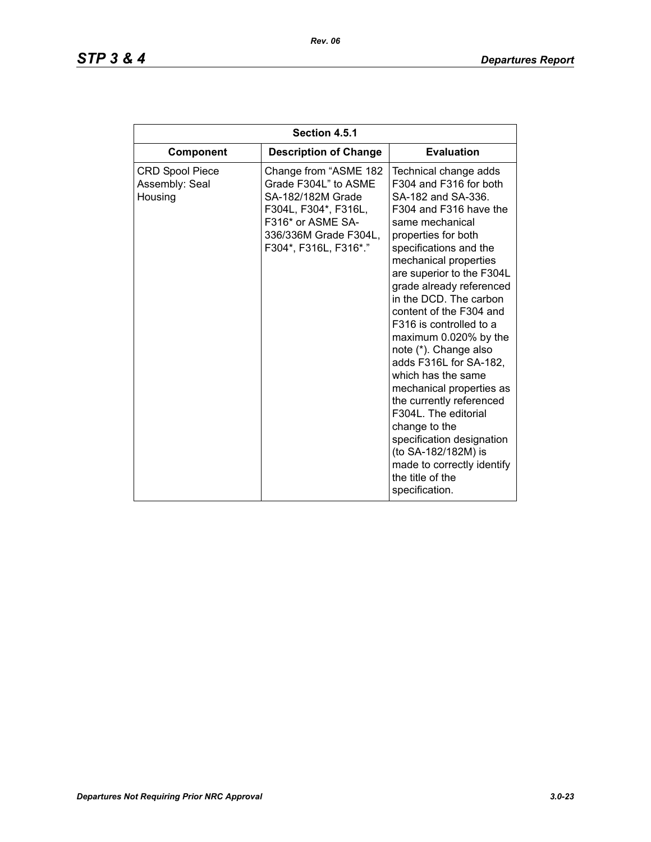# *STP 3 & 4 Departures Report*

| Section 4.5.1                                       |                                                                                                                                                                   |                                                                                                                                                                                                                                                                                                                                                                                                                                                                                                                                                                                                                                                                  |
|-----------------------------------------------------|-------------------------------------------------------------------------------------------------------------------------------------------------------------------|------------------------------------------------------------------------------------------------------------------------------------------------------------------------------------------------------------------------------------------------------------------------------------------------------------------------------------------------------------------------------------------------------------------------------------------------------------------------------------------------------------------------------------------------------------------------------------------------------------------------------------------------------------------|
| <b>Component</b>                                    | <b>Description of Change</b>                                                                                                                                      | <b>Evaluation</b>                                                                                                                                                                                                                                                                                                                                                                                                                                                                                                                                                                                                                                                |
| <b>CRD Spool Piece</b><br>Assembly: Seal<br>Housing | Change from "ASME 182<br>Grade F304L" to ASME<br>SA-182/182M Grade<br>F304L, F304*, F316L,<br>F316* or ASME SA-<br>336/336M Grade F304L,<br>F304*, F316L, F316*." | Technical change adds<br>F304 and F316 for both<br>SA-182 and SA-336.<br>F304 and F316 have the<br>same mechanical<br>properties for both<br>specifications and the<br>mechanical properties<br>are superior to the F304L<br>grade already referenced<br>in the DCD. The carbon<br>content of the F304 and<br>F316 is controlled to a<br>maximum 0.020% by the<br>note (*). Change also<br>adds F316L for SA-182,<br>which has the same<br>mechanical properties as<br>the currently referenced<br>F304L. The editorial<br>change to the<br>specification designation<br>(to SA-182/182M) is<br>made to correctly identify<br>the title of the<br>specification. |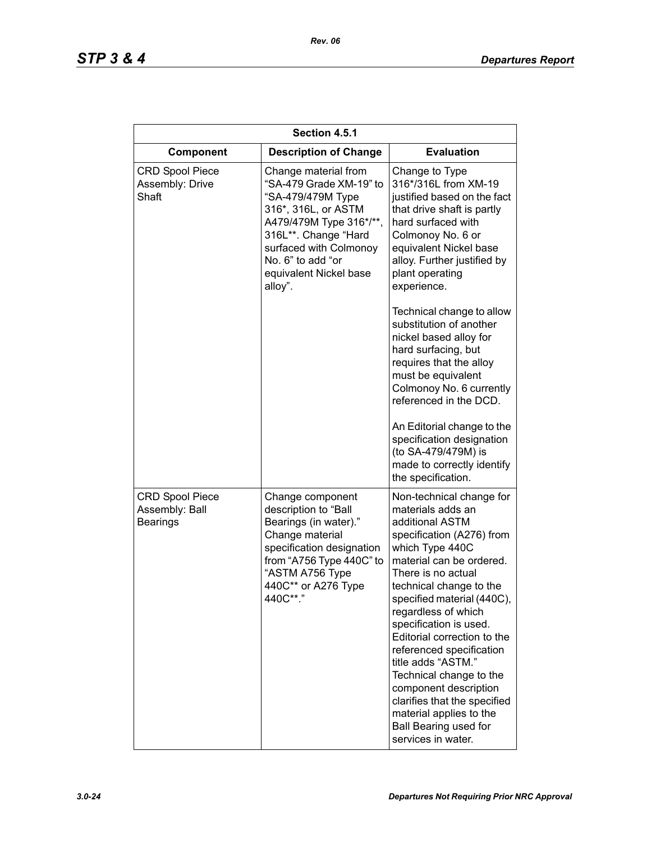| Section 4.5.1                                               |                                                                                                                                                                                                                                    |                                                                                                                                                                                                                                                                                                                                                                                                                                                                                                                                    |
|-------------------------------------------------------------|------------------------------------------------------------------------------------------------------------------------------------------------------------------------------------------------------------------------------------|------------------------------------------------------------------------------------------------------------------------------------------------------------------------------------------------------------------------------------------------------------------------------------------------------------------------------------------------------------------------------------------------------------------------------------------------------------------------------------------------------------------------------------|
| Component                                                   | <b>Description of Change</b>                                                                                                                                                                                                       | <b>Evaluation</b>                                                                                                                                                                                                                                                                                                                                                                                                                                                                                                                  |
| <b>CRD Spool Piece</b><br>Assembly: Drive<br>Shaft          | Change material from<br>"SA-479 Grade XM-19" to<br>"SA-479/479M Type<br>316*, 316L, or ASTM<br>A479/479M Type 316*/**,<br>316L**. Change "Hard<br>surfaced with Colmonoy<br>No. 6" to add "or<br>equivalent Nickel base<br>alloy". | Change to Type<br>316*/316L from XM-19<br>justified based on the fact<br>that drive shaft is partly<br>hard surfaced with<br>Colmonoy No. 6 or<br>equivalent Nickel base<br>alloy. Further justified by<br>plant operating<br>experience.                                                                                                                                                                                                                                                                                          |
|                                                             |                                                                                                                                                                                                                                    | Technical change to allow<br>substitution of another<br>nickel based alloy for<br>hard surfacing, but<br>requires that the alloy<br>must be equivalent<br>Colmonoy No. 6 currently<br>referenced in the DCD.<br>An Editorial change to the<br>specification designation<br>(to SA-479/479M) is<br>made to correctly identify<br>the specification.                                                                                                                                                                                 |
| <b>CRD Spool Piece</b><br>Assembly: Ball<br><b>Bearings</b> | Change component<br>description to "Ball<br>Bearings (in water)."<br>Change material<br>specification designation<br>from "A756 Type 440C" to<br>"ASTM A756 Type<br>440C** or A276 Type<br>440C**."                                | Non-technical change for<br>materials adds an<br>additional ASTM<br>specification (A276) from<br>which Type 440C<br>material can be ordered.<br>There is no actual<br>technical change to the<br>specified material (440C),<br>regardless of which<br>specification is used.<br>Editorial correction to the<br>referenced specification<br>title adds "ASTM."<br>Technical change to the<br>component description<br>clarifies that the specified<br>material applies to the<br><b>Ball Bearing used for</b><br>services in water. |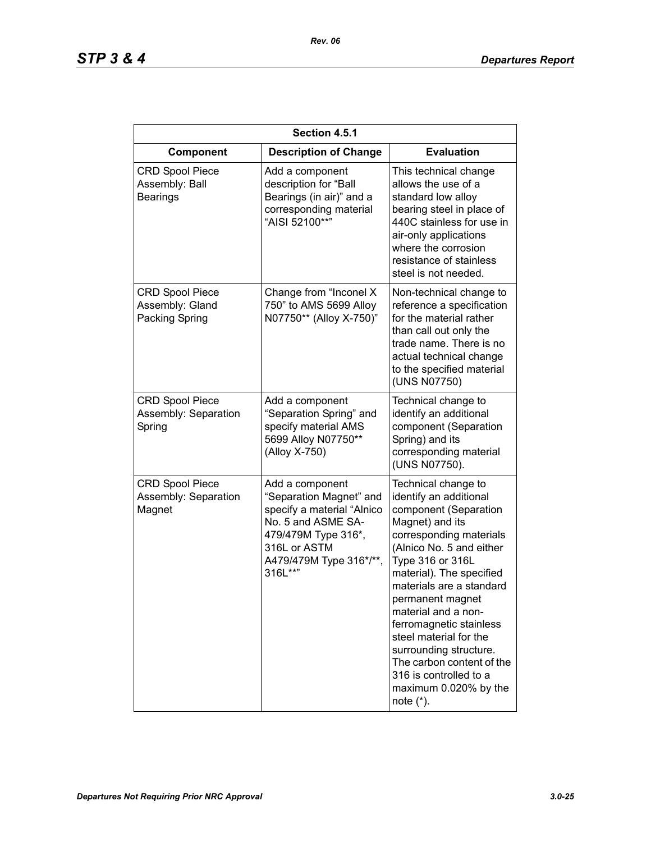| Section 4.5.1                                               |                                                                                                                                                                             |                                                                                                                                                                                                                                                                                                                                                                                                                                                        |
|-------------------------------------------------------------|-----------------------------------------------------------------------------------------------------------------------------------------------------------------------------|--------------------------------------------------------------------------------------------------------------------------------------------------------------------------------------------------------------------------------------------------------------------------------------------------------------------------------------------------------------------------------------------------------------------------------------------------------|
| Component                                                   | <b>Description of Change</b>                                                                                                                                                | <b>Evaluation</b>                                                                                                                                                                                                                                                                                                                                                                                                                                      |
| <b>CRD Spool Piece</b><br>Assembly: Ball<br><b>Bearings</b> | Add a component<br>description for "Ball<br>Bearings (in air)" and a<br>corresponding material<br>"AISI 52100**"                                                            | This technical change<br>allows the use of a<br>standard low alloy<br>bearing steel in place of<br>440C stainless for use in<br>air-only applications<br>where the corrosion<br>resistance of stainless<br>steel is not needed.                                                                                                                                                                                                                        |
| <b>CRD Spool Piece</b><br>Assembly: Gland<br>Packing Spring | Change from "Inconel X<br>750" to AMS 5699 Alloy<br>N07750** (Alloy X-750)"                                                                                                 | Non-technical change to<br>reference a specification<br>for the material rather<br>than call out only the<br>trade name. There is no<br>actual technical change<br>to the specified material<br>(UNS N07750)                                                                                                                                                                                                                                           |
| <b>CRD Spool Piece</b><br>Assembly: Separation<br>Spring    | Add a component<br>"Separation Spring" and<br>specify material AMS<br>5699 Alloy N07750**<br>(Alloy X-750)                                                                  | Technical change to<br>identify an additional<br>component (Separation<br>Spring) and its<br>corresponding material<br>(UNS N07750).                                                                                                                                                                                                                                                                                                                   |
| <b>CRD Spool Piece</b><br>Assembly: Separation<br>Magnet    | Add a component<br>"Separation Magnet" and<br>specify a material "Alnico<br>No. 5 and ASME SA-<br>479/479M Type 316*,<br>316L or ASTM<br>A479/479M Type 316*/**,<br>316L**" | Technical change to<br>identify an additional<br>component (Separation<br>Magnet) and its<br>corresponding materials<br>(Alnico No. 5 and either<br>Type 316 or 316L<br>material). The specified<br>materials are a standard<br>permanent magnet<br>material and a non-<br>ferromagnetic stainless<br>steel material for the<br>surrounding structure.<br>The carbon content of the<br>316 is controlled to a<br>maximum 0.020% by the<br>note $(*)$ . |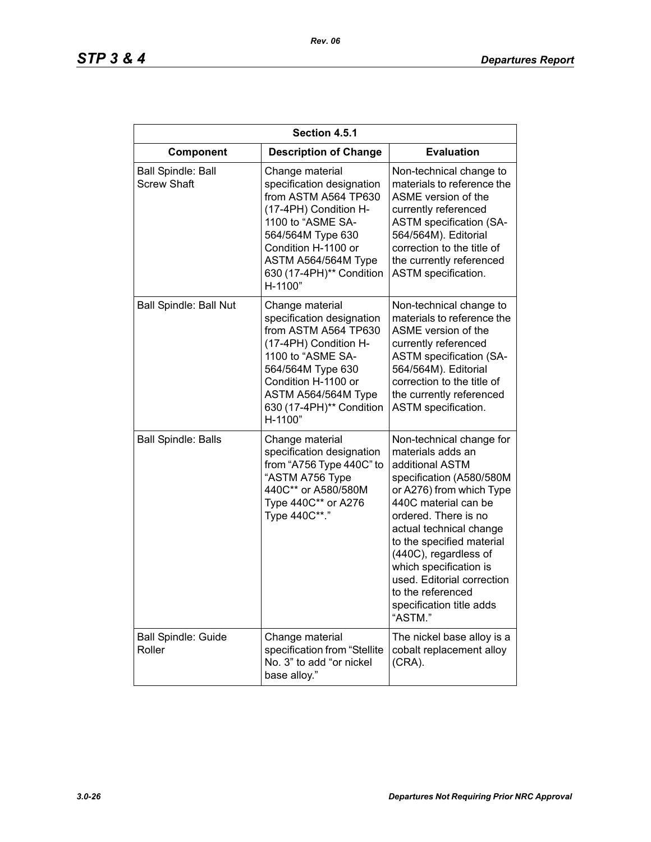| Section 4.5.1                                   |                                                                                                                                                                                                                              |                                                                                                                                                                                                                                                                                                                                                                               |
|-------------------------------------------------|------------------------------------------------------------------------------------------------------------------------------------------------------------------------------------------------------------------------------|-------------------------------------------------------------------------------------------------------------------------------------------------------------------------------------------------------------------------------------------------------------------------------------------------------------------------------------------------------------------------------|
| Component                                       | <b>Description of Change</b>                                                                                                                                                                                                 | <b>Evaluation</b>                                                                                                                                                                                                                                                                                                                                                             |
| <b>Ball Spindle: Ball</b><br><b>Screw Shaft</b> | Change material<br>specification designation<br>from ASTM A564 TP630<br>(17-4PH) Condition H-<br>1100 to "ASME SA-<br>564/564M Type 630<br>Condition H-1100 or<br>ASTM A564/564M Type<br>630 (17-4PH)** Condition<br>H-1100" | Non-technical change to<br>materials to reference the<br>ASME version of the<br>currently referenced<br><b>ASTM specification (SA-</b><br>564/564M). Editorial<br>correction to the title of<br>the currently referenced<br>ASTM specification.                                                                                                                               |
| <b>Ball Spindle: Ball Nut</b>                   | Change material<br>specification designation<br>from ASTM A564 TP630<br>(17-4PH) Condition H-<br>1100 to "ASME SA-<br>564/564M Type 630<br>Condition H-1100 or<br>ASTM A564/564M Type<br>630 (17-4PH)** Condition<br>H-1100" | Non-technical change to<br>materials to reference the<br>ASME version of the<br>currently referenced<br><b>ASTM specification (SA-</b><br>564/564M). Editorial<br>correction to the title of<br>the currently referenced<br><b>ASTM</b> specification.                                                                                                                        |
| <b>Ball Spindle: Balls</b>                      | Change material<br>specification designation<br>from "A756 Type 440C" to<br>"ASTM A756 Type<br>440C** or A580/580M<br>Type 440C** or A276<br>Type 440C**."                                                                   | Non-technical change for<br>materials adds an<br>additional ASTM<br>specification (A580/580M<br>or A276) from which Type<br>440C material can be<br>ordered. There is no<br>actual technical change<br>to the specified material<br>(440C), regardless of<br>which specification is<br>used. Editorial correction<br>to the referenced<br>specification title adds<br>"ASTM." |
| <b>Ball Spindle: Guide</b><br>Roller            | Change material<br>specification from "Stellite<br>No. 3" to add "or nickel<br>base alloy."                                                                                                                                  | The nickel base alloy is a<br>cobalt replacement alloy<br>$(CRA)$ .                                                                                                                                                                                                                                                                                                           |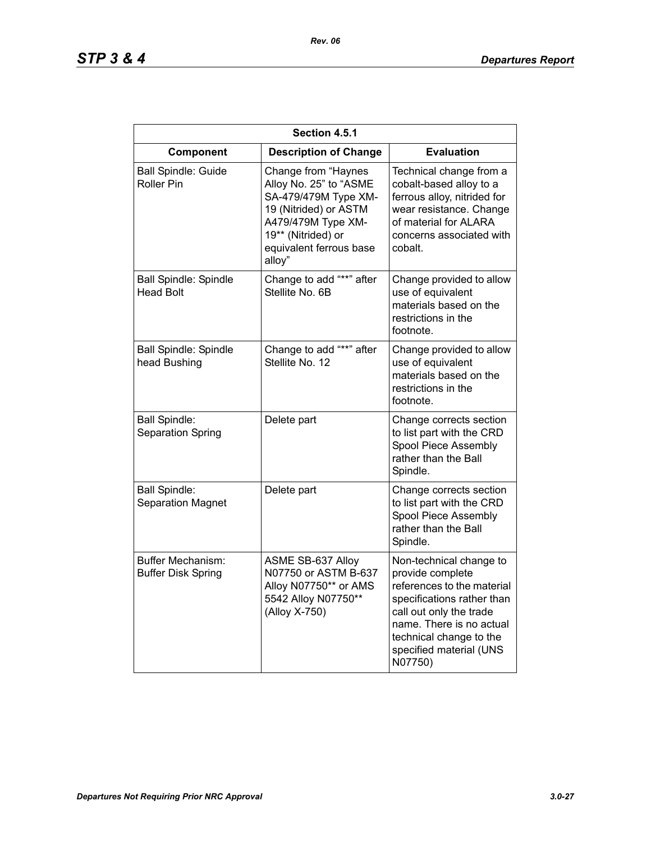# *STP 3 & 4 Departures Report*

| Section 4.5.1                                    |                                                                                                                                                                                 |                                                                                                                                                                                                                                 |
|--------------------------------------------------|---------------------------------------------------------------------------------------------------------------------------------------------------------------------------------|---------------------------------------------------------------------------------------------------------------------------------------------------------------------------------------------------------------------------------|
| Component                                        | <b>Description of Change</b>                                                                                                                                                    | <b>Evaluation</b>                                                                                                                                                                                                               |
| <b>Ball Spindle: Guide</b><br>Roller Pin         | Change from "Haynes<br>Alloy No. 25" to "ASME<br>SA-479/479M Type XM-<br>19 (Nitrided) or ASTM<br>A479/479M Type XM-<br>19** (Nitrided) or<br>equivalent ferrous base<br>alloy" | Technical change from a<br>cobalt-based alloy to a<br>ferrous alloy, nitrided for<br>wear resistance. Change<br>of material for ALARA<br>concerns associated with<br>cobalt.                                                    |
| <b>Ball Spindle: Spindle</b><br><b>Head Bolt</b> | Change to add "**" after<br>Stellite No. 6B                                                                                                                                     | Change provided to allow<br>use of equivalent<br>materials based on the<br>restrictions in the<br>footnote.                                                                                                                     |
| <b>Ball Spindle: Spindle</b><br>head Bushing     | Change to add "**" after<br>Stellite No. 12                                                                                                                                     | Change provided to allow<br>use of equivalent<br>materials based on the<br>restrictions in the<br>footnote.                                                                                                                     |
| <b>Ball Spindle:</b><br><b>Separation Spring</b> | Delete part                                                                                                                                                                     | Change corrects section<br>to list part with the CRD<br>Spool Piece Assembly<br>rather than the Ball<br>Spindle.                                                                                                                |
| <b>Ball Spindle:</b><br><b>Separation Magnet</b> | Delete part                                                                                                                                                                     | Change corrects section<br>to list part with the CRD<br>Spool Piece Assembly<br>rather than the Ball<br>Spindle.                                                                                                                |
| Buffer Mechanism:<br><b>Buffer Disk Spring</b>   | ASME SB-637 Alloy<br>N07750 or ASTM B-637<br>Alloy N07750** or AMS<br>5542 Alloy N07750**<br>(Alloy X-750)                                                                      | Non-technical change to<br>provide complete<br>references to the material<br>specifications rather than<br>call out only the trade<br>name. There is no actual<br>technical change to the<br>specified material (UNS<br>N07750) |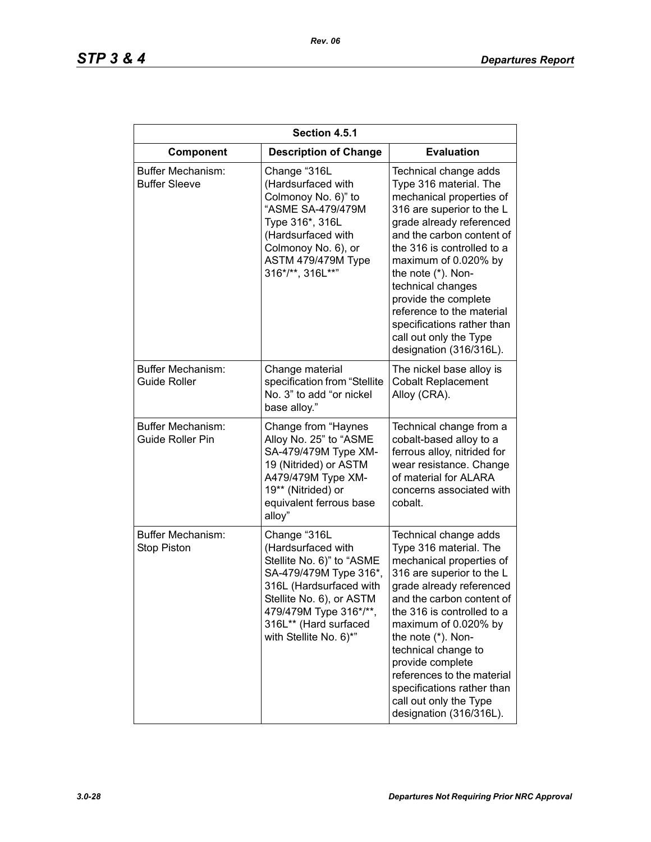| Section 4.5.1                                  |                                                                                                                                                                                                                               |                                                                                                                                                                                                                                                                                                                                                                                                            |
|------------------------------------------------|-------------------------------------------------------------------------------------------------------------------------------------------------------------------------------------------------------------------------------|------------------------------------------------------------------------------------------------------------------------------------------------------------------------------------------------------------------------------------------------------------------------------------------------------------------------------------------------------------------------------------------------------------|
| Component                                      | <b>Description of Change</b>                                                                                                                                                                                                  | <b>Evaluation</b>                                                                                                                                                                                                                                                                                                                                                                                          |
| Buffer Mechanism:<br><b>Buffer Sleeve</b>      | Change "316L<br>(Hardsurfaced with<br>Colmonoy No. 6)" to<br>"ASME SA-479/479M<br>Type 316*, 316L<br>(Hardsurfaced with<br>Colmonoy No. 6), or<br>ASTM 479/479M Type<br>316*/**, 316L**"                                      | Technical change adds<br>Type 316 material. The<br>mechanical properties of<br>316 are superior to the L<br>grade already referenced<br>and the carbon content of<br>the 316 is controlled to a<br>maximum of 0.020% by<br>the note (*). Non-<br>technical changes<br>provide the complete<br>reference to the material<br>specifications rather than<br>call out only the Type<br>designation (316/316L). |
| Buffer Mechanism:<br><b>Guide Roller</b>       | Change material<br>specification from "Stellite<br>No. 3" to add "or nickel<br>base alloy."                                                                                                                                   | The nickel base alloy is<br><b>Cobalt Replacement</b><br>Alloy (CRA).                                                                                                                                                                                                                                                                                                                                      |
| Buffer Mechanism:<br><b>Guide Roller Pin</b>   | Change from "Haynes<br>Alloy No. 25" to "ASME<br>SA-479/479M Type XM-<br>19 (Nitrided) or ASTM<br>A479/479M Type XM-<br>19** (Nitrided) or<br>equivalent ferrous base<br>alloy"                                               | Technical change from a<br>cobalt-based alloy to a<br>ferrous alloy, nitrided for<br>wear resistance. Change<br>of material for ALARA<br>concerns associated with<br>cobalt.                                                                                                                                                                                                                               |
| <b>Buffer Mechanism:</b><br><b>Stop Piston</b> | Change "316L<br>(Hardsurfaced with<br>Stellite No. 6)" to "ASME<br>SA-479/479M Type 316*,<br>316L (Hardsurfaced with<br>Stellite No. 6), or ASTM<br>479/479M Type 316*/**,<br>316L** (Hard surfaced<br>with Stellite No. 6)*" | Technical change adds<br>Type 316 material. The<br>mechanical properties of<br>316 are superior to the L<br>grade already referenced<br>and the carbon content of<br>the 316 is controlled to a<br>maximum of 0.020% by<br>the note (*). Non-<br>technical change to<br>provide complete<br>references to the material<br>specifications rather than<br>call out only the Type<br>designation (316/316L).  |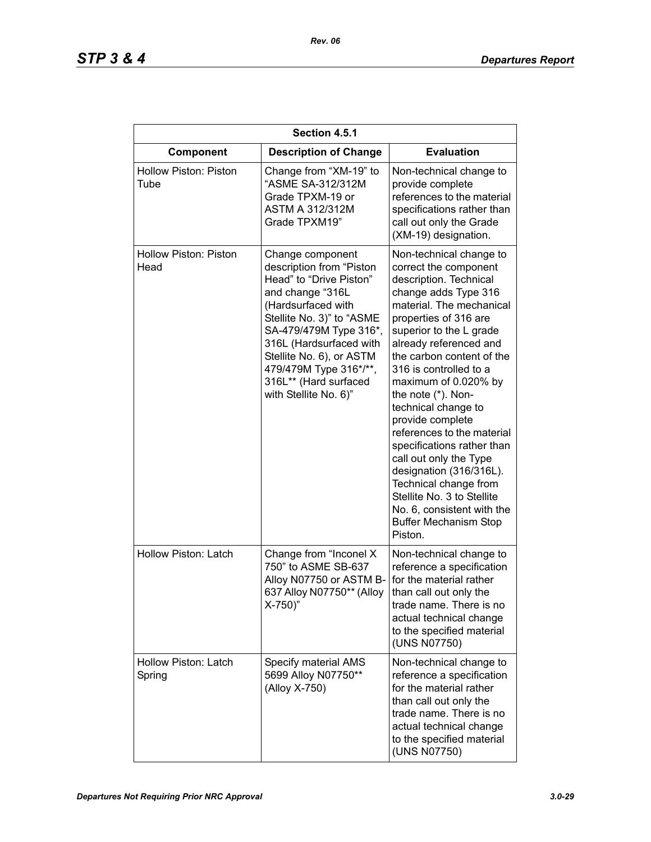| Section 4.5.1                        |                                                                                                                                                                                                                                                                                                             |                                                                                                                                                                                                                                                                                                                                                                                                                                                                                                                                                                                                               |
|--------------------------------------|-------------------------------------------------------------------------------------------------------------------------------------------------------------------------------------------------------------------------------------------------------------------------------------------------------------|---------------------------------------------------------------------------------------------------------------------------------------------------------------------------------------------------------------------------------------------------------------------------------------------------------------------------------------------------------------------------------------------------------------------------------------------------------------------------------------------------------------------------------------------------------------------------------------------------------------|
| Component                            | <b>Description of Change</b>                                                                                                                                                                                                                                                                                | <b>Evaluation</b>                                                                                                                                                                                                                                                                                                                                                                                                                                                                                                                                                                                             |
| <b>Hollow Piston: Piston</b><br>Tube | Change from "XM-19" to<br>"ASME SA-312/312M<br>Grade TPXM-19 or<br><b>ASTM A 312/312M</b><br>Grade TPXM19"                                                                                                                                                                                                  | Non-technical change to<br>provide complete<br>references to the material<br>specifications rather than<br>call out only the Grade<br>(XM-19) designation.                                                                                                                                                                                                                                                                                                                                                                                                                                                    |
| Hollow Piston: Piston<br>Head        | Change component<br>description from "Piston<br>Head" to "Drive Piston"<br>and change "316L<br>(Hardsurfaced with<br>Stellite No. 3)" to "ASME<br>SA-479/479M Type 316*,<br>316L (Hardsurfaced with<br>Stellite No. 6), or ASTM<br>479/479M Type 316*/**,<br>316L** (Hard surfaced<br>with Stellite No. 6)" | Non-technical change to<br>correct the component<br>description. Technical<br>change adds Type 316<br>material. The mechanical<br>properties of 316 are<br>superior to the L grade<br>already referenced and<br>the carbon content of the<br>316 is controlled to a<br>maximum of 0.020% by<br>the note (*). Non-<br>technical change to<br>provide complete<br>references to the material<br>specifications rather than<br>call out only the Type<br>designation (316/316L).<br>Technical change from<br>Stellite No. 3 to Stellite<br>No. 6, consistent with the<br><b>Buffer Mechanism Stop</b><br>Piston. |
| Hollow Piston: Latch                 | Change from "Inconel X<br>750" to ASME SB-637<br>Alloy N07750 or ASTM B-<br>637 Alloy N07750** (Alloy<br>$X-750$ )"                                                                                                                                                                                         | Non-technical change to<br>reference a specification<br>for the material rather<br>than call out only the<br>trade name. There is no<br>actual technical change<br>to the specified material<br>(UNS N07750)                                                                                                                                                                                                                                                                                                                                                                                                  |
| Hollow Piston: Latch<br>Spring       | Specify material AMS<br>5699 Alloy N07750**<br>(Alloy X-750)                                                                                                                                                                                                                                                | Non-technical change to<br>reference a specification<br>for the material rather<br>than call out only the<br>trade name. There is no<br>actual technical change<br>to the specified material<br>(UNS N07750)                                                                                                                                                                                                                                                                                                                                                                                                  |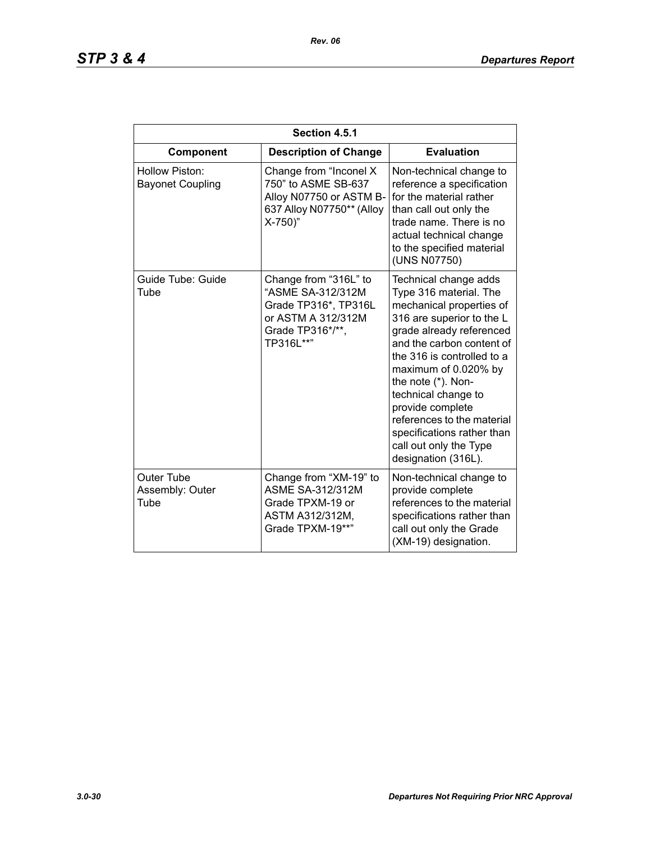| Section 4.5.1                             |                                                                                                                           |                                                                                                                                                                                                                                                                                                                                                                                                       |  |
|-------------------------------------------|---------------------------------------------------------------------------------------------------------------------------|-------------------------------------------------------------------------------------------------------------------------------------------------------------------------------------------------------------------------------------------------------------------------------------------------------------------------------------------------------------------------------------------------------|--|
| Component                                 | <b>Description of Change</b>                                                                                              | <b>Evaluation</b>                                                                                                                                                                                                                                                                                                                                                                                     |  |
| Hollow Piston:<br><b>Bayonet Coupling</b> | Change from "Inconel X<br>750" to ASME SB-637<br>Alloy N07750 or ASTM B-<br>637 Alloy N07750** (Alloy<br>$X-750$ )"       | Non-technical change to<br>reference a specification<br>for the material rather<br>than call out only the<br>trade name. There is no<br>actual technical change<br>to the specified material<br>(UNS N07750)                                                                                                                                                                                          |  |
| Guide Tube: Guide<br>Tube                 | Change from "316L" to<br>"ASME SA-312/312M<br>Grade TP316*, TP316L<br>or ASTM A 312/312M<br>Grade TP316*/**,<br>TP316L**" | Technical change adds<br>Type 316 material. The<br>mechanical properties of<br>316 are superior to the L<br>grade already referenced<br>and the carbon content of<br>the 316 is controlled to a<br>maximum of 0.020% by<br>the note (*). Non-<br>technical change to<br>provide complete<br>references to the material<br>specifications rather than<br>call out only the Type<br>designation (316L). |  |
| Outer Tube<br>Assembly: Outer<br>Tube     | Change from "XM-19" to<br><b>ASME SA-312/312M</b><br>Grade TPXM-19 or<br>ASTM A312/312M,<br>Grade TPXM-19**"              | Non-technical change to<br>provide complete<br>references to the material<br>specifications rather than<br>call out only the Grade<br>(XM-19) designation.                                                                                                                                                                                                                                            |  |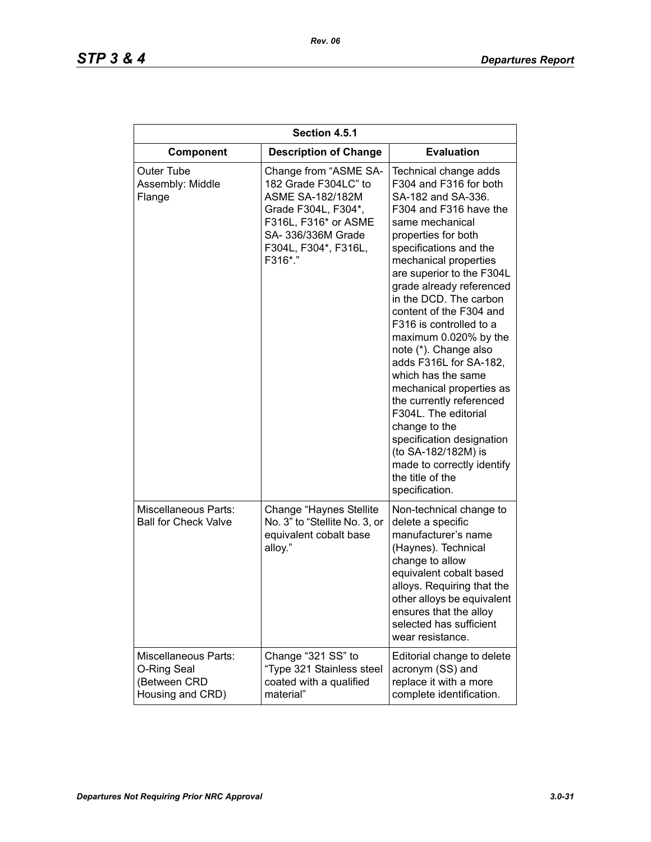| Section 4.5.1                                                                  |                                                                                                                                                                                  |                                                                                                                                                                                                                                                                                                                                                                                                                                                                                                                                                                                                                                                                  |
|--------------------------------------------------------------------------------|----------------------------------------------------------------------------------------------------------------------------------------------------------------------------------|------------------------------------------------------------------------------------------------------------------------------------------------------------------------------------------------------------------------------------------------------------------------------------------------------------------------------------------------------------------------------------------------------------------------------------------------------------------------------------------------------------------------------------------------------------------------------------------------------------------------------------------------------------------|
| Component                                                                      | <b>Description of Change</b>                                                                                                                                                     | <b>Evaluation</b>                                                                                                                                                                                                                                                                                                                                                                                                                                                                                                                                                                                                                                                |
| <b>Outer Tube</b><br>Assembly: Middle<br>Flange                                | Change from "ASME SA-<br>182 Grade F304LC" to<br><b>ASME SA-182/182M</b><br>Grade F304L, F304*,<br>F316L, F316* or ASME<br>SA- 336/336M Grade<br>F304L, F304*, F316L,<br>F316*." | Technical change adds<br>F304 and F316 for both<br>SA-182 and SA-336.<br>F304 and F316 have the<br>same mechanical<br>properties for both<br>specifications and the<br>mechanical properties<br>are superior to the F304L<br>grade already referenced<br>in the DCD. The carbon<br>content of the F304 and<br>F316 is controlled to a<br>maximum 0.020% by the<br>note (*). Change also<br>adds F316L for SA-182,<br>which has the same<br>mechanical properties as<br>the currently referenced<br>F304L. The editorial<br>change to the<br>specification designation<br>(to SA-182/182M) is<br>made to correctly identify<br>the title of the<br>specification. |
| <b>Miscellaneous Parts:</b><br><b>Ball for Check Valve</b>                     | Change "Haynes Stellite"<br>No. 3" to "Stellite No. 3, or<br>equivalent cobalt base<br>alloy."                                                                                   | Non-technical change to<br>delete a specific<br>manufacturer's name<br>(Haynes). Technical<br>change to allow<br>equivalent cobalt based<br>alloys. Requiring that the<br>other alloys be equivalent<br>ensures that the alloy<br>selected has sufficient<br>wear resistance.                                                                                                                                                                                                                                                                                                                                                                                    |
| <b>Miscellaneous Parts:</b><br>O-Ring Seal<br>(Between CRD<br>Housing and CRD) | Change "321 SS" to<br>"Type 321 Stainless steel<br>coated with a qualified<br>material"                                                                                          | Editorial change to delete<br>acronym (SS) and<br>replace it with a more<br>complete identification.                                                                                                                                                                                                                                                                                                                                                                                                                                                                                                                                                             |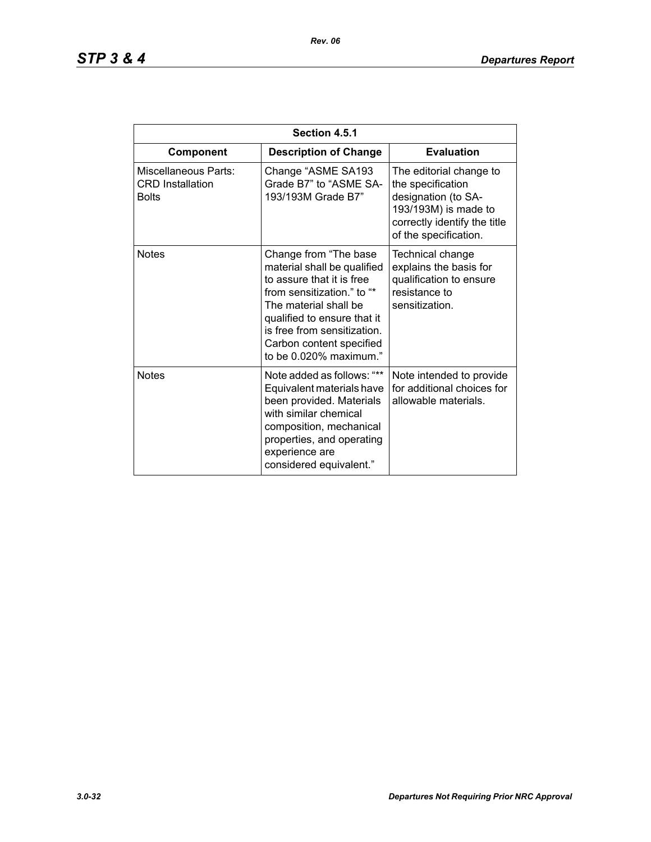| Section 4.5.1                                                   |                                                                                                                                                                                                                                                              |                                                                                                                                                      |
|-----------------------------------------------------------------|--------------------------------------------------------------------------------------------------------------------------------------------------------------------------------------------------------------------------------------------------------------|------------------------------------------------------------------------------------------------------------------------------------------------------|
| Component                                                       | <b>Description of Change</b>                                                                                                                                                                                                                                 | <b>Evaluation</b>                                                                                                                                    |
| Miscellaneous Parts:<br><b>CRD</b> Installation<br><b>Bolts</b> | Change "ASME SA193<br>Grade B7" to "ASME SA-<br>193/193M Grade B7"                                                                                                                                                                                           | The editorial change to<br>the specification<br>designation (to SA-<br>193/193M) is made to<br>correctly identify the title<br>of the specification. |
| <b>Notes</b>                                                    | Change from "The base<br>material shall be qualified<br>to assure that it is free<br>from sensitization." to "*<br>The material shall be<br>qualified to ensure that it<br>is free from sensitization.<br>Carbon content specified<br>to be 0.020% maximum." | Technical change<br>explains the basis for<br>qualification to ensure<br>resistance to<br>sensitization.                                             |
| <b>Notes</b>                                                    | Note added as follows: "**<br>Equivalent materials have<br>been provided. Materials<br>with similar chemical<br>composition, mechanical<br>properties, and operating<br>experience are<br>considered equivalent."                                            | Note intended to provide<br>for additional choices for<br>allowable materials.                                                                       |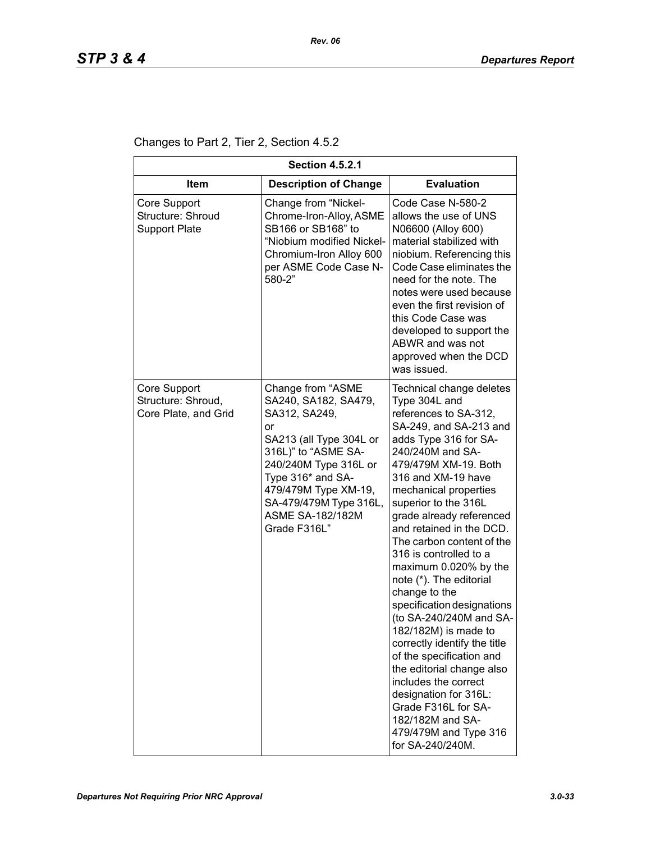Changes to Part 2, Tier 2, Section 4.5.2

| <b>Section 4.5.2.1</b>                                     |                                                                                                                                                                                                                                                               |                                                                                                                                                                                                                                                                                                                                                                                                                                                                                                                                                                                                                                                                                                                                                 |  |
|------------------------------------------------------------|---------------------------------------------------------------------------------------------------------------------------------------------------------------------------------------------------------------------------------------------------------------|-------------------------------------------------------------------------------------------------------------------------------------------------------------------------------------------------------------------------------------------------------------------------------------------------------------------------------------------------------------------------------------------------------------------------------------------------------------------------------------------------------------------------------------------------------------------------------------------------------------------------------------------------------------------------------------------------------------------------------------------------|--|
| ltem                                                       | <b>Description of Change</b>                                                                                                                                                                                                                                  | <b>Evaluation</b>                                                                                                                                                                                                                                                                                                                                                                                                                                                                                                                                                                                                                                                                                                                               |  |
| Core Support<br>Structure: Shroud<br><b>Support Plate</b>  | Change from "Nickel-<br>Chrome-Iron-Alloy, ASME<br>SB166 or SB168" to<br>"Niobium modified Nickel-<br>Chromium-Iron Alloy 600<br>per ASME Code Case N-<br>580-2"                                                                                              | Code Case N-580-2<br>allows the use of UNS<br>N06600 (Alloy 600)<br>material stabilized with<br>niobium. Referencing this<br>Code Case eliminates the<br>need for the note. The<br>notes were used because<br>even the first revision of<br>this Code Case was<br>developed to support the<br>ABWR and was not<br>approved when the DCD<br>was issued.                                                                                                                                                                                                                                                                                                                                                                                          |  |
| Core Support<br>Structure: Shroud,<br>Core Plate, and Grid | Change from "ASME<br>SA240, SA182, SA479,<br>SA312, SA249,<br>or<br>SA213 (all Type 304L or<br>316L)" to "ASME SA-<br>240/240M Type 316L or<br>Type 316* and SA-<br>479/479M Type XM-19,<br>SA-479/479M Type 316L,<br><b>ASME SA-182/182M</b><br>Grade F316L" | Technical change deletes<br>Type 304L and<br>references to SA-312,<br>SA-249, and SA-213 and<br>adds Type 316 for SA-<br>240/240M and SA-<br>479/479M XM-19. Both<br>316 and XM-19 have<br>mechanical properties<br>superior to the 316L<br>grade already referenced<br>and retained in the DCD.<br>The carbon content of the<br>316 is controlled to a<br>maximum 0.020% by the<br>note (*). The editorial<br>change to the<br>specification designations<br>(to SA-240/240M and SA-<br>182/182M) is made to<br>correctly identify the title<br>of the specification and<br>the editorial change also<br>includes the correct<br>designation for 316L:<br>Grade F316L for SA-<br>182/182M and SA-<br>479/479M and Type 316<br>for SA-240/240M. |  |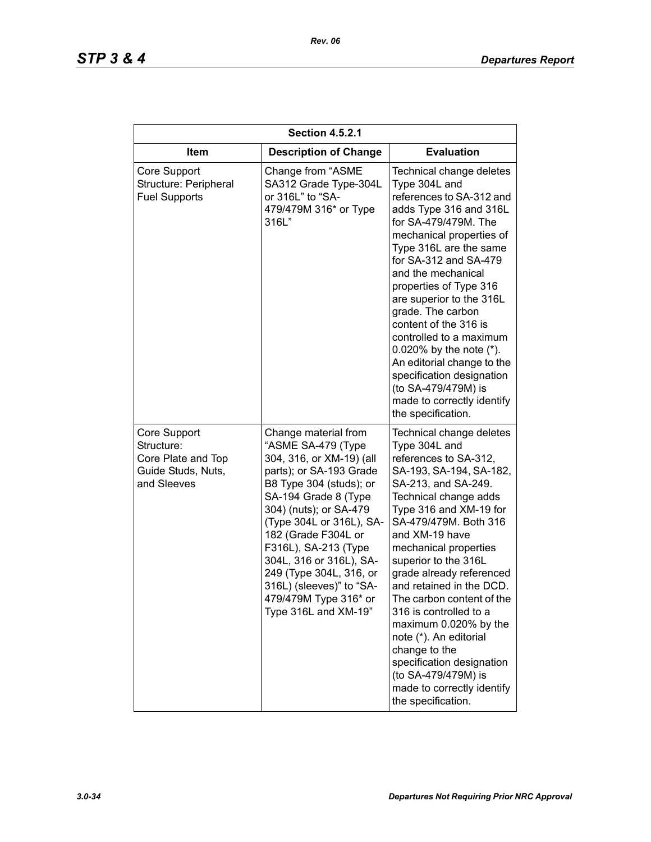| <b>Section 4.5.2.1</b>                                                                |                                                                                                                                                                                                                                                                                                                                                                                              |                                                                                                                                                                                                                                                                                                                                                                                                                                                                                                                                                                |
|---------------------------------------------------------------------------------------|----------------------------------------------------------------------------------------------------------------------------------------------------------------------------------------------------------------------------------------------------------------------------------------------------------------------------------------------------------------------------------------------|----------------------------------------------------------------------------------------------------------------------------------------------------------------------------------------------------------------------------------------------------------------------------------------------------------------------------------------------------------------------------------------------------------------------------------------------------------------------------------------------------------------------------------------------------------------|
| <b>Item</b>                                                                           | <b>Description of Change</b>                                                                                                                                                                                                                                                                                                                                                                 | <b>Evaluation</b>                                                                                                                                                                                                                                                                                                                                                                                                                                                                                                                                              |
| Core Support<br>Structure: Peripheral<br><b>Fuel Supports</b>                         | Change from "ASME<br>SA312 Grade Type-304L<br>or 316L" to "SA-<br>479/479M 316* or Type<br>316L"                                                                                                                                                                                                                                                                                             | Technical change deletes<br>Type 304L and<br>references to SA-312 and<br>adds Type 316 and 316L<br>for SA-479/479M. The<br>mechanical properties of<br>Type 316L are the same<br>for SA-312 and SA-479<br>and the mechanical<br>properties of Type 316<br>are superior to the 316L<br>grade. The carbon<br>content of the 316 is<br>controlled to a maximum<br>0.020% by the note $(*)$ .<br>An editorial change to the<br>specification designation<br>(to SA-479/479M) is<br>made to correctly identify<br>the specification.                                |
| Core Support<br>Structure:<br>Core Plate and Top<br>Guide Studs, Nuts,<br>and Sleeves | Change material from<br>"ASME SA-479 (Type<br>304, 316, or XM-19) (all<br>parts); or SA-193 Grade<br>B8 Type 304 (studs); or<br>SA-194 Grade 8 (Type<br>304) (nuts); or SA-479<br>(Type 304L or 316L), SA-<br>182 (Grade F304L or<br>F316L), SA-213 (Type<br>304L, 316 or 316L), SA-<br>249 (Type 304L, 316, or<br>316L) (sleeves)" to "SA-<br>479/479M Type 316* or<br>Type 316L and XM-19" | Technical change deletes<br>Type 304L and<br>references to SA-312,<br>SA-193, SA-194, SA-182,<br>SA-213, and SA-249.<br>Technical change adds<br>Type 316 and XM-19 for<br>SA-479/479M. Both 316<br>and XM-19 have<br>mechanical properties<br>superior to the 316L<br>grade already referenced<br>and retained in the DCD.<br>The carbon content of the<br>316 is controlled to a<br>maximum 0.020% by the<br>note (*). An editorial<br>change to the<br>specification designation<br>(to SA-479/479M) is<br>made to correctly identify<br>the specification. |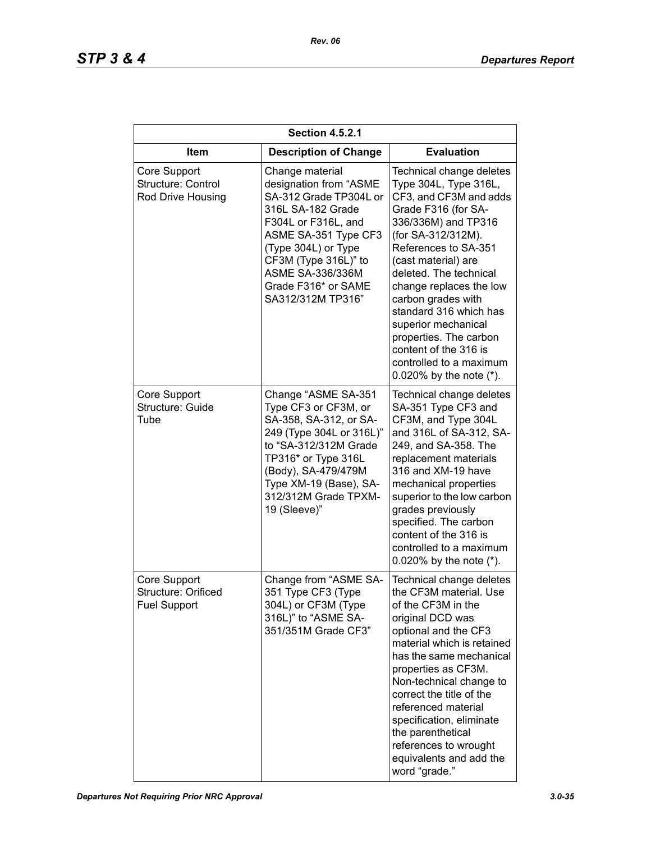| <b>Section 4.5.2.1</b>                                     |                                                                                                                                                                                                                                                        |                                                                                                                                                                                                                                                                                                                                                                                                                                        |  |
|------------------------------------------------------------|--------------------------------------------------------------------------------------------------------------------------------------------------------------------------------------------------------------------------------------------------------|----------------------------------------------------------------------------------------------------------------------------------------------------------------------------------------------------------------------------------------------------------------------------------------------------------------------------------------------------------------------------------------------------------------------------------------|--|
| Item                                                       | <b>Description of Change</b>                                                                                                                                                                                                                           | <b>Evaluation</b>                                                                                                                                                                                                                                                                                                                                                                                                                      |  |
| Core Support<br>Structure: Control<br>Rod Drive Housing    | Change material<br>designation from "ASME<br>SA-312 Grade TP304L or<br>316L SA-182 Grade<br>F304L or F316L, and<br>ASME SA-351 Type CF3<br>(Type 304L) or Type<br>CF3M (Type 316L)" to<br>ASME SA-336/336M<br>Grade F316* or SAME<br>SA312/312M TP316" | Technical change deletes<br>Type 304L, Type 316L,<br>CF3, and CF3M and adds<br>Grade F316 (for SA-<br>336/336M) and TP316<br>(for SA-312/312M).<br>References to SA-351<br>(cast material) are<br>deleted. The technical<br>change replaces the low<br>carbon grades with<br>standard 316 which has<br>superior mechanical<br>properties. The carbon<br>content of the 316 is<br>controlled to a maximum<br>0.020% by the note $(*)$ . |  |
| Core Support<br>Structure: Guide<br>Tube                   | Change "ASME SA-351<br>Type CF3 or CF3M, or<br>SA-358, SA-312, or SA-<br>249 (Type 304L or 316L)"<br>to "SA-312/312M Grade<br>TP316* or Type 316L<br>(Body), SA-479/479M<br>Type XM-19 (Base), SA-<br>312/312M Grade TPXM-<br>19 (Sleeve)"             | Technical change deletes<br>SA-351 Type CF3 and<br>CF3M, and Type 304L<br>and 316L of SA-312, SA-<br>249, and SA-358. The<br>replacement materials<br>316 and XM-19 have<br>mechanical properties<br>superior to the low carbon<br>grades previously<br>specified. The carbon<br>content of the 316 is<br>controlled to a maximum<br>0.020% by the note (*).                                                                           |  |
| Core Support<br>Structure: Orificed<br><b>Fuel Support</b> | Change from "ASME SA-<br>351 Type CF3 (Type<br>304L) or CF3M (Type<br>316L)" to "ASME SA-<br>351/351M Grade CF3"                                                                                                                                       | Technical change deletes<br>the CF3M material. Use<br>of the CF3M in the<br>original DCD was<br>optional and the CF3<br>material which is retained<br>has the same mechanical<br>properties as CF3M.<br>Non-technical change to<br>correct the title of the<br>referenced material<br>specification, eliminate<br>the parenthetical<br>references to wrought<br>equivalents and add the<br>word "grade."                               |  |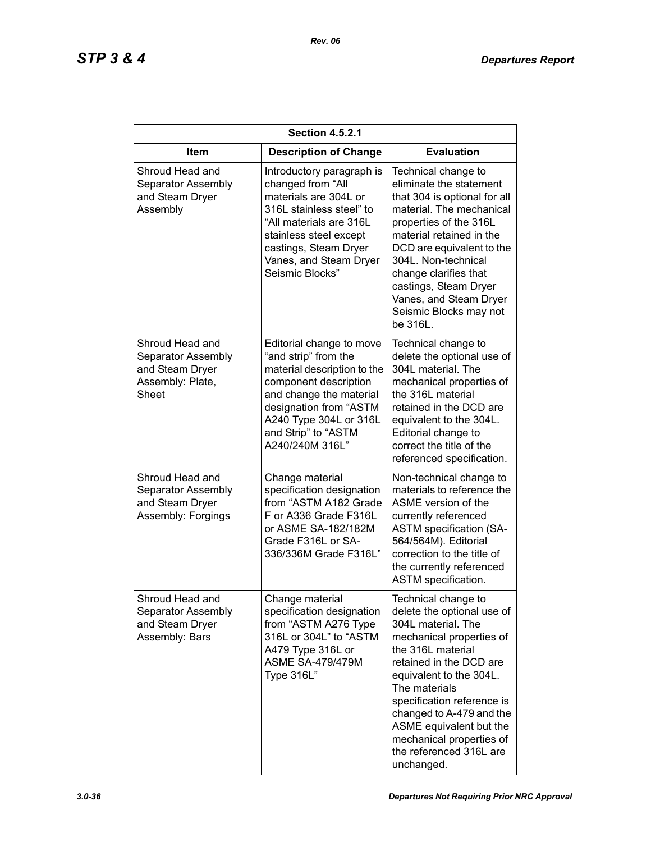| <b>Section 4.5.2.1</b>                                                                |                                                                                                                                                                                                                                   |                                                                                                                                                                                                                                                                                                                                                           |  |
|---------------------------------------------------------------------------------------|-----------------------------------------------------------------------------------------------------------------------------------------------------------------------------------------------------------------------------------|-----------------------------------------------------------------------------------------------------------------------------------------------------------------------------------------------------------------------------------------------------------------------------------------------------------------------------------------------------------|--|
| ltem                                                                                  | <b>Description of Change</b>                                                                                                                                                                                                      | <b>Evaluation</b>                                                                                                                                                                                                                                                                                                                                         |  |
| Shroud Head and<br>Separator Assembly<br>and Steam Dryer<br>Assembly                  | Introductory paragraph is<br>changed from "All<br>materials are 304L or<br>316L stainless steel" to<br>"All materials are 316L<br>stainless steel except<br>castings, Steam Dryer<br>Vanes, and Steam Dryer<br>Seismic Blocks"    | Technical change to<br>eliminate the statement<br>that 304 is optional for all<br>material. The mechanical<br>properties of the 316L<br>material retained in the<br>DCD are equivalent to the<br>304L. Non-technical<br>change clarifies that<br>castings, Steam Dryer<br>Vanes, and Steam Dryer<br>Seismic Blocks may not<br>be 316L.                    |  |
| Shroud Head and<br>Separator Assembly<br>and Steam Dryer<br>Assembly: Plate,<br>Sheet | Editorial change to move<br>"and strip" from the<br>material description to the<br>component description<br>and change the material<br>designation from "ASTM<br>A240 Type 304L or 316L<br>and Strip" to "ASTM<br>A240/240M 316L" | Technical change to<br>delete the optional use of<br>304L material. The<br>mechanical properties of<br>the 316L material<br>retained in the DCD are<br>equivalent to the 304L.<br>Editorial change to<br>correct the title of the<br>referenced specification.                                                                                            |  |
| Shroud Head and<br>Separator Assembly<br>and Steam Dryer<br>Assembly: Forgings        | Change material<br>specification designation<br>from "ASTM A182 Grade<br>F or A336 Grade F316L<br>or ASME SA-182/182M<br>Grade F316L or SA-<br>336/336M Grade F316L"                                                              | Non-technical change to<br>materials to reference the<br>ASME version of the<br>currently referenced<br><b>ASTM</b> specification (SA-<br>564/564M). Editorial<br>correction to the title of<br>the currently referenced<br>ASTM specification.                                                                                                           |  |
| Shroud Head and<br>Separator Assembly<br>and Steam Dryer<br>Assembly: Bars            | Change material<br>specification designation<br>from "ASTM A276 Type<br>316L or 304L" to "ASTM<br>A479 Type 316L or<br><b>ASME SA-479/479M</b><br>Type 316L"                                                                      | Technical change to<br>delete the optional use of<br>304L material. The<br>mechanical properties of<br>the 316L material<br>retained in the DCD are<br>equivalent to the 304L.<br>The materials<br>specification reference is<br>changed to A-479 and the<br>ASME equivalent but the<br>mechanical properties of<br>the referenced 316L are<br>unchanged. |  |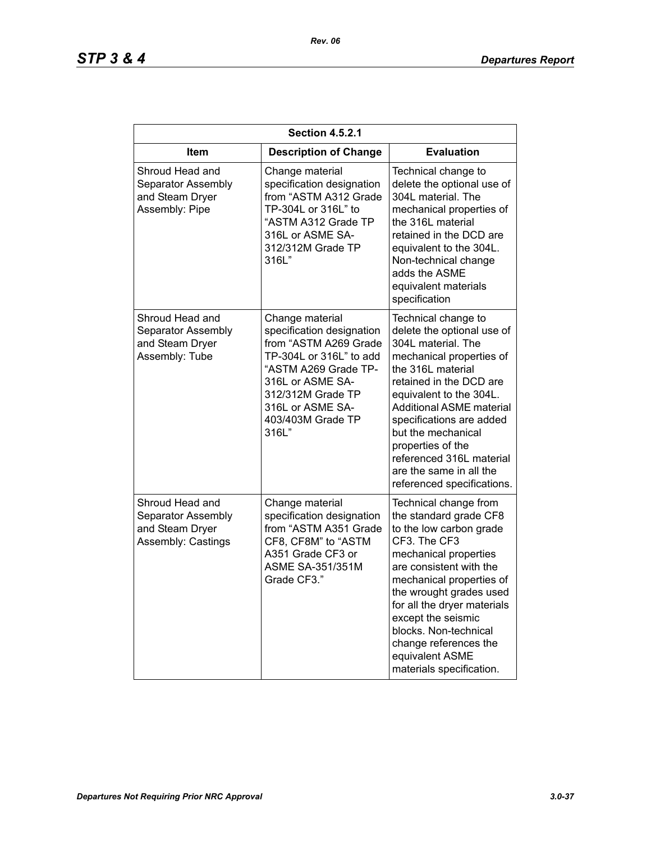| <b>Section 4.5.2.1</b>                                                         |                                                                                                                                                                                                                     |                                                                                                                                                                                                                                                                                                                                                                               |  |
|--------------------------------------------------------------------------------|---------------------------------------------------------------------------------------------------------------------------------------------------------------------------------------------------------------------|-------------------------------------------------------------------------------------------------------------------------------------------------------------------------------------------------------------------------------------------------------------------------------------------------------------------------------------------------------------------------------|--|
| <b>Item</b>                                                                    | <b>Description of Change</b>                                                                                                                                                                                        | <b>Evaluation</b>                                                                                                                                                                                                                                                                                                                                                             |  |
| Shroud Head and<br>Separator Assembly<br>and Steam Dryer<br>Assembly: Pipe     | Change material<br>specification designation<br>from "ASTM A312 Grade<br>TP-304L or 316L" to<br>"ASTM A312 Grade TP<br>316L or ASME SA-<br>312/312M Grade TP<br>316L"                                               | Technical change to<br>delete the optional use of<br>304L material. The<br>mechanical properties of<br>the 316L material<br>retained in the DCD are<br>equivalent to the 304L.<br>Non-technical change<br>adds the ASME<br>equivalent materials<br>specification                                                                                                              |  |
| Shroud Head and<br>Separator Assembly<br>and Steam Dryer<br>Assembly: Tube     | Change material<br>specification designation<br>from "ASTM A269 Grade<br>TP-304L or 316L" to add<br>"ASTM A269 Grade TP-<br>316L or ASME SA-<br>312/312M Grade TP<br>316L or ASME SA-<br>403/403M Grade TP<br>316L" | Technical change to<br>delete the optional use of<br>304L material. The<br>mechanical properties of<br>the 316L material<br>retained in the DCD are<br>equivalent to the 304L.<br><b>Additional ASME material</b><br>specifications are added<br>but the mechanical<br>properties of the<br>referenced 316L material<br>are the same in all the<br>referenced specifications. |  |
| Shroud Head and<br>Separator Assembly<br>and Steam Dryer<br>Assembly: Castings | Change material<br>specification designation<br>from "ASTM A351 Grade<br>CF8, CF8M" to "ASTM<br>A351 Grade CF3 or<br><b>ASME SA-351/351M</b><br>Grade CF3."                                                         | Technical change from<br>the standard grade CF8<br>to the low carbon grade<br>CF3. The CF3<br>mechanical properties<br>are consistent with the<br>mechanical properties of<br>the wrought grades used<br>for all the dryer materials<br>except the seismic<br>blocks. Non-technical<br>change references the<br>equivalent ASME<br>materials specification.                   |  |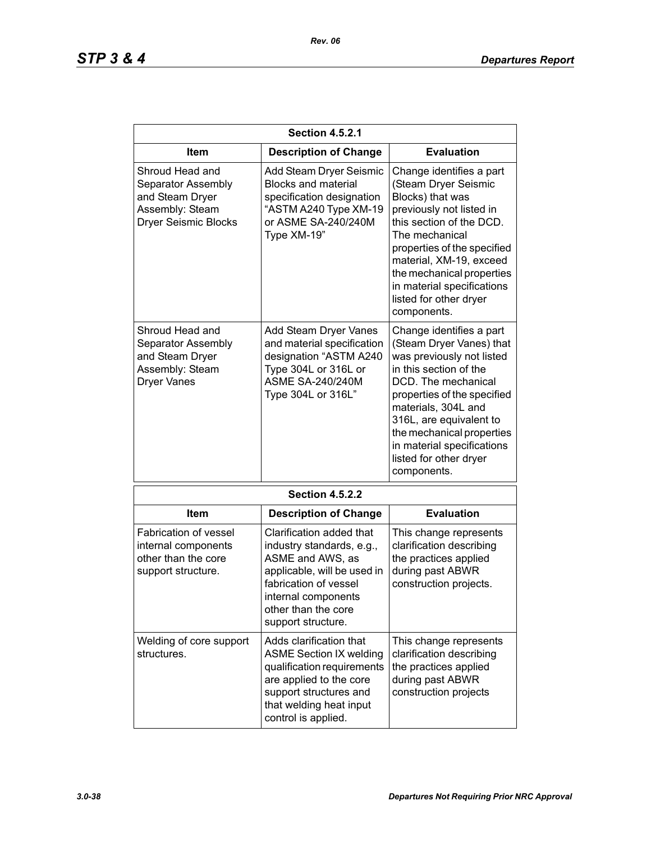| <b>Section 4.5.2.1</b>                                                                                     |                                                                                                                                                                                                       |                                                                                                                                                                                                                                                                                                                         |  |
|------------------------------------------------------------------------------------------------------------|-------------------------------------------------------------------------------------------------------------------------------------------------------------------------------------------------------|-------------------------------------------------------------------------------------------------------------------------------------------------------------------------------------------------------------------------------------------------------------------------------------------------------------------------|--|
| Item                                                                                                       | <b>Description of Change</b>                                                                                                                                                                          | <b>Evaluation</b>                                                                                                                                                                                                                                                                                                       |  |
| Shroud Head and<br>Separator Assembly<br>and Steam Dryer<br>Assembly: Steam<br><b>Dryer Seismic Blocks</b> | Add Steam Dryer Seismic<br><b>Blocks and material</b><br>specification designation<br>"ASTM A240 Type XM-19<br>or ASME SA-240/240M<br>Type XM-19"                                                     | Change identifies a part<br>(Steam Dryer Seismic<br>Blocks) that was<br>previously not listed in<br>this section of the DCD.<br>The mechanical<br>properties of the specified<br>material, XM-19, exceed<br>the mechanical properties<br>in material specifications<br>listed for other dryer<br>components.            |  |
| Shroud Head and<br>Separator Assembly<br>and Steam Dryer<br>Assembly: Steam<br><b>Dryer Vanes</b>          | Add Steam Dryer Vanes<br>and material specification<br>designation "ASTM A240<br>Type 304L or 316L or<br><b>ASME SA-240/240M</b><br>Type 304L or 316L"                                                | Change identifies a part<br>(Steam Dryer Vanes) that<br>was previously not listed<br>in this section of the<br>DCD. The mechanical<br>properties of the specified<br>materials, 304L and<br>316L, are equivalent to<br>the mechanical properties<br>in material specifications<br>listed for other dryer<br>components. |  |
|                                                                                                            | <b>Section 4.5.2.2</b>                                                                                                                                                                                |                                                                                                                                                                                                                                                                                                                         |  |
| Item                                                                                                       | <b>Description of Change</b>                                                                                                                                                                          | <b>Evaluation</b>                                                                                                                                                                                                                                                                                                       |  |
| <b>Fabrication of vessel</b><br>internal components<br>other than the core<br>support structure.           | Clarification added that<br>industry standards, e.g.,<br>ASME and AWS, as<br>applicable, will be used in<br>fabrication of vessel<br>internal components<br>other than the core<br>support structure. | This change represents<br>clarification describing<br>the practices applied<br>during past ABWR<br>construction projects.                                                                                                                                                                                               |  |
| Welding of core support<br>structures.                                                                     | Adds clarification that<br><b>ASME Section IX welding</b><br>qualification requirements<br>are applied to the core<br>support structures and<br>that welding heat input<br>control is applied.        | This change represents<br>clarification describing<br>the practices applied<br>during past ABWR<br>construction projects                                                                                                                                                                                                |  |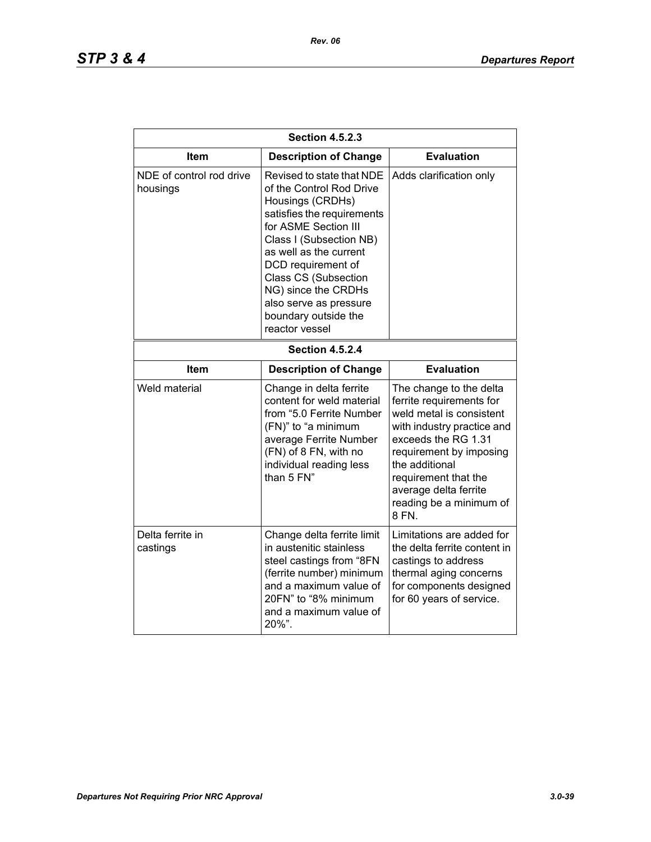| <b>Section 4.5.2.3</b>               |                                                                                                                                                                                                                                                                                                                               |                                                                                                                                                                                                                                                                        |  |
|--------------------------------------|-------------------------------------------------------------------------------------------------------------------------------------------------------------------------------------------------------------------------------------------------------------------------------------------------------------------------------|------------------------------------------------------------------------------------------------------------------------------------------------------------------------------------------------------------------------------------------------------------------------|--|
| Item                                 | <b>Description of Change</b>                                                                                                                                                                                                                                                                                                  | <b>Evaluation</b>                                                                                                                                                                                                                                                      |  |
| NDE of control rod drive<br>housings | Revised to state that NDE<br>of the Control Rod Drive<br>Housings (CRDHs)<br>satisfies the requirements<br>for ASME Section III<br>Class I (Subsection NB)<br>as well as the current<br>DCD requirement of<br>Class CS (Subsection<br>NG) since the CRDHs<br>also serve as pressure<br>boundary outside the<br>reactor vessel | Adds clarification only                                                                                                                                                                                                                                                |  |
| <b>Section 4.5.2.4</b>               |                                                                                                                                                                                                                                                                                                                               |                                                                                                                                                                                                                                                                        |  |
| Item                                 | <b>Description of Change</b>                                                                                                                                                                                                                                                                                                  | <b>Evaluation</b>                                                                                                                                                                                                                                                      |  |
| Weld material                        | Change in delta ferrite<br>content for weld material<br>from "5.0 Ferrite Number<br>(FN)" to "a minimum<br>average Ferrite Number<br>(FN) of 8 FN, with no<br>individual reading less<br>than 5 FN"                                                                                                                           | The change to the delta<br>ferrite requirements for<br>weld metal is consistent<br>with industry practice and<br>exceeds the RG 1.31<br>requirement by imposing<br>the additional<br>requirement that the<br>average delta ferrite<br>reading be a minimum of<br>8 FN. |  |
| Delta ferrite in<br>castings         | Change delta ferrite limit<br>in austenitic stainless<br>steel castings from "8FN<br>(ferrite number) minimum<br>and a maximum value of<br>20FN" to "8% minimum<br>and a maximum value of<br>20%".                                                                                                                            | Limitations are added for<br>the delta ferrite content in<br>castings to address<br>thermal aging concerns<br>for components designed<br>for 60 years of service.                                                                                                      |  |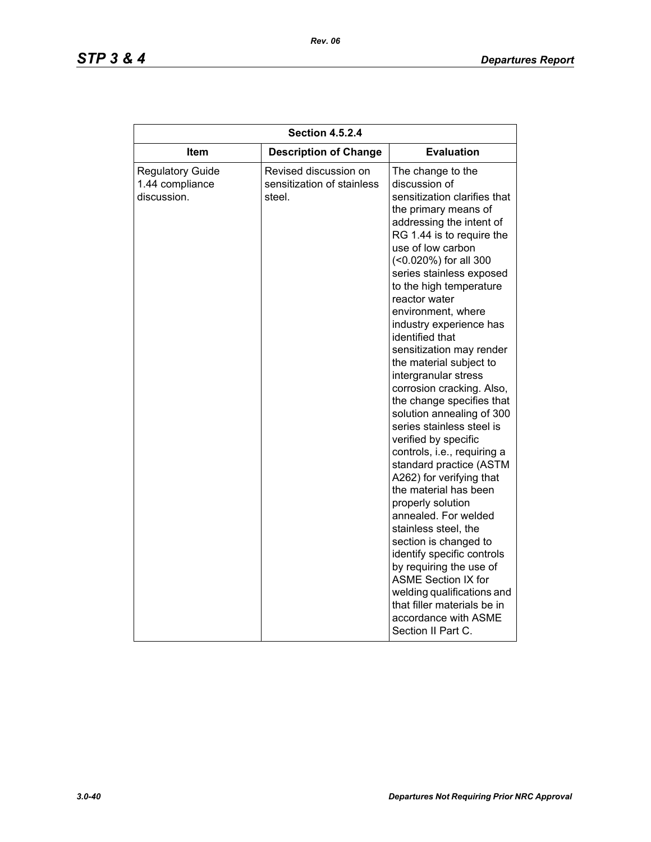| <b>Section 4.5.2.4</b>                                    |                                                               |                                                                                                                                                                                                                                                                                                                                                                                                                                                                                                                                                                                                                                                                                                                                                                                                                                                                                                                                                                                         |  |
|-----------------------------------------------------------|---------------------------------------------------------------|-----------------------------------------------------------------------------------------------------------------------------------------------------------------------------------------------------------------------------------------------------------------------------------------------------------------------------------------------------------------------------------------------------------------------------------------------------------------------------------------------------------------------------------------------------------------------------------------------------------------------------------------------------------------------------------------------------------------------------------------------------------------------------------------------------------------------------------------------------------------------------------------------------------------------------------------------------------------------------------------|--|
| Item                                                      | <b>Description of Change</b>                                  | <b>Evaluation</b>                                                                                                                                                                                                                                                                                                                                                                                                                                                                                                                                                                                                                                                                                                                                                                                                                                                                                                                                                                       |  |
| <b>Regulatory Guide</b><br>1.44 compliance<br>discussion. | Revised discussion on<br>sensitization of stainless<br>steel. | The change to the<br>discussion of<br>sensitization clarifies that<br>the primary means of<br>addressing the intent of<br>RG 1.44 is to require the<br>use of low carbon<br>(<0.020%) for all 300<br>series stainless exposed<br>to the high temperature<br>reactor water<br>environment, where<br>industry experience has<br>identified that<br>sensitization may render<br>the material subject to<br>intergranular stress<br>corrosion cracking. Also,<br>the change specifies that<br>solution annealing of 300<br>series stainless steel is<br>verified by specific<br>controls, i.e., requiring a<br>standard practice (ASTM<br>A262) for verifying that<br>the material has been<br>properly solution<br>annealed. For welded<br>stainless steel, the<br>section is changed to<br>identify specific controls<br>by requiring the use of<br><b>ASME Section IX for</b><br>welding qualifications and<br>that filler materials be in<br>accordance with ASME<br>Section II Part C. |  |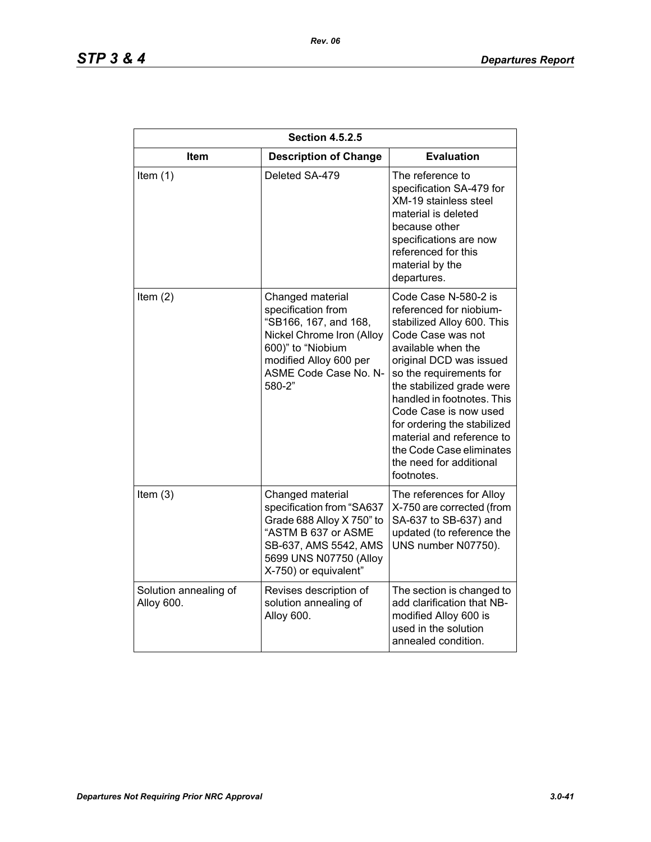| <b>Section 4.5.2.5</b>              |                                                                                                                                                                                |                                                                                                                                                                                                                                                                                                                                                                                                     |  |
|-------------------------------------|--------------------------------------------------------------------------------------------------------------------------------------------------------------------------------|-----------------------------------------------------------------------------------------------------------------------------------------------------------------------------------------------------------------------------------------------------------------------------------------------------------------------------------------------------------------------------------------------------|--|
| Item                                | <b>Description of Change</b>                                                                                                                                                   | <b>Evaluation</b>                                                                                                                                                                                                                                                                                                                                                                                   |  |
| Item $(1)$                          | Deleted SA-479                                                                                                                                                                 | The reference to<br>specification SA-479 for<br><b>XM-19 stainless steel</b><br>material is deleted<br>because other<br>specifications are now<br>referenced for this<br>material by the<br>departures.                                                                                                                                                                                             |  |
| Item $(2)$                          | Changed material<br>specification from<br>"SB166, 167, and 168,<br>Nickel Chrome Iron (Alloy<br>600)" to "Niobium<br>modified Alloy 600 per<br>ASME Code Case No. N-<br>580-2" | Code Case N-580-2 is<br>referenced for niobium-<br>stabilized Alloy 600. This<br>Code Case was not<br>available when the<br>original DCD was issued<br>so the requirements for<br>the stabilized grade were<br>handled in footnotes. This<br>Code Case is now used<br>for ordering the stabilized<br>material and reference to<br>the Code Case eliminates<br>the need for additional<br>footnotes. |  |
| Item $(3)$                          | Changed material<br>specification from "SA637<br>Grade 688 Alloy X 750" to<br>"ASTM B 637 or ASME<br>SB-637, AMS 5542, AMS<br>5699 UNS N07750 (Alloy<br>X-750) or equivalent"  | The references for Alloy<br>X-750 are corrected (from<br>SA-637 to SB-637) and<br>updated (to reference the<br>UNS number N07750).                                                                                                                                                                                                                                                                  |  |
| Solution annealing of<br>Alloy 600. | Revises description of<br>solution annealing of<br>Alloy 600.                                                                                                                  | The section is changed to<br>add clarification that NB-<br>modified Alloy 600 is<br>used in the solution<br>annealed condition.                                                                                                                                                                                                                                                                     |  |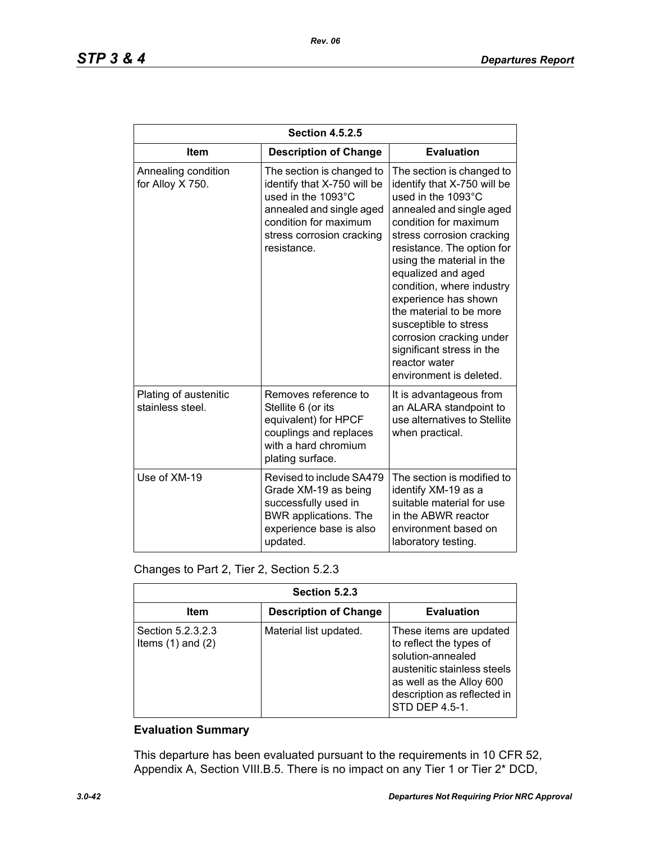| <b>Section 4.5.2.5</b>                    |                                                                                                                                                                                 |                                                                                                                                                                                                                                                                                                                                                                                                                                                                 |  |
|-------------------------------------------|---------------------------------------------------------------------------------------------------------------------------------------------------------------------------------|-----------------------------------------------------------------------------------------------------------------------------------------------------------------------------------------------------------------------------------------------------------------------------------------------------------------------------------------------------------------------------------------------------------------------------------------------------------------|--|
| <b>Item</b>                               | <b>Description of Change</b>                                                                                                                                                    | <b>Evaluation</b>                                                                                                                                                                                                                                                                                                                                                                                                                                               |  |
| Annealing condition<br>for Alloy X 750.   | The section is changed to<br>identify that X-750 will be<br>used in the 1093°C<br>annealed and single aged<br>condition for maximum<br>stress corrosion cracking<br>resistance. | The section is changed to<br>identify that X-750 will be<br>used in the 1093°C<br>annealed and single aged<br>condition for maximum<br>stress corrosion cracking<br>resistance. The option for<br>using the material in the<br>equalized and aged<br>condition, where industry<br>experience has shown<br>the material to be more<br>susceptible to stress<br>corrosion cracking under<br>significant stress in the<br>reactor water<br>environment is deleted. |  |
| Plating of austenitic<br>stainless steel. | Removes reference to<br>Stellite 6 (or its<br>equivalent) for HPCF<br>couplings and replaces<br>with a hard chromium<br>plating surface.                                        | It is advantageous from<br>an ALARA standpoint to<br>use alternatives to Stellite<br>when practical.                                                                                                                                                                                                                                                                                                                                                            |  |
| Use of XM-19                              | Revised to include SA479<br>Grade XM-19 as being<br>successfully used in<br><b>BWR</b> applications. The<br>experience base is also<br>updated.                                 | The section is modified to<br>identify XM-19 as a<br>suitable material for use<br>in the ABWR reactor<br>environment based on<br>laboratory testing.                                                                                                                                                                                                                                                                                                            |  |

| Changes to Part 2, Tier 2, Section 5.2.3 |  |  |  |
|------------------------------------------|--|--|--|
|------------------------------------------|--|--|--|

| Section 5.2.3                              |                              |                                                                                                                                                                                     |  |
|--------------------------------------------|------------------------------|-------------------------------------------------------------------------------------------------------------------------------------------------------------------------------------|--|
| Item                                       | <b>Description of Change</b> | <b>Evaluation</b>                                                                                                                                                                   |  |
| Section 5.2.3.2.3<br>Items $(1)$ and $(2)$ | Material list updated.       | These items are updated<br>to reflect the types of<br>solution-annealed<br>austenitic stainless steels<br>as well as the Alloy 600<br>description as reflected in<br>STD DEP 4.5-1. |  |

This departure has been evaluated pursuant to the requirements in 10 CFR 52, Appendix A, Section VIII.B.5. There is no impact on any Tier 1 or Tier 2\* DCD,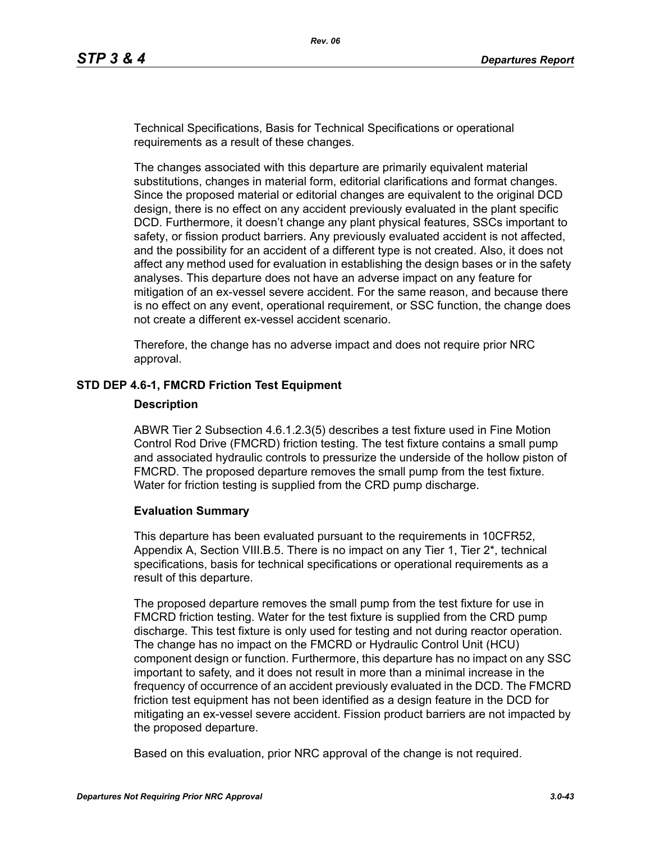Technical Specifications, Basis for Technical Specifications or operational requirements as a result of these changes.

The changes associated with this departure are primarily equivalent material substitutions, changes in material form, editorial clarifications and format changes. Since the proposed material or editorial changes are equivalent to the original DCD design, there is no effect on any accident previously evaluated in the plant specific DCD. Furthermore, it doesn't change any plant physical features, SSCs important to safety, or fission product barriers. Any previously evaluated accident is not affected, and the possibility for an accident of a different type is not created. Also, it does not affect any method used for evaluation in establishing the design bases or in the safety analyses. This departure does not have an adverse impact on any feature for mitigation of an ex-vessel severe accident. For the same reason, and because there is no effect on any event, operational requirement, or SSC function, the change does not create a different ex-vessel accident scenario.

Therefore, the change has no adverse impact and does not require prior NRC approval.

### **STD DEP 4.6-1, FMCRD Friction Test Equipment**

#### **Description**

ABWR Tier 2 Subsection 4.6.1.2.3(5) describes a test fixture used in Fine Motion Control Rod Drive (FMCRD) friction testing. The test fixture contains a small pump and associated hydraulic controls to pressurize the underside of the hollow piston of FMCRD. The proposed departure removes the small pump from the test fixture. Water for friction testing is supplied from the CRD pump discharge.

### **Evaluation Summary**

This departure has been evaluated pursuant to the requirements in 10CFR52, Appendix A, Section VIII.B.5. There is no impact on any Tier 1, Tier 2\*, technical specifications, basis for technical specifications or operational requirements as a result of this departure.

The proposed departure removes the small pump from the test fixture for use in FMCRD friction testing. Water for the test fixture is supplied from the CRD pump discharge. This test fixture is only used for testing and not during reactor operation. The change has no impact on the FMCRD or Hydraulic Control Unit (HCU) component design or function. Furthermore, this departure has no impact on any SSC important to safety, and it does not result in more than a minimal increase in the frequency of occurrence of an accident previously evaluated in the DCD. The FMCRD friction test equipment has not been identified as a design feature in the DCD for mitigating an ex-vessel severe accident. Fission product barriers are not impacted by the proposed departure.

Based on this evaluation, prior NRC approval of the change is not required.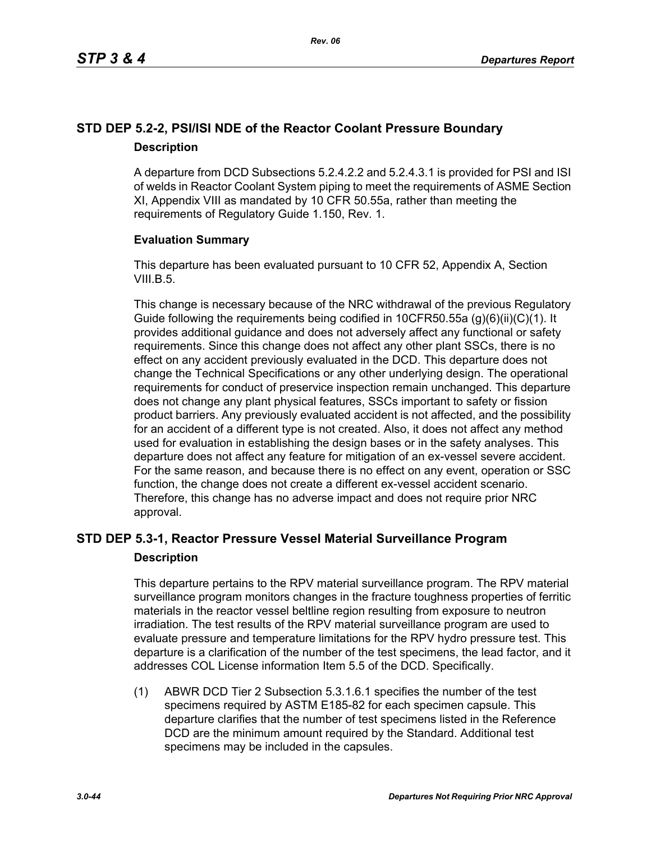# **STD DEP 5.2-2, PSI/ISI NDE of the Reactor Coolant Pressure Boundary Description**

A departure from DCD Subsections 5.2.4.2.2 and 5.2.4.3.1 is provided for PSI and ISI of welds in Reactor Coolant System piping to meet the requirements of ASME Section XI, Appendix VIII as mandated by 10 CFR 50.55a, rather than meeting the requirements of Regulatory Guide 1.150, Rev. 1.

## **Evaluation Summary**

This departure has been evaluated pursuant to 10 CFR 52, Appendix A, Section VIII.B.5.

This change is necessary because of the NRC withdrawal of the previous Regulatory Guide following the requirements being codified in 10CFR50.55a (g)(6)(ii)(C)(1). It provides additional guidance and does not adversely affect any functional or safety requirements. Since this change does not affect any other plant SSCs, there is no effect on any accident previously evaluated in the DCD. This departure does not change the Technical Specifications or any other underlying design. The operational requirements for conduct of preservice inspection remain unchanged. This departure does not change any plant physical features, SSCs important to safety or fission product barriers. Any previously evaluated accident is not affected, and the possibility for an accident of a different type is not created. Also, it does not affect any method used for evaluation in establishing the design bases or in the safety analyses. This departure does not affect any feature for mitigation of an ex-vessel severe accident. For the same reason, and because there is no effect on any event, operation or SSC function, the change does not create a different ex-vessel accident scenario. Therefore, this change has no adverse impact and does not require prior NRC approval.

# **STD DEP 5.3-1, Reactor Pressure Vessel Material Surveillance Program Description**

This departure pertains to the RPV material surveillance program. The RPV material surveillance program monitors changes in the fracture toughness properties of ferritic materials in the reactor vessel beltline region resulting from exposure to neutron irradiation. The test results of the RPV material surveillance program are used to evaluate pressure and temperature limitations for the RPV hydro pressure test. This departure is a clarification of the number of the test specimens, the lead factor, and it addresses COL License information Item 5.5 of the DCD. Specifically.

(1) ABWR DCD Tier 2 Subsection 5.3.1.6.1 specifies the number of the test specimens required by ASTM E185-82 for each specimen capsule. This departure clarifies that the number of test specimens listed in the Reference DCD are the minimum amount required by the Standard. Additional test specimens may be included in the capsules.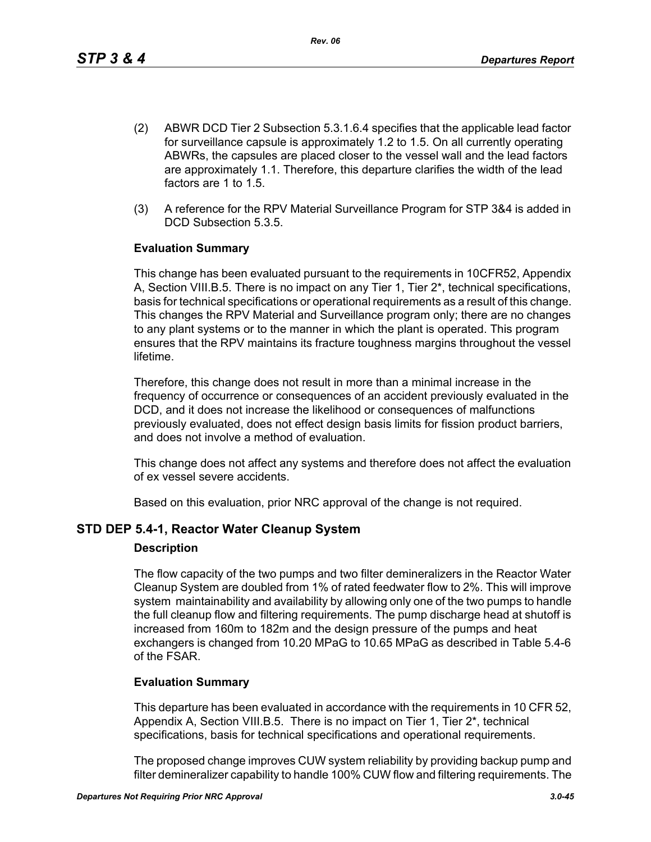- (2) ABWR DCD Tier 2 Subsection 5.3.1.6.4 specifies that the applicable lead factor for surveillance capsule is approximately 1.2 to 1.5. On all currently operating ABWRs, the capsules are placed closer to the vessel wall and the lead factors are approximately 1.1. Therefore, this departure clarifies the width of the lead factors are 1 to 1.5.
- (3) A reference for the RPV Material Surveillance Program for STP 3&4 is added in DCD Subsection 5.3.5

This change has been evaluated pursuant to the requirements in 10CFR52, Appendix A, Section VIII.B.5. There is no impact on any Tier 1, Tier 2\*, technical specifications, basis for technical specifications or operational requirements as a result of this change. This changes the RPV Material and Surveillance program only; there are no changes to any plant systems or to the manner in which the plant is operated. This program ensures that the RPV maintains its fracture toughness margins throughout the vessel lifetime.

Therefore, this change does not result in more than a minimal increase in the frequency of occurrence or consequences of an accident previously evaluated in the DCD, and it does not increase the likelihood or consequences of malfunctions previously evaluated, does not effect design basis limits for fission product barriers, and does not involve a method of evaluation.

This change does not affect any systems and therefore does not affect the evaluation of ex vessel severe accidents.

Based on this evaluation, prior NRC approval of the change is not required.

## **STD DEP 5.4-1, Reactor Water Cleanup System**

### **Description**

The flow capacity of the two pumps and two filter demineralizers in the Reactor Water Cleanup System are doubled from 1% of rated feedwater flow to 2%. This will improve system maintainability and availability by allowing only one of the two pumps to handle the full cleanup flow and filtering requirements. The pump discharge head at shutoff is increased from 160m to 182m and the design pressure of the pumps and heat exchangers is changed from 10.20 MPaG to 10.65 MPaG as described in Table 5.4-6 of the FSAR.

### **Evaluation Summary**

This departure has been evaluated in accordance with the requirements in 10 CFR 52, Appendix A, Section VIII.B.5. There is no impact on Tier 1, Tier 2\*, technical specifications, basis for technical specifications and operational requirements.

The proposed change improves CUW system reliability by providing backup pump and filter demineralizer capability to handle 100% CUW flow and filtering requirements. The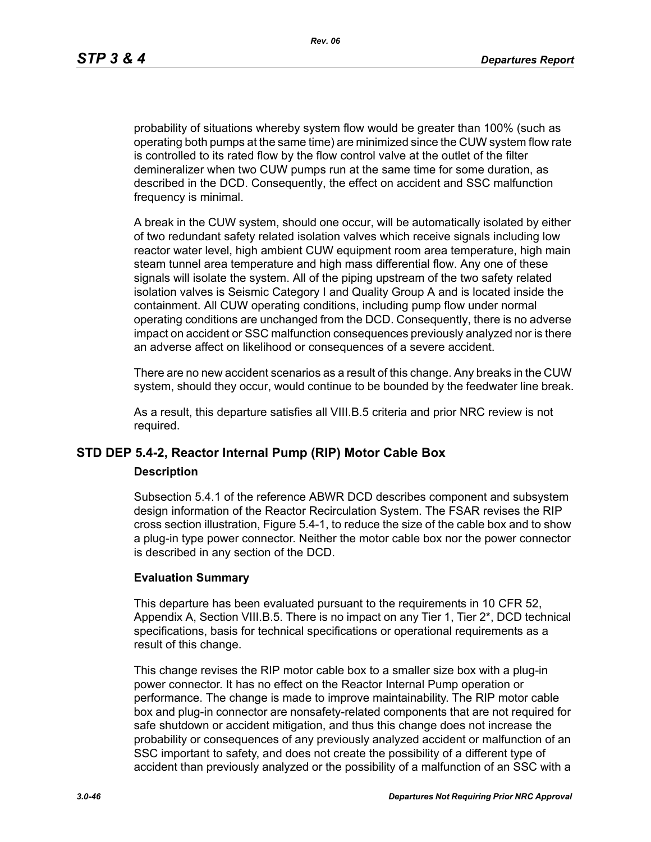probability of situations whereby system flow would be greater than 100% (such as operating both pumps at the same time) are minimized since the CUW system flow rate is controlled to its rated flow by the flow control valve at the outlet of the filter demineralizer when two CUW pumps run at the same time for some duration, as described in the DCD. Consequently, the effect on accident and SSC malfunction frequency is minimal.

A break in the CUW system, should one occur, will be automatically isolated by either of two redundant safety related isolation valves which receive signals including low reactor water level, high ambient CUW equipment room area temperature, high main steam tunnel area temperature and high mass differential flow. Any one of these signals will isolate the system. All of the piping upstream of the two safety related isolation valves is Seismic Category I and Quality Group A and is located inside the containment. All CUW operating conditions, including pump flow under normal operating conditions are unchanged from the DCD. Consequently, there is no adverse impact on accident or SSC malfunction consequences previously analyzed nor is there an adverse affect on likelihood or consequences of a severe accident.

There are no new accident scenarios as a result of this change. Any breaks in the CUW system, should they occur, would continue to be bounded by the feedwater line break.

As a result, this departure satisfies all VIII.B.5 criteria and prior NRC review is not required.

## **STD DEP 5.4-2, Reactor Internal Pump (RIP) Motor Cable Box**

### **Description**

Subsection 5.4.1 of the reference ABWR DCD describes component and subsystem design information of the Reactor Recirculation System. The FSAR revises the RIP cross section illustration, Figure 5.4-1, to reduce the size of the cable box and to show a plug-in type power connector. Neither the motor cable box nor the power connector is described in any section of the DCD.

### **Evaluation Summary**

This departure has been evaluated pursuant to the requirements in 10 CFR 52, Appendix A, Section VIII.B.5. There is no impact on any Tier 1, Tier 2\*, DCD technical specifications, basis for technical specifications or operational requirements as a result of this change.

This change revises the RIP motor cable box to a smaller size box with a plug-in power connector. It has no effect on the Reactor Internal Pump operation or performance. The change is made to improve maintainability. The RIP motor cable box and plug-in connector are nonsafety-related components that are not required for safe shutdown or accident mitigation, and thus this change does not increase the probability or consequences of any previously analyzed accident or malfunction of an SSC important to safety, and does not create the possibility of a different type of accident than previously analyzed or the possibility of a malfunction of an SSC with a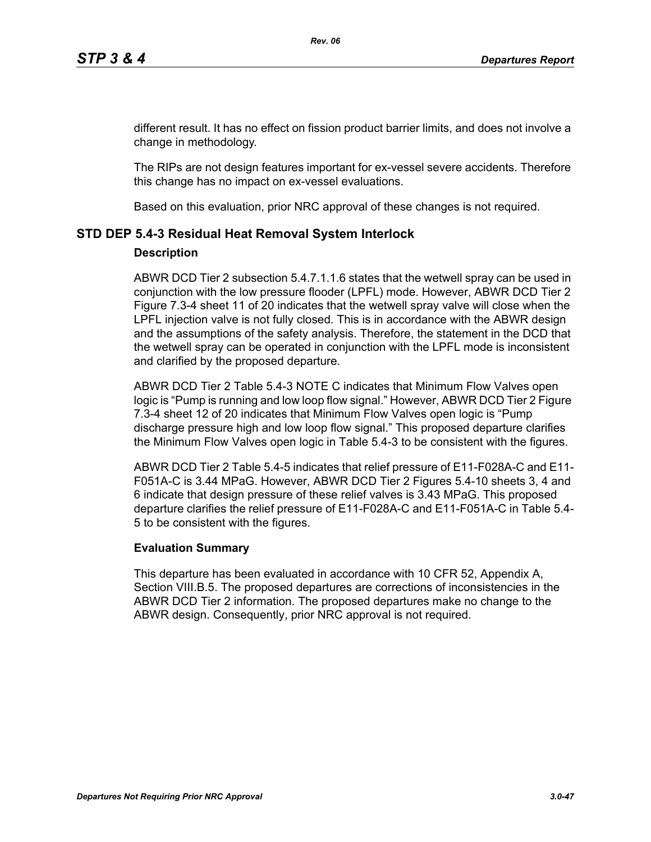different result. It has no effect on fission product barrier limits, and does not involve a change in methodology.

The RIPs are not design features important for ex-vessel severe accidents. Therefore this change has no impact on ex-vessel evaluations.

Based on this evaluation, prior NRC approval of these changes is not required.

## **STD DEP 5.4-3 Residual Heat Removal System Interlock**

### **Description**

ABWR DCD Tier 2 subsection 5.4.7.1.1.6 states that the wetwell spray can be used in conjunction with the low pressure flooder (LPFL) mode. However, ABWR DCD Tier 2 Figure 7.3-4 sheet 11 of 20 indicates that the wetwell spray valve will close when the LPFL injection valve is not fully closed. This is in accordance with the ABWR design and the assumptions of the safety analysis. Therefore, the statement in the DCD that the wetwell spray can be operated in conjunction with the LPFL mode is inconsistent and clarified by the proposed departure.

ABWR DCD Tier 2 Table 5.4-3 NOTE C indicates that Minimum Flow Valves open logic is "Pump is running and low loop flow signal." However, ABWR DCD Tier 2 Figure 7.3-4 sheet 12 of 20 indicates that Minimum Flow Valves open logic is "Pump discharge pressure high and low loop flow signal." This proposed departure clarifies the Minimum Flow Valves open logic in Table 5.4-3 to be consistent with the figures.

ABWR DCD Tier 2 Table 5.4-5 indicates that relief pressure of E11-F028A-C and E11- F051A-C is 3.44 MPaG. However, ABWR DCD Tier 2 Figures 5.4-10 sheets 3, 4 and 6 indicate that design pressure of these relief valves is 3.43 MPaG. This proposed departure clarifies the relief pressure of E11-F028A-C and E11-F051A-C in Table 5.4- 5 to be consistent with the figures.

### **Evaluation Summary**

This departure has been evaluated in accordance with 10 CFR 52, Appendix A, Section VIII.B.5. The proposed departures are corrections of inconsistencies in the ABWR DCD Tier 2 information. The proposed departures make no change to the ABWR design. Consequently, prior NRC approval is not required.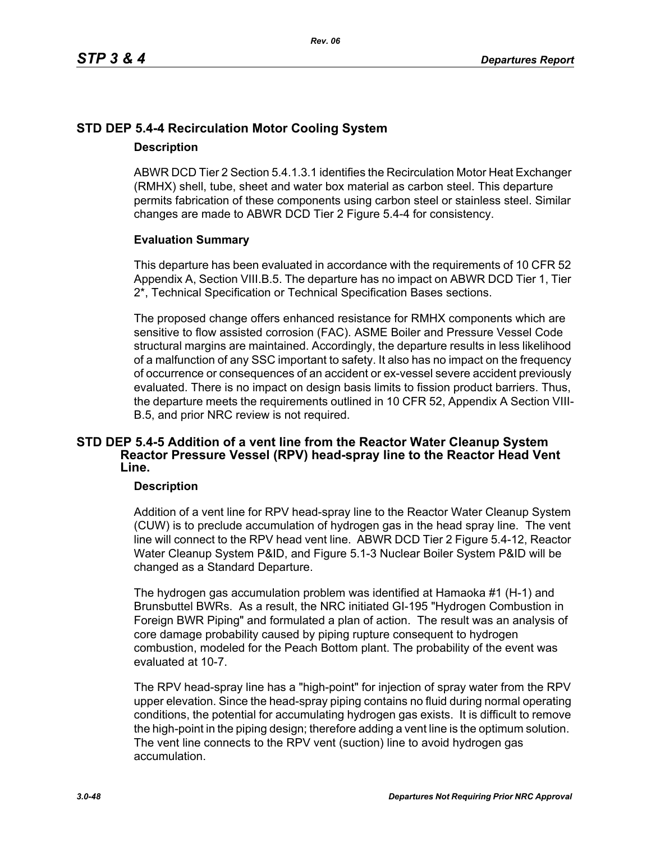# **STD DEP 5.4-4 Recirculation Motor Cooling System**

### **Description**

ABWR DCD Tier 2 Section 5.4.1.3.1 identifies the Recirculation Motor Heat Exchanger (RMHX) shell, tube, sheet and water box material as carbon steel. This departure permits fabrication of these components using carbon steel or stainless steel. Similar changes are made to ABWR DCD Tier 2 Figure 5.4-4 for consistency.

## **Evaluation Summary**

This departure has been evaluated in accordance with the requirements of 10 CFR 52 Appendix A, Section VIII.B.5. The departure has no impact on ABWR DCD Tier 1, Tier 2\*, Technical Specification or Technical Specification Bases sections.

The proposed change offers enhanced resistance for RMHX components which are sensitive to flow assisted corrosion (FAC). ASME Boiler and Pressure Vessel Code structural margins are maintained. Accordingly, the departure results in less likelihood of a malfunction of any SSC important to safety. It also has no impact on the frequency of occurrence or consequences of an accident or ex-vessel severe accident previously evaluated. There is no impact on design basis limits to fission product barriers. Thus, the departure meets the requirements outlined in 10 CFR 52, Appendix A Section VIII-B.5, and prior NRC review is not required.

### **STD DEP 5.4-5 Addition of a vent line from the Reactor Water Cleanup System Reactor Pressure Vessel (RPV) head-spray line to the Reactor Head Vent Line.**

### **Description**

Addition of a vent line for RPV head-spray line to the Reactor Water Cleanup System (CUW) is to preclude accumulation of hydrogen gas in the head spray line. The vent line will connect to the RPV head vent line. ABWR DCD Tier 2 Figure 5.4-12, Reactor Water Cleanup System P&ID, and Figure 5.1-3 Nuclear Boiler System P&ID will be changed as a Standard Departure.

The hydrogen gas accumulation problem was identified at Hamaoka #1 (H-1) and Brunsbuttel BWRs. As a result, the NRC initiated GI-195 "Hydrogen Combustion in Foreign BWR Piping" and formulated a plan of action. The result was an analysis of core damage probability caused by piping rupture consequent to hydrogen combustion, modeled for the Peach Bottom plant. The probability of the event was evaluated at 10-7.

The RPV head-spray line has a "high-point" for injection of spray water from the RPV upper elevation. Since the head-spray piping contains no fluid during normal operating conditions, the potential for accumulating hydrogen gas exists. It is difficult to remove the high-point in the piping design; therefore adding a vent line is the optimum solution. The vent line connects to the RPV vent (suction) line to avoid hydrogen gas accumulation.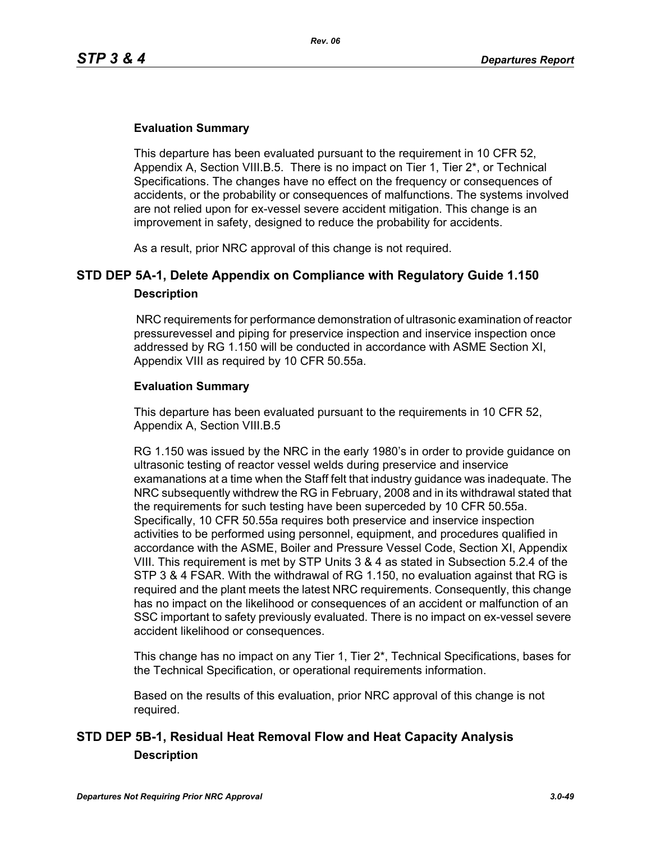This departure has been evaluated pursuant to the requirement in 10 CFR 52, Appendix A, Section VIII.B.5. There is no impact on Tier 1, Tier 2\*, or Technical Specifications. The changes have no effect on the frequency or consequences of accidents, or the probability or consequences of malfunctions. The systems involved are not relied upon for ex-vessel severe accident mitigation. This change is an improvement in safety, designed to reduce the probability for accidents.

As a result, prior NRC approval of this change is not required.

# **STD DEP 5A-1, Delete Appendix on Compliance with Regulatory Guide 1.150 Description**

 NRC requirements for performance demonstration of ultrasonic examination of reactor pressurevessel and piping for preservice inspection and inservice inspection once addressed by RG 1.150 will be conducted in accordance with ASME Section XI, Appendix VIII as required by 10 CFR 50.55a.

### **Evaluation Summary**

This departure has been evaluated pursuant to the requirements in 10 CFR 52, Appendix A, Section VIII.B.5

RG 1.150 was issued by the NRC in the early 1980's in order to provide guidance on ultrasonic testing of reactor vessel welds during preservice and inservice examanations at a time when the Staff felt that industry guidance was inadequate. The NRC subsequently withdrew the RG in February, 2008 and in its withdrawal stated that the requirements for such testing have been superceded by 10 CFR 50.55a. Specifically, 10 CFR 50.55a requires both preservice and inservice inspection activities to be performed using personnel, equipment, and procedures qualified in accordance with the ASME, Boiler and Pressure Vessel Code, Section XI, Appendix VIII. This requirement is met by STP Units 3 & 4 as stated in Subsection 5.2.4 of the STP 3 & 4 FSAR. With the withdrawal of RG 1.150, no evaluation against that RG is required and the plant meets the latest NRC requirements. Consequently, this change has no impact on the likelihood or consequences of an accident or malfunction of an SSC important to safety previously evaluated. There is no impact on ex-vessel severe accident likelihood or consequences.

This change has no impact on any Tier 1, Tier 2\*, Technical Specifications, bases for the Technical Specification, or operational requirements information.

Based on the results of this evaluation, prior NRC approval of this change is not required.

# **STD DEP 5B-1, Residual Heat Removal Flow and Heat Capacity Analysis Description**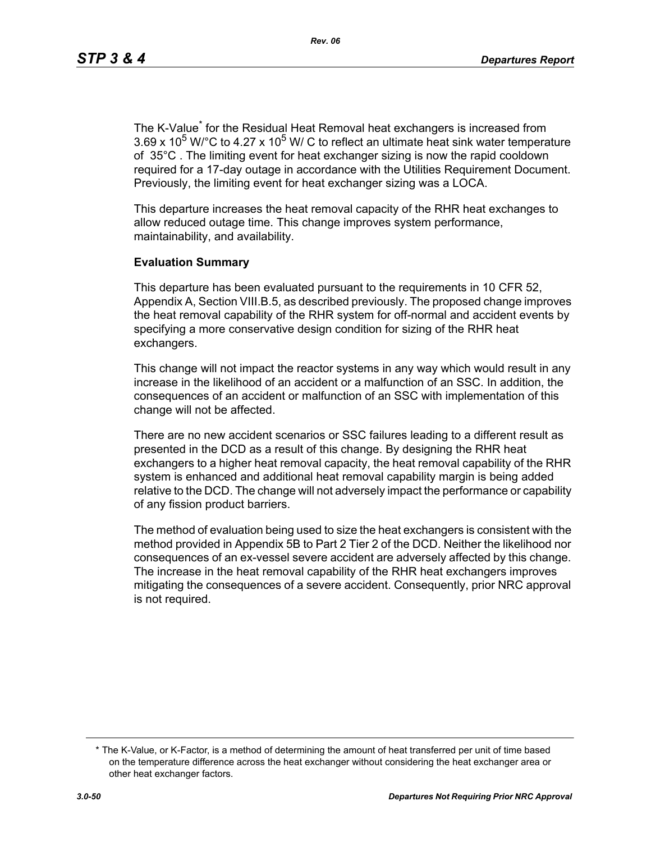The K-Value<sup>\*</sup> for the Residual Heat Removal heat exchangers is increased from  $3.69 \times 10^5$  W/°C to 4.27 x 10<sup>5</sup> W/ C to reflect an ultimate heat sink water temperature of 35°C . The limiting event for heat exchanger sizing is now the rapid cooldown required for a 17-day outage in accordance with the Utilities Requirement Document. Previously, the limiting event for heat exchanger sizing was a LOCA.

This departure increases the heat removal capacity of the RHR heat exchanges to allow reduced outage time. This change improves system performance, maintainability, and availability.

### **Evaluation Summary**

This departure has been evaluated pursuant to the requirements in 10 CFR 52, Appendix A, Section VIII.B.5, as described previously. The proposed change improves the heat removal capability of the RHR system for off-normal and accident events by specifying a more conservative design condition for sizing of the RHR heat exchangers.

This change will not impact the reactor systems in any way which would result in any increase in the likelihood of an accident or a malfunction of an SSC. In addition, the consequences of an accident or malfunction of an SSC with implementation of this change will not be affected.

There are no new accident scenarios or SSC failures leading to a different result as presented in the DCD as a result of this change. By designing the RHR heat exchangers to a higher heat removal capacity, the heat removal capability of the RHR system is enhanced and additional heat removal capability margin is being added relative to the DCD. The change will not adversely impact the performance or capability of any fission product barriers.

The method of evaluation being used to size the heat exchangers is consistent with the method provided in Appendix 5B to Part 2 Tier 2 of the DCD. Neither the likelihood nor consequences of an ex-vessel severe accident are adversely affected by this change. The increase in the heat removal capability of the RHR heat exchangers improves mitigating the consequences of a severe accident. Consequently, prior NRC approval is not required.

<sup>\*</sup> The K-Value, or K-Factor, is a method of determining the amount of heat transferred per unit of time based on the temperature difference across the heat exchanger without considering the heat exchanger area or other heat exchanger factors.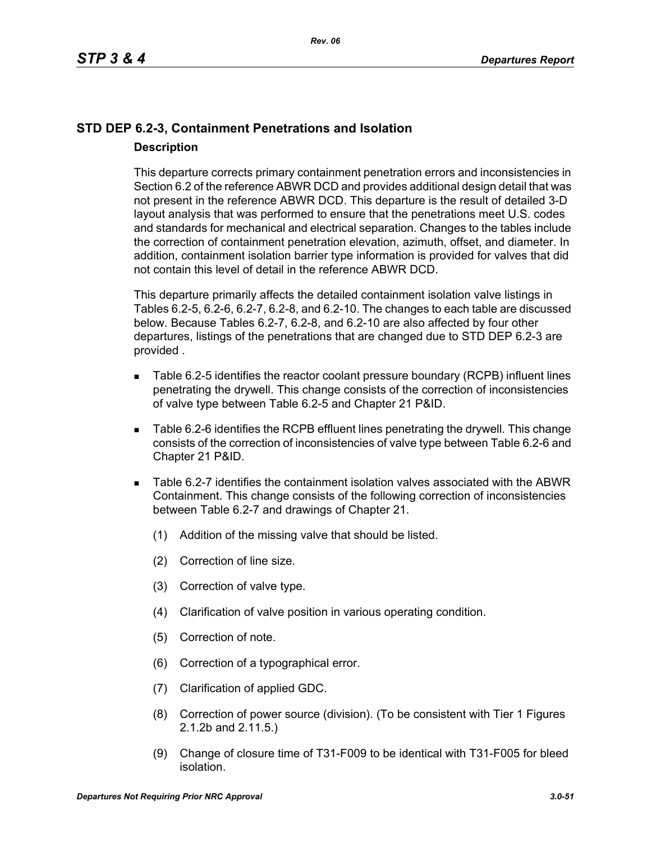# **STD DEP 6.2-3, Containment Penetrations and Isolation Description**

This departure corrects primary containment penetration errors and inconsistencies in Section 6.2 of the reference ABWR DCD and provides additional design detail that was not present in the reference ABWR DCD. This departure is the result of detailed 3-D layout analysis that was performed to ensure that the penetrations meet U.S. codes and standards for mechanical and electrical separation. Changes to the tables include the correction of containment penetration elevation, azimuth, offset, and diameter. In addition, containment isolation barrier type information is provided for valves that did not contain this level of detail in the reference ABWR DCD.

This departure primarily affects the detailed containment isolation valve listings in Tables 6.2-5, 6.2-6, 6.2-7, 6.2-8, and 6.2-10. The changes to each table are discussed below. Because Tables 6.2-7, 6.2-8, and 6.2-10 are also affected by four other departures, listings of the penetrations that are changed due to STD DEP 6.2-3 are provided .

- Table 6.2-5 identifies the reactor coolant pressure boundary (RCPB) influent lines penetrating the drywell. This change consists of the correction of inconsistencies of valve type between Table 6.2-5 and Chapter 21 P&ID.
- Table 6.2-6 identifies the RCPB effluent lines penetrating the drywell. This change consists of the correction of inconsistencies of valve type between Table 6.2-6 and Chapter 21 P&ID.
- Table 6.2-7 identifies the containment isolation valves associated with the ABWR Containment. This change consists of the following correction of inconsistencies between Table 6.2-7 and drawings of Chapter 21.
	- (1) Addition of the missing valve that should be listed.
	- (2) Correction of line size.
	- (3) Correction of valve type.
	- (4) Clarification of valve position in various operating condition.
	- (5) Correction of note.
	- (6) Correction of a typographical error.
	- (7) Clarification of applied GDC.
	- (8) Correction of power source (division). (To be consistent with Tier 1 Figures 2.1.2b and 2.11.5.)
	- (9) Change of closure time of T31-F009 to be identical with T31-F005 for bleed isolation.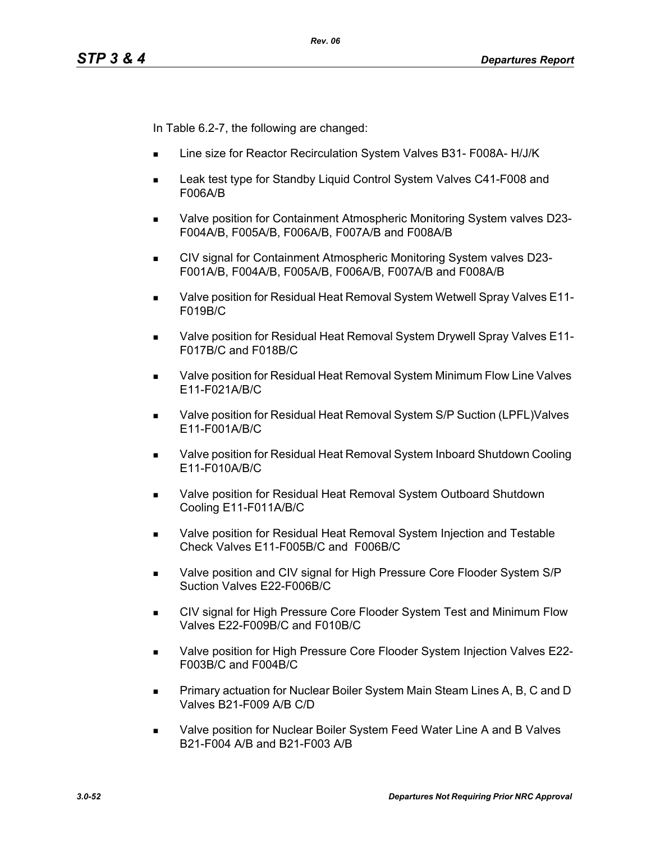In Table 6.2-7, the following are changed:

- Line size for Reactor Recirculation System Valves B31- F008A- H/J/K
- Leak test type for Standby Liquid Control System Valves C41-F008 and F006A/B
- Valve position for Containment Atmospheric Monitoring System valves D23- F004A/B, F005A/B, F006A/B, F007A/B and F008A/B
- CIV signal for Containment Atmospheric Monitoring System valves D23-F001A/B, F004A/B, F005A/B, F006A/B, F007A/B and F008A/B
- Valve position for Residual Heat Removal System Wetwell Spray Valves E11- F019B/C
- Valve position for Residual Heat Removal System Drywell Spray Valves E11- F017B/C and F018B/C
- Valve position for Residual Heat Removal System Minimum Flow Line Valves E11-F021A/B/C
- Valve position for Residual Heat Removal System S/P Suction (LPFL)Valves E11-F001A/B/C
- Valve position for Residual Heat Removal System Inboard Shutdown Cooling E11-F010A/B/C
- Valve position for Residual Heat Removal System Outboard Shutdown Cooling E11-F011A/B/C
- **Nalve position for Residual Heat Removal System Injection and Testable** Check Valves E11-F005B/C and F006B/C
- Valve position and CIV signal for High Pressure Core Flooder System S/P Suction Valves E22-F006B/C
- CIV signal for High Pressure Core Flooder System Test and Minimum Flow Valves E22-F009B/C and F010B/C
- Valve position for High Pressure Core Flooder System Injection Valves E22- F003B/C and F004B/C
- **Primary actuation for Nuclear Boiler System Main Steam Lines A, B, C and D** Valves B21-F009 A/B C/D
- Valve position for Nuclear Boiler System Feed Water Line A and B Valves B21-F004 A/B and B21-F003 A/B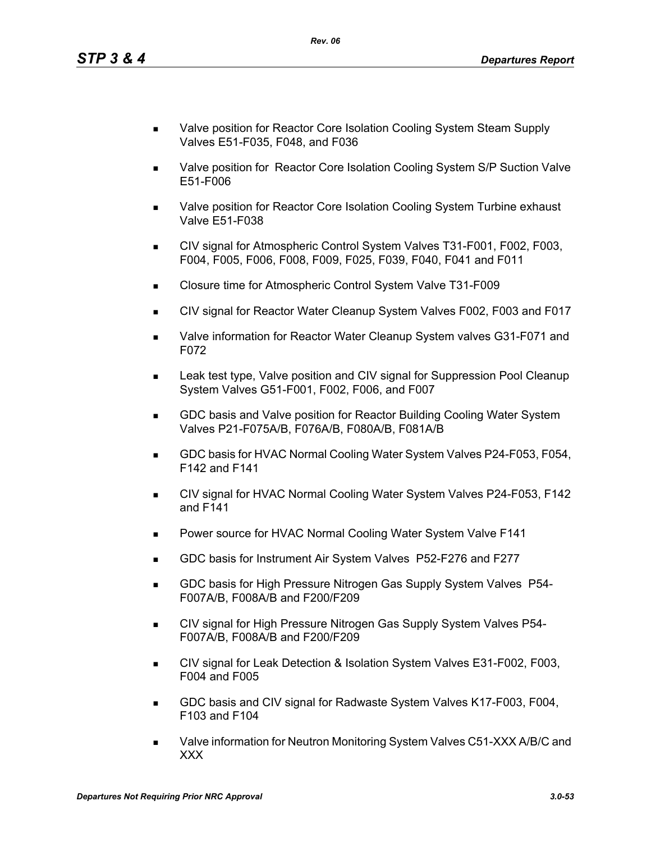- Valve position for Reactor Core Isolation Cooling System Steam Supply Valves E51-F035, F048, and F036
- **Nalve position for Reactor Core Isolation Cooling System S/P Suction Valve** E51-F006
- Valve position for Reactor Core Isolation Cooling System Turbine exhaust Valve E51-F038
- CIV signal for Atmospheric Control System Valves T31-F001, F002, F003, F004, F005, F006, F008, F009, F025, F039, F040, F041 and F011
- Closure time for Atmospheric Control System Valve T31-F009
- CIV signal for Reactor Water Cleanup System Valves F002, F003 and F017
- Valve information for Reactor Water Cleanup System valves G31-F071 and F072
- Leak test type, Valve position and CIV signal for Suppression Pool Cleanup System Valves G51-F001, F002, F006, and F007
- GDC basis and Valve position for Reactor Building Cooling Water System Valves P21-F075A/B, F076A/B, F080A/B, F081A/B
- GDC basis for HVAC Normal Cooling Water System Valves P24-F053, F054, F142 and F141
- CIV signal for HVAC Normal Cooling Water System Valves P24-F053, F142 and F141
- **Power source for HVAC Normal Cooling Water System Valve F141**
- GDC basis for Instrument Air System Valves P52-F276 and F277
- **GDC basis for High Pressure Nitrogen Gas Supply System Valves P54-**F007A/B, F008A/B and F200/F209
- **CIV signal for High Pressure Nitrogen Gas Supply System Valves P54-**F007A/B, F008A/B and F200/F209
- CIV signal for Leak Detection & Isolation System Valves E31-F002, F003, F004 and F005
- GDC basis and CIV signal for Radwaste System Valves K17-F003, F004, F103 and F104
- Valve information for Neutron Monitoring System Valves C51-XXX A/B/C and XXX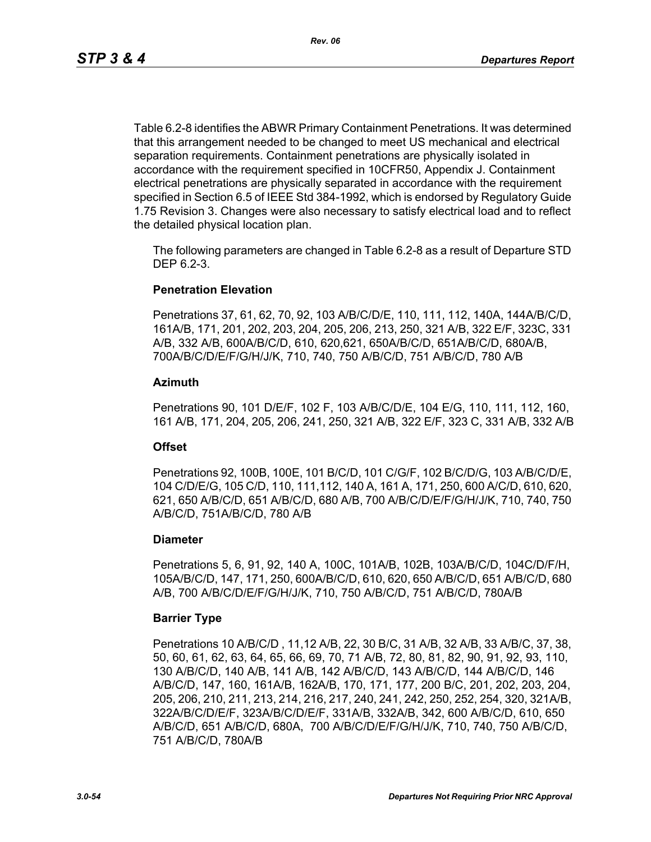Table 6.2-8 identifies the ABWR Primary Containment Penetrations. It was determined that this arrangement needed to be changed to meet US mechanical and electrical separation requirements. Containment penetrations are physically isolated in accordance with the requirement specified in 10CFR50, Appendix J. Containment electrical penetrations are physically separated in accordance with the requirement specified in Section 6.5 of IEEE Std 384-1992, which is endorsed by Regulatory Guide 1.75 Revision 3. Changes were also necessary to satisfy electrical load and to reflect the detailed physical location plan.

The following parameters are changed in Table 6.2-8 as a result of Departure STD DEP 6.2-3.

### **Penetration Elevation**

Penetrations 37, 61, 62, 70, 92, 103 A/B/C/D/E, 110, 111, 112, 140A, 144A/B/C/D, 161A/B, 171, 201, 202, 203, 204, 205, 206, 213, 250, 321 A/B, 322 E/F, 323C, 331 A/B, 332 A/B, 600A/B/C/D, 610, 620,621, 650A/B/C/D, 651A/B/C/D, 680A/B, 700A/B/C/D/E/F/G/H/J/K, 710, 740, 750 A/B/C/D, 751 A/B/C/D, 780 A/B

### **Azimuth**

Penetrations 90, 101 D/E/F, 102 F, 103 A/B/C/D/E, 104 E/G, 110, 111, 112, 160, 161 A/B, 171, 204, 205, 206, 241, 250, 321 A/B, 322 E/F, 323 C, 331 A/B, 332 A/B

### **Offset**

Penetrations 92, 100B, 100E, 101 B/C/D, 101 C/G/F, 102 B/C/D/G, 103 A/B/C/D/E, 104 C/D/E/G, 105 C/D, 110, 111,112, 140 A, 161 A, 171, 250, 600 A/C/D, 610, 620, 621, 650 A/B/C/D, 651 A/B/C/D, 680 A/B, 700 A/B/C/D/E/F/G/H/J/K, 710, 740, 750 A/B/C/D, 751A/B/C/D, 780 A/B

### **Diameter**

Penetrations 5, 6, 91, 92, 140 A, 100C, 101A/B, 102B, 103A/B/C/D, 104C/D/F/H, 105A/B/C/D, 147, 171, 250, 600A/B/C/D, 610, 620, 650 A/B/C/D, 651 A/B/C/D, 680 A/B, 700 A/B/C/D/E/F/G/H/J/K, 710, 750 A/B/C/D, 751 A/B/C/D, 780A/B

### **Barrier Type**

Penetrations 10 A/B/C/D , 11,12 A/B, 22, 30 B/C, 31 A/B, 32 A/B, 33 A/B/C, 37, 38, 50, 60, 61, 62, 63, 64, 65, 66, 69, 70, 71 A/B, 72, 80, 81, 82, 90, 91, 92, 93, 110, 130 A/B/C/D, 140 A/B, 141 A/B, 142 A/B/C/D, 143 A/B/C/D, 144 A/B/C/D, 146 A/B/C/D, 147, 160, 161A/B, 162A/B, 170, 171, 177, 200 B/C, 201, 202, 203, 204, 205, 206, 210, 211, 213, 214, 216, 217, 240, 241, 242, 250, 252, 254, 320, 321A/B, 322A/B/C/D/E/F, 323A/B/C/D/E/F, 331A/B, 332A/B, 342, 600 A/B/C/D, 610, 650 A/B/C/D, 651 A/B/C/D, 680A, 700 A/B/C/D/E/F/G/H/J/K, 710, 740, 750 A/B/C/D, 751 A/B/C/D, 780A/B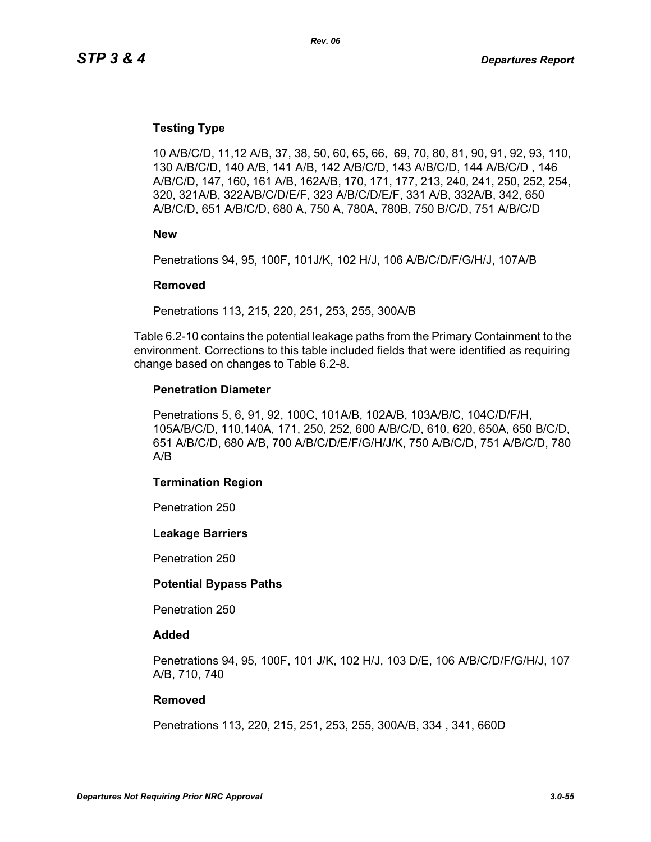### **Testing Type**

10 A/B/C/D, 11,12 A/B, 37, 38, 50, 60, 65, 66, 69, 70, 80, 81, 90, 91, 92, 93, 110, 130 A/B/C/D, 140 A/B, 141 A/B, 142 A/B/C/D, 143 A/B/C/D, 144 A/B/C/D , 146 A/B/C/D, 147, 160, 161 A/B, 162A/B, 170, 171, 177, 213, 240, 241, 250, 252, 254, 320, 321A/B, 322A/B/C/D/E/F, 323 A/B/C/D/E/F, 331 A/B, 332A/B, 342, 650 A/B/C/D, 651 A/B/C/D, 680 A, 750 A, 780A, 780B, 750 B/C/D, 751 A/B/C/D

**New**

Penetrations 94, 95, 100F, 101J/K, 102 H/J, 106 A/B/C/D/F/G/H/J, 107A/B

#### **Removed**

Penetrations 113, 215, 220, 251, 253, 255, 300A/B

Table 6.2-10 contains the potential leakage paths from the Primary Containment to the environment. Corrections to this table included fields that were identified as requiring change based on changes to Table 6.2-8.

#### **Penetration Diameter**

Penetrations 5, 6, 91, 92, 100C, 101A/B, 102A/B, 103A/B/C, 104C/D/F/H, 105A/B/C/D, 110,140A, 171, 250, 252, 600 A/B/C/D, 610, 620, 650A, 650 B/C/D, 651 A/B/C/D, 680 A/B, 700 A/B/C/D/E/F/G/H/J/K, 750 A/B/C/D, 751 A/B/C/D, 780 A/B

#### **Termination Region**

Penetration 250

#### **Leakage Barriers**

Penetration 250

#### **Potential Bypass Paths**

Penetration 250

#### **Added**

Penetrations 94, 95, 100F, 101 J/K, 102 H/J, 103 D/E, 106 A/B/C/D/F/G/H/J, 107 A/B, 710, 740

#### **Removed**

Penetrations 113, 220, 215, 251, 253, 255, 300A/B, 334 , 341, 660D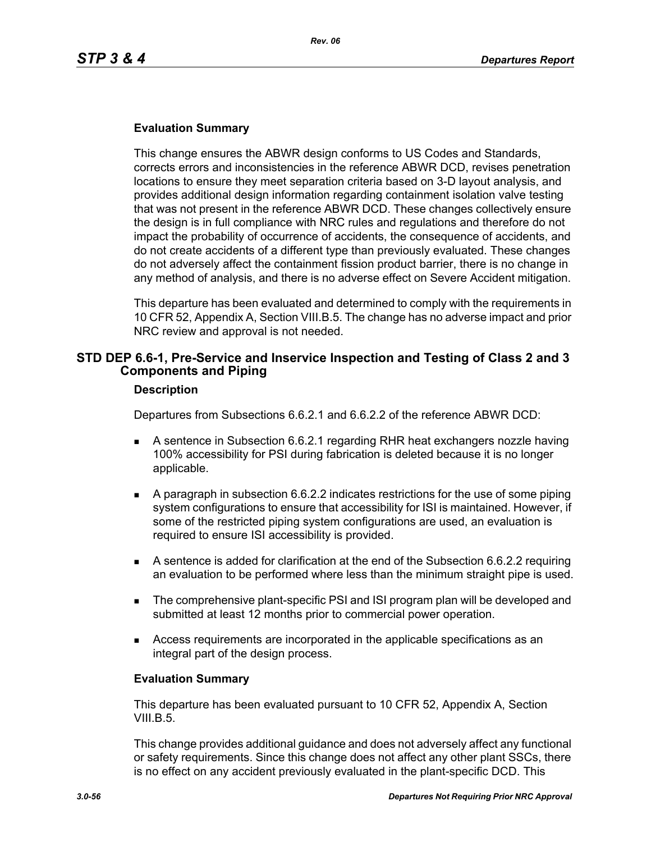This change ensures the ABWR design conforms to US Codes and Standards, corrects errors and inconsistencies in the reference ABWR DCD, revises penetration locations to ensure they meet separation criteria based on 3-D layout analysis, and provides additional design information regarding containment isolation valve testing that was not present in the reference ABWR DCD. These changes collectively ensure the design is in full compliance with NRC rules and regulations and therefore do not impact the probability of occurrence of accidents, the consequence of accidents, and do not create accidents of a different type than previously evaluated. These changes do not adversely affect the containment fission product barrier, there is no change in any method of analysis, and there is no adverse effect on Severe Accident mitigation.

This departure has been evaluated and determined to comply with the requirements in 10 CFR 52, Appendix A, Section VIII.B.5. The change has no adverse impact and prior NRC review and approval is not needed.

## **STD DEP 6.6-1, Pre-Service and Inservice Inspection and Testing of Class 2 and 3 Components and Piping**

#### **Description**

Departures from Subsections 6.6.2.1 and 6.6.2.2 of the reference ABWR DCD:

- A sentence in Subsection 6.6.2.1 regarding RHR heat exchangers nozzle having 100% accessibility for PSI during fabrication is deleted because it is no longer applicable.
- A paragraph in subsection 6.6.2.2 indicates restrictions for the use of some piping system configurations to ensure that accessibility for ISI is maintained. However, if some of the restricted piping system configurations are used, an evaluation is required to ensure ISI accessibility is provided.
- A sentence is added for clarification at the end of the Subsection 6.6.2.2 requiring an evaluation to be performed where less than the minimum straight pipe is used.
- **The comprehensive plant-specific PSI and ISI program plan will be developed and** submitted at least 12 months prior to commercial power operation.
- Access requirements are incorporated in the applicable specifications as an integral part of the design process.

### **Evaluation Summary**

This departure has been evaluated pursuant to 10 CFR 52, Appendix A, Section VIII.B.5.

This change provides additional guidance and does not adversely affect any functional or safety requirements. Since this change does not affect any other plant SSCs, there is no effect on any accident previously evaluated in the plant-specific DCD. This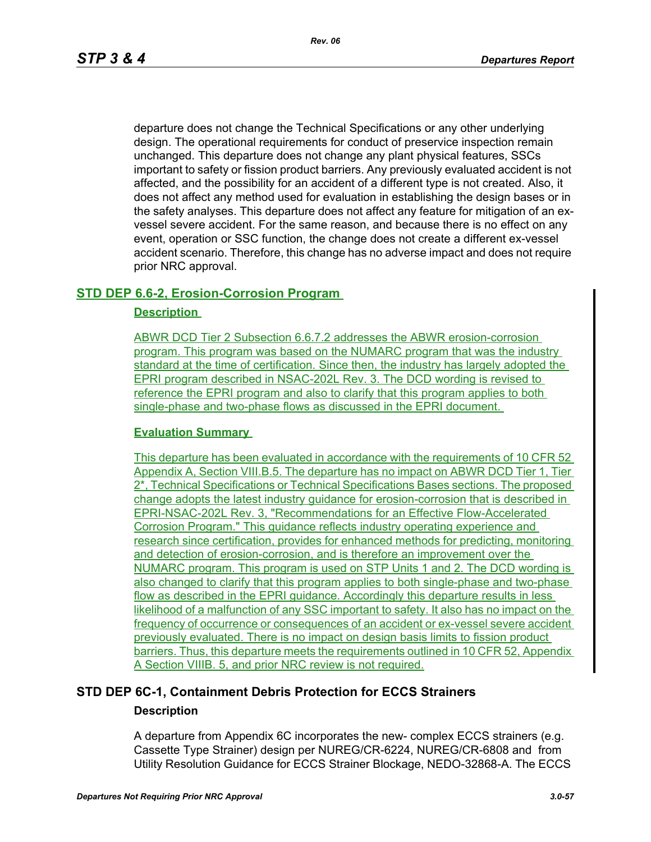departure does not change the Technical Specifications or any other underlying design. The operational requirements for conduct of preservice inspection remain unchanged. This departure does not change any plant physical features, SSCs important to safety or fission product barriers. Any previously evaluated accident is not affected, and the possibility for an accident of a different type is not created. Also, it does not affect any method used for evaluation in establishing the design bases or in the safety analyses. This departure does not affect any feature for mitigation of an exvessel severe accident. For the same reason, and because there is no effect on any event, operation or SSC function, the change does not create a different ex-vessel accident scenario. Therefore, this change has no adverse impact and does not require prior NRC approval.

## **STD DEP 6.6-2, Erosion-Corrosion Program**

### **Description**

ABWR DCD Tier 2 Subsection 6.6.7.2 addresses the ABWR erosion-corrosion program. This program was based on the NUMARC program that was the industry standard at the time of certification. Since then, the industry has largely adopted the EPRI program described in NSAC-202L Rev. 3. The DCD wording is revised to reference the EPRI program and also to clarify that this program applies to both single-phase and two-phase flows as discussed in the EPRI document.

### **Evaluation Summary**

This departure has been evaluated in accordance with the requirements of 10 CFR 52 Appendix A, Section VIII.B.5. The departure has no impact on ABWR DCD Tier 1, Tier 2\*, Technical Specifications or Technical Specifications Bases sections. The proposed change adopts the latest industry guidance for erosion-corrosion that is described in EPRI-NSAC-202L Rev. 3, "Recommendations for an Effective Flow-Accelerated Corrosion Program." This guidance reflects industry operating experience and research since certification, provides for enhanced methods for predicting, monitoring and detection of erosion-corrosion, and is therefore an improvement over the NUMARC program. This program is used on STP Units 1 and 2. The DCD wording is also changed to clarify that this program applies to both single-phase and two-phase flow as described in the EPRI guidance. Accordingly this departure results in less likelihood of a malfunction of any SSC important to safety. It also has no impact on the frequency of occurrence or consequences of an accident or ex-vessel severe accident previously evaluated. There is no impact on design basis limits to fission product barriers. Thus, this departure meets the requirements outlined in 10 CFR 52, Appendix A Section VIIIB. 5, and prior NRC review is not required.

## **STD DEP 6C-1, Containment Debris Protection for ECCS Strainers Description**

A departure from Appendix 6C incorporates the new- complex ECCS strainers (e.g. Cassette Type Strainer) design per NUREG/CR-6224, NUREG/CR-6808 and from Utility Resolution Guidance for ECCS Strainer Blockage, NEDO-32868-A. The ECCS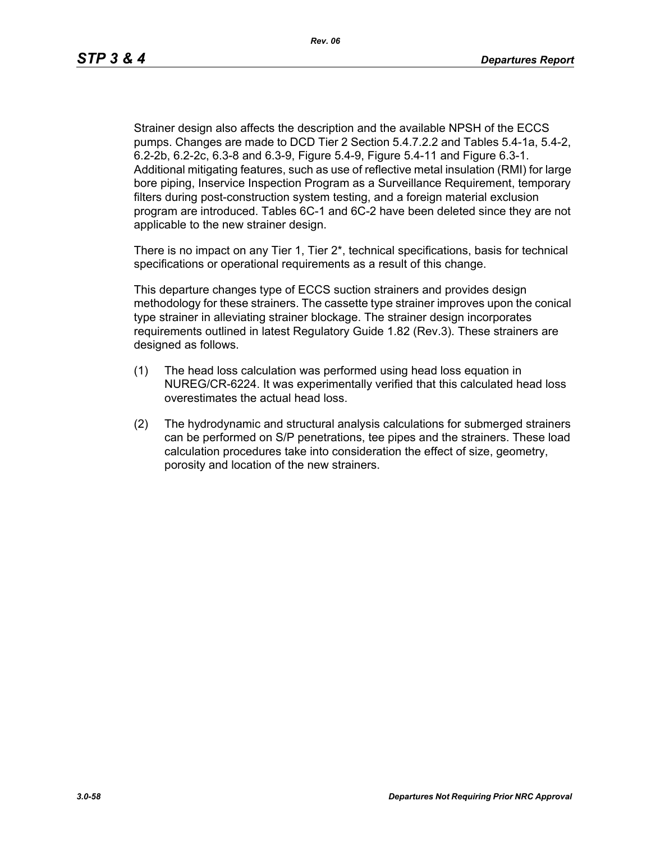Strainer design also affects the description and the available NPSH of the ECCS pumps. Changes are made to DCD Tier 2 Section 5.4.7.2.2 and Tables 5.4-1a, 5.4-2, 6.2-2b, 6.2-2c, 6.3-8 and 6.3-9, Figure 5.4-9, Figure 5.4-11 and Figure 6.3-1. Additional mitigating features, such as use of reflective metal insulation (RMI) for large bore piping, Inservice Inspection Program as a Surveillance Requirement, temporary filters during post-construction system testing, and a foreign material exclusion program are introduced. Tables 6C-1 and 6C-2 have been deleted since they are not applicable to the new strainer design.

There is no impact on any Tier 1, Tier  $2^*$ , technical specifications, basis for technical specifications or operational requirements as a result of this change.

This departure changes type of ECCS suction strainers and provides design methodology for these strainers. The cassette type strainer improves upon the conical type strainer in alleviating strainer blockage. The strainer design incorporates requirements outlined in latest Regulatory Guide 1.82 (Rev.3). These strainers are designed as follows.

- (1) The head loss calculation was performed using head loss equation in NUREG/CR-6224. It was experimentally verified that this calculated head loss overestimates the actual head loss.
- (2) The hydrodynamic and structural analysis calculations for submerged strainers can be performed on S/P penetrations, tee pipes and the strainers. These load calculation procedures take into consideration the effect of size, geometry, porosity and location of the new strainers.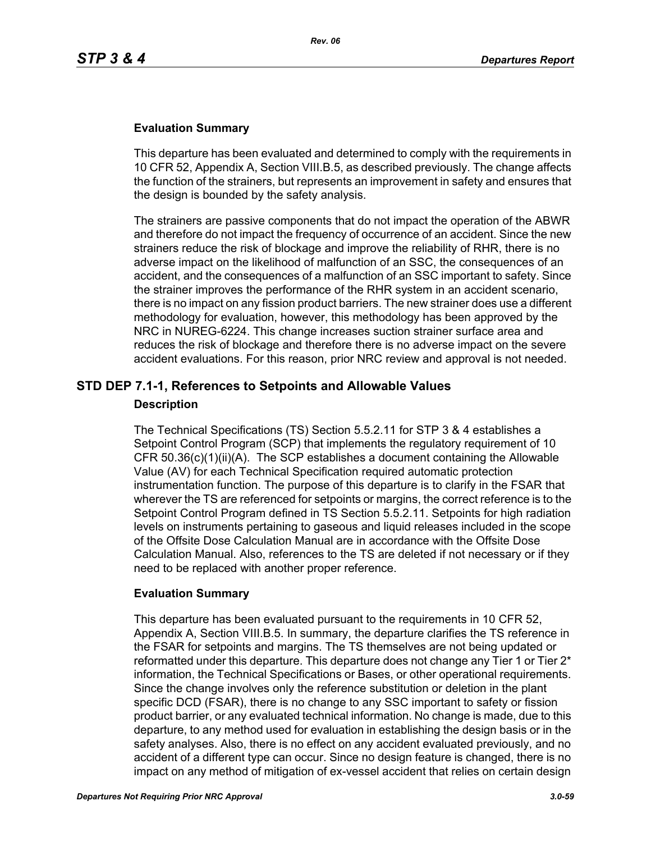This departure has been evaluated and determined to comply with the requirements in 10 CFR 52, Appendix A, Section VIII.B.5, as described previously. The change affects the function of the strainers, but represents an improvement in safety and ensures that the design is bounded by the safety analysis.

The strainers are passive components that do not impact the operation of the ABWR and therefore do not impact the frequency of occurrence of an accident. Since the new strainers reduce the risk of blockage and improve the reliability of RHR, there is no adverse impact on the likelihood of malfunction of an SSC, the consequences of an accident, and the consequences of a malfunction of an SSC important to safety. Since the strainer improves the performance of the RHR system in an accident scenario, there is no impact on any fission product barriers. The new strainer does use a different methodology for evaluation, however, this methodology has been approved by the NRC in NUREG-6224. This change increases suction strainer surface area and reduces the risk of blockage and therefore there is no adverse impact on the severe accident evaluations. For this reason, prior NRC review and approval is not needed.

## **STD DEP 7.1-1, References to Setpoints and Allowable Values**

### **Description**

The Technical Specifications (TS) Section 5.5.2.11 for STP 3 & 4 establishes a Setpoint Control Program (SCP) that implements the regulatory requirement of 10 CFR 50.36(c)(1)(ii)(A). The SCP establishes a document containing the Allowable Value (AV) for each Technical Specification required automatic protection instrumentation function. The purpose of this departure is to clarify in the FSAR that wherever the TS are referenced for setpoints or margins, the correct reference is to the Setpoint Control Program defined in TS Section 5.5.2.11. Setpoints for high radiation levels on instruments pertaining to gaseous and liquid releases included in the scope of the Offsite Dose Calculation Manual are in accordance with the Offsite Dose Calculation Manual. Also, references to the TS are deleted if not necessary or if they need to be replaced with another proper reference.

### **Evaluation Summary**

This departure has been evaluated pursuant to the requirements in 10 CFR 52, Appendix A, Section VIII.B.5. In summary, the departure clarifies the TS reference in the FSAR for setpoints and margins. The TS themselves are not being updated or reformatted under this departure. This departure does not change any Tier 1 or Tier 2<sup>\*</sup> information, the Technical Specifications or Bases, or other operational requirements. Since the change involves only the reference substitution or deletion in the plant specific DCD (FSAR), there is no change to any SSC important to safety or fission product barrier, or any evaluated technical information. No change is made, due to this departure, to any method used for evaluation in establishing the design basis or in the safety analyses. Also, there is no effect on any accident evaluated previously, and no accident of a different type can occur. Since no design feature is changed, there is no impact on any method of mitigation of ex-vessel accident that relies on certain design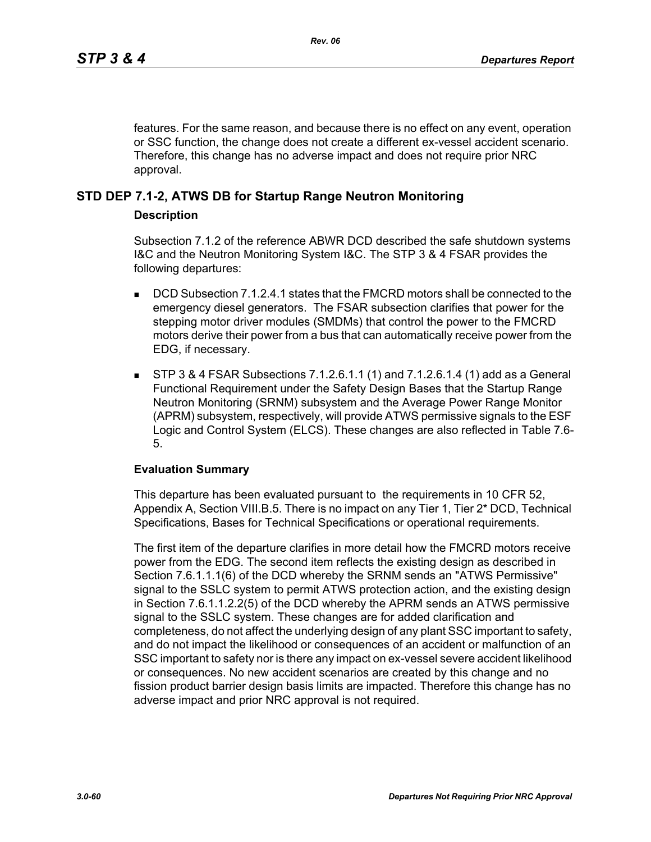features. For the same reason, and because there is no effect on any event, operation or SSC function, the change does not create a different ex-vessel accident scenario. Therefore, this change has no adverse impact and does not require prior NRC approval.

## **STD DEP 7.1-2, ATWS DB for Startup Range Neutron Monitoring**

### **Description**

Subsection 7.1.2 of the reference ABWR DCD described the safe shutdown systems I&C and the Neutron Monitoring System I&C. The STP 3 & 4 FSAR provides the following departures:

- **DCD** Subsection 7.1.2.4.1 states that the FMCRD motors shall be connected to the emergency diesel generators. The FSAR subsection clarifies that power for the stepping motor driver modules (SMDMs) that control the power to the FMCRD motors derive their power from a bus that can automatically receive power from the EDG, if necessary.
- STP 3 & 4 FSAR Subsections 7.1.2.6.1.1 (1) and 7.1.2.6.1.4 (1) add as a General Functional Requirement under the Safety Design Bases that the Startup Range Neutron Monitoring (SRNM) subsystem and the Average Power Range Monitor (APRM) subsystem, respectively, will provide ATWS permissive signals to the ESF Logic and Control System (ELCS). These changes are also reflected in Table 7.6- 5.

### **Evaluation Summary**

This departure has been evaluated pursuant to the requirements in 10 CFR 52, Appendix A, Section VIII.B.5. There is no impact on any Tier 1, Tier 2\* DCD, Technical Specifications, Bases for Technical Specifications or operational requirements.

The first item of the departure clarifies in more detail how the FMCRD motors receive power from the EDG. The second item reflects the existing design as described in Section 7.6.1.1.1(6) of the DCD whereby the SRNM sends an "ATWS Permissive" signal to the SSLC system to permit ATWS protection action, and the existing design in Section 7.6.1.1.2.2(5) of the DCD whereby the APRM sends an ATWS permissive signal to the SSLC system. These changes are for added clarification and completeness, do not affect the underlying design of any plant SSC important to safety, and do not impact the likelihood or consequences of an accident or malfunction of an SSC important to safety nor is there any impact on ex-vessel severe accident likelihood or consequences. No new accident scenarios are created by this change and no fission product barrier design basis limits are impacted. Therefore this change has no adverse impact and prior NRC approval is not required.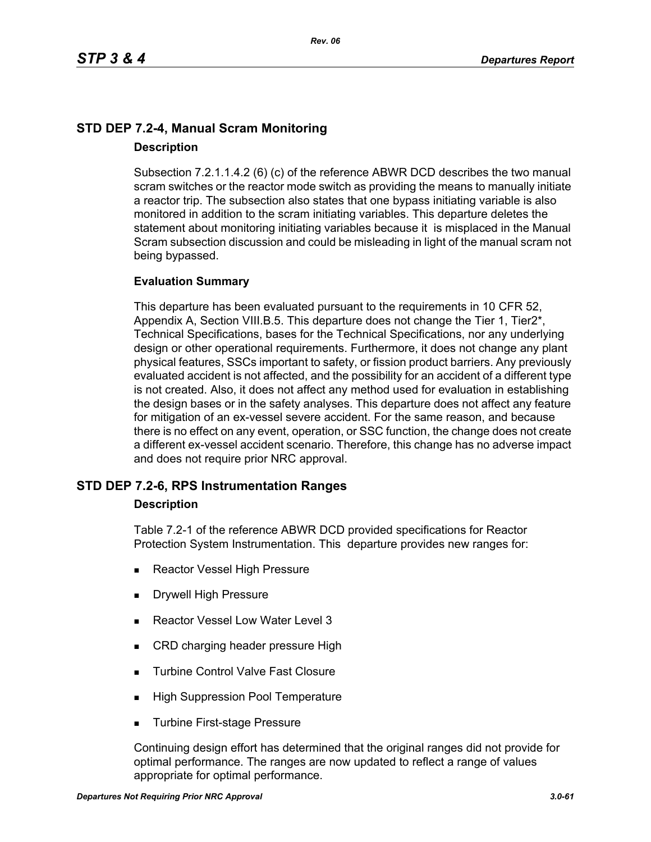# **STD DEP 7.2-4, Manual Scram Monitoring Description**

Subsection 7.2.1.1.4.2 (6) (c) of the reference ABWR DCD describes the two manual scram switches or the reactor mode switch as providing the means to manually initiate a reactor trip. The subsection also states that one bypass initiating variable is also monitored in addition to the scram initiating variables. This departure deletes the statement about monitoring initiating variables because it is misplaced in the Manual Scram subsection discussion and could be misleading in light of the manual scram not being bypassed.

### **Evaluation Summary**

This departure has been evaluated pursuant to the requirements in 10 CFR 52, Appendix A, Section VIII.B.5. This departure does not change the Tier 1, Tier2\*, Technical Specifications, bases for the Technical Specifications, nor any underlying design or other operational requirements. Furthermore, it does not change any plant physical features, SSCs important to safety, or fission product barriers. Any previously evaluated accident is not affected, and the possibility for an accident of a different type is not created. Also, it does not affect any method used for evaluation in establishing the design bases or in the safety analyses. This departure does not affect any feature for mitigation of an ex-vessel severe accident. For the same reason, and because there is no effect on any event, operation, or SSC function, the change does not create a different ex-vessel accident scenario. Therefore, this change has no adverse impact and does not require prior NRC approval.

### **STD DEP 7.2-6, RPS Instrumentation Ranges**

### **Description**

Table 7.2-1 of the reference ABWR DCD provided specifications for Reactor Protection System Instrumentation. This departure provides new ranges for:

- Reactor Vessel High Pressure
- Drywell High Pressure
- Reactor Vessel Low Water Level 3
- CRD charging header pressure High
- **Turbine Control Valve Fast Closure**
- **High Suppression Pool Temperature**
- **Turbine First-stage Pressure**

Continuing design effort has determined that the original ranges did not provide for optimal performance. The ranges are now updated to reflect a range of values appropriate for optimal performance.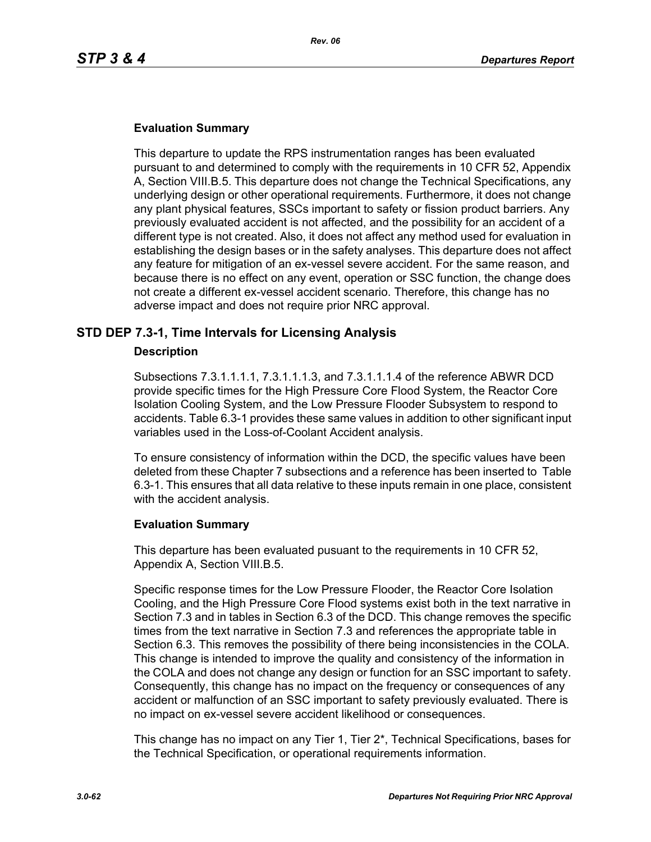This departure to update the RPS instrumentation ranges has been evaluated pursuant to and determined to comply with the requirements in 10 CFR 52, Appendix A, Section VIII.B.5. This departure does not change the Technical Specifications, any underlying design or other operational requirements. Furthermore, it does not change any plant physical features, SSCs important to safety or fission product barriers. Any previously evaluated accident is not affected, and the possibility for an accident of a different type is not created. Also, it does not affect any method used for evaluation in establishing the design bases or in the safety analyses. This departure does not affect any feature for mitigation of an ex-vessel severe accident. For the same reason, and because there is no effect on any event, operation or SSC function, the change does not create a different ex-vessel accident scenario. Therefore, this change has no adverse impact and does not require prior NRC approval.

### **STD DEP 7.3-1, Time Intervals for Licensing Analysis**

### **Description**

Subsections 7.3.1.1.1.1, 7.3.1.1.1.3, and 7.3.1.1.1.4 of the reference ABWR DCD provide specific times for the High Pressure Core Flood System, the Reactor Core Isolation Cooling System, and the Low Pressure Flooder Subsystem to respond to accidents. Table 6.3-1 provides these same values in addition to other significant input variables used in the Loss-of-Coolant Accident analysis.

To ensure consistency of information within the DCD, the specific values have been deleted from these Chapter 7 subsections and a reference has been inserted to Table 6.3-1. This ensures that all data relative to these inputs remain in one place, consistent with the accident analysis.

### **Evaluation Summary**

This departure has been evaluated pusuant to the requirements in 10 CFR 52, Appendix A, Section VIII.B.5.

Specific response times for the Low Pressure Flooder, the Reactor Core Isolation Cooling, and the High Pressure Core Flood systems exist both in the text narrative in Section 7.3 and in tables in Section 6.3 of the DCD. This change removes the specific times from the text narrative in Section 7.3 and references the appropriate table in Section 6.3. This removes the possibility of there being inconsistencies in the COLA. This change is intended to improve the quality and consistency of the information in the COLA and does not change any design or function for an SSC important to safety. Consequently, this change has no impact on the frequency or consequences of any accident or malfunction of an SSC important to safety previously evaluated. There is no impact on ex-vessel severe accident likelihood or consequences.

This change has no impact on any Tier 1, Tier 2\*, Technical Specifications, bases for the Technical Specification, or operational requirements information.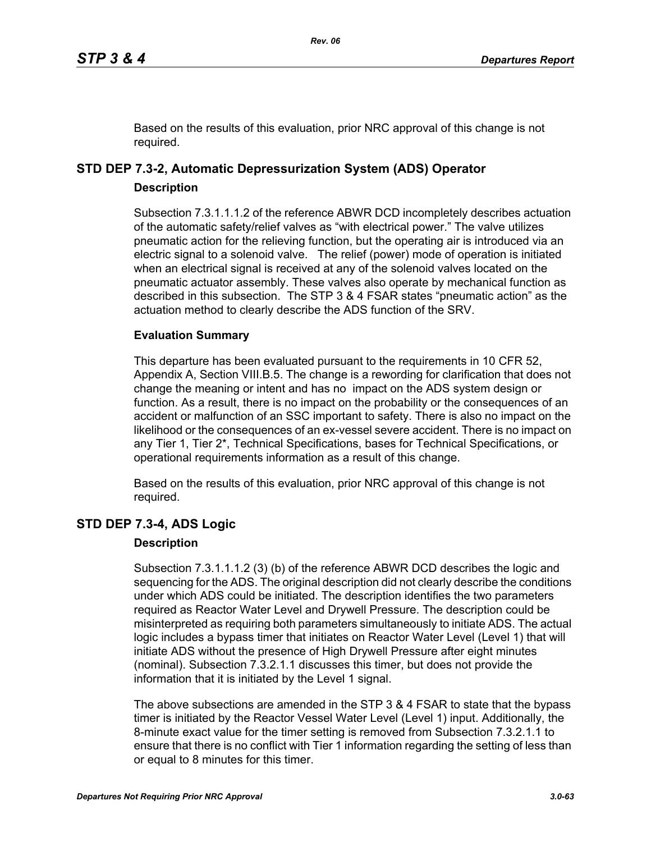Based on the results of this evaluation, prior NRC approval of this change is not required.

# **STD DEP 7.3-2, Automatic Depressurization System (ADS) Operator Description**

Subsection 7.3.1.1.1.2 of the reference ABWR DCD incompletely describes actuation of the automatic safety/relief valves as "with electrical power." The valve utilizes pneumatic action for the relieving function, but the operating air is introduced via an electric signal to a solenoid valve. The relief (power) mode of operation is initiated when an electrical signal is received at any of the solenoid valves located on the pneumatic actuator assembly. These valves also operate by mechanical function as described in this subsection. The STP 3 & 4 FSAR states "pneumatic action" as the actuation method to clearly describe the ADS function of the SRV.

## **Evaluation Summary**

This departure has been evaluated pursuant to the requirements in 10 CFR 52, Appendix A, Section VIII.B.5. The change is a rewording for clarification that does not change the meaning or intent and has no impact on the ADS system design or function. As a result, there is no impact on the probability or the consequences of an accident or malfunction of an SSC important to safety. There is also no impact on the likelihood or the consequences of an ex-vessel severe accident. There is no impact on any Tier 1, Tier 2\*, Technical Specifications, bases for Technical Specifications, or operational requirements information as a result of this change.

Based on the results of this evaluation, prior NRC approval of this change is not required.

# **STD DEP 7.3-4, ADS Logic**

### **Description**

Subsection 7.3.1.1.1.2 (3) (b) of the reference ABWR DCD describes the logic and sequencing for the ADS. The original description did not clearly describe the conditions under which ADS could be initiated. The description identifies the two parameters required as Reactor Water Level and Drywell Pressure. The description could be misinterpreted as requiring both parameters simultaneously to initiate ADS. The actual logic includes a bypass timer that initiates on Reactor Water Level (Level 1) that will initiate ADS without the presence of High Drywell Pressure after eight minutes (nominal). Subsection 7.3.2.1.1 discusses this timer, but does not provide the information that it is initiated by the Level 1 signal.

The above subsections are amended in the STP 3 & 4 FSAR to state that the bypass timer is initiated by the Reactor Vessel Water Level (Level 1) input. Additionally, the 8-minute exact value for the timer setting is removed from Subsection 7.3.2.1.1 to ensure that there is no conflict with Tier 1 information regarding the setting of less than or equal to 8 minutes for this timer.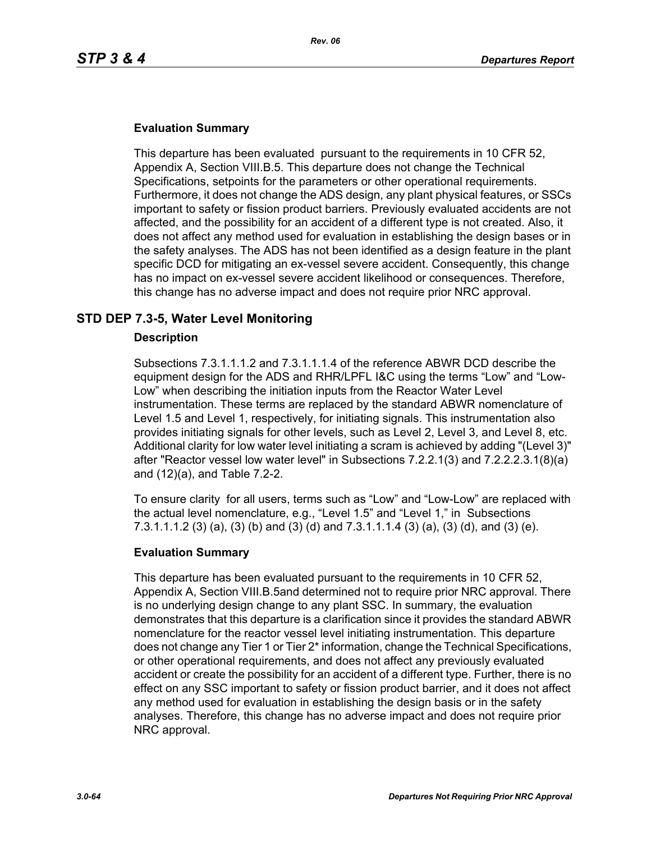This departure has been evaluated pursuant to the requirements in 10 CFR 52, Appendix A, Section VIII.B.5. This departure does not change the Technical Specifications, setpoints for the parameters or other operational requirements. Furthermore, it does not change the ADS design, any plant physical features, or SSCs important to safety or fission product barriers. Previously evaluated accidents are not affected, and the possibility for an accident of a different type is not created. Also, it does not affect any method used for evaluation in establishing the design bases or in the safety analyses. The ADS has not been identified as a design feature in the plant specific DCD for mitigating an ex-vessel severe accident. Consequently, this change has no impact on ex-vessel severe accident likelihood or consequences. Therefore, this change has no adverse impact and does not require prior NRC approval.

## **STD DEP 7.3-5, Water Level Monitoring**

### **Description**

Subsections 7.3.1.1.1.2 and 7.3.1.1.1.4 of the reference ABWR DCD describe the equipment design for the ADS and RHR/LPFL I&C using the terms "Low" and "Low-Low" when describing the initiation inputs from the Reactor Water Level instrumentation. These terms are replaced by the standard ABWR nomenclature of Level 1.5 and Level 1, respectively, for initiating signals. This instrumentation also provides initiating signals for other levels, such as Level 2, Level 3, and Level 8, etc. Additional clarity for low water level initiating a scram is achieved by adding "(Level 3)" after "Reactor vessel low water level" in Subsections 7.2.2.1(3) and 7.2.2.2.3.1(8)(a) and (12)(a), and Table 7.2-2.

To ensure clarity for all users, terms such as "Low" and "Low-Low" are replaced with the actual level nomenclature, e.g., "Level 1.5" and "Level 1," in Subsections 7.3.1.1.1.2 (3) (a), (3) (b) and (3) (d) and 7.3.1.1.1.4 (3) (a), (3) (d), and (3) (e).

### **Evaluation Summary**

This departure has been evaluated pursuant to the requirements in 10 CFR 52, Appendix A, Section VIII.B.5and determined not to require prior NRC approval. There is no underlying design change to any plant SSC. In summary, the evaluation demonstrates that this departure is a clarification since it provides the standard ABWR nomenclature for the reactor vessel level initiating instrumentation. This departure does not change any Tier 1 or Tier 2\* information, change the Technical Specifications, or other operational requirements, and does not affect any previously evaluated accident or create the possibility for an accident of a different type. Further, there is no effect on any SSC important to safety or fission product barrier, and it does not affect any method used for evaluation in establishing the design basis or in the safety analyses. Therefore, this change has no adverse impact and does not require prior NRC approval.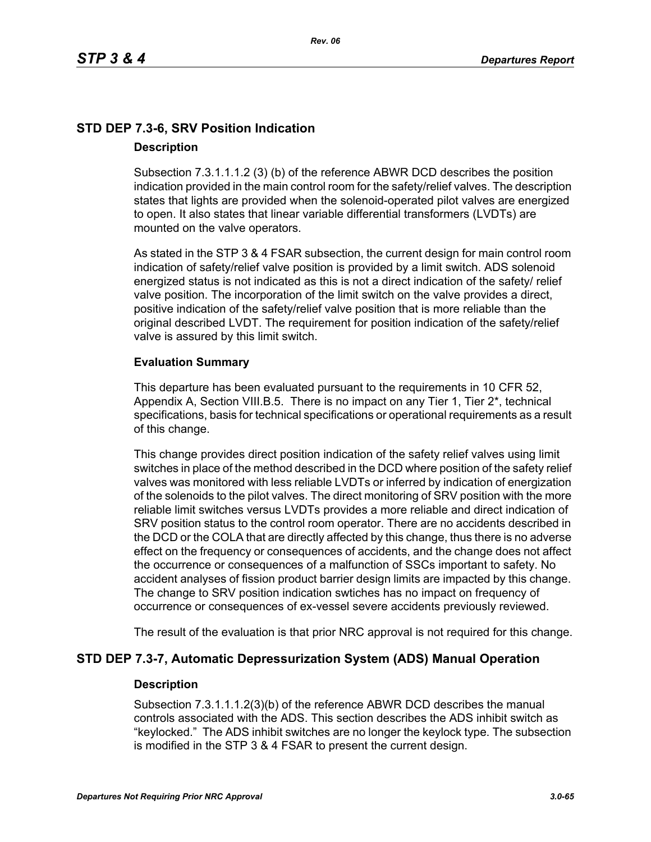# **STD DEP 7.3-6, SRV Position Indication Description**

Subsection 7.3.1.1.1.2 (3) (b) of the reference ABWR DCD describes the position indication provided in the main control room for the safety/relief valves. The description states that lights are provided when the solenoid-operated pilot valves are energized to open. It also states that linear variable differential transformers (LVDTs) are mounted on the valve operators.

As stated in the STP 3 & 4 FSAR subsection, the current design for main control room indication of safety/relief valve position is provided by a limit switch. ADS solenoid energized status is not indicated as this is not a direct indication of the safety/ relief valve position. The incorporation of the limit switch on the valve provides a direct, positive indication of the safety/relief valve position that is more reliable than the original described LVDT. The requirement for position indication of the safety/relief valve is assured by this limit switch.

### **Evaluation Summary**

This departure has been evaluated pursuant to the requirements in 10 CFR 52, Appendix A, Section VIII.B.5. There is no impact on any Tier 1, Tier 2\*, technical specifications, basis for technical specifications or operational requirements as a result of this change.

This change provides direct position indication of the safety relief valves using limit switches in place of the method described in the DCD where position of the safety relief valves was monitored with less reliable LVDTs or inferred by indication of energization of the solenoids to the pilot valves. The direct monitoring of SRV position with the more reliable limit switches versus LVDTs provides a more reliable and direct indication of SRV position status to the control room operator. There are no accidents described in the DCD or the COLA that are directly affected by this change, thus there is no adverse effect on the frequency or consequences of accidents, and the change does not affect the occurrence or consequences of a malfunction of SSCs important to safety. No accident analyses of fission product barrier design limits are impacted by this change. The change to SRV position indication swtiches has no impact on frequency of occurrence or consequences of ex-vessel severe accidents previously reviewed.

The result of the evaluation is that prior NRC approval is not required for this change.

## **STD DEP 7.3-7, Automatic Depressurization System (ADS) Manual Operation**

### **Description**

Subsection 7.3.1.1.1.2(3)(b) of the reference ABWR DCD describes the manual controls associated with the ADS. This section describes the ADS inhibit switch as "keylocked." The ADS inhibit switches are no longer the keylock type. The subsection is modified in the STP 3 & 4 FSAR to present the current design.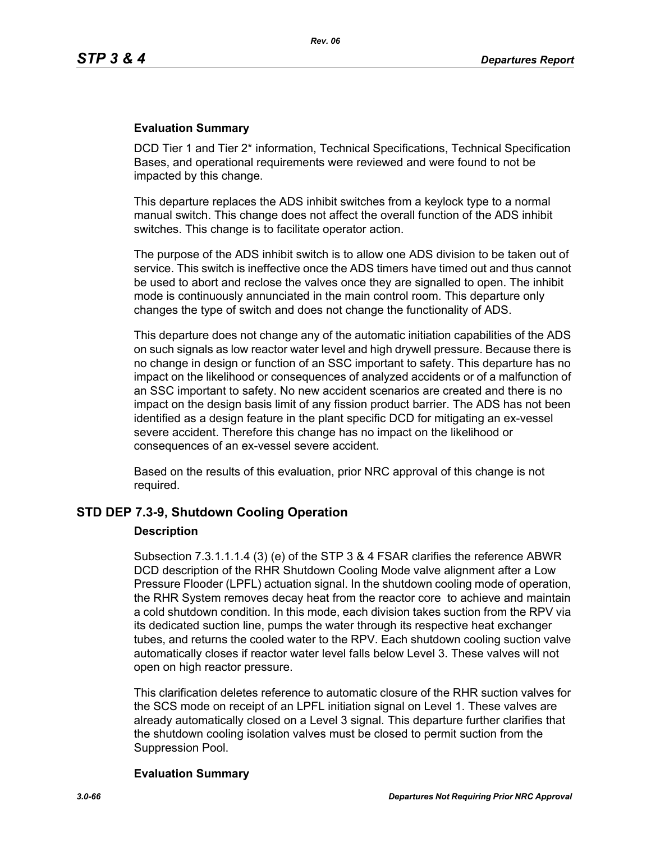DCD Tier 1 and Tier 2\* information, Technical Specifications, Technical Specification Bases, and operational requirements were reviewed and were found to not be impacted by this change.

This departure replaces the ADS inhibit switches from a keylock type to a normal manual switch. This change does not affect the overall function of the ADS inhibit switches. This change is to facilitate operator action.

The purpose of the ADS inhibit switch is to allow one ADS division to be taken out of service. This switch is ineffective once the ADS timers have timed out and thus cannot be used to abort and reclose the valves once they are signalled to open. The inhibit mode is continuously annunciated in the main control room. This departure only changes the type of switch and does not change the functionality of ADS.

This departure does not change any of the automatic initiation capabilities of the ADS on such signals as low reactor water level and high drywell pressure. Because there is no change in design or function of an SSC important to safety. This departure has no impact on the likelihood or consequences of analyzed accidents or of a malfunction of an SSC important to safety. No new accident scenarios are created and there is no impact on the design basis limit of any fission product barrier. The ADS has not been identified as a design feature in the plant specific DCD for mitigating an ex-vessel severe accident. Therefore this change has no impact on the likelihood or consequences of an ex-vessel severe accident.

Based on the results of this evaluation, prior NRC approval of this change is not required.

### **STD DEP 7.3-9, Shutdown Cooling Operation**

### **Description**

Subsection 7.3.1.1.1.4 (3) (e) of the STP 3 & 4 FSAR clarifies the reference ABWR DCD description of the RHR Shutdown Cooling Mode valve alignment after a Low Pressure Flooder (LPFL) actuation signal. In the shutdown cooling mode of operation, the RHR System removes decay heat from the reactor core to achieve and maintain a cold shutdown condition. In this mode, each division takes suction from the RPV via its dedicated suction line, pumps the water through its respective heat exchanger tubes, and returns the cooled water to the RPV. Each shutdown cooling suction valve automatically closes if reactor water level falls below Level 3. These valves will not open on high reactor pressure.

This clarification deletes reference to automatic closure of the RHR suction valves for the SCS mode on receipt of an LPFL initiation signal on Level 1. These valves are already automatically closed on a Level 3 signal. This departure further clarifies that the shutdown cooling isolation valves must be closed to permit suction from the Suppression Pool.

### **Evaluation Summary**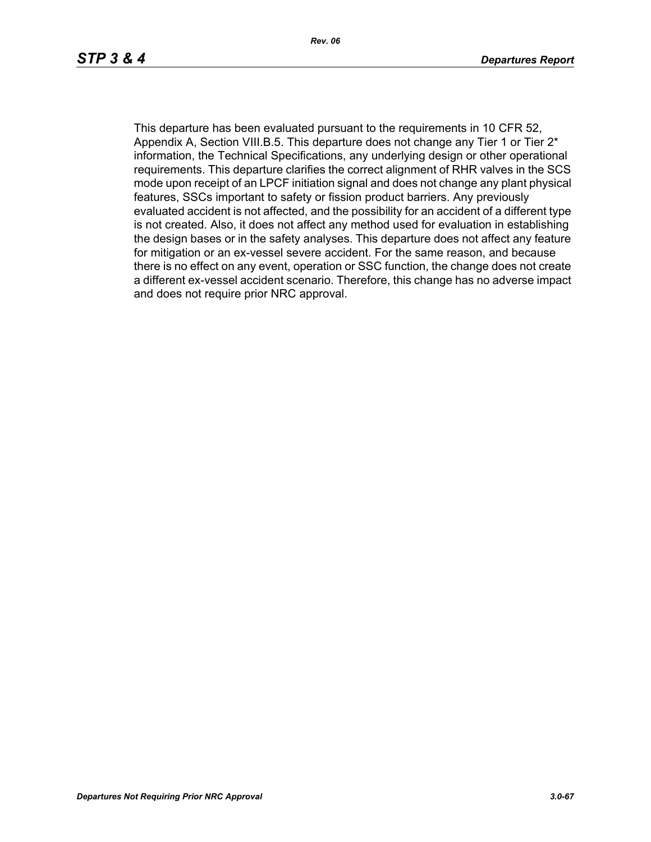This departure has been evaluated pursuant to the requirements in 10 CFR 52, Appendix A, Section VIII.B.5. This departure does not change any Tier 1 or Tier  $2^*$ information, the Technical Specifications, any underlying design or other operational requirements. This departure clarifies the correct alignment of RHR valves in the SCS mode upon receipt of an LPCF initiation signal and does not change any plant physical features, SSCs important to safety or fission product barriers. Any previously evaluated accident is not affected, and the possibility for an accident of a different type is not created. Also, it does not affect any method used for evaluation in establishing the design bases or in the safety analyses. This departure does not affect any feature for mitigation or an ex-vessel severe accident. For the same reason, and because there is no effect on any event, operation or SSC function, the change does not create a different ex-vessel accident scenario. Therefore, this change has no adverse impact and does not require prior NRC approval.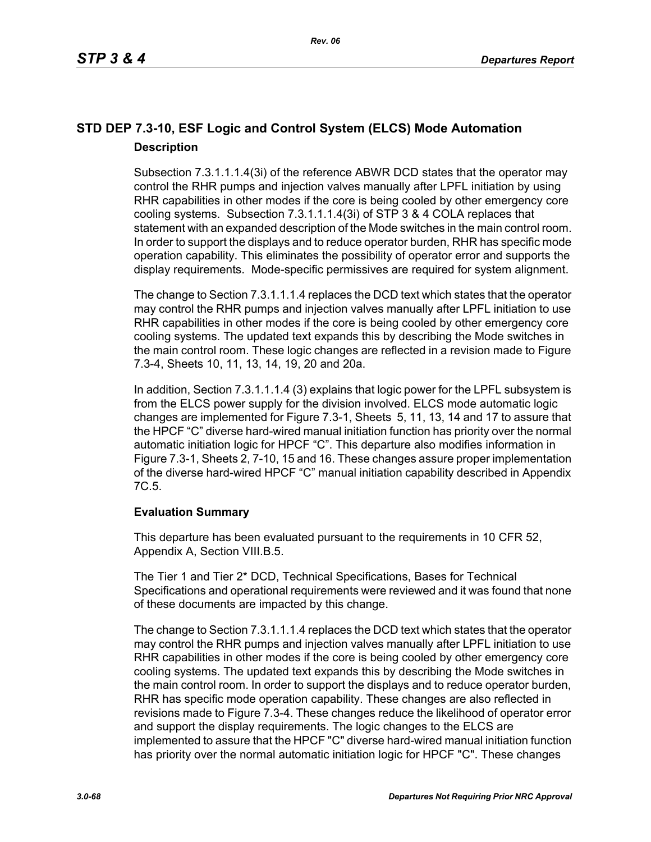# **STD DEP 7.3-10, ESF Logic and Control System (ELCS) Mode Automation Description**

Subsection 7.3.1.1.1.4(3i) of the reference ABWR DCD states that the operator may control the RHR pumps and injection valves manually after LPFL initiation by using RHR capabilities in other modes if the core is being cooled by other emergency core cooling systems. Subsection 7.3.1.1.1.4(3i) of STP 3 & 4 COLA replaces that statement with an expanded description of the Mode switches in the main control room. In order to support the displays and to reduce operator burden, RHR has specific mode operation capability. This eliminates the possibility of operator error and supports the display requirements. Mode-specific permissives are required for system alignment.

The change to Section 7.3.1.1.1.4 replaces the DCD text which states that the operator may control the RHR pumps and injection valves manually after LPFL initiation to use RHR capabilities in other modes if the core is being cooled by other emergency core cooling systems. The updated text expands this by describing the Mode switches in the main control room. These logic changes are reflected in a revision made to Figure 7.3-4, Sheets 10, 11, 13, 14, 19, 20 and 20a.

In addition, Section 7.3.1.1.1.4 (3) explains that logic power for the LPFL subsystem is from the ELCS power supply for the division involved. ELCS mode automatic logic changes are implemented for Figure 7.3-1, Sheets 5, 11, 13, 14 and 17 to assure that the HPCF "C" diverse hard-wired manual initiation function has priority over the normal automatic initiation logic for HPCF "C". This departure also modifies information in Figure 7.3-1, Sheets 2, 7-10, 15 and 16. These changes assure proper implementation of the diverse hard-wired HPCF "C" manual initiation capability described in Appendix 7C.5.

## **Evaluation Summary**

This departure has been evaluated pursuant to the requirements in 10 CFR 52, Appendix A, Section VIII.B.5.

The Tier 1 and Tier 2\* DCD, Technical Specifications, Bases for Technical Specifications and operational requirements were reviewed and it was found that none of these documents are impacted by this change.

The change to Section 7.3.1.1.1.4 replaces the DCD text which states that the operator may control the RHR pumps and injection valves manually after LPFL initiation to use RHR capabilities in other modes if the core is being cooled by other emergency core cooling systems. The updated text expands this by describing the Mode switches in the main control room. In order to support the displays and to reduce operator burden, RHR has specific mode operation capability. These changes are also reflected in revisions made to Figure 7.3-4. These changes reduce the likelihood of operator error and support the display requirements. The logic changes to the ELCS are implemented to assure that the HPCF "C" diverse hard-wired manual initiation function has priority over the normal automatic initiation logic for HPCF "C". These changes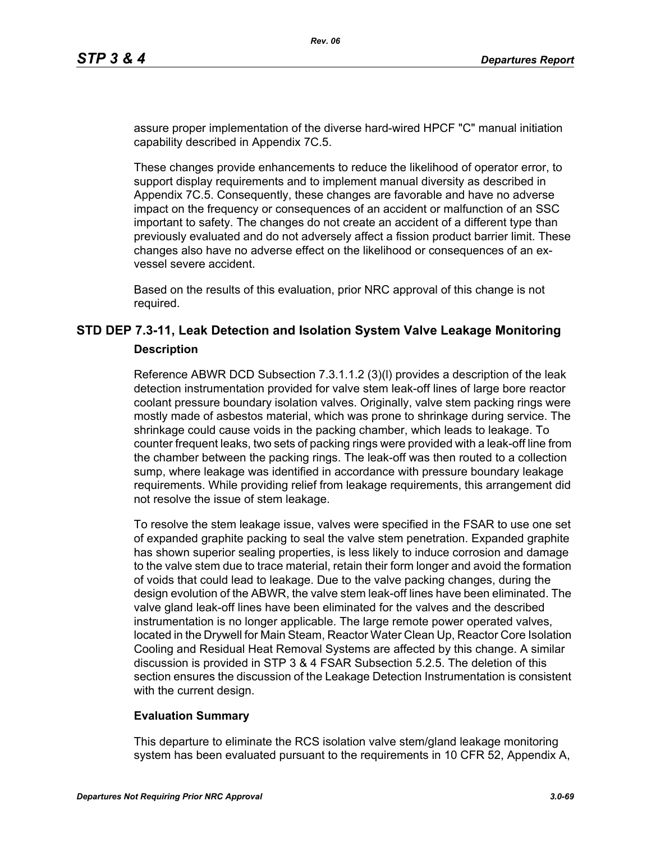assure proper implementation of the diverse hard-wired HPCF "C" manual initiation capability described in Appendix 7C.5.

These changes provide enhancements to reduce the likelihood of operator error, to support display requirements and to implement manual diversity as described in Appendix 7C.5. Consequently, these changes are favorable and have no adverse impact on the frequency or consequences of an accident or malfunction of an SSC important to safety. The changes do not create an accident of a different type than previously evaluated and do not adversely affect a fission product barrier limit. These changes also have no adverse effect on the likelihood or consequences of an exvessel severe accident.

Based on the results of this evaluation, prior NRC approval of this change is not required.

# **STD DEP 7.3-11, Leak Detection and Isolation System Valve Leakage Monitoring Description**

Reference ABWR DCD Subsection 7.3.1.1.2 (3)(l) provides a description of the leak detection instrumentation provided for valve stem leak-off lines of large bore reactor coolant pressure boundary isolation valves. Originally, valve stem packing rings were mostly made of asbestos material, which was prone to shrinkage during service. The shrinkage could cause voids in the packing chamber, which leads to leakage. To counter frequent leaks, two sets of packing rings were provided with a leak-off line from the chamber between the packing rings. The leak-off was then routed to a collection sump, where leakage was identified in accordance with pressure boundary leakage requirements. While providing relief from leakage requirements, this arrangement did not resolve the issue of stem leakage.

To resolve the stem leakage issue, valves were specified in the FSAR to use one set of expanded graphite packing to seal the valve stem penetration. Expanded graphite has shown superior sealing properties, is less likely to induce corrosion and damage to the valve stem due to trace material, retain their form longer and avoid the formation of voids that could lead to leakage. Due to the valve packing changes, during the design evolution of the ABWR, the valve stem leak-off lines have been eliminated. The valve gland leak-off lines have been eliminated for the valves and the described instrumentation is no longer applicable. The large remote power operated valves, located in the Drywell for Main Steam, Reactor Water Clean Up, Reactor Core Isolation Cooling and Residual Heat Removal Systems are affected by this change. A similar discussion is provided in STP 3 & 4 FSAR Subsection 5.2.5. The deletion of this section ensures the discussion of the Leakage Detection Instrumentation is consistent with the current design.

### **Evaluation Summary**

This departure to eliminate the RCS isolation valve stem/gland leakage monitoring system has been evaluated pursuant to the requirements in 10 CFR 52, Appendix A,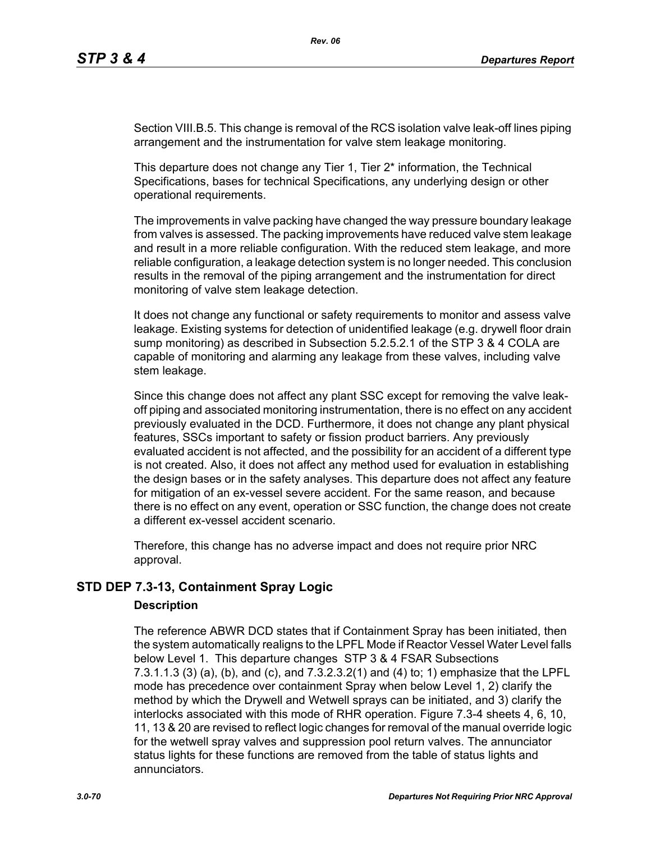Section VIII.B.5. This change is removal of the RCS isolation valve leak-off lines piping arrangement and the instrumentation for valve stem leakage monitoring.

This departure does not change any Tier 1, Tier 2<sup>\*</sup> information, the Technical Specifications, bases for technical Specifications, any underlying design or other operational requirements.

The improvements in valve packing have changed the way pressure boundary leakage from valves is assessed. The packing improvements have reduced valve stem leakage and result in a more reliable configuration. With the reduced stem leakage, and more reliable configuration, a leakage detection system is no longer needed. This conclusion results in the removal of the piping arrangement and the instrumentation for direct monitoring of valve stem leakage detection.

It does not change any functional or safety requirements to monitor and assess valve leakage. Existing systems for detection of unidentified leakage (e.g. drywell floor drain sump monitoring) as described in Subsection 5.2.5.2.1 of the STP 3 & 4 COLA are capable of monitoring and alarming any leakage from these valves, including valve stem leakage.

Since this change does not affect any plant SSC except for removing the valve leakoff piping and associated monitoring instrumentation, there is no effect on any accident previously evaluated in the DCD. Furthermore, it does not change any plant physical features, SSCs important to safety or fission product barriers. Any previously evaluated accident is not affected, and the possibility for an accident of a different type is not created. Also, it does not affect any method used for evaluation in establishing the design bases or in the safety analyses. This departure does not affect any feature for mitigation of an ex-vessel severe accident. For the same reason, and because there is no effect on any event, operation or SSC function, the change does not create a different ex-vessel accident scenario.

Therefore, this change has no adverse impact and does not require prior NRC approval.

## **STD DEP 7.3-13, Containment Spray Logic**

### **Description**

The reference ABWR DCD states that if Containment Spray has been initiated, then the system automatically realigns to the LPFL Mode if Reactor Vessel Water Level falls below Level 1. This departure changes STP 3 & 4 FSAR Subsections 7.3.1.1.3 (3) (a), (b), and (c), and 7.3.2.3.2(1) and (4) to; 1) emphasize that the LPFL mode has precedence over containment Spray when below Level 1, 2) clarify the method by which the Drywell and Wetwell sprays can be initiated, and 3) clarify the interlocks associated with this mode of RHR operation. Figure 7.3-4 sheets 4, 6, 10, 11, 13 & 20 are revised to reflect logic changes for removal of the manual override logic for the wetwell spray valves and suppression pool return valves. The annunciator status lights for these functions are removed from the table of status lights and annunciators.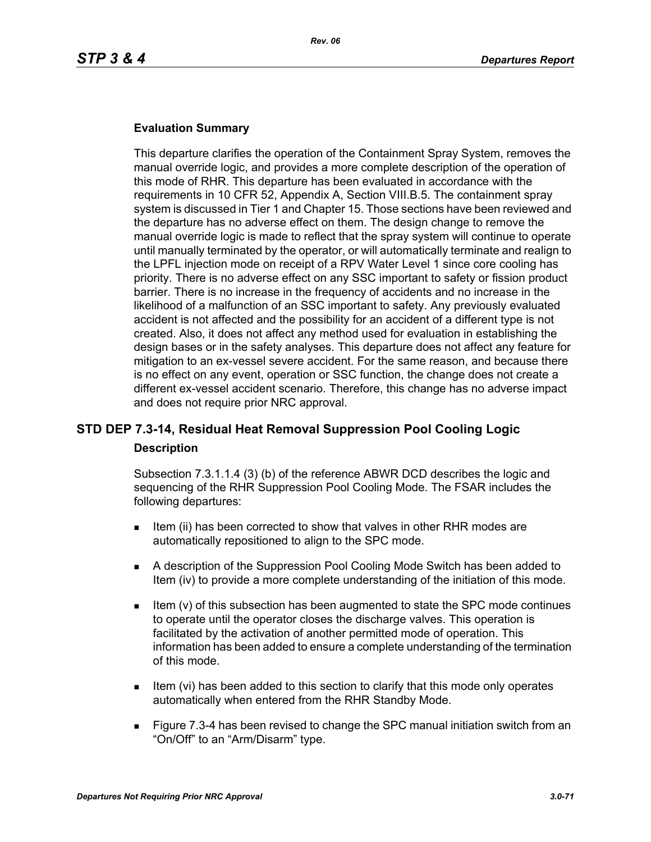This departure clarifies the operation of the Containment Spray System, removes the manual override logic, and provides a more complete description of the operation of this mode of RHR. This departure has been evaluated in accordance with the requirements in 10 CFR 52, Appendix A, Section VIII.B.5. The containment spray system is discussed in Tier 1 and Chapter 15. Those sections have been reviewed and the departure has no adverse effect on them. The design change to remove the manual override logic is made to reflect that the spray system will continue to operate until manually terminated by the operator, or will automatically terminate and realign to the LPFL injection mode on receipt of a RPV Water Level 1 since core cooling has priority. There is no adverse effect on any SSC important to safety or fission product barrier. There is no increase in the frequency of accidents and no increase in the likelihood of a malfunction of an SSC important to safety. Any previously evaluated accident is not affected and the possibility for an accident of a different type is not created. Also, it does not affect any method used for evaluation in establishing the design bases or in the safety analyses. This departure does not affect any feature for mitigation to an ex-vessel severe accident. For the same reason, and because there is no effect on any event, operation or SSC function, the change does not create a different ex-vessel accident scenario. Therefore, this change has no adverse impact and does not require prior NRC approval.

# **STD DEP 7.3-14, Residual Heat Removal Suppression Pool Cooling Logic Description**

Subsection 7.3.1.1.4 (3) (b) of the reference ABWR DCD describes the logic and sequencing of the RHR Suppression Pool Cooling Mode. The FSAR includes the following departures:

- Item (ii) has been corrected to show that valves in other RHR modes are automatically repositioned to align to the SPC mode.
- A description of the Suppression Pool Cooling Mode Switch has been added to Item (iv) to provide a more complete understanding of the initiation of this mode.
- Item (v) of this subsection has been augmented to state the SPC mode continues to operate until the operator closes the discharge valves. This operation is facilitated by the activation of another permitted mode of operation. This information has been added to ensure a complete understanding of the termination of this mode.
- Item (vi) has been added to this section to clarify that this mode only operates automatically when entered from the RHR Standby Mode.
- Figure 7.3-4 has been revised to change the SPC manual initiation switch from an "On/Off" to an "Arm/Disarm" type.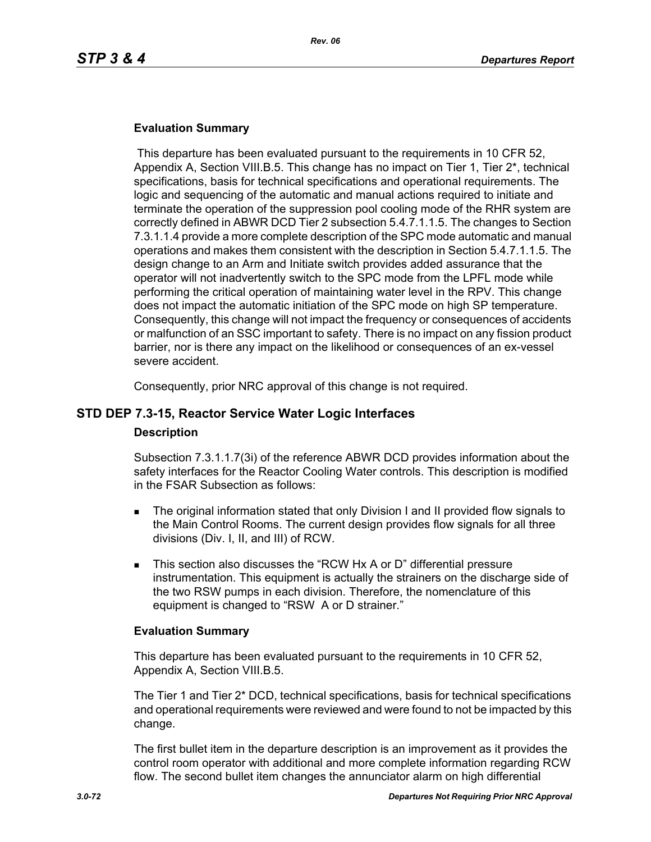This departure has been evaluated pursuant to the requirements in 10 CFR 52, Appendix A, Section VIII.B.5. This change has no impact on Tier 1, Tier 2\*, technical specifications, basis for technical specifications and operational requirements. The logic and sequencing of the automatic and manual actions required to initiate and terminate the operation of the suppression pool cooling mode of the RHR system are correctly defined in ABWR DCD Tier 2 subsection 5.4.7.1.1.5. The changes to Section 7.3.1.1.4 provide a more complete description of the SPC mode automatic and manual operations and makes them consistent with the description in Section 5.4.7.1.1.5. The design change to an Arm and Initiate switch provides added assurance that the operator will not inadvertently switch to the SPC mode from the LPFL mode while performing the critical operation of maintaining water level in the RPV. This change does not impact the automatic initiation of the SPC mode on high SP temperature. Consequently, this change will not impact the frequency or consequences of accidents or malfunction of an SSC important to safety. There is no impact on any fission product barrier, nor is there any impact on the likelihood or consequences of an ex-vessel severe accident.

Consequently, prior NRC approval of this change is not required.

### **STD DEP 7.3-15, Reactor Service Water Logic Interfaces**

#### **Description**

Subsection 7.3.1.1.7(3i) of the reference ABWR DCD provides information about the safety interfaces for the Reactor Cooling Water controls. This description is modified in the FSAR Subsection as follows:

- The original information stated that only Division I and II provided flow signals to the Main Control Rooms. The current design provides flow signals for all three divisions (Div. I, II, and III) of RCW.
- This section also discusses the "RCW Hx A or D" differential pressure instrumentation. This equipment is actually the strainers on the discharge side of the two RSW pumps in each division. Therefore, the nomenclature of this equipment is changed to "RSW A or D strainer."

### **Evaluation Summary**

This departure has been evaluated pursuant to the requirements in 10 CFR 52, Appendix A, Section VIII.B.5.

The Tier 1 and Tier 2\* DCD, technical specifications, basis for technical specifications and operational requirements were reviewed and were found to not be impacted by this change.

The first bullet item in the departure description is an improvement as it provides the control room operator with additional and more complete information regarding RCW flow. The second bullet item changes the annunciator alarm on high differential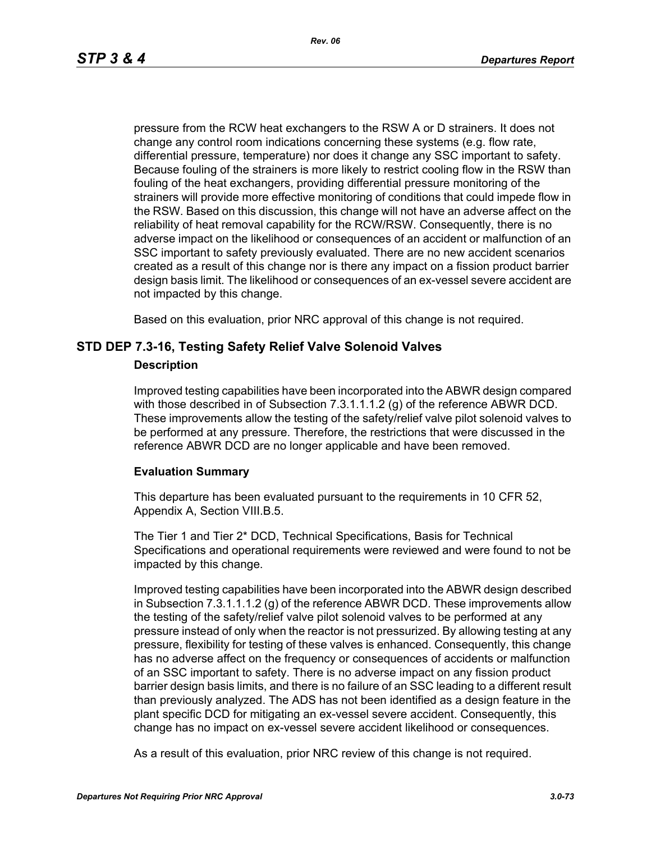*Rev. 06*

pressure from the RCW heat exchangers to the RSW A or D strainers. It does not change any control room indications concerning these systems (e.g. flow rate, differential pressure, temperature) nor does it change any SSC important to safety. Because fouling of the strainers is more likely to restrict cooling flow in the RSW than fouling of the heat exchangers, providing differential pressure monitoring of the strainers will provide more effective monitoring of conditions that could impede flow in the RSW. Based on this discussion, this change will not have an adverse affect on the reliability of heat removal capability for the RCW/RSW. Consequently, there is no adverse impact on the likelihood or consequences of an accident or malfunction of an SSC important to safety previously evaluated. There are no new accident scenarios created as a result of this change nor is there any impact on a fission product barrier design basis limit. The likelihood or consequences of an ex-vessel severe accident are not impacted by this change.

Based on this evaluation, prior NRC approval of this change is not required.

## **STD DEP 7.3-16, Testing Safety Relief Valve Solenoid Valves**

#### **Description**

Improved testing capabilities have been incorporated into the ABWR design compared with those described in of Subsection 7.3.1.1.1.2 (g) of the reference ABWR DCD. These improvements allow the testing of the safety/relief valve pilot solenoid valves to be performed at any pressure. Therefore, the restrictions that were discussed in the reference ABWR DCD are no longer applicable and have been removed.

## **Evaluation Summary**

This departure has been evaluated pursuant to the requirements in 10 CFR 52, Appendix A, Section VIII.B.5.

The Tier 1 and Tier 2\* DCD, Technical Specifications, Basis for Technical Specifications and operational requirements were reviewed and were found to not be impacted by this change.

Improved testing capabilities have been incorporated into the ABWR design described in Subsection 7.3.1.1.1.2 (g) of the reference ABWR DCD. These improvements allow the testing of the safety/relief valve pilot solenoid valves to be performed at any pressure instead of only when the reactor is not pressurized. By allowing testing at any pressure, flexibility for testing of these valves is enhanced. Consequently, this change has no adverse affect on the frequency or consequences of accidents or malfunction of an SSC important to safety. There is no adverse impact on any fission product barrier design basis limits, and there is no failure of an SSC leading to a different result than previously analyzed. The ADS has not been identified as a design feature in the plant specific DCD for mitigating an ex-vessel severe accident. Consequently, this change has no impact on ex-vessel severe accident likelihood or consequences.

As a result of this evaluation, prior NRC review of this change is not required.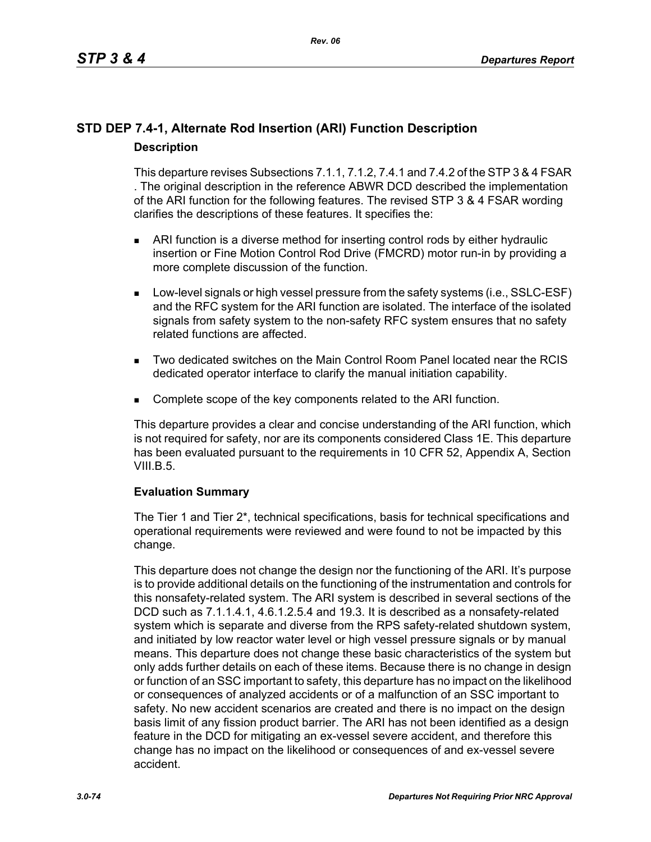## **STD DEP 7.4-1, Alternate Rod Insertion (ARI) Function Description Description**

This departure revises Subsections 7.1.1, 7.1.2, 7.4.1 and 7.4.2 of the STP 3 & 4 FSAR . The original description in the reference ABWR DCD described the implementation of the ARI function for the following features. The revised STP 3 & 4 FSAR wording clarifies the descriptions of these features. It specifies the:

- ARI function is a diverse method for inserting control rods by either hydraulic insertion or Fine Motion Control Rod Drive (FMCRD) motor run-in by providing a more complete discussion of the function.
- **Low-level signals or high vessel pressure from the safety systems (i.e., SSLC-ESF)** and the RFC system for the ARI function are isolated. The interface of the isolated signals from safety system to the non-safety RFC system ensures that no safety related functions are affected.
- Two dedicated switches on the Main Control Room Panel located near the RCIS dedicated operator interface to clarify the manual initiation capability.
- **Complete scope of the key components related to the ARI function.**

This departure provides a clear and concise understanding of the ARI function, which is not required for safety, nor are its components considered Class 1E. This departure has been evaluated pursuant to the requirements in 10 CFR 52, Appendix A, Section VIII.B.5.

## **Evaluation Summary**

The Tier 1 and Tier 2\*, technical specifications, basis for technical specifications and operational requirements were reviewed and were found to not be impacted by this change.

This departure does not change the design nor the functioning of the ARI. It's purpose is to provide additional details on the functioning of the instrumentation and controls for this nonsafety-related system. The ARI system is described in several sections of the DCD such as 7.1.1.4.1, 4.6.1.2.5.4 and 19.3. It is described as a nonsafety-related system which is separate and diverse from the RPS safety-related shutdown system, and initiated by low reactor water level or high vessel pressure signals or by manual means. This departure does not change these basic characteristics of the system but only adds further details on each of these items. Because there is no change in design or function of an SSC important to safety, this departure has no impact on the likelihood or consequences of analyzed accidents or of a malfunction of an SSC important to safety. No new accident scenarios are created and there is no impact on the design basis limit of any fission product barrier. The ARI has not been identified as a design feature in the DCD for mitigating an ex-vessel severe accident, and therefore this change has no impact on the likelihood or consequences of and ex-vessel severe accident.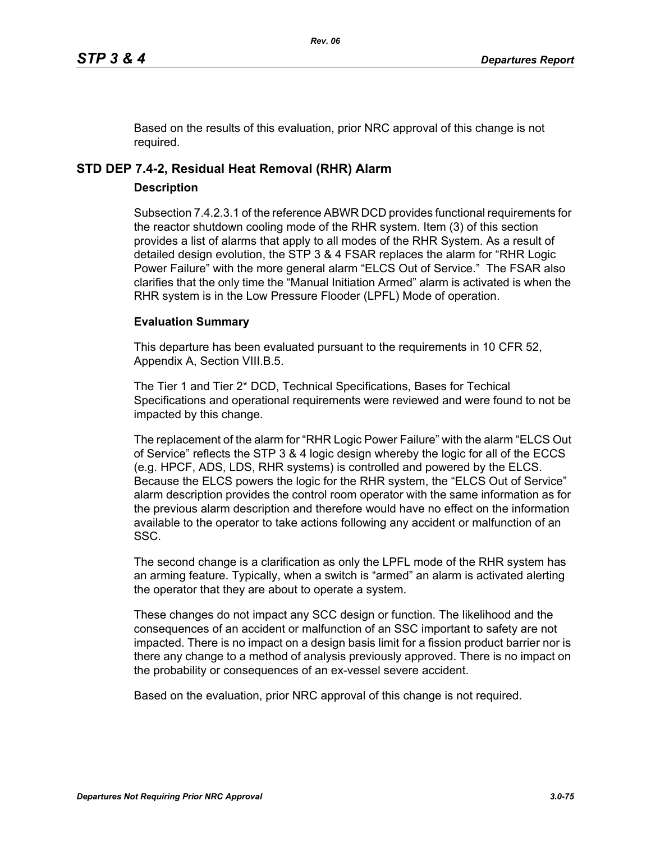Based on the results of this evaluation, prior NRC approval of this change is not required.

## **STD DEP 7.4-2, Residual Heat Removal (RHR) Alarm**

## **Description**

Subsection 7.4.2.3.1 of the reference ABWR DCD provides functional requirements for the reactor shutdown cooling mode of the RHR system. Item (3) of this section provides a list of alarms that apply to all modes of the RHR System. As a result of detailed design evolution, the STP 3 & 4 FSAR replaces the alarm for "RHR Logic Power Failure" with the more general alarm "ELCS Out of Service." The FSAR also clarifies that the only time the "Manual Initiation Armed" alarm is activated is when the RHR system is in the Low Pressure Flooder (LPFL) Mode of operation.

## **Evaluation Summary**

This departure has been evaluated pursuant to the requirements in 10 CFR 52, Appendix A, Section VIII.B.5.

The Tier 1 and Tier 2\* DCD, Technical Specifications, Bases for Techical Specifications and operational requirements were reviewed and were found to not be impacted by this change.

The replacement of the alarm for "RHR Logic Power Failure" with the alarm "ELCS Out of Service" reflects the STP 3 & 4 logic design whereby the logic for all of the ECCS (e.g. HPCF, ADS, LDS, RHR systems) is controlled and powered by the ELCS. Because the ELCS powers the logic for the RHR system, the "ELCS Out of Service" alarm description provides the control room operator with the same information as for the previous alarm description and therefore would have no effect on the information available to the operator to take actions following any accident or malfunction of an SSC.

The second change is a clarification as only the LPFL mode of the RHR system has an arming feature. Typically, when a switch is "armed" an alarm is activated alerting the operator that they are about to operate a system.

These changes do not impact any SCC design or function. The likelihood and the consequences of an accident or malfunction of an SSC important to safety are not impacted. There is no impact on a design basis limit for a fission product barrier nor is there any change to a method of analysis previously approved. There is no impact on the probability or consequences of an ex-vessel severe accident.

Based on the evaluation, prior NRC approval of this change is not required.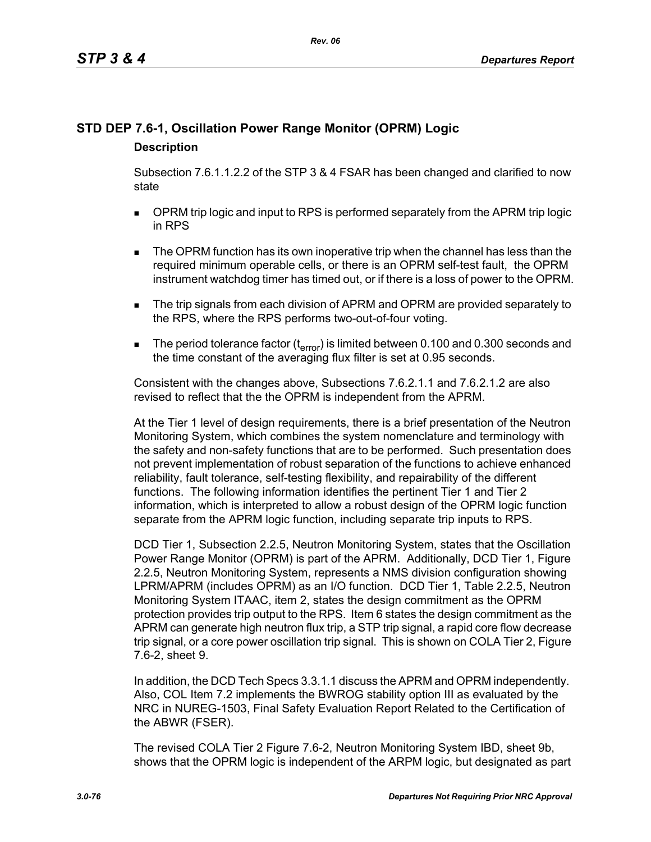## **STD DEP 7.6-1, Oscillation Power Range Monitor (OPRM) Logic Description**

Subsection 7.6.1.1.2.2 of the STP 3 & 4 FSAR has been changed and clarified to now state

- **DPRM trip logic and input to RPS is performed separately from the APRM trip logic** in RPS
- The OPRM function has its own inoperative trip when the channel has less than the required minimum operable cells, or there is an OPRM self-test fault, the OPRM instrument watchdog timer has timed out, or if there is a loss of power to the OPRM.
- **The trip signals from each division of APRM and OPRM are provided separately to** the RPS, where the RPS performs two-out-of-four voting.
- The period tolerance factor ( $t_{error}$ ) is limited between 0.100 and 0.300 seconds and the time constant of the averaging flux filter is set at 0.95 seconds.

Consistent with the changes above, Subsections 7.6.2.1.1 and 7.6.2.1.2 are also revised to reflect that the the OPRM is independent from the APRM.

At the Tier 1 level of design requirements, there is a brief presentation of the Neutron Monitoring System, which combines the system nomenclature and terminology with the safety and non-safety functions that are to be performed. Such presentation does not prevent implementation of robust separation of the functions to achieve enhanced reliability, fault tolerance, self-testing flexibility, and repairability of the different functions. The following information identifies the pertinent Tier 1 and Tier 2 information, which is interpreted to allow a robust design of the OPRM logic function separate from the APRM logic function, including separate trip inputs to RPS.

DCD Tier 1, Subsection 2.2.5, Neutron Monitoring System, states that the Oscillation Power Range Monitor (OPRM) is part of the APRM. Additionally, DCD Tier 1, Figure 2.2.5, Neutron Monitoring System, represents a NMS division configuration showing LPRM/APRM (includes OPRM) as an I/O function. DCD Tier 1, Table 2.2.5, Neutron Monitoring System ITAAC, item 2, states the design commitment as the OPRM protection provides trip output to the RPS. Item 6 states the design commitment as the APRM can generate high neutron flux trip, a STP trip signal, a rapid core flow decrease trip signal, or a core power oscillation trip signal. This is shown on COLA Tier 2, Figure 7.6-2, sheet 9.

In addition, the DCD Tech Specs 3.3.1.1 discuss the APRM and OPRM independently. Also, COL Item 7.2 implements the BWROG stability option III as evaluated by the NRC in NUREG-1503, Final Safety Evaluation Report Related to the Certification of the ABWR (FSER).

The revised COLA Tier 2 Figure 7.6-2, Neutron Monitoring System IBD, sheet 9b, shows that the OPRM logic is independent of the ARPM logic, but designated as part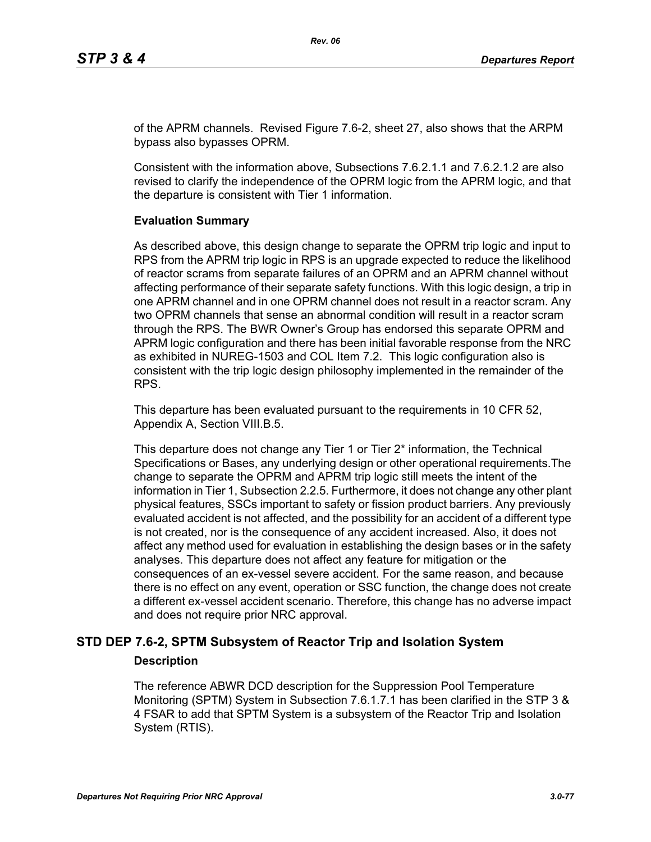of the APRM channels. Revised Figure 7.6-2, sheet 27, also shows that the ARPM bypass also bypasses OPRM.

Consistent with the information above, Subsections 7.6.2.1.1 and 7.6.2.1.2 are also revised to clarify the independence of the OPRM logic from the APRM logic, and that the departure is consistent with Tier 1 information.

#### **Evaluation Summary**

As described above, this design change to separate the OPRM trip logic and input to RPS from the APRM trip logic in RPS is an upgrade expected to reduce the likelihood of reactor scrams from separate failures of an OPRM and an APRM channel without affecting performance of their separate safety functions. With this logic design, a trip in one APRM channel and in one OPRM channel does not result in a reactor scram. Any two OPRM channels that sense an abnormal condition will result in a reactor scram through the RPS. The BWR Owner's Group has endorsed this separate OPRM and APRM logic configuration and there has been initial favorable response from the NRC as exhibited in NUREG-1503 and COL Item 7.2. This logic configuration also is consistent with the trip logic design philosophy implemented in the remainder of the RPS.

This departure has been evaluated pursuant to the requirements in 10 CFR 52, Appendix A, Section VIII.B.5.

This departure does not change any Tier 1 or Tier 2\* information, the Technical Specifications or Bases, any underlying design or other operational requirements.The change to separate the OPRM and APRM trip logic still meets the intent of the information in Tier 1, Subsection 2.2.5. Furthermore, it does not change any other plant physical features, SSCs important to safety or fission product barriers. Any previously evaluated accident is not affected, and the possibility for an accident of a different type is not created, nor is the consequence of any accident increased. Also, it does not affect any method used for evaluation in establishing the design bases or in the safety analyses. This departure does not affect any feature for mitigation or the consequences of an ex-vessel severe accident. For the same reason, and because there is no effect on any event, operation or SSC function, the change does not create a different ex-vessel accident scenario. Therefore, this change has no adverse impact and does not require prior NRC approval.

## **STD DEP 7.6-2, SPTM Subsystem of Reactor Trip and Isolation System**

#### **Description**

The reference ABWR DCD description for the Suppression Pool Temperature Monitoring (SPTM) System in Subsection 7.6.1.7.1 has been clarified in the STP 3 & 4 FSAR to add that SPTM System is a subsystem of the Reactor Trip and Isolation System (RTIS).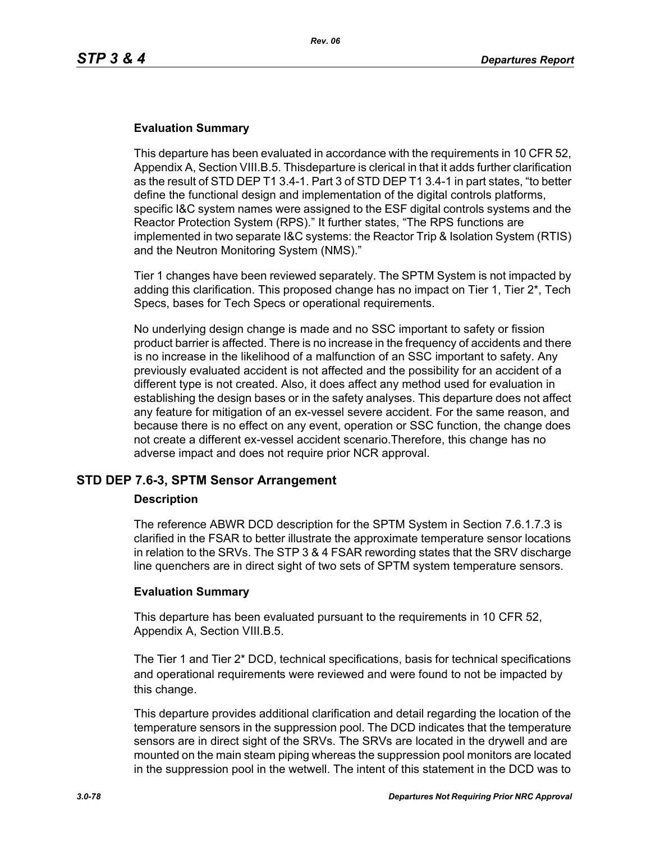## **Evaluation Summary**

This departure has been evaluated in accordance with the requirements in 10 CFR 52, Appendix A, Section VIII.B.5. Thisdeparture is clerical in that it adds further clarification as the result of STD DEP T1 3.4-1. Part 3 of STD DEP T1 3.4-1 in part states, "to better define the functional design and implementation of the digital controls platforms, specific I&C system names were assigned to the ESF digital controls systems and the Reactor Protection System (RPS)." It further states, "The RPS functions are implemented in two separate I&C systems: the Reactor Trip & Isolation System (RTIS) and the Neutron Monitoring System (NMS)."

Tier 1 changes have been reviewed separately. The SPTM System is not impacted by adding this clarification. This proposed change has no impact on Tier 1, Tier 2\*, Tech Specs, bases for Tech Specs or operational requirements.

No underlying design change is made and no SSC important to safety or fission product barrier is affected. There is no increase in the frequency of accidents and there is no increase in the likelihood of a malfunction of an SSC important to safety. Any previously evaluated accident is not affected and the possibility for an accident of a different type is not created. Also, it does affect any method used for evaluation in establishing the design bases or in the safety analyses. This departure does not affect any feature for mitigation of an ex-vessel severe accident. For the same reason, and because there is no effect on any event, operation or SSC function, the change does not create a different ex-vessel accident scenario.Therefore, this change has no adverse impact and does not require prior NCR approval.

## **STD DEP 7.6-3, SPTM Sensor Arrangement**

#### **Description**

The reference ABWR DCD description for the SPTM System in Section 7.6.1.7.3 is clarified in the FSAR to better illustrate the approximate temperature sensor locations in relation to the SRVs. The STP 3 & 4 FSAR rewording states that the SRV discharge line quenchers are in direct sight of two sets of SPTM system temperature sensors.

## **Evaluation Summary**

This departure has been evaluated pursuant to the requirements in 10 CFR 52, Appendix A, Section VIII.B.5.

The Tier 1 and Tier 2\* DCD, technical specifications, basis for technical specifications and operational requirements were reviewed and were found to not be impacted by this change.

This departure provides additional clarification and detail regarding the location of the temperature sensors in the suppression pool. The DCD indicates that the temperature sensors are in direct sight of the SRVs. The SRVs are located in the drywell and are mounted on the main steam piping whereas the suppression pool monitors are located in the suppression pool in the wetwell. The intent of this statement in the DCD was to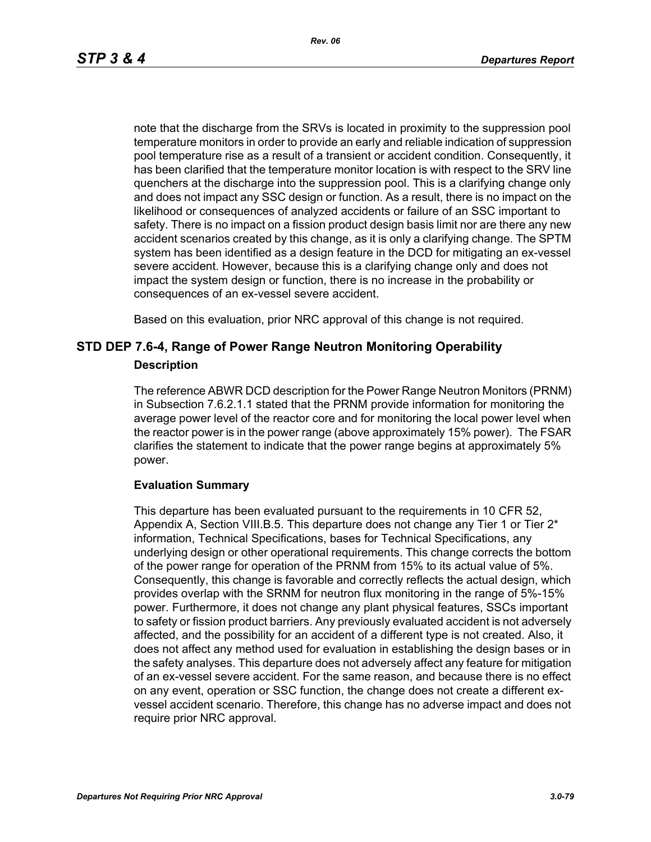*Rev. 06*

note that the discharge from the SRVs is located in proximity to the suppression pool temperature monitors in order to provide an early and reliable indication of suppression pool temperature rise as a result of a transient or accident condition. Consequently, it has been clarified that the temperature monitor location is with respect to the SRV line quenchers at the discharge into the suppression pool. This is a clarifying change only and does not impact any SSC design or function. As a result, there is no impact on the likelihood or consequences of analyzed accidents or failure of an SSC important to safety. There is no impact on a fission product design basis limit nor are there any new accident scenarios created by this change, as it is only a clarifying change. The SPTM system has been identified as a design feature in the DCD for mitigating an ex-vessel severe accident. However, because this is a clarifying change only and does not impact the system design or function, there is no increase in the probability or consequences of an ex-vessel severe accident.

Based on this evaluation, prior NRC approval of this change is not required.

## **STD DEP 7.6-4, Range of Power Range Neutron Monitoring Operability Description**

The reference ABWR DCD description for the Power Range Neutron Monitors (PRNM) in Subsection 7.6.2.1.1 stated that the PRNM provide information for monitoring the average power level of the reactor core and for monitoring the local power level when the reactor power is in the power range (above approximately 15% power). The FSAR clarifies the statement to indicate that the power range begins at approximately 5% power.

## **Evaluation Summary**

This departure has been evaluated pursuant to the requirements in 10 CFR 52, Appendix A, Section VIII.B.5. This departure does not change any Tier 1 or Tier 2\* information, Technical Specifications, bases for Technical Specifications, any underlying design or other operational requirements. This change corrects the bottom of the power range for operation of the PRNM from 15% to its actual value of 5%. Consequently, this change is favorable and correctly reflects the actual design, which provides overlap with the SRNM for neutron flux monitoring in the range of 5%-15% power. Furthermore, it does not change any plant physical features, SSCs important to safety or fission product barriers. Any previously evaluated accident is not adversely affected, and the possibility for an accident of a different type is not created. Also, it does not affect any method used for evaluation in establishing the design bases or in the safety analyses. This departure does not adversely affect any feature for mitigation of an ex-vessel severe accident. For the same reason, and because there is no effect on any event, operation or SSC function, the change does not create a different exvessel accident scenario. Therefore, this change has no adverse impact and does not require prior NRC approval.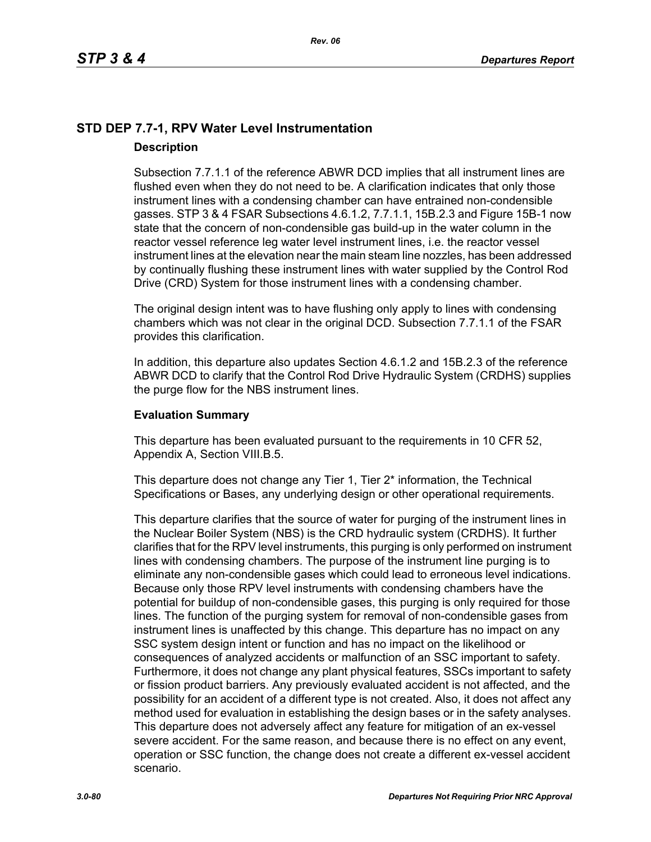## **STD DEP 7.7-1, RPV Water Level Instrumentation Description**

Subsection 7.7.1.1 of the reference ABWR DCD implies that all instrument lines are flushed even when they do not need to be. A clarification indicates that only those instrument lines with a condensing chamber can have entrained non-condensible gasses. STP 3 & 4 FSAR Subsections 4.6.1.2, 7.7.1.1, 15B.2.3 and Figure 15B-1 now state that the concern of non-condensible gas build-up in the water column in the reactor vessel reference leg water level instrument lines, i.e. the reactor vessel instrument lines at the elevation near the main steam line nozzles, has been addressed by continually flushing these instrument lines with water supplied by the Control Rod Drive (CRD) System for those instrument lines with a condensing chamber.

The original design intent was to have flushing only apply to lines with condensing chambers which was not clear in the original DCD. Subsection 7.7.1.1 of the FSAR provides this clarification.

In addition, this departure also updates Section 4.6.1.2 and 15B.2.3 of the reference ABWR DCD to clarify that the Control Rod Drive Hydraulic System (CRDHS) supplies the purge flow for the NBS instrument lines.

## **Evaluation Summary**

This departure has been evaluated pursuant to the requirements in 10 CFR 52, Appendix A, Section VIII.B.5.

This departure does not change any Tier 1, Tier 2<sup>\*</sup> information, the Technical Specifications or Bases, any underlying design or other operational requirements.

This departure clarifies that the source of water for purging of the instrument lines in the Nuclear Boiler System (NBS) is the CRD hydraulic system (CRDHS). It further clarifies that for the RPV level instruments, this purging is only performed on instrument lines with condensing chambers. The purpose of the instrument line purging is to eliminate any non-condensible gases which could lead to erroneous level indications. Because only those RPV level instruments with condensing chambers have the potential for buildup of non-condensible gases, this purging is only required for those lines. The function of the purging system for removal of non-condensible gases from instrument lines is unaffected by this change. This departure has no impact on any SSC system design intent or function and has no impact on the likelihood or consequences of analyzed accidents or malfunction of an SSC important to safety. Furthermore, it does not change any plant physical features, SSCs important to safety or fission product barriers. Any previously evaluated accident is not affected, and the possibility for an accident of a different type is not created. Also, it does not affect any method used for evaluation in establishing the design bases or in the safety analyses. This departure does not adversely affect any feature for mitigation of an ex-vessel severe accident. For the same reason, and because there is no effect on any event, operation or SSC function, the change does not create a different ex-vessel accident scenario.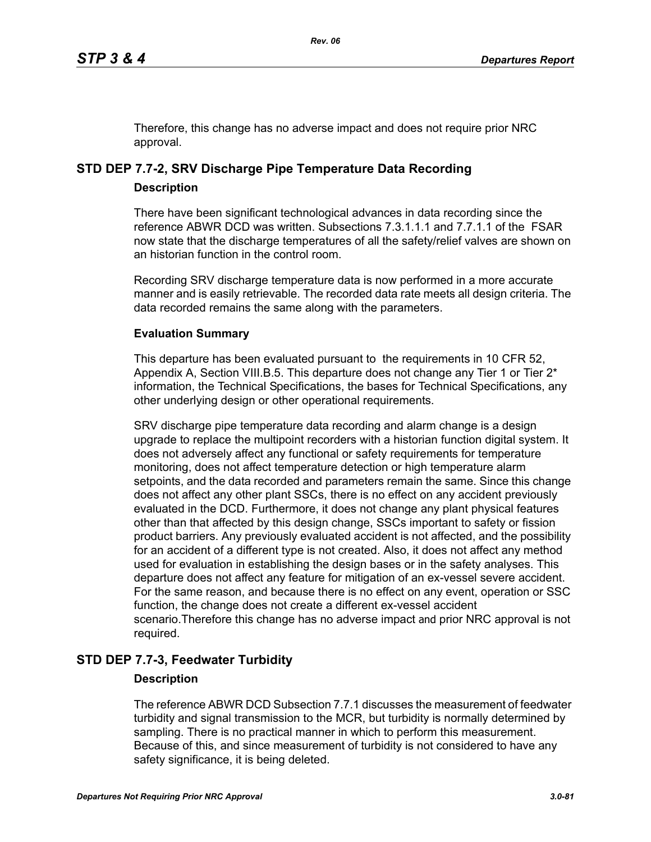Therefore, this change has no adverse impact and does not require prior NRC approval.

# **STD DEP 7.7-2, SRV Discharge Pipe Temperature Data Recording**

## **Description**

There have been significant technological advances in data recording since the reference ABWR DCD was written. Subsections 7.3.1.1.1 and 7.7.1.1 of the FSAR now state that the discharge temperatures of all the safety/relief valves are shown on an historian function in the control room.

Recording SRV discharge temperature data is now performed in a more accurate manner and is easily retrievable. The recorded data rate meets all design criteria. The data recorded remains the same along with the parameters.

## **Evaluation Summary**

This departure has been evaluated pursuant to the requirements in 10 CFR 52, Appendix A, Section VIII.B.5. This departure does not change any Tier 1 or Tier  $2^*$ information, the Technical Specifications, the bases for Technical Specifications, any other underlying design or other operational requirements.

SRV discharge pipe temperature data recording and alarm change is a design upgrade to replace the multipoint recorders with a historian function digital system. It does not adversely affect any functional or safety requirements for temperature monitoring, does not affect temperature detection or high temperature alarm setpoints, and the data recorded and parameters remain the same. Since this change does not affect any other plant SSCs, there is no effect on any accident previously evaluated in the DCD. Furthermore, it does not change any plant physical features other than that affected by this design change, SSCs important to safety or fission product barriers. Any previously evaluated accident is not affected, and the possibility for an accident of a different type is not created. Also, it does not affect any method used for evaluation in establishing the design bases or in the safety analyses. This departure does not affect any feature for mitigation of an ex-vessel severe accident. For the same reason, and because there is no effect on any event, operation or SSC function, the change does not create a different ex-vessel accident scenario.Therefore this change has no adverse impact and prior NRC approval is not required.

## **STD DEP 7.7-3, Feedwater Turbidity**

## **Description**

The reference ABWR DCD Subsection 7.7.1 discusses the measurement of feedwater turbidity and signal transmission to the MCR, but turbidity is normally determined by sampling. There is no practical manner in which to perform this measurement. Because of this, and since measurement of turbidity is not considered to have any safety significance, it is being deleted.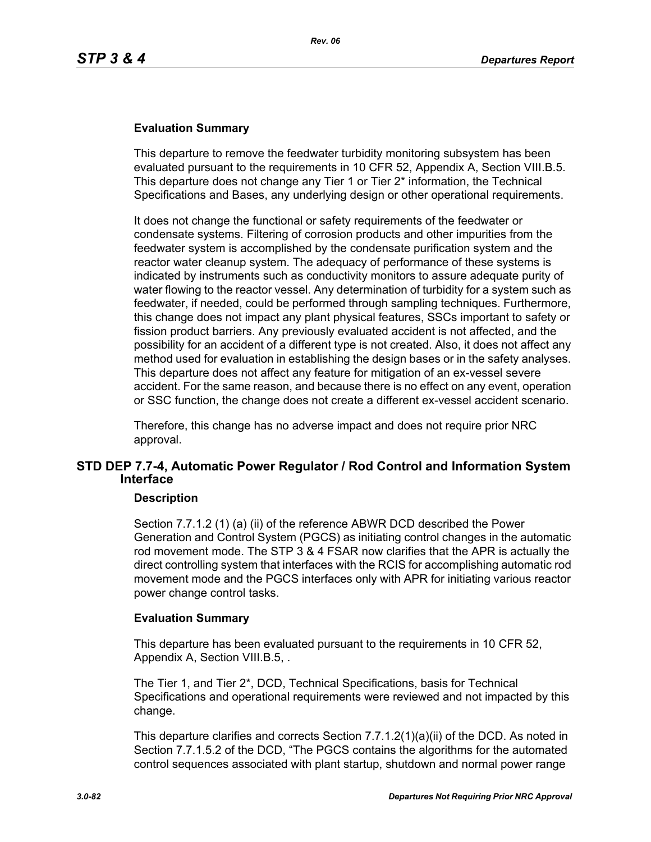## **Evaluation Summary**

This departure to remove the feedwater turbidity monitoring subsystem has been evaluated pursuant to the requirements in 10 CFR 52, Appendix A, Section VIII.B.5. This departure does not change any Tier 1 or Tier 2\* information, the Technical Specifications and Bases, any underlying design or other operational requirements.

It does not change the functional or safety requirements of the feedwater or condensate systems. Filtering of corrosion products and other impurities from the feedwater system is accomplished by the condensate purification system and the reactor water cleanup system. The adequacy of performance of these systems is indicated by instruments such as conductivity monitors to assure adequate purity of water flowing to the reactor vessel. Any determination of turbidity for a system such as feedwater, if needed, could be performed through sampling techniques. Furthermore, this change does not impact any plant physical features, SSCs important to safety or fission product barriers. Any previously evaluated accident is not affected, and the possibility for an accident of a different type is not created. Also, it does not affect any method used for evaluation in establishing the design bases or in the safety analyses. This departure does not affect any feature for mitigation of an ex-vessel severe accident. For the same reason, and because there is no effect on any event, operation or SSC function, the change does not create a different ex-vessel accident scenario.

Therefore, this change has no adverse impact and does not require prior NRC approval.

## **STD DEP 7.7-4, Automatic Power Regulator / Rod Control and Information System Interface**

#### **Description**

Section 7.7.1.2 (1) (a) (ii) of the reference ABWR DCD described the Power Generation and Control System (PGCS) as initiating control changes in the automatic rod movement mode. The STP 3 & 4 FSAR now clarifies that the APR is actually the direct controlling system that interfaces with the RCIS for accomplishing automatic rod movement mode and the PGCS interfaces only with APR for initiating various reactor power change control tasks.

#### **Evaluation Summary**

This departure has been evaluated pursuant to the requirements in 10 CFR 52, Appendix A, Section VIII.B.5, .

The Tier 1, and Tier 2\*, DCD, Technical Specifications, basis for Technical Specifications and operational requirements were reviewed and not impacted by this change.

This departure clarifies and corrects Section 7.7.1.2(1)(a)(ii) of the DCD. As noted in Section 7.7.1.5.2 of the DCD, "The PGCS contains the algorithms for the automated control sequences associated with plant startup, shutdown and normal power range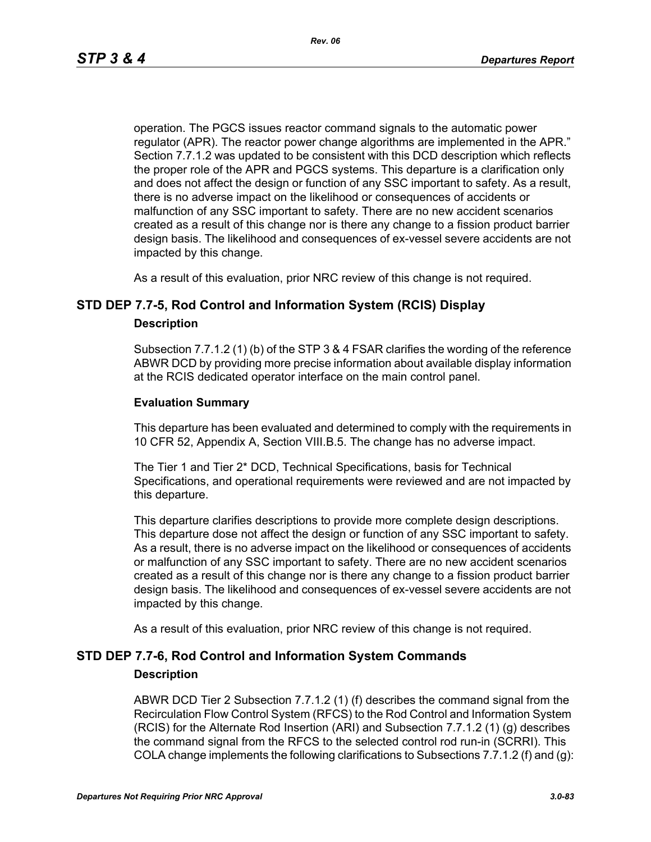operation. The PGCS issues reactor command signals to the automatic power regulator (APR). The reactor power change algorithms are implemented in the APR." Section 7.7.1.2 was updated to be consistent with this DCD description which reflects the proper role of the APR and PGCS systems. This departure is a clarification only and does not affect the design or function of any SSC important to safety. As a result, there is no adverse impact on the likelihood or consequences of accidents or malfunction of any SSC important to safety. There are no new accident scenarios created as a result of this change nor is there any change to a fission product barrier design basis. The likelihood and consequences of ex-vessel severe accidents are not impacted by this change.

As a result of this evaluation, prior NRC review of this change is not required.

## **STD DEP 7.7-5, Rod Control and Information System (RCIS) Display**

#### **Description**

Subsection 7.7.1.2 (1) (b) of the STP 3 & 4 FSAR clarifies the wording of the reference ABWR DCD by providing more precise information about available display information at the RCIS dedicated operator interface on the main control panel.

#### **Evaluation Summary**

This departure has been evaluated and determined to comply with the requirements in 10 CFR 52, Appendix A, Section VIII.B.5. The change has no adverse impact.

The Tier 1 and Tier 2\* DCD, Technical Specifications, basis for Technical Specifications, and operational requirements were reviewed and are not impacted by this departure.

This departure clarifies descriptions to provide more complete design descriptions. This departure dose not affect the design or function of any SSC important to safety. As a result, there is no adverse impact on the likelihood or consequences of accidents or malfunction of any SSC important to safety. There are no new accident scenarios created as a result of this change nor is there any change to a fission product barrier design basis. The likelihood and consequences of ex-vessel severe accidents are not impacted by this change.

As a result of this evaluation, prior NRC review of this change is not required.

## **STD DEP 7.7-6, Rod Control and Information System Commands**

#### **Description**

ABWR DCD Tier 2 Subsection 7.7.1.2 (1) (f) describes the command signal from the Recirculation Flow Control System (RFCS) to the Rod Control and Information System (RCIS) for the Alternate Rod Insertion (ARI) and Subsection 7.7.1.2 (1) (g) describes the command signal from the RFCS to the selected control rod run-in (SCRRI). This COLA change implements the following clarifications to Subsections 7.7.1.2 (f) and (g):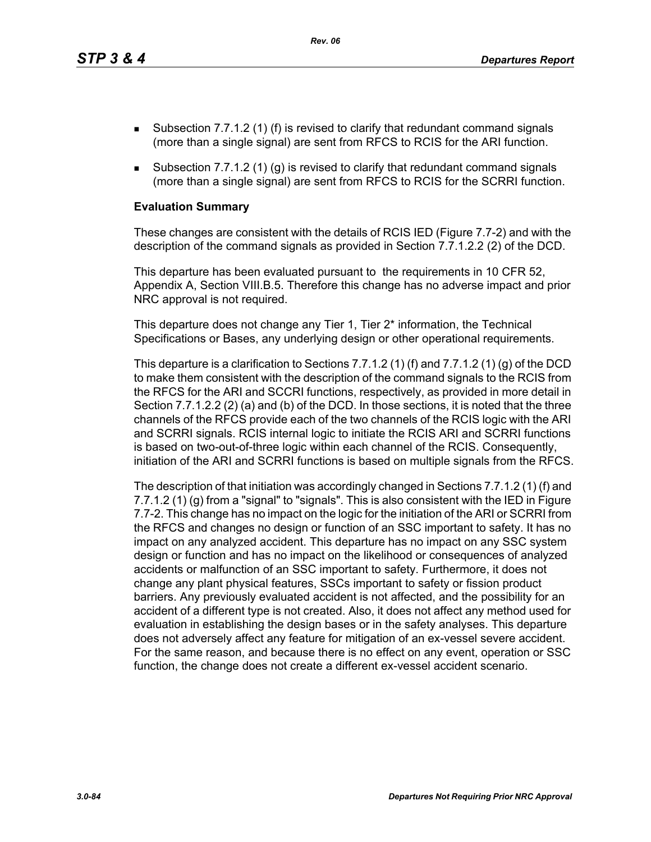*Rev. 06*

- **Subsection 7.7.1.2 (1) (f) is revised to clarify that redundant command signals** (more than a single signal) are sent from RFCS to RCIS for the ARI function.
- Subsection 7.7.1.2 (1) (g) is revised to clarify that redundant command signals (more than a single signal) are sent from RFCS to RCIS for the SCRRI function.

#### **Evaluation Summary**

These changes are consistent with the details of RCIS IED (Figure 7.7-2) and with the description of the command signals as provided in Section 7.7.1.2.2 (2) of the DCD.

This departure has been evaluated pursuant to the requirements in 10 CFR 52, Appendix A, Section VIII.B.5. Therefore this change has no adverse impact and prior NRC approval is not required.

This departure does not change any Tier 1, Tier 2\* information, the Technical Specifications or Bases, any underlying design or other operational requirements.

This departure is a clarification to Sections 7.7.1.2 (1) (f) and 7.7.1.2 (1) (g) of the DCD to make them consistent with the description of the command signals to the RCIS from the RFCS for the ARI and SCCRI functions, respectively, as provided in more detail in Section 7.7.1.2.2 (2) (a) and (b) of the DCD. In those sections, it is noted that the three channels of the RFCS provide each of the two channels of the RCIS logic with the ARI and SCRRI signals. RCIS internal logic to initiate the RCIS ARI and SCRRI functions is based on two-out-of-three logic within each channel of the RCIS. Consequently, initiation of the ARI and SCRRI functions is based on multiple signals from the RFCS.

The description of that initiation was accordingly changed in Sections 7.7.1.2 (1) (f) and 7.7.1.2 (1) (g) from a "signal" to "signals". This is also consistent with the IED in Figure 7.7-2. This change has no impact on the logic for the initiation of the ARI or SCRRI from the RFCS and changes no design or function of an SSC important to safety. It has no impact on any analyzed accident. This departure has no impact on any SSC system design or function and has no impact on the likelihood or consequences of analyzed accidents or malfunction of an SSC important to safety. Furthermore, it does not change any plant physical features, SSCs important to safety or fission product barriers. Any previously evaluated accident is not affected, and the possibility for an accident of a different type is not created. Also, it does not affect any method used for evaluation in establishing the design bases or in the safety analyses. This departure does not adversely affect any feature for mitigation of an ex-vessel severe accident. For the same reason, and because there is no effect on any event, operation or SSC function, the change does not create a different ex-vessel accident scenario.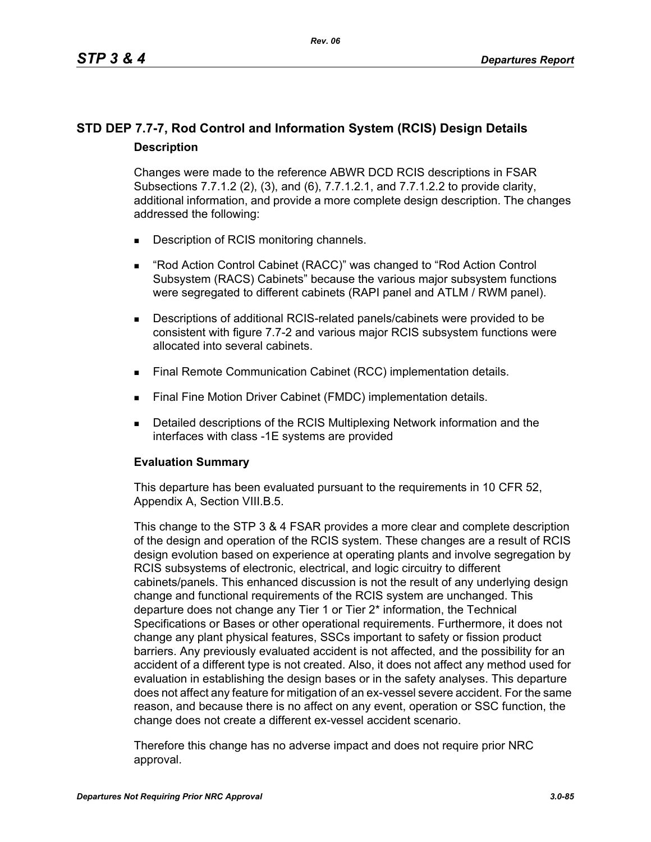## **STD DEP 7.7-7, Rod Control and Information System (RCIS) Design Details Description**

Changes were made to the reference ABWR DCD RCIS descriptions in FSAR Subsections 7.7.1.2 (2), (3), and (6), 7.7.1.2.1, and 7.7.1.2.2 to provide clarity, additional information, and provide a more complete design description. The changes addressed the following:

- Description of RCIS monitoring channels.
- "Rod Action Control Cabinet (RACC)" was changed to "Rod Action Control Subsystem (RACS) Cabinets" because the various major subsystem functions were segregated to different cabinets (RAPI panel and ATLM / RWM panel).
- Descriptions of additional RCIS-related panels/cabinets were provided to be consistent with figure 7.7-2 and various major RCIS subsystem functions were allocated into several cabinets.
- **Final Remote Communication Cabinet (RCC) implementation details.**
- **Final Fine Motion Driver Cabinet (FMDC) implementation details.**
- **Detailed descriptions of the RCIS Multiplexing Network information and the** interfaces with class -1E systems are provided

## **Evaluation Summary**

This departure has been evaluated pursuant to the requirements in 10 CFR 52, Appendix A, Section VIII.B.5.

This change to the STP 3 & 4 FSAR provides a more clear and complete description of the design and operation of the RCIS system. These changes are a result of RCIS design evolution based on experience at operating plants and involve segregation by RCIS subsystems of electronic, electrical, and logic circuitry to different cabinets/panels. This enhanced discussion is not the result of any underlying design change and functional requirements of the RCIS system are unchanged. This departure does not change any Tier 1 or Tier 2\* information, the Technical Specifications or Bases or other operational requirements. Furthermore, it does not change any plant physical features, SSCs important to safety or fission product barriers. Any previously evaluated accident is not affected, and the possibility for an accident of a different type is not created. Also, it does not affect any method used for evaluation in establishing the design bases or in the safety analyses. This departure does not affect any feature for mitigation of an ex-vessel severe accident. For the same reason, and because there is no affect on any event, operation or SSC function, the change does not create a different ex-vessel accident scenario.

Therefore this change has no adverse impact and does not require prior NRC approval.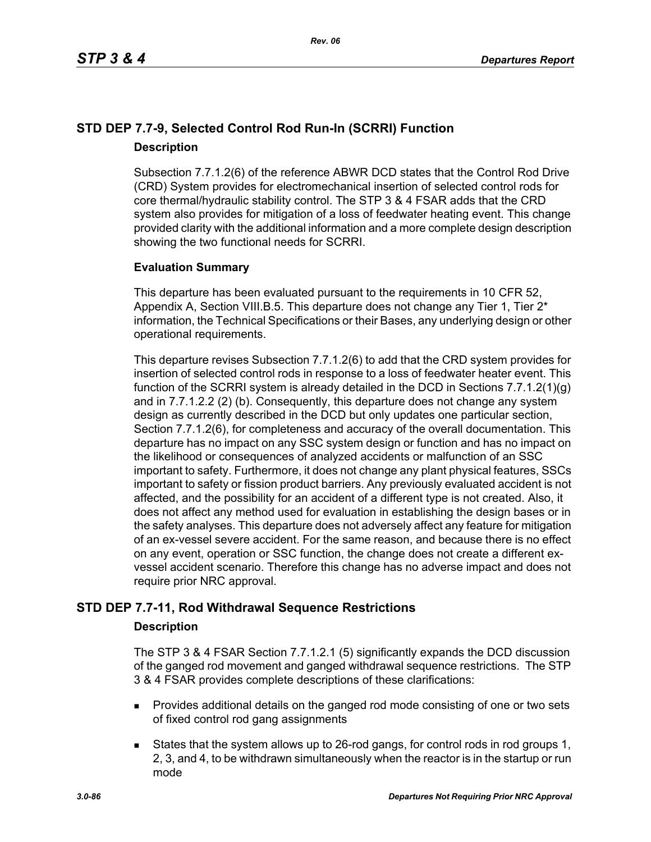## **STD DEP 7.7-9, Selected Control Rod Run-In (SCRRI) Function Description**

Subsection 7.7.1.2(6) of the reference ABWR DCD states that the Control Rod Drive (CRD) System provides for electromechanical insertion of selected control rods for core thermal/hydraulic stability control. The STP 3 & 4 FSAR adds that the CRD system also provides for mitigation of a loss of feedwater heating event. This change provided clarity with the additional information and a more complete design description showing the two functional needs for SCRRI.

## **Evaluation Summary**

This departure has been evaluated pursuant to the requirements in 10 CFR 52, Appendix A, Section VIII.B.5. This departure does not change any Tier 1, Tier  $2^*$ information, the Technical Specifications or their Bases, any underlying design or other operational requirements.

This departure revises Subsection 7.7.1.2(6) to add that the CRD system provides for insertion of selected control rods in response to a loss of feedwater heater event. This function of the SCRRI system is already detailed in the DCD in Sections 7.7.1.2(1)(g) and in 7.7.1.2.2 (2) (b). Consequently, this departure does not change any system design as currently described in the DCD but only updates one particular section, Section 7.7.1.2(6), for completeness and accuracy of the overall documentation. This departure has no impact on any SSC system design or function and has no impact on the likelihood or consequences of analyzed accidents or malfunction of an SSC important to safety. Furthermore, it does not change any plant physical features, SSCs important to safety or fission product barriers. Any previously evaluated accident is not affected, and the possibility for an accident of a different type is not created. Also, it does not affect any method used for evaluation in establishing the design bases or in the safety analyses. This departure does not adversely affect any feature for mitigation of an ex-vessel severe accident. For the same reason, and because there is no effect on any event, operation or SSC function, the change does not create a different exvessel accident scenario. Therefore this change has no adverse impact and does not require prior NRC approval.

## **STD DEP 7.7-11, Rod Withdrawal Sequence Restrictions**

## **Description**

The STP 3 & 4 FSAR Section 7.7.1.2.1 (5) significantly expands the DCD discussion of the ganged rod movement and ganged withdrawal sequence restrictions. The STP 3 & 4 FSAR provides complete descriptions of these clarifications:

- **Provides additional details on the ganged rod mode consisting of one or two sets** of fixed control rod gang assignments
- States that the system allows up to 26-rod gangs, for control rods in rod groups 1, 2, 3, and 4, to be withdrawn simultaneously when the reactor is in the startup or run mode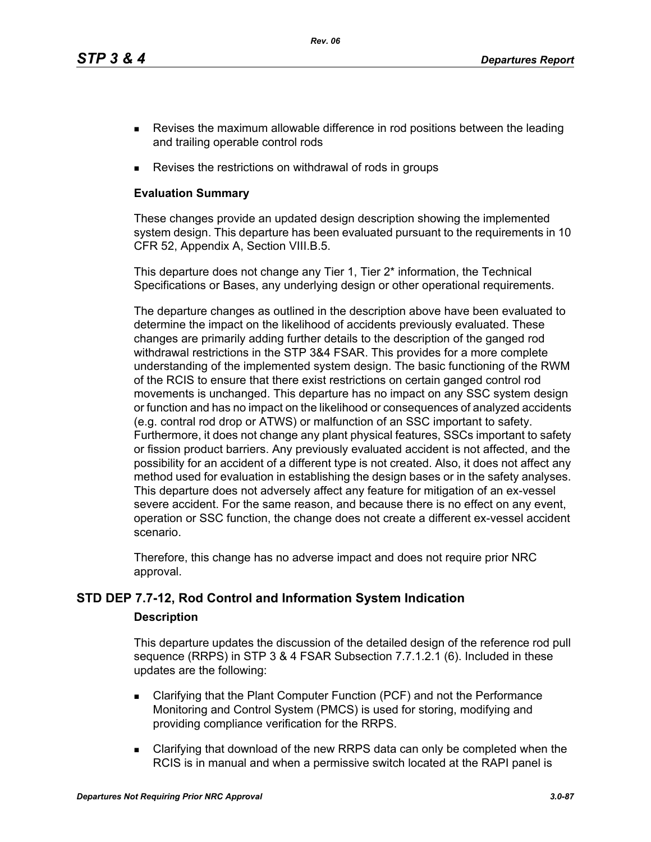*Rev. 06*

- **Revises the maximum allowable difference in rod positions between the leading** and trailing operable control rods
- Revises the restrictions on withdrawal of rods in groups

## **Evaluation Summary**

These changes provide an updated design description showing the implemented system design. This departure has been evaluated pursuant to the requirements in 10 CFR 52, Appendix A, Section VIII.B.5.

This departure does not change any Tier 1, Tier 2<sup>\*</sup> information, the Technical Specifications or Bases, any underlying design or other operational requirements.

The departure changes as outlined in the description above have been evaluated to determine the impact on the likelihood of accidents previously evaluated. These changes are primarily adding further details to the description of the ganged rod withdrawal restrictions in the STP 3&4 FSAR. This provides for a more complete understanding of the implemented system design. The basic functioning of the RWM of the RCIS to ensure that there exist restrictions on certain ganged control rod movements is unchanged. This departure has no impact on any SSC system design or function and has no impact on the likelihood or consequences of analyzed accidents (e.g. contral rod drop or ATWS) or malfunction of an SSC important to safety. Furthermore, it does not change any plant physical features, SSCs important to safety or fission product barriers. Any previously evaluated accident is not affected, and the possibility for an accident of a different type is not created. Also, it does not affect any method used for evaluation in establishing the design bases or in the safety analyses. This departure does not adversely affect any feature for mitigation of an ex-vessel severe accident. For the same reason, and because there is no effect on any event, operation or SSC function, the change does not create a different ex-vessel accident scenario.

Therefore, this change has no adverse impact and does not require prior NRC approval.

## **STD DEP 7.7-12, Rod Control and Information System Indication**

## **Description**

This departure updates the discussion of the detailed design of the reference rod pull sequence (RRPS) in STP 3 & 4 FSAR Subsection 7.7.1.2.1 (6). Included in these updates are the following:

- Clarifying that the Plant Computer Function (PCF) and not the Performance Monitoring and Control System (PMCS) is used for storing, modifying and providing compliance verification for the RRPS.
- Clarifying that download of the new RRPS data can only be completed when the RCIS is in manual and when a permissive switch located at the RAPI panel is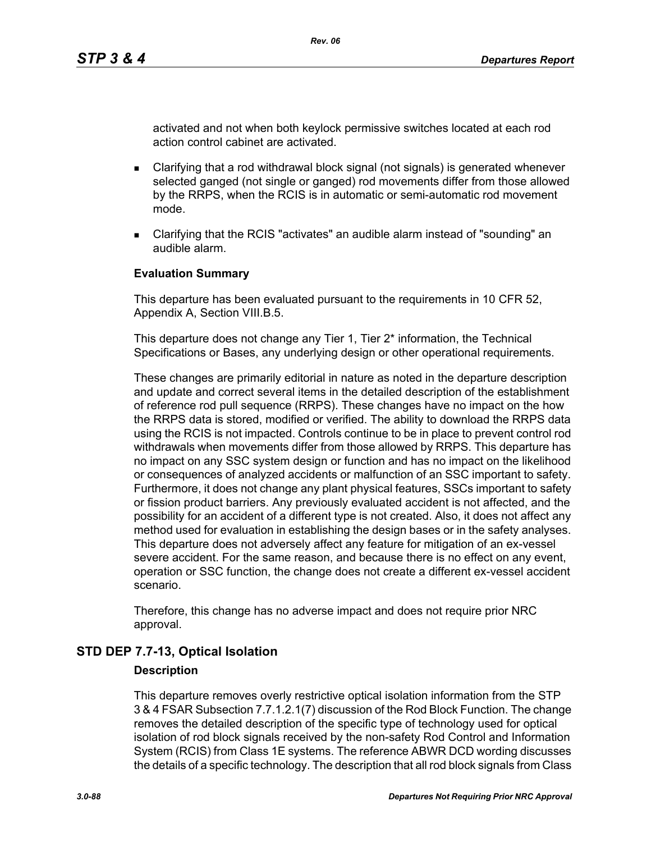activated and not when both keylock permissive switches located at each rod action control cabinet are activated.

- Clarifying that a rod withdrawal block signal (not signals) is generated whenever selected ganged (not single or ganged) rod movements differ from those allowed by the RRPS, when the RCIS is in automatic or semi-automatic rod movement mode.
- Clarifying that the RCIS "activates" an audible alarm instead of "sounding" an audible alarm.

#### **Evaluation Summary**

This departure has been evaluated pursuant to the requirements in 10 CFR 52, Appendix A, Section VIII.B.5.

This departure does not change any Tier 1, Tier 2<sup>\*</sup> information, the Technical Specifications or Bases, any underlying design or other operational requirements.

These changes are primarily editorial in nature as noted in the departure description and update and correct several items in the detailed description of the establishment of reference rod pull sequence (RRPS). These changes have no impact on the how the RRPS data is stored, modified or verified. The ability to download the RRPS data using the RCIS is not impacted. Controls continue to be in place to prevent control rod withdrawals when movements differ from those allowed by RRPS. This departure has no impact on any SSC system design or function and has no impact on the likelihood or consequences of analyzed accidents or malfunction of an SSC important to safety. Furthermore, it does not change any plant physical features, SSCs important to safety or fission product barriers. Any previously evaluated accident is not affected, and the possibility for an accident of a different type is not created. Also, it does not affect any method used for evaluation in establishing the design bases or in the safety analyses. This departure does not adversely affect any feature for mitigation of an ex-vessel severe accident. For the same reason, and because there is no effect on any event, operation or SSC function, the change does not create a different ex-vessel accident scenario.

Therefore, this change has no adverse impact and does not require prior NRC approval.

## **STD DEP 7.7-13, Optical Isolation**

#### **Description**

This departure removes overly restrictive optical isolation information from the STP 3 & 4 FSAR Subsection 7.7.1.2.1(7) discussion of the Rod Block Function. The change removes the detailed description of the specific type of technology used for optical isolation of rod block signals received by the non-safety Rod Control and Information System (RCIS) from Class 1E systems. The reference ABWR DCD wording discusses the details of a specific technology. The description that all rod block signals from Class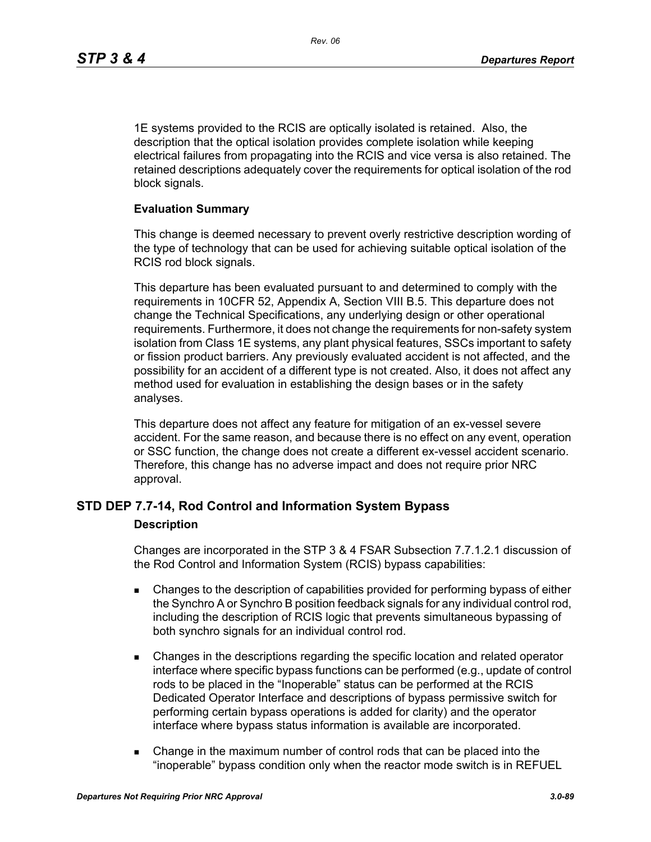1E systems provided to the RCIS are optically isolated is retained. Also, the description that the optical isolation provides complete isolation while keeping electrical failures from propagating into the RCIS and vice versa is also retained. The retained descriptions adequately cover the requirements for optical isolation of the rod block signals.

#### **Evaluation Summary**

This change is deemed necessary to prevent overly restrictive description wording of the type of technology that can be used for achieving suitable optical isolation of the RCIS rod block signals.

This departure has been evaluated pursuant to and determined to comply with the requirements in 10CFR 52, Appendix A, Section VIII B.5. This departure does not change the Technical Specifications, any underlying design or other operational requirements. Furthermore, it does not change the requirements for non-safety system isolation from Class 1E systems, any plant physical features, SSCs important to safety or fission product barriers. Any previously evaluated accident is not affected, and the possibility for an accident of a different type is not created. Also, it does not affect any method used for evaluation in establishing the design bases or in the safety analyses.

This departure does not affect any feature for mitigation of an ex-vessel severe accident. For the same reason, and because there is no effect on any event, operation or SSC function, the change does not create a different ex-vessel accident scenario. Therefore, this change has no adverse impact and does not require prior NRC approval.

## **STD DEP 7.7-14, Rod Control and Information System Bypass**

#### **Description**

Changes are incorporated in the STP 3 & 4 FSAR Subsection 7.7.1.2.1 discussion of the Rod Control and Information System (RCIS) bypass capabilities:

- Changes to the description of capabilities provided for performing bypass of either the Synchro A or Synchro B position feedback signals for any individual control rod, including the description of RCIS logic that prevents simultaneous bypassing of both synchro signals for an individual control rod.
- Changes in the descriptions regarding the specific location and related operator interface where specific bypass functions can be performed (e.g., update of control rods to be placed in the "Inoperable" status can be performed at the RCIS Dedicated Operator Interface and descriptions of bypass permissive switch for performing certain bypass operations is added for clarity) and the operator interface where bypass status information is available are incorporated.
- Change in the maximum number of control rods that can be placed into the "inoperable" bypass condition only when the reactor mode switch is in REFUEL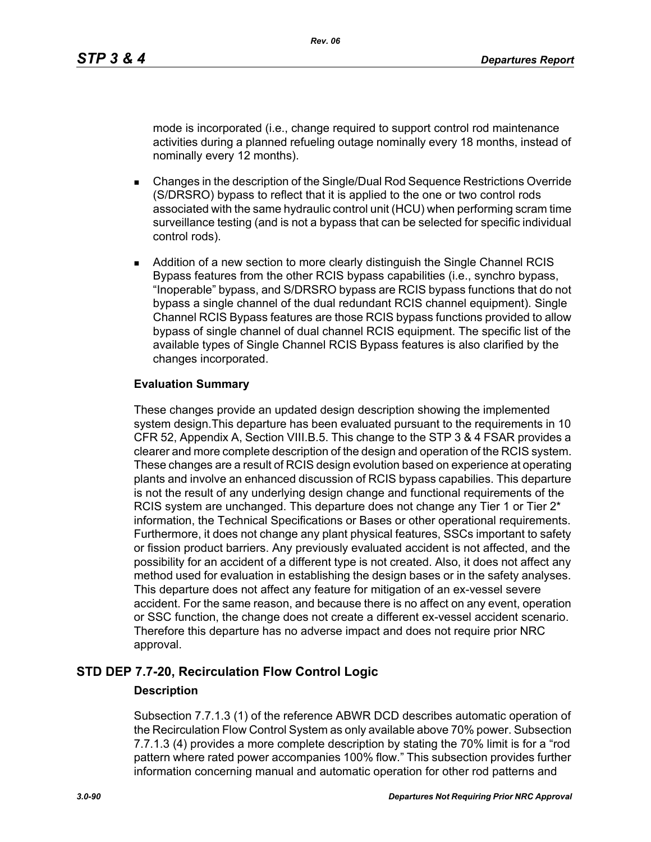mode is incorporated (i.e., change required to support control rod maintenance activities during a planned refueling outage nominally every 18 months, instead of nominally every 12 months).

- Changes in the description of the Single/Dual Rod Sequence Restrictions Override (S/DRSRO) bypass to reflect that it is applied to the one or two control rods associated with the same hydraulic control unit (HCU) when performing scram time surveillance testing (and is not a bypass that can be selected for specific individual control rods).
- **Addition of a new section to more clearly distinguish the Single Channel RCIS** Bypass features from the other RCIS bypass capabilities (i.e., synchro bypass, "Inoperable" bypass, and S/DRSRO bypass are RCIS bypass functions that do not bypass a single channel of the dual redundant RCIS channel equipment). Single Channel RCIS Bypass features are those RCIS bypass functions provided to allow bypass of single channel of dual channel RCIS equipment. The specific list of the available types of Single Channel RCIS Bypass features is also clarified by the changes incorporated.

## **Evaluation Summary**

These changes provide an updated design description showing the implemented system design.This departure has been evaluated pursuant to the requirements in 10 CFR 52, Appendix A, Section VIII.B.5. This change to the STP 3 & 4 FSAR provides a clearer and more complete description of the design and operation of the RCIS system. These changes are a result of RCIS design evolution based on experience at operating plants and involve an enhanced discussion of RCIS bypass capabilies. This departure is not the result of any underlying design change and functional requirements of the RCIS system are unchanged. This departure does not change any Tier 1 or Tier  $2^*$ information, the Technical Specifications or Bases or other operational requirements. Furthermore, it does not change any plant physical features, SSCs important to safety or fission product barriers. Any previously evaluated accident is not affected, and the possibility for an accident of a different type is not created. Also, it does not affect any method used for evaluation in establishing the design bases or in the safety analyses. This departure does not affect any feature for mitigation of an ex-vessel severe accident. For the same reason, and because there is no affect on any event, operation or SSC function, the change does not create a different ex-vessel accident scenario. Therefore this departure has no adverse impact and does not require prior NRC approval.

## **STD DEP 7.7-20, Recirculation Flow Control Logic**

## **Description**

Subsection 7.7.1.3 (1) of the reference ABWR DCD describes automatic operation of the Recirculation Flow Control System as only available above 70% power. Subsection 7.7.1.3 (4) provides a more complete description by stating the 70% limit is for a "rod pattern where rated power accompanies 100% flow." This subsection provides further information concerning manual and automatic operation for other rod patterns and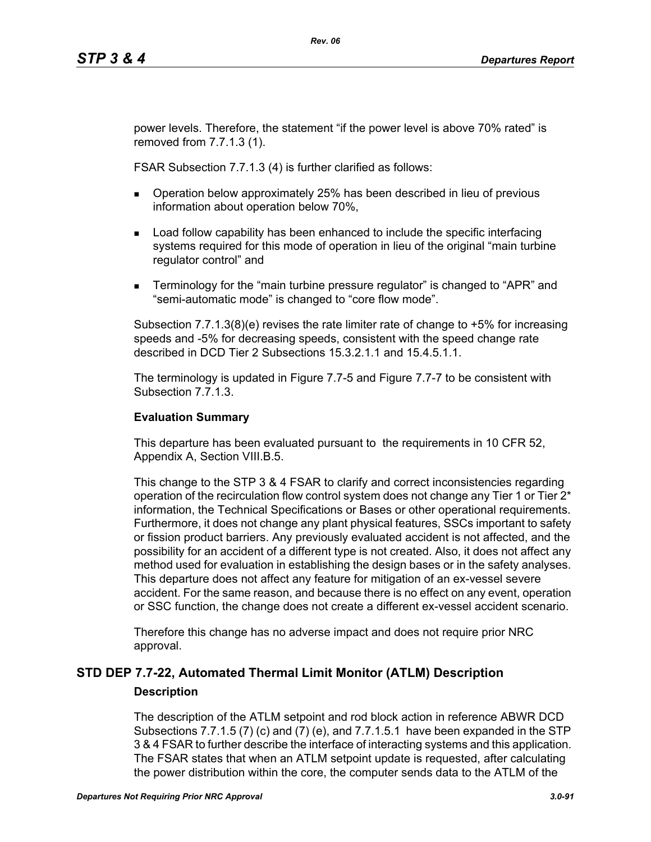power levels. Therefore, the statement "if the power level is above 70% rated" is removed from 7.7.1.3 (1).

FSAR Subsection 7.7.1.3 (4) is further clarified as follows:

- **Dearation below approximately 25% has been described in lieu of previous** information about operation below 70%,
- **Load follow capability has been enhanced to include the specific interfacing** systems required for this mode of operation in lieu of the original "main turbine regulator control" and
- **Terminology for the "main turbine pressure regulator" is changed to "APR" and** "semi-automatic mode" is changed to "core flow mode".

Subsection 7.7.1.3(8)(e) revises the rate limiter rate of change to +5% for increasing speeds and -5% for decreasing speeds, consistent with the speed change rate described in DCD Tier 2 Subsections 15.3.2.1.1 and 15.4.5.1.1.

The terminology is updated in Figure 7.7-5 and Figure 7.7-7 to be consistent with Subsection 7.7.1.3.

## **Evaluation Summary**

This departure has been evaluated pursuant to the requirements in 10 CFR 52, Appendix A, Section VIII.B.5.

This change to the STP 3 & 4 FSAR to clarify and correct inconsistencies regarding operation of the recirculation flow control system does not change any Tier 1 or Tier  $2^*$ information, the Technical Specifications or Bases or other operational requirements. Furthermore, it does not change any plant physical features, SSCs important to safety or fission product barriers. Any previously evaluated accident is not affected, and the possibility for an accident of a different type is not created. Also, it does not affect any method used for evaluation in establishing the design bases or in the safety analyses. This departure does not affect any feature for mitigation of an ex-vessel severe accident. For the same reason, and because there is no effect on any event, operation or SSC function, the change does not create a different ex-vessel accident scenario.

Therefore this change has no adverse impact and does not require prior NRC approval.

## **STD DEP 7.7-22, Automated Thermal Limit Monitor (ATLM) Description Description**

The description of the ATLM setpoint and rod block action in reference ABWR DCD Subsections 7.7.1.5 (7) (c) and (7) (e), and 7.7.1.5.1 have been expanded in the STP 3 & 4 FSAR to further describe the interface of interacting systems and this application. The FSAR states that when an ATLM setpoint update is requested, after calculating the power distribution within the core, the computer sends data to the ATLM of the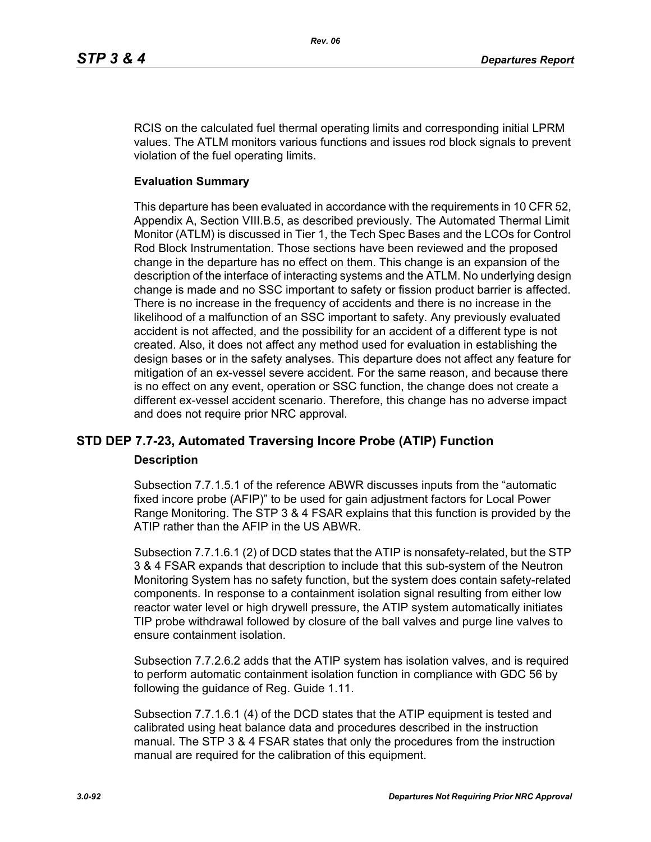RCIS on the calculated fuel thermal operating limits and corresponding initial LPRM values. The ATLM monitors various functions and issues rod block signals to prevent violation of the fuel operating limits.

#### **Evaluation Summary**

This departure has been evaluated in accordance with the requirements in 10 CFR 52, Appendix A, Section VIII.B.5, as described previously. The Automated Thermal Limit Monitor (ATLM) is discussed in Tier 1, the Tech Spec Bases and the LCOs for Control Rod Block Instrumentation. Those sections have been reviewed and the proposed change in the departure has no effect on them. This change is an expansion of the description of the interface of interacting systems and the ATLM. No underlying design change is made and no SSC important to safety or fission product barrier is affected. There is no increase in the frequency of accidents and there is no increase in the likelihood of a malfunction of an SSC important to safety. Any previously evaluated accident is not affected, and the possibility for an accident of a different type is not created. Also, it does not affect any method used for evaluation in establishing the design bases or in the safety analyses. This departure does not affect any feature for mitigation of an ex-vessel severe accident. For the same reason, and because there is no effect on any event, operation or SSC function, the change does not create a different ex-vessel accident scenario. Therefore, this change has no adverse impact and does not require prior NRC approval.

## **STD DEP 7.7-23, Automated Traversing Incore Probe (ATIP) Function**

#### **Description**

Subsection 7.7.1.5.1 of the reference ABWR discusses inputs from the "automatic fixed incore probe (AFIP)" to be used for gain adjustment factors for Local Power Range Monitoring. The STP 3 & 4 FSAR explains that this function is provided by the ATIP rather than the AFIP in the US ABWR.

Subsection 7.7.1.6.1 (2) of DCD states that the ATIP is nonsafety-related, but the STP 3 & 4 FSAR expands that description to include that this sub-system of the Neutron Monitoring System has no safety function, but the system does contain safety-related components. In response to a containment isolation signal resulting from either low reactor water level or high drywell pressure, the ATIP system automatically initiates TIP probe withdrawal followed by closure of the ball valves and purge line valves to ensure containment isolation.

Subsection 7.7.2.6.2 adds that the ATIP system has isolation valves, and is required to perform automatic containment isolation function in compliance with GDC 56 by following the guidance of Reg. Guide 1.11.

Subsection 7.7.1.6.1 (4) of the DCD states that the ATIP equipment is tested and calibrated using heat balance data and procedures described in the instruction manual. The STP 3 & 4 FSAR states that only the procedures from the instruction manual are required for the calibration of this equipment.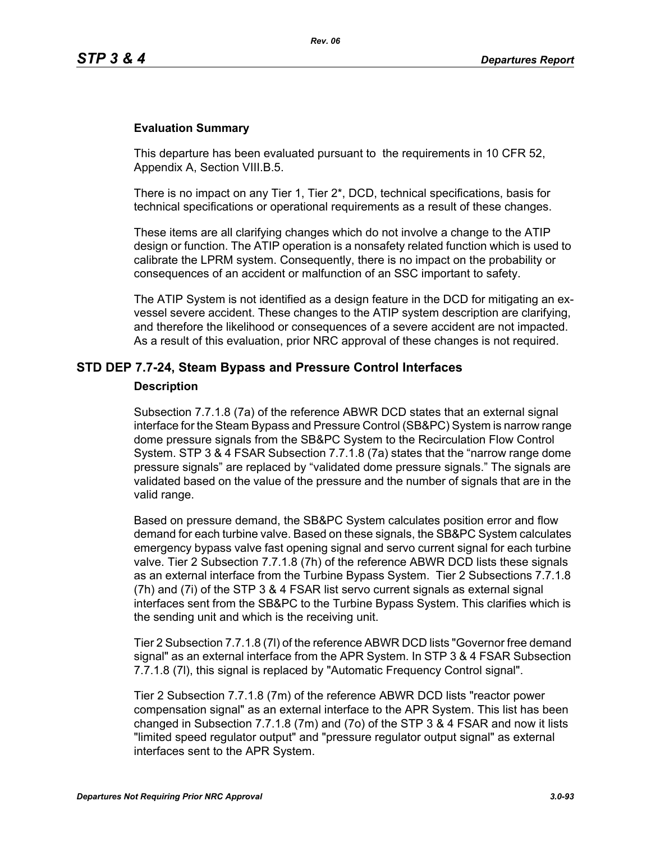#### **Evaluation Summary**

This departure has been evaluated pursuant to the requirements in 10 CFR 52, Appendix A, Section VIII.B.5.

There is no impact on any Tier 1, Tier 2\*, DCD, technical specifications, basis for technical specifications or operational requirements as a result of these changes.

These items are all clarifying changes which do not involve a change to the ATIP design or function. The ATIP operation is a nonsafety related function which is used to calibrate the LPRM system. Consequently, there is no impact on the probability or consequences of an accident or malfunction of an SSC important to safety.

The ATIP System is not identified as a design feature in the DCD for mitigating an exvessel severe accident. These changes to the ATIP system description are clarifying, and therefore the likelihood or consequences of a severe accident are not impacted. As a result of this evaluation, prior NRC approval of these changes is not required.

## **STD DEP 7.7-24, Steam Bypass and Pressure Control Interfaces**

#### **Description**

Subsection 7.7.1.8 (7a) of the reference ABWR DCD states that an external signal interface for the Steam Bypass and Pressure Control (SB&PC) System is narrow range dome pressure signals from the SB&PC System to the Recirculation Flow Control System. STP 3 & 4 FSAR Subsection 7.7.1.8 (7a) states that the "narrow range dome pressure signals" are replaced by "validated dome pressure signals." The signals are validated based on the value of the pressure and the number of signals that are in the valid range.

Based on pressure demand, the SB&PC System calculates position error and flow demand for each turbine valve. Based on these signals, the SB&PC System calculates emergency bypass valve fast opening signal and servo current signal for each turbine valve. Tier 2 Subsection 7.7.1.8 (7h) of the reference ABWR DCD lists these signals as an external interface from the Turbine Bypass System. Tier 2 Subsections 7.7.1.8 (7h) and (7i) of the STP 3 & 4 FSAR list servo current signals as external signal interfaces sent from the SB&PC to the Turbine Bypass System. This clarifies which is the sending unit and which is the receiving unit.

Tier 2 Subsection 7.7.1.8 (7l) of the reference ABWR DCD lists "Governor free demand signal" as an external interface from the APR System. In STP 3 & 4 FSAR Subsection 7.7.1.8 (7l), this signal is replaced by "Automatic Frequency Control signal".

Tier 2 Subsection 7.7.1.8 (7m) of the reference ABWR DCD lists "reactor power compensation signal" as an external interface to the APR System. This list has been changed in Subsection 7.7.1.8 (7m) and (7o) of the STP 3 & 4 FSAR and now it lists "limited speed regulator output" and "pressure regulator output signal" as external interfaces sent to the APR System.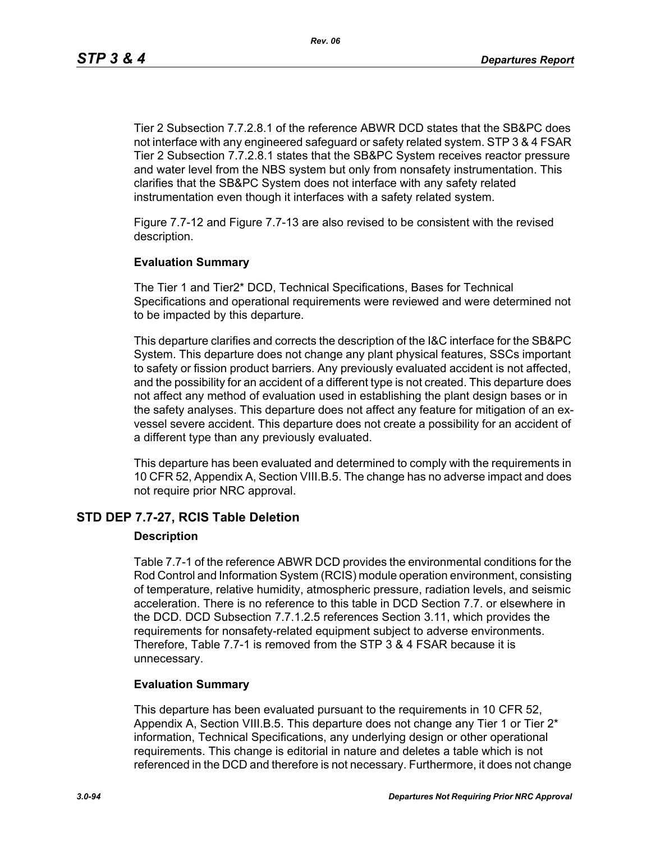Tier 2 Subsection 7.7.2.8.1 of the reference ABWR DCD states that the SB&PC does not interface with any engineered safeguard or safety related system. STP 3 & 4 FSAR Tier 2 Subsection 7.7.2.8.1 states that the SB&PC System receives reactor pressure and water level from the NBS system but only from nonsafety instrumentation. This clarifies that the SB&PC System does not interface with any safety related instrumentation even though it interfaces with a safety related system.

Figure 7.7-12 and Figure 7.7-13 are also revised to be consistent with the revised description.

#### **Evaluation Summary**

The Tier 1 and Tier2\* DCD, Technical Specifications, Bases for Technical Specifications and operational requirements were reviewed and were determined not to be impacted by this departure.

This departure clarifies and corrects the description of the I&C interface for the SB&PC System. This departure does not change any plant physical features, SSCs important to safety or fission product barriers. Any previously evaluated accident is not affected, and the possibility for an accident of a different type is not created. This departure does not affect any method of evaluation used in establishing the plant design bases or in the safety analyses. This departure does not affect any feature for mitigation of an exvessel severe accident. This departure does not create a possibility for an accident of a different type than any previously evaluated.

This departure has been evaluated and determined to comply with the requirements in 10 CFR 52, Appendix A, Section VIII.B.5. The change has no adverse impact and does not require prior NRC approval.

## **STD DEP 7.7-27, RCIS Table Deletion**

#### **Description**

Table 7.7-1 of the reference ABWR DCD provides the environmental conditions for the Rod Control and Information System (RCIS) module operation environment, consisting of temperature, relative humidity, atmospheric pressure, radiation levels, and seismic acceleration. There is no reference to this table in DCD Section 7.7. or elsewhere in the DCD. DCD Subsection 7.7.1.2.5 references Section 3.11, which provides the requirements for nonsafety-related equipment subject to adverse environments. Therefore, Table 7.7-1 is removed from the STP 3 & 4 FSAR because it is unnecessary.

#### **Evaluation Summary**

This departure has been evaluated pursuant to the requirements in 10 CFR 52, Appendix A, Section VIII.B.5. This departure does not change any Tier 1 or Tier 2\* information, Technical Specifications, any underlying design or other operational requirements. This change is editorial in nature and deletes a table which is not referenced in the DCD and therefore is not necessary. Furthermore, it does not change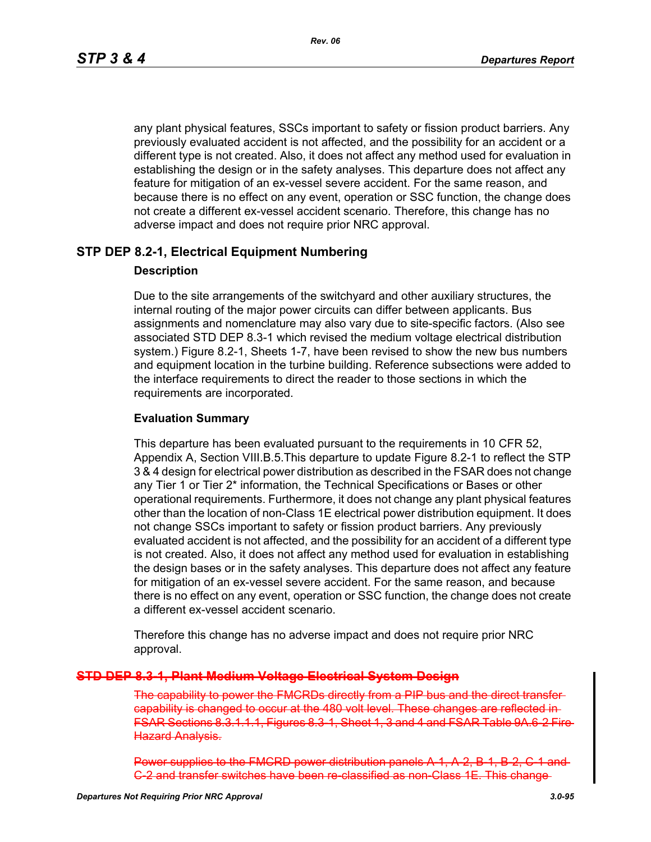*Rev. 06*

any plant physical features, SSCs important to safety or fission product barriers. Any previously evaluated accident is not affected, and the possibility for an accident or a different type is not created. Also, it does not affect any method used for evaluation in establishing the design or in the safety analyses. This departure does not affect any feature for mitigation of an ex-vessel severe accident. For the same reason, and because there is no effect on any event, operation or SSC function, the change does not create a different ex-vessel accident scenario. Therefore, this change has no adverse impact and does not require prior NRC approval.

## **STP DEP 8.2-1, Electrical Equipment Numbering**

#### **Description**

Due to the site arrangements of the switchyard and other auxiliary structures, the internal routing of the major power circuits can differ between applicants. Bus assignments and nomenclature may also vary due to site-specific factors. (Also see associated STD DEP 8.3-1 which revised the medium voltage electrical distribution system.) Figure 8.2-1, Sheets 1-7, have been revised to show the new bus numbers and equipment location in the turbine building. Reference subsections were added to the interface requirements to direct the reader to those sections in which the requirements are incorporated.

#### **Evaluation Summary**

This departure has been evaluated pursuant to the requirements in 10 CFR 52, Appendix A, Section VIII.B.5.This departure to update Figure 8.2-1 to reflect the STP 3 & 4 design for electrical power distribution as described in the FSAR does not change any Tier 1 or Tier 2\* information, the Technical Specifications or Bases or other operational requirements. Furthermore, it does not change any plant physical features other than the location of non-Class 1E electrical power distribution equipment. It does not change SSCs important to safety or fission product barriers. Any previously evaluated accident is not affected, and the possibility for an accident of a different type is not created. Also, it does not affect any method used for evaluation in establishing the design bases or in the safety analyses. This departure does not affect any feature for mitigation of an ex-vessel severe accident. For the same reason, and because there is no effect on any event, operation or SSC function, the change does not create a different ex-vessel accident scenario.

Therefore this change has no adverse impact and does not require prior NRC approval.

## **STD DEP 8.3-1, Plant Medium Voltage Electrical System Design**

The capability to power the FMCRDs directly from a PIP bus and the capability is changed to occur at the 480 volt level. These changes are FSAR Sections 8.3.1.1.1, Figures 8.3-1, Sheet 1, 3 and 4 and FSAR Table Hazard Analysis.

Power supplies to the FMCRD power distribution panels A-1 G-2 and transfer switches have been re-classified as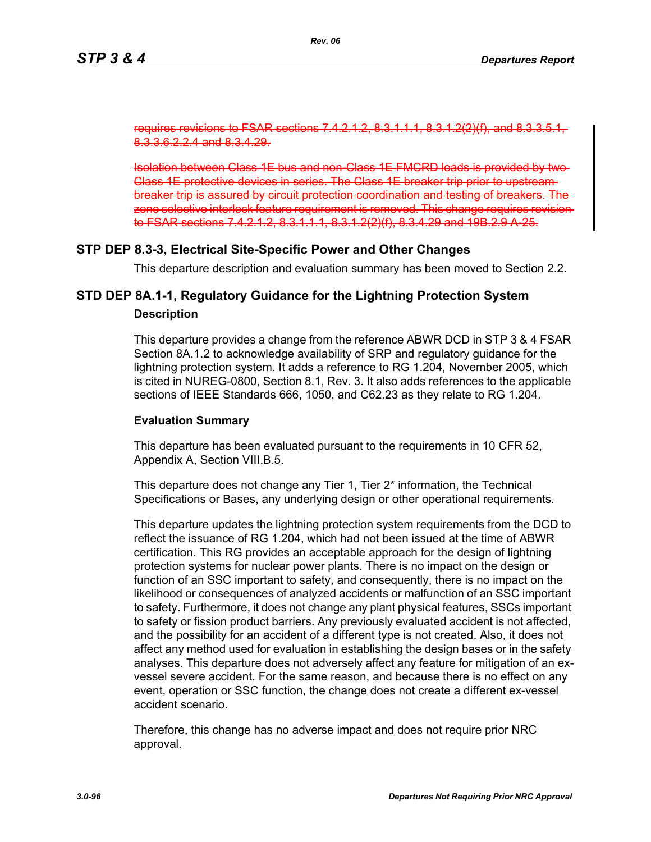sections 7.4.2-1 8.3.3.6.2.2.4 and 8.3.4.29.

Isolation between Class 1E bus and non-Class 1E FMCRD loads is provided by two Class 1E protective devices in series. The Class 1E breaker trip prior to upstream breaker trip is assured by circuit protection coordination and testing of breakers. The zone selective interlock feature requirement is removed. This change require to FSAR sections 7.4.2.1.2, 8.3.1.1.1, 8.3.1.2(2)(f), 8.3.4.29 and 19B.2.9 A-25.

## **STP DEP 8.3-3, Electrical Site-Specific Power and Other Changes**

This departure description and evaluation summary has been moved to Section 2.2.

## **STD DEP 8A.1-1, Regulatory Guidance for the Lightning Protection System Description**

This departure provides a change from the reference ABWR DCD in STP 3 & 4 FSAR Section 8A.1.2 to acknowledge availability of SRP and regulatory guidance for the lightning protection system. It adds a reference to RG 1.204, November 2005, which is cited in NUREG-0800, Section 8.1, Rev. 3. It also adds references to the applicable sections of IEEE Standards 666, 1050, and C62.23 as they relate to RG 1.204.

#### **Evaluation Summary**

This departure has been evaluated pursuant to the requirements in 10 CFR 52, Appendix A, Section VIII.B.5.

This departure does not change any Tier 1, Tier 2<sup>\*</sup> information, the Technical Specifications or Bases, any underlying design or other operational requirements.

This departure updates the lightning protection system requirements from the DCD to reflect the issuance of RG 1.204, which had not been issued at the time of ABWR certification. This RG provides an acceptable approach for the design of lightning protection systems for nuclear power plants. There is no impact on the design or function of an SSC important to safety, and consequently, there is no impact on the likelihood or consequences of analyzed accidents or malfunction of an SSC important to safety. Furthermore, it does not change any plant physical features, SSCs important to safety or fission product barriers. Any previously evaluated accident is not affected, and the possibility for an accident of a different type is not created. Also, it does not affect any method used for evaluation in establishing the design bases or in the safety analyses. This departure does not adversely affect any feature for mitigation of an exvessel severe accident. For the same reason, and because there is no effect on any event, operation or SSC function, the change does not create a different ex-vessel accident scenario.

Therefore, this change has no adverse impact and does not require prior NRC approval.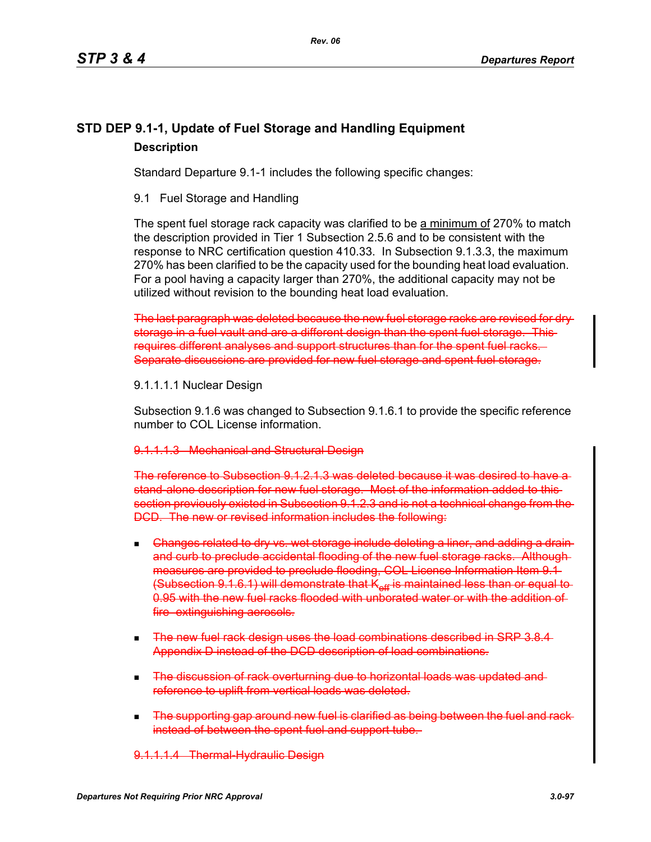## **STD DEP 9.1-1, Update of Fuel Storage and Handling Equipment Description**

Standard Departure 9.1-1 includes the following specific changes:

9.1 Fuel Storage and Handling

The spent fuel storage rack capacity was clarified to be a minimum of 270% to match the description provided in Tier 1 Subsection 2.5.6 and to be consistent with the response to NRC certification question 410.33. In Subsection 9.1.3.3, the maximum 270% has been clarified to be the capacity used for the bounding heat load evaluation. For a pool having a capacity larger than 270%, the additional capacity may not be utilized without revision to the bounding heat load evaluation.

The last paragraph was deleted because the new fuel storage racks are revised for dry storage in a fuel vault and are a different design than the spent fuel storage. Thisrequires different analyses and support structures than for the spent fuel racks. Separate discussions are provided for new fuel storage and spent fuel storage.

## 9.1.1.1.1 Nuclear Design

Subsection 9.1.6 was changed to Subsection 9.1.6.1 to provide the specific reference number to COL License information.

## 9.1.1.1.3 Mechanical and Structural Design

The reference to Subsection 9.1.2.1.3 was deleted because it was desired to have a stand-alone description for new fuel storage. Most of the information added to this section previously existed in Subsection 9.1.2.3 and is not a technical change from the DCD. The new or revised information includes the following:

- Changes related to dry vs. wet storage include deleting a liner, and adding a drain and curb to preclude accidental flooding of the new fuel storage racks. Although measures are provided to preclude flooding, COL License Information Item 9.1 (Subsection 9.1.6.1) will demonstrate that K<sub>eff</sub> is maintained less than or equal to-0.95 with the new fuel racks flooded with unborated water or with the addition of fire extinguishing aerosols.
- **The new fuel rack design uses the load combinations described in SRP 3.8.4** Appendix D instead of the DCD description of load combinations.
- **The discussion of rack overturning due to horizontal loads was updated and**reference to uplift from vertical loads was deleted.
- The supporting gap around new fuel is clarified as being between the fuel and rack instead of between the spent fuel and support tube.

9.1.1.1.4 Thermal Hydraulic Design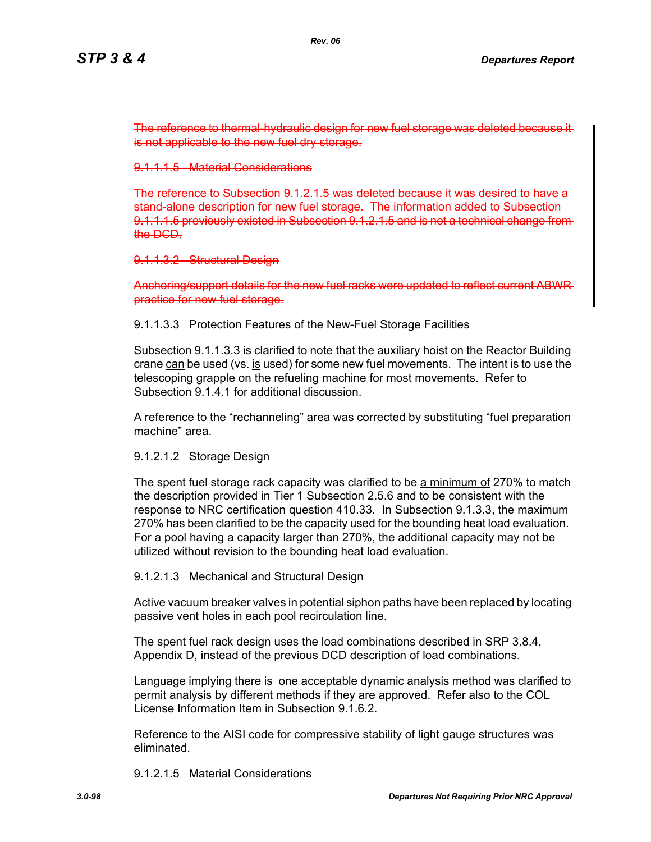The reference to thermal-hydraulic design for new fuel storage is not applicable to the new fuel dry storage.

9.1.1.1.5 Material Considerations

The reference to Subsection  $9.1.2.1.5$  was deleted because stand-alone description for new fuel storage. The information added to Subsection 9.1.1.1.5 previously existed in Subsection 9.1.2.1.5 and is not a technical change from the DCD.

9.1.1.3.2 Structural Design

Anchoring/support details for the new fuel racks were updated to reflect current ABWR practice for new fuel storage.

9.1.1.3.3 Protection Features of the New-Fuel Storage Facilities

Subsection 9.1.1.3.3 is clarified to note that the auxiliary hoist on the Reactor Building crane can be used (vs. is used) for some new fuel movements. The intent is to use the telescoping grapple on the refueling machine for most movements. Refer to Subsection 9.1.4.1 for additional discussion.

A reference to the "rechanneling" area was corrected by substituting "fuel preparation machine" area.

9.1.2.1.2 Storage Design

The spent fuel storage rack capacity was clarified to be a minimum of 270% to match the description provided in Tier 1 Subsection 2.5.6 and to be consistent with the response to NRC certification question 410.33. In Subsection 9.1.3.3, the maximum 270% has been clarified to be the capacity used for the bounding heat load evaluation. For a pool having a capacity larger than 270%, the additional capacity may not be utilized without revision to the bounding heat load evaluation.

9.1.2.1.3 Mechanical and Structural Design

Active vacuum breaker valves in potential siphon paths have been replaced by locating passive vent holes in each pool recirculation line.

The spent fuel rack design uses the load combinations described in SRP 3.8.4, Appendix D, instead of the previous DCD description of load combinations.

Language implying there is one acceptable dynamic analysis method was clarified to permit analysis by different methods if they are approved. Refer also to the COL License Information Item in Subsection 9.1.6.2.

Reference to the AISI code for compressive stability of light gauge structures was eliminated.

9.1.2.1.5 Material Considerations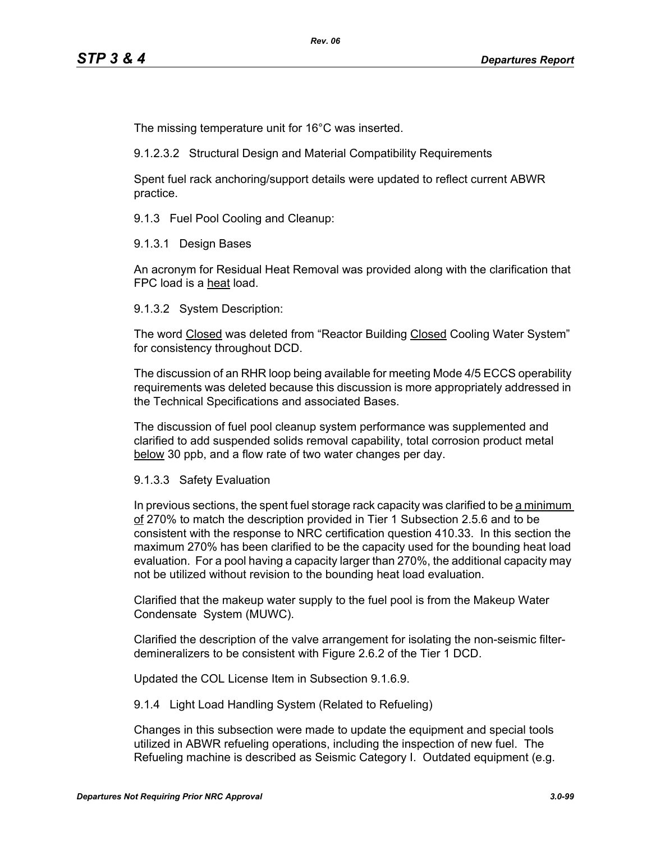The missing temperature unit for 16°C was inserted.

9.1.2.3.2 Structural Design and Material Compatibility Requirements

Spent fuel rack anchoring/support details were updated to reflect current ABWR practice.

9.1.3 Fuel Pool Cooling and Cleanup:

9.1.3.1 Design Bases

An acronym for Residual Heat Removal was provided along with the clarification that FPC load is a heat load.

9.1.3.2 System Description:

The word Closed was deleted from "Reactor Building Closed Cooling Water System" for consistency throughout DCD.

The discussion of an RHR loop being available for meeting Mode 4/5 ECCS operability requirements was deleted because this discussion is more appropriately addressed in the Technical Specifications and associated Bases.

The discussion of fuel pool cleanup system performance was supplemented and clarified to add suspended solids removal capability, total corrosion product metal below 30 ppb, and a flow rate of two water changes per day.

#### 9.1.3.3 Safety Evaluation

In previous sections, the spent fuel storage rack capacity was clarified to be a minimum of 270% to match the description provided in Tier 1 Subsection 2.5.6 and to be consistent with the response to NRC certification question 410.33. In this section the maximum 270% has been clarified to be the capacity used for the bounding heat load evaluation. For a pool having a capacity larger than 270%, the additional capacity may not be utilized without revision to the bounding heat load evaluation.

Clarified that the makeup water supply to the fuel pool is from the Makeup Water Condensate System (MUWC).

Clarified the description of the valve arrangement for isolating the non-seismic filterdemineralizers to be consistent with Figure 2.6.2 of the Tier 1 DCD.

Updated the COL License Item in Subsection 9.1.6.9.

9.1.4 Light Load Handling System (Related to Refueling)

Changes in this subsection were made to update the equipment and special tools utilized in ABWR refueling operations, including the inspection of new fuel. The Refueling machine is described as Seismic Category I. Outdated equipment (e.g.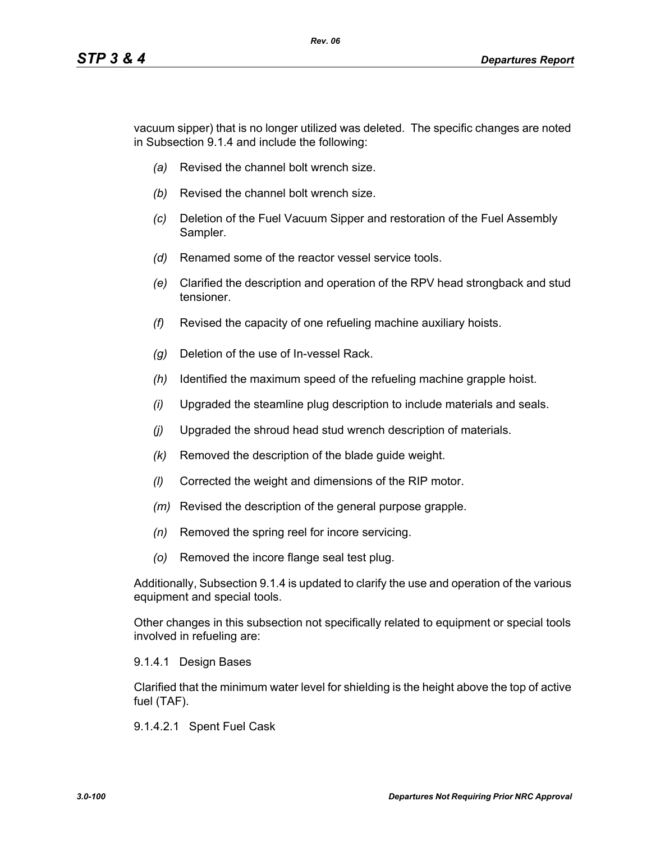vacuum sipper) that is no longer utilized was deleted. The specific changes are noted in Subsection 9.1.4 and include the following:

*Rev. 06*

- *(a)* Revised the channel bolt wrench size.
- *(b)* Revised the channel bolt wrench size.
- *(c)* Deletion of the Fuel Vacuum Sipper and restoration of the Fuel Assembly Sampler.
- *(d)* Renamed some of the reactor vessel service tools.
- *(e)* Clarified the description and operation of the RPV head strongback and stud tensioner.
- *(f)* Revised the capacity of one refueling machine auxiliary hoists.
- *(g)* Deletion of the use of In-vessel Rack.
- *(h)* Identified the maximum speed of the refueling machine grapple hoist.
- *(i)* Upgraded the steamline plug description to include materials and seals.
- *(j)* Upgraded the shroud head stud wrench description of materials.
- *(k)* Removed the description of the blade guide weight.
- *(l)* Corrected the weight and dimensions of the RIP motor.
- *(m)* Revised the description of the general purpose grapple.
- *(n)* Removed the spring reel for incore servicing.
- *(o)* Removed the incore flange seal test plug.

Additionally, Subsection 9.1.4 is updated to clarify the use and operation of the various equipment and special tools.

Other changes in this subsection not specifically related to equipment or special tools involved in refueling are:

#### 9.1.4.1 Design Bases

Clarified that the minimum water level for shielding is the height above the top of active fuel (TAF).

9.1.4.2.1 Spent Fuel Cask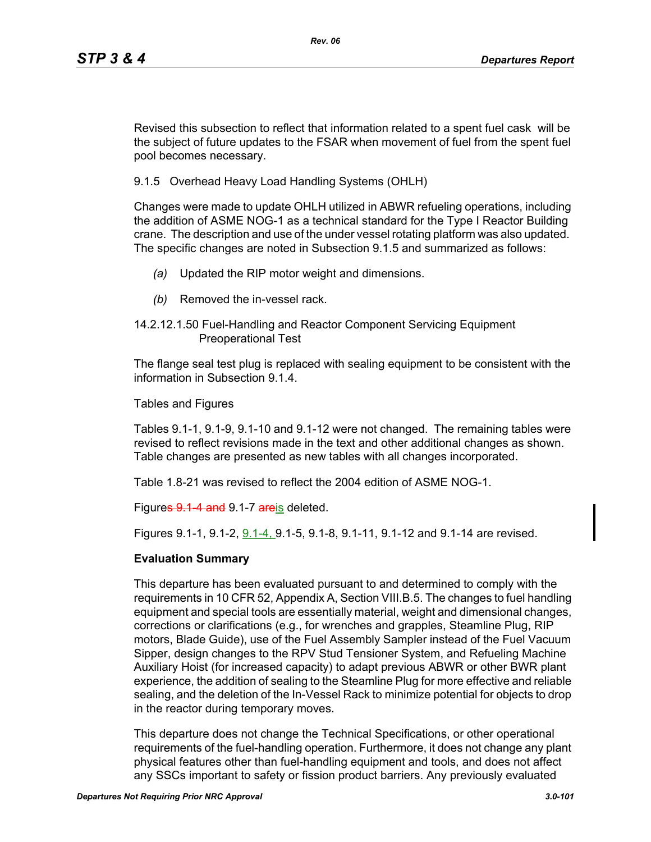Revised this subsection to reflect that information related to a spent fuel cask will be the subject of future updates to the FSAR when movement of fuel from the spent fuel pool becomes necessary.

9.1.5 Overhead Heavy Load Handling Systems (OHLH)

Changes were made to update OHLH utilized in ABWR refueling operations, including the addition of ASME NOG-1 as a technical standard for the Type I Reactor Building crane. The description and use of the under vessel rotating platform was also updated. The specific changes are noted in Subsection 9.1.5 and summarized as follows:

- *(a)* Updated the RIP motor weight and dimensions.
- *(b)* Removed the in-vessel rack.
- 14.2.12.1.50 Fuel-Handling and Reactor Component Servicing Equipment Preoperational Test

The flange seal test plug is replaced with sealing equipment to be consistent with the information in Subsection 9.1.4.

Tables and Figures

Tables 9.1-1, 9.1-9, 9.1-10 and 9.1-12 were not changed. The remaining tables were revised to reflect revisions made in the text and other additional changes as shown. Table changes are presented as new tables with all changes incorporated.

Table 1.8-21 was revised to reflect the 2004 edition of ASME NOG-1.

Figures 9.1 4 and 9.1-7 areis deleted.

Figures 9.1-1, 9.1-2,  $9.1-4$ , 9.1-5, 9.1-8, 9.1-11, 9.1-12 and 9.1-14 are revised.

#### **Evaluation Summary**

This departure has been evaluated pursuant to and determined to comply with the requirements in 10 CFR 52, Appendix A, Section VIII.B.5. The changes to fuel handling equipment and special tools are essentially material, weight and dimensional changes, corrections or clarifications (e.g., for wrenches and grapples, Steamline Plug, RIP motors, Blade Guide), use of the Fuel Assembly Sampler instead of the Fuel Vacuum Sipper, design changes to the RPV Stud Tensioner System, and Refueling Machine Auxiliary Hoist (for increased capacity) to adapt previous ABWR or other BWR plant experience, the addition of sealing to the Steamline Plug for more effective and reliable sealing, and the deletion of the In-Vessel Rack to minimize potential for objects to drop in the reactor during temporary moves.

This departure does not change the Technical Specifications, or other operational requirements of the fuel-handling operation. Furthermore, it does not change any plant physical features other than fuel-handling equipment and tools, and does not affect any SSCs important to safety or fission product barriers. Any previously evaluated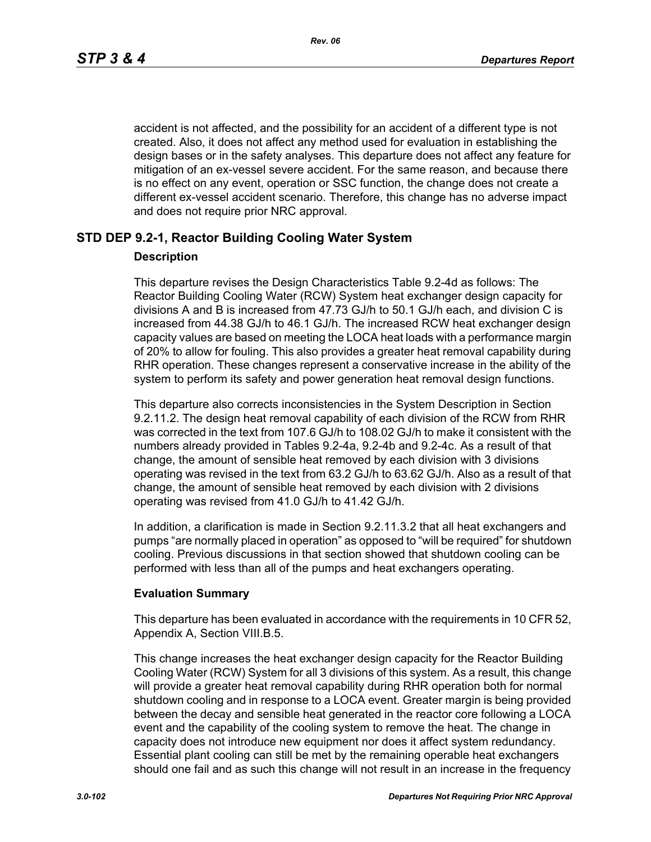accident is not affected, and the possibility for an accident of a different type is not created. Also, it does not affect any method used for evaluation in establishing the design bases or in the safety analyses. This departure does not affect any feature for mitigation of an ex-vessel severe accident. For the same reason, and because there is no effect on any event, operation or SSC function, the change does not create a different ex-vessel accident scenario. Therefore, this change has no adverse impact and does not require prior NRC approval.

## **STD DEP 9.2-1, Reactor Building Cooling Water System**

#### **Description**

This departure revises the Design Characteristics Table 9.2-4d as follows: The Reactor Building Cooling Water (RCW) System heat exchanger design capacity for divisions A and B is increased from 47.73 GJ/h to 50.1 GJ/h each, and division C is increased from 44.38 GJ/h to 46.1 GJ/h. The increased RCW heat exchanger design capacity values are based on meeting the LOCA heat loads with a performance margin of 20% to allow for fouling. This also provides a greater heat removal capability during RHR operation. These changes represent a conservative increase in the ability of the system to perform its safety and power generation heat removal design functions.

This departure also corrects inconsistencies in the System Description in Section 9.2.11.2. The design heat removal capability of each division of the RCW from RHR was corrected in the text from 107.6 GJ/h to 108.02 GJ/h to make it consistent with the numbers already provided in Tables 9.2-4a, 9.2-4b and 9.2-4c. As a result of that change, the amount of sensible heat removed by each division with 3 divisions operating was revised in the text from 63.2 GJ/h to 63.62 GJ/h. Also as a result of that change, the amount of sensible heat removed by each division with 2 divisions operating was revised from 41.0 GJ/h to 41.42 GJ/h.

In addition, a clarification is made in Section 9.2.11.3.2 that all heat exchangers and pumps "are normally placed in operation" as opposed to "will be required" for shutdown cooling. Previous discussions in that section showed that shutdown cooling can be performed with less than all of the pumps and heat exchangers operating.

#### **Evaluation Summary**

This departure has been evaluated in accordance with the requirements in 10 CFR 52, Appendix A, Section VIII.B.5.

This change increases the heat exchanger design capacity for the Reactor Building Cooling Water (RCW) System for all 3 divisions of this system. As a result, this change will provide a greater heat removal capability during RHR operation both for normal shutdown cooling and in response to a LOCA event. Greater margin is being provided between the decay and sensible heat generated in the reactor core following a LOCA event and the capability of the cooling system to remove the heat. The change in capacity does not introduce new equipment nor does it affect system redundancy. Essential plant cooling can still be met by the remaining operable heat exchangers should one fail and as such this change will not result in an increase in the frequency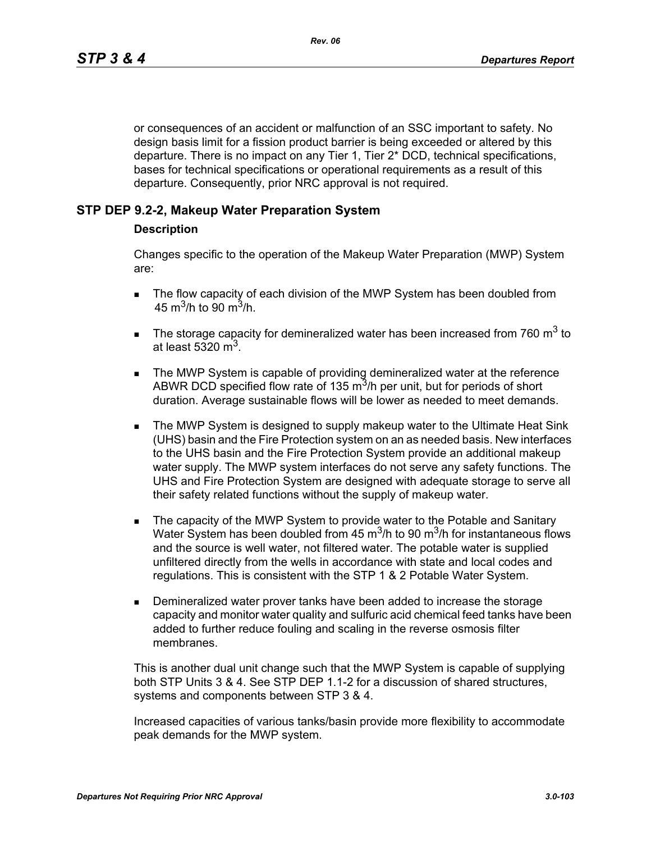or consequences of an accident or malfunction of an SSC important to safety. No design basis limit for a fission product barrier is being exceeded or altered by this departure. There is no impact on any Tier 1, Tier 2\* DCD, technical specifications, bases for technical specifications or operational requirements as a result of this departure. Consequently, prior NRC approval is not required.

## **STP DEP 9.2-2, Makeup Water Preparation System**

#### **Description**

Changes specific to the operation of the Makeup Water Preparation (MWP) System are:

- The flow capacity of each division of the MWP System has been doubled from 45 m<sup>3</sup>/h to 90 m<sup>3</sup>/h.
- The storage capacity for demineralized water has been increased from 760  $m^3$  to at least  $5320 \text{ m}^3$ .
- The MWP System is capable of providing demineralized water at the reference ABWR DCD specified flow rate of 135  $\text{m}^3$ /h per unit, but for periods of short duration. Average sustainable flows will be lower as needed to meet demands.
- **The MWP System is designed to supply makeup water to the Ultimate Heat Sink** (UHS) basin and the Fire Protection system on an as needed basis. New interfaces to the UHS basin and the Fire Protection System provide an additional makeup water supply. The MWP system interfaces do not serve any safety functions. The UHS and Fire Protection System are designed with adequate storage to serve all their safety related functions without the supply of makeup water.
- The capacity of the MWP System to provide water to the Potable and Sanitary Water System has been doubled from 45  $\mathrm{m}^3$ /h to 90  $\mathrm{m}^3$ /h for instantaneous flows and the source is well water, not filtered water. The potable water is supplied unfiltered directly from the wells in accordance with state and local codes and regulations. This is consistent with the STP 1 & 2 Potable Water System.
- Demineralized water prover tanks have been added to increase the storage capacity and monitor water quality and sulfuric acid chemical feed tanks have been added to further reduce fouling and scaling in the reverse osmosis filter membranes.

This is another dual unit change such that the MWP System is capable of supplying both STP Units 3 & 4. See STP DEP 1.1-2 for a discussion of shared structures, systems and components between STP 3 & 4.

Increased capacities of various tanks/basin provide more flexibility to accommodate peak demands for the MWP system.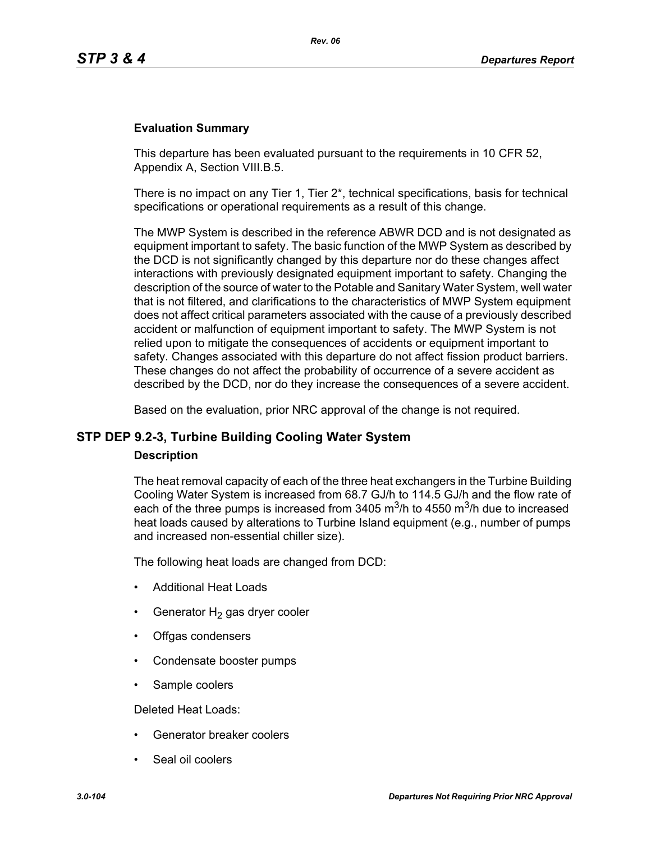#### **Evaluation Summary**

This departure has been evaluated pursuant to the requirements in 10 CFR 52, Appendix A, Section VIII.B.5.

There is no impact on any Tier 1, Tier 2\*, technical specifications, basis for technical specifications or operational requirements as a result of this change.

The MWP System is described in the reference ABWR DCD and is not designated as equipment important to safety. The basic function of the MWP System as described by the DCD is not significantly changed by this departure nor do these changes affect interactions with previously designated equipment important to safety. Changing the description of the source of water to the Potable and Sanitary Water System, well water that is not filtered, and clarifications to the characteristics of MWP System equipment does not affect critical parameters associated with the cause of a previously described accident or malfunction of equipment important to safety. The MWP System is not relied upon to mitigate the consequences of accidents or equipment important to safety. Changes associated with this departure do not affect fission product barriers. These changes do not affect the probability of occurrence of a severe accident as described by the DCD, nor do they increase the consequences of a severe accident.

Based on the evaluation, prior NRC approval of the change is not required.

## **STP DEP 9.2-3, Turbine Building Cooling Water System**

#### **Description**

The heat removal capacity of each of the three heat exchangers in the Turbine Building Cooling Water System is increased from 68.7 GJ/h to 114.5 GJ/h and the flow rate of each of the three pumps is increased from 3405  $\mathrm{m}^3$ /h to 4550  $\mathrm{m}^3$ /h due to increased heat loads caused by alterations to Turbine Island equipment (e.g., number of pumps and increased non-essential chiller size).

The following heat loads are changed from DCD:

- Additional Heat Loads
- Generator  $H_2$  gas dryer cooler
- Offgas condensers
- Condensate booster pumps
- Sample coolers

Deleted Heat Loads:

- Generator breaker coolers
- Seal oil coolers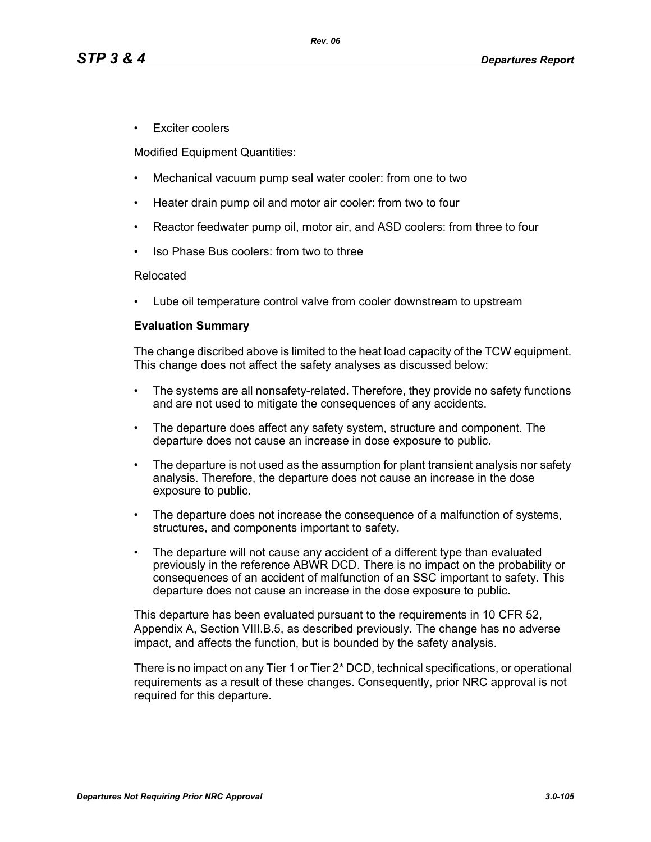• Exciter coolers

Modified Equipment Quantities:

- Mechanical vacuum pump seal water cooler: from one to two
- Heater drain pump oil and motor air cooler: from two to four
- Reactor feedwater pump oil, motor air, and ASD coolers: from three to four
- Iso Phase Bus coolers: from two to three

#### Relocated

• Lube oil temperature control valve from cooler downstream to upstream

## **Evaluation Summary**

The change discribed above is limited to the heat load capacity of the TCW equipment. This change does not affect the safety analyses as discussed below:

- The systems are all nonsafety-related. Therefore, they provide no safety functions and are not used to mitigate the consequences of any accidents.
- The departure does affect any safety system, structure and component. The departure does not cause an increase in dose exposure to public.
- The departure is not used as the assumption for plant transient analysis nor safety analysis. Therefore, the departure does not cause an increase in the dose exposure to public.
- The departure does not increase the consequence of a malfunction of systems, structures, and components important to safety.
- The departure will not cause any accident of a different type than evaluated previously in the reference ABWR DCD. There is no impact on the probability or consequences of an accident of malfunction of an SSC important to safety. This departure does not cause an increase in the dose exposure to public.

This departure has been evaluated pursuant to the requirements in 10 CFR 52, Appendix A, Section VIII.B.5, as described previously. The change has no adverse impact, and affects the function, but is bounded by the safety analysis.

There is no impact on any Tier 1 or Tier 2\* DCD, technical specifications, or operational requirements as a result of these changes. Consequently, prior NRC approval is not required for this departure.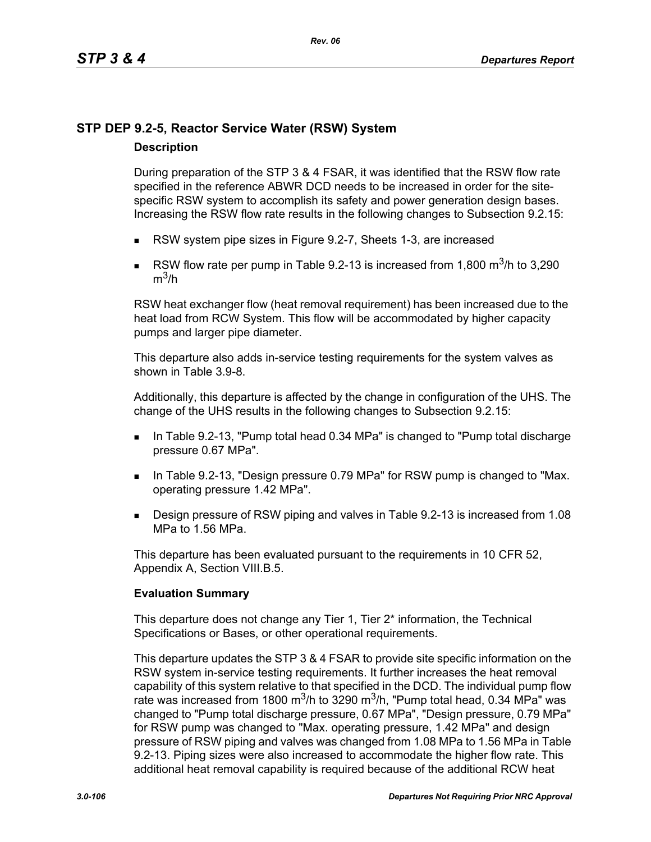# **STP DEP 9.2-5, Reactor Service Water (RSW) System**

## **Description**

During preparation of the STP 3 & 4 FSAR, it was identified that the RSW flow rate specified in the reference ABWR DCD needs to be increased in order for the sitespecific RSW system to accomplish its safety and power generation design bases. Increasing the RSW flow rate results in the following changes to Subsection 9.2.15:

- RSW system pipe sizes in Figure 9.2-7, Sheets 1-3, are increased
- RSW flow rate per pump in Table 9.2-13 is increased from 1,800  $\text{m}^3$ /h to 3,290  $m^3/h$

RSW heat exchanger flow (heat removal requirement) has been increased due to the heat load from RCW System. This flow will be accommodated by higher capacity pumps and larger pipe diameter.

This departure also adds in-service testing requirements for the system valves as shown in Table 3.9-8.

Additionally, this departure is affected by the change in configuration of the UHS. The change of the UHS results in the following changes to Subsection 9.2.15:

- In Table 9.2-13, "Pump total head 0.34 MPa" is changed to "Pump total discharge" pressure 0.67 MPa".
- In Table 9.2-13, "Design pressure 0.79 MPa" for RSW pump is changed to "Max. operating pressure 1.42 MPa".
- Design pressure of RSW piping and valves in Table 9.2-13 is increased from 1.08 MPa to 1.56 MPa.

This departure has been evaluated pursuant to the requirements in 10 CFR 52, Appendix A, Section VIII.B.5.

## **Evaluation Summary**

This departure does not change any Tier 1, Tier 2<sup>\*</sup> information, the Technical Specifications or Bases, or other operational requirements.

This departure updates the STP 3 & 4 FSAR to provide site specific information on the RSW system in-service testing requirements. It further increases the heat removal capability of this system relative to that specified in the DCD. The individual pump flow rate was increased from 1800 m<sup>3</sup>/h to 3290 m<sup>3</sup>/h, "Pump total head, 0.34 MPa" was changed to "Pump total discharge pressure, 0.67 MPa", "Design pressure, 0.79 MPa" for RSW pump was changed to "Max. operating pressure, 1.42 MPa" and design pressure of RSW piping and valves was changed from 1.08 MPa to 1.56 MPa in Table 9.2-13. Piping sizes were also increased to accommodate the higher flow rate. This additional heat removal capability is required because of the additional RCW heat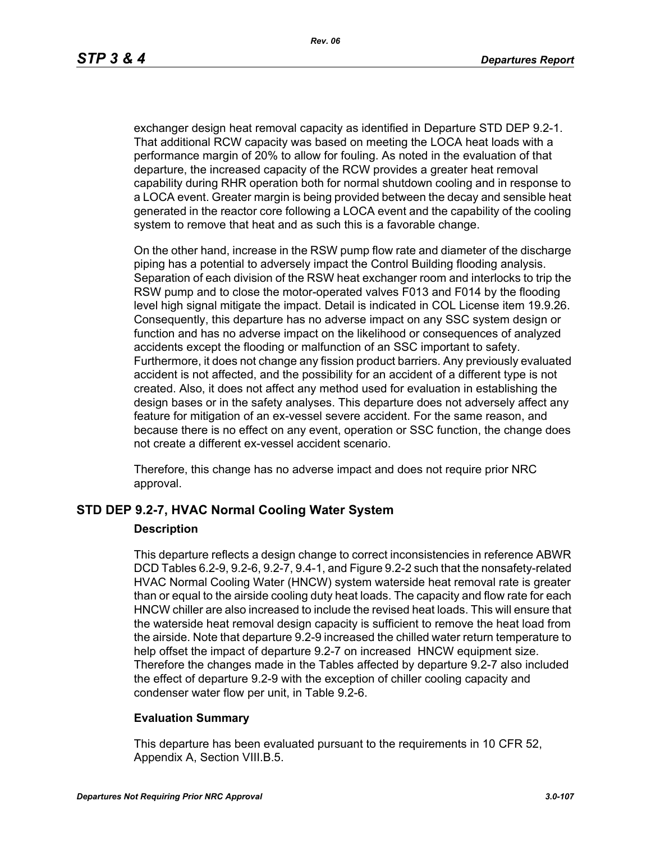exchanger design heat removal capacity as identified in Departure STD DEP 9.2-1. That additional RCW capacity was based on meeting the LOCA heat loads with a performance margin of 20% to allow for fouling. As noted in the evaluation of that departure, the increased capacity of the RCW provides a greater heat removal capability during RHR operation both for normal shutdown cooling and in response to a LOCA event. Greater margin is being provided between the decay and sensible heat generated in the reactor core following a LOCA event and the capability of the cooling system to remove that heat and as such this is a favorable change.

On the other hand, increase in the RSW pump flow rate and diameter of the discharge piping has a potential to adversely impact the Control Building flooding analysis. Separation of each division of the RSW heat exchanger room and interlocks to trip the RSW pump and to close the motor-operated valves F013 and F014 by the flooding level high signal mitigate the impact. Detail is indicated in COL License item 19.9.26. Consequently, this departure has no adverse impact on any SSC system design or function and has no adverse impact on the likelihood or consequences of analyzed accidents except the flooding or malfunction of an SSC important to safety. Furthermore, it does not change any fission product barriers. Any previously evaluated accident is not affected, and the possibility for an accident of a different type is not created. Also, it does not affect any method used for evaluation in establishing the design bases or in the safety analyses. This departure does not adversely affect any feature for mitigation of an ex-vessel severe accident. For the same reason, and because there is no effect on any event, operation or SSC function, the change does not create a different ex-vessel accident scenario.

Therefore, this change has no adverse impact and does not require prior NRC approval.

## **STD DEP 9.2-7, HVAC Normal Cooling Water System**

#### **Description**

This departure reflects a design change to correct inconsistencies in reference ABWR DCD Tables 6.2-9, 9.2-6, 9.2-7, 9.4-1, and Figure 9.2-2 such that the nonsafety-related HVAC Normal Cooling Water (HNCW) system waterside heat removal rate is greater than or equal to the airside cooling duty heat loads. The capacity and flow rate for each HNCW chiller are also increased to include the revised heat loads. This will ensure that the waterside heat removal design capacity is sufficient to remove the heat load from the airside. Note that departure 9.2-9 increased the chilled water return temperature to help offset the impact of departure 9.2-7 on increased HNCW equipment size. Therefore the changes made in the Tables affected by departure 9.2-7 also included the effect of departure 9.2-9 with the exception of chiller cooling capacity and condenser water flow per unit, in Table 9.2-6.

## **Evaluation Summary**

This departure has been evaluated pursuant to the requirements in 10 CFR 52, Appendix A, Section VIII.B.5.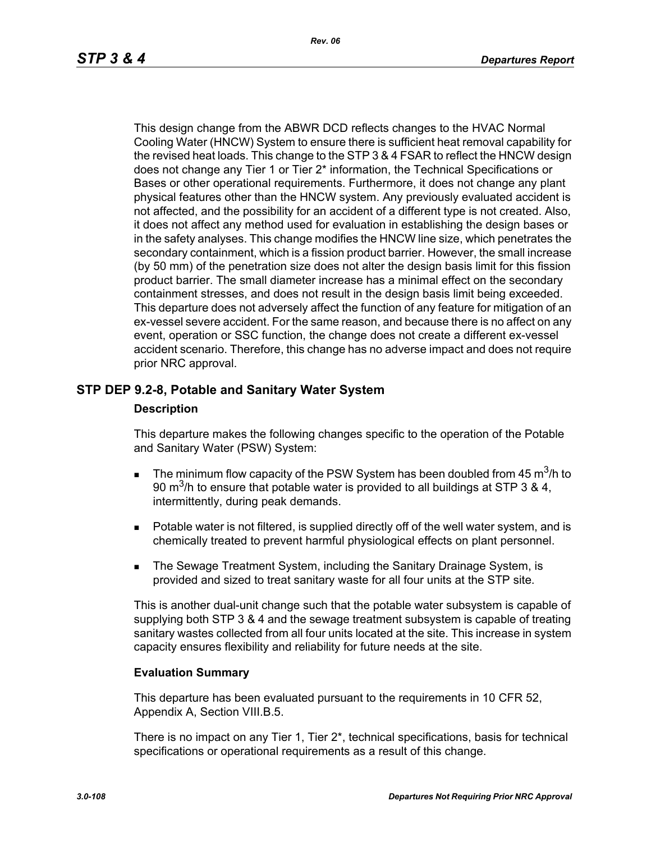This design change from the ABWR DCD reflects changes to the HVAC Normal Cooling Water (HNCW) System to ensure there is sufficient heat removal capability for the revised heat loads. This change to the STP 3 & 4 FSAR to reflect the HNCW design does not change any Tier 1 or Tier 2\* information, the Technical Specifications or Bases or other operational requirements. Furthermore, it does not change any plant physical features other than the HNCW system. Any previously evaluated accident is not affected, and the possibility for an accident of a different type is not created. Also, it does not affect any method used for evaluation in establishing the design bases or in the safety analyses. This change modifies the HNCW line size, which penetrates the secondary containment, which is a fission product barrier. However, the small increase (by 50 mm) of the penetration size does not alter the design basis limit for this fission product barrier. The small diameter increase has a minimal effect on the secondary containment stresses, and does not result in the design basis limit being exceeded. This departure does not adversely affect the function of any feature for mitigation of an ex-vessel severe accident. For the same reason, and because there is no affect on any event, operation or SSC function, the change does not create a different ex-vessel accident scenario. Therefore, this change has no adverse impact and does not require prior NRC approval.

## **STP DEP 9.2-8, Potable and Sanitary Water System**

#### **Description**

This departure makes the following changes specific to the operation of the Potable and Sanitary Water (PSW) System:

- The minimum flow capacity of the PSW System has been doubled from 45  $\text{m}^3$ /h to 90 m<sup>3</sup>/h to ensure that potable water is provided to all buildings at STP 3 & 4, intermittently, during peak demands.
- **Potable water is not filtered, is supplied directly off of the well water system, and is** chemically treated to prevent harmful physiological effects on plant personnel.
- The Sewage Treatment System, including the Sanitary Drainage System, is provided and sized to treat sanitary waste for all four units at the STP site.

This is another dual-unit change such that the potable water subsystem is capable of supplying both STP 3 & 4 and the sewage treatment subsystem is capable of treating sanitary wastes collected from all four units located at the site. This increase in system capacity ensures flexibility and reliability for future needs at the site.

#### **Evaluation Summary**

This departure has been evaluated pursuant to the requirements in 10 CFR 52, Appendix A, Section VIII.B.5.

There is no impact on any Tier 1, Tier 2\*, technical specifications, basis for technical specifications or operational requirements as a result of this change.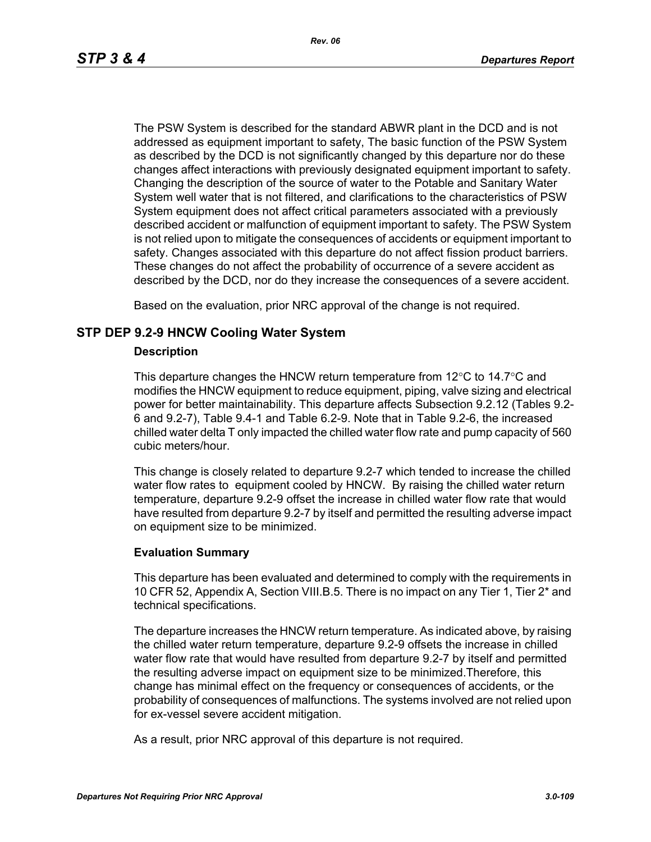The PSW System is described for the standard ABWR plant in the DCD and is not addressed as equipment important to safety, The basic function of the PSW System as described by the DCD is not significantly changed by this departure nor do these changes affect interactions with previously designated equipment important to safety. Changing the description of the source of water to the Potable and Sanitary Water System well water that is not filtered, and clarifications to the characteristics of PSW System equipment does not affect critical parameters associated with a previously described accident or malfunction of equipment important to safety. The PSW System is not relied upon to mitigate the consequences of accidents or equipment important to safety. Changes associated with this departure do not affect fission product barriers. These changes do not affect the probability of occurrence of a severe accident as described by the DCD, nor do they increase the consequences of a severe accident.

Based on the evaluation, prior NRC approval of the change is not required.

### **STP DEP 9.2-9 HNCW Cooling Water System**

#### **Description**

This departure changes the HNCW return temperature from  $12^{\circ}$ C to  $14.7^{\circ}$ C and modifies the HNCW equipment to reduce equipment, piping, valve sizing and electrical power for better maintainability. This departure affects Subsection 9.2.12 (Tables 9.2- 6 and 9.2-7), Table 9.4-1 and Table 6.2-9. Note that in Table 9.2-6, the increased chilled water delta T only impacted the chilled water flow rate and pump capacity of 560 cubic meters/hour.

This change is closely related to departure 9.2-7 which tended to increase the chilled water flow rates to equipment cooled by HNCW. By raising the chilled water return temperature, departure 9.2-9 offset the increase in chilled water flow rate that would have resulted from departure 9.2-7 by itself and permitted the resulting adverse impact on equipment size to be minimized.

#### **Evaluation Summary**

This departure has been evaluated and determined to comply with the requirements in 10 CFR 52, Appendix A, Section VIII.B.5. There is no impact on any Tier 1, Tier 2\* and technical specifications.

The departure increases the HNCW return temperature. As indicated above, by raising the chilled water return temperature, departure 9.2-9 offsets the increase in chilled water flow rate that would have resulted from departure 9.2-7 by itself and permitted the resulting adverse impact on equipment size to be minimized.Therefore, this change has minimal effect on the frequency or consequences of accidents, or the probability of consequences of malfunctions. The systems involved are not relied upon for ex-vessel severe accident mitigation.

As a result, prior NRC approval of this departure is not required.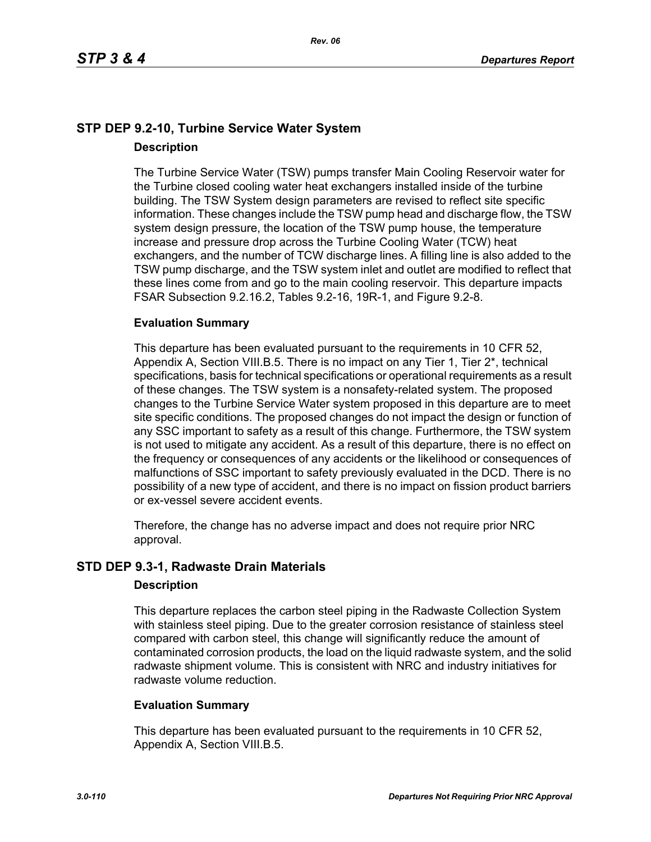# **STP DEP 9.2-10, Turbine Service Water System Description**

The Turbine Service Water (TSW) pumps transfer Main Cooling Reservoir water for the Turbine closed cooling water heat exchangers installed inside of the turbine building. The TSW System design parameters are revised to reflect site specific information. These changes include the TSW pump head and discharge flow, the TSW system design pressure, the location of the TSW pump house, the temperature increase and pressure drop across the Turbine Cooling Water (TCW) heat exchangers, and the number of TCW discharge lines. A filling line is also added to the TSW pump discharge, and the TSW system inlet and outlet are modified to reflect that these lines come from and go to the main cooling reservoir. This departure impacts FSAR Subsection 9.2.16.2, Tables 9.2-16, 19R-1, and Figure 9.2-8.

### **Evaluation Summary**

This departure has been evaluated pursuant to the requirements in 10 CFR 52, Appendix A, Section VIII.B.5. There is no impact on any Tier 1, Tier 2\*, technical specifications, basis for technical specifications or operational requirements as a result of these changes. The TSW system is a nonsafety-related system. The proposed changes to the Turbine Service Water system proposed in this departure are to meet site specific conditions. The proposed changes do not impact the design or function of any SSC important to safety as a result of this change. Furthermore, the TSW system is not used to mitigate any accident. As a result of this departure, there is no effect on the frequency or consequences of any accidents or the likelihood or consequences of malfunctions of SSC important to safety previously evaluated in the DCD. There is no possibility of a new type of accident, and there is no impact on fission product barriers or ex-vessel severe accident events.

Therefore, the change has no adverse impact and does not require prior NRC approval.

# **STD DEP 9.3-1, Radwaste Drain Materials**

### **Description**

This departure replaces the carbon steel piping in the Radwaste Collection System with stainless steel piping. Due to the greater corrosion resistance of stainless steel compared with carbon steel, this change will significantly reduce the amount of contaminated corrosion products, the load on the liquid radwaste system, and the solid radwaste shipment volume. This is consistent with NRC and industry initiatives for radwaste volume reduction.

### **Evaluation Summary**

This departure has been evaluated pursuant to the requirements in 10 CFR 52, Appendix A, Section VIII.B.5.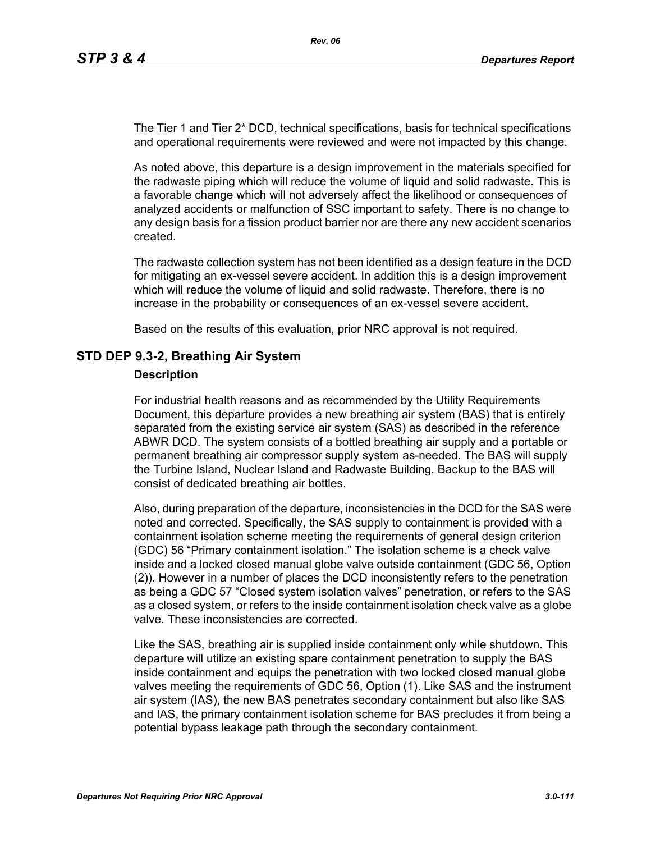The Tier 1 and Tier 2\* DCD, technical specifications, basis for technical specifications and operational requirements were reviewed and were not impacted by this change.

As noted above, this departure is a design improvement in the materials specified for the radwaste piping which will reduce the volume of liquid and solid radwaste. This is a favorable change which will not adversely affect the likelihood or consequences of analyzed accidents or malfunction of SSC important to safety. There is no change to any design basis for a fission product barrier nor are there any new accident scenarios created.

The radwaste collection system has not been identified as a design feature in the DCD for mitigating an ex-vessel severe accident. In addition this is a design improvement which will reduce the volume of liquid and solid radwaste. Therefore, there is no increase in the probability or consequences of an ex-vessel severe accident.

Based on the results of this evaluation, prior NRC approval is not required.

### **STD DEP 9.3-2, Breathing Air System**

#### **Description**

For industrial health reasons and as recommended by the Utility Requirements Document, this departure provides a new breathing air system (BAS) that is entirely separated from the existing service air system (SAS) as described in the reference ABWR DCD. The system consists of a bottled breathing air supply and a portable or permanent breathing air compressor supply system as-needed. The BAS will supply the Turbine Island, Nuclear Island and Radwaste Building. Backup to the BAS will consist of dedicated breathing air bottles.

Also, during preparation of the departure, inconsistencies in the DCD for the SAS were noted and corrected. Specifically, the SAS supply to containment is provided with a containment isolation scheme meeting the requirements of general design criterion (GDC) 56 "Primary containment isolation." The isolation scheme is a check valve inside and a locked closed manual globe valve outside containment (GDC 56, Option (2)). However in a number of places the DCD inconsistently refers to the penetration as being a GDC 57 "Closed system isolation valves" penetration, or refers to the SAS as a closed system, or refers to the inside containment isolation check valve as a globe valve. These inconsistencies are corrected.

Like the SAS, breathing air is supplied inside containment only while shutdown. This departure will utilize an existing spare containment penetration to supply the BAS inside containment and equips the penetration with two locked closed manual globe valves meeting the requirements of GDC 56, Option (1). Like SAS and the instrument air system (IAS), the new BAS penetrates secondary containment but also like SAS and IAS, the primary containment isolation scheme for BAS precludes it from being a potential bypass leakage path through the secondary containment.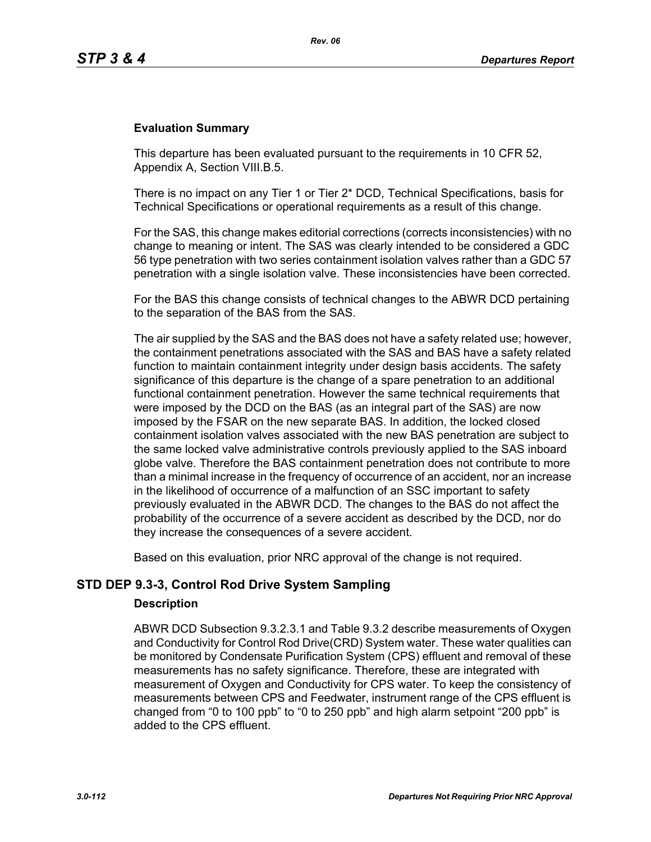#### **Evaluation Summary**

This departure has been evaluated pursuant to the requirements in 10 CFR 52, Appendix A, Section VIII.B.5.

There is no impact on any Tier 1 or Tier 2\* DCD, Technical Specifications, basis for Technical Specifications or operational requirements as a result of this change.

For the SAS, this change makes editorial corrections (corrects inconsistencies) with no change to meaning or intent. The SAS was clearly intended to be considered a GDC 56 type penetration with two series containment isolation valves rather than a GDC 57 penetration with a single isolation valve. These inconsistencies have been corrected.

For the BAS this change consists of technical changes to the ABWR DCD pertaining to the separation of the BAS from the SAS.

The air supplied by the SAS and the BAS does not have a safety related use; however, the containment penetrations associated with the SAS and BAS have a safety related function to maintain containment integrity under design basis accidents. The safety significance of this departure is the change of a spare penetration to an additional functional containment penetration. However the same technical requirements that were imposed by the DCD on the BAS (as an integral part of the SAS) are now imposed by the FSAR on the new separate BAS. In addition, the locked closed containment isolation valves associated with the new BAS penetration are subject to the same locked valve administrative controls previously applied to the SAS inboard globe valve. Therefore the BAS containment penetration does not contribute to more than a minimal increase in the frequency of occurrence of an accident, nor an increase in the likelihood of occurrence of a malfunction of an SSC important to safety previously evaluated in the ABWR DCD. The changes to the BAS do not affect the probability of the occurrence of a severe accident as described by the DCD, nor do they increase the consequences of a severe accident.

Based on this evaluation, prior NRC approval of the change is not required.

### **STD DEP 9.3-3, Control Rod Drive System Sampling**

#### **Description**

ABWR DCD Subsection 9.3.2.3.1 and Table 9.3.2 describe measurements of Oxygen and Conductivity for Control Rod Drive(CRD) System water. These water qualities can be monitored by Condensate Purification System (CPS) effluent and removal of these measurements has no safety significance. Therefore, these are integrated with measurement of Oxygen and Conductivity for CPS water. To keep the consistency of measurements between CPS and Feedwater, instrument range of the CPS effluent is changed from "0 to 100 ppb" to "0 to 250 ppb" and high alarm setpoint "200 ppb" is added to the CPS effluent.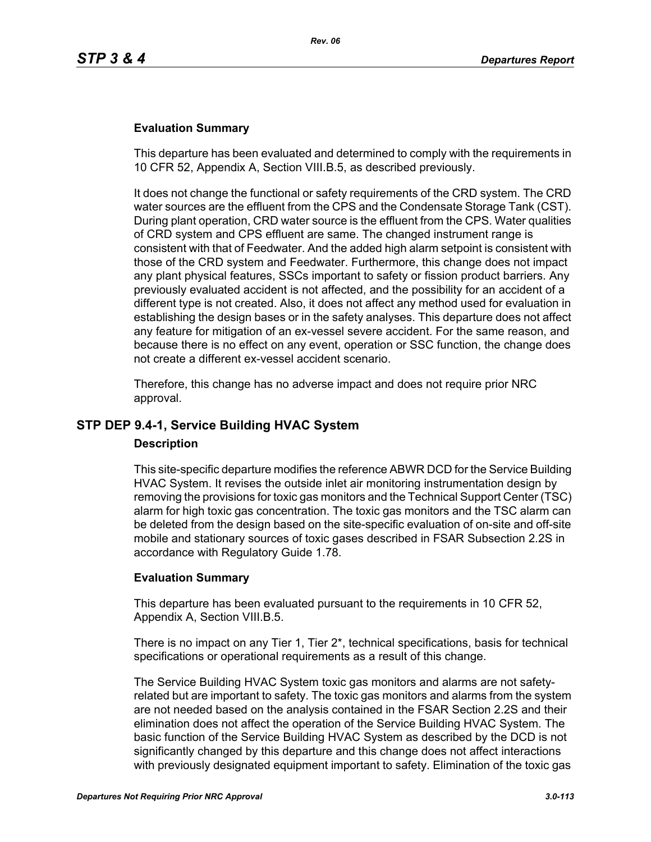#### **Evaluation Summary**

This departure has been evaluated and determined to comply with the requirements in 10 CFR 52, Appendix A, Section VIII.B.5, as described previously.

It does not change the functional or safety requirements of the CRD system. The CRD water sources are the effluent from the CPS and the Condensate Storage Tank (CST). During plant operation, CRD water source is the effluent from the CPS. Water qualities of CRD system and CPS effluent are same. The changed instrument range is consistent with that of Feedwater. And the added high alarm setpoint is consistent with those of the CRD system and Feedwater. Furthermore, this change does not impact any plant physical features, SSCs important to safety or fission product barriers. Any previously evaluated accident is not affected, and the possibility for an accident of a different type is not created. Also, it does not affect any method used for evaluation in establishing the design bases or in the safety analyses. This departure does not affect any feature for mitigation of an ex-vessel severe accident. For the same reason, and because there is no effect on any event, operation or SSC function, the change does not create a different ex-vessel accident scenario.

Therefore, this change has no adverse impact and does not require prior NRC approval.

### **STP DEP 9.4-1, Service Building HVAC System**

#### **Description**

This site-specific departure modifies the reference ABWR DCD for the Service Building HVAC System. It revises the outside inlet air monitoring instrumentation design by removing the provisions for toxic gas monitors and the Technical Support Center (TSC) alarm for high toxic gas concentration. The toxic gas monitors and the TSC alarm can be deleted from the design based on the site-specific evaluation of on-site and off-site mobile and stationary sources of toxic gases described in FSAR Subsection 2.2S in accordance with Regulatory Guide 1.78.

#### **Evaluation Summary**

This departure has been evaluated pursuant to the requirements in 10 CFR 52, Appendix A, Section VIII.B.5.

There is no impact on any Tier 1, Tier 2\*, technical specifications, basis for technical specifications or operational requirements as a result of this change.

The Service Building HVAC System toxic gas monitors and alarms are not safetyrelated but are important to safety. The toxic gas monitors and alarms from the system are not needed based on the analysis contained in the FSAR Section 2.2S and their elimination does not affect the operation of the Service Building HVAC System. The basic function of the Service Building HVAC System as described by the DCD is not significantly changed by this departure and this change does not affect interactions with previously designated equipment important to safety. Elimination of the toxic gas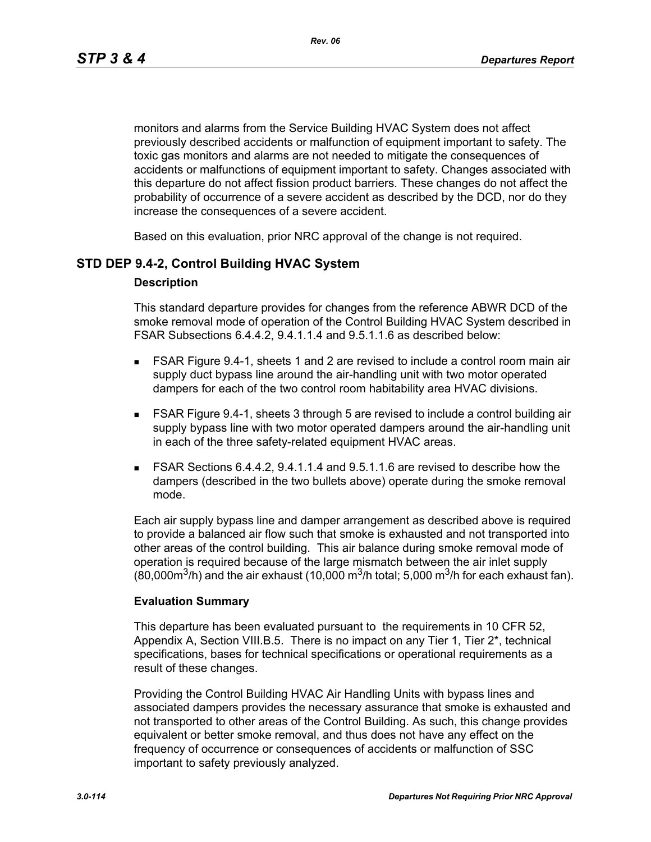monitors and alarms from the Service Building HVAC System does not affect previously described accidents or malfunction of equipment important to safety. The toxic gas monitors and alarms are not needed to mitigate the consequences of accidents or malfunctions of equipment important to safety. Changes associated with this departure do not affect fission product barriers. These changes do not affect the probability of occurrence of a severe accident as described by the DCD, nor do they increase the consequences of a severe accident.

Based on this evaluation, prior NRC approval of the change is not required.

## **STD DEP 9.4-2, Control Building HVAC System**

#### **Description**

This standard departure provides for changes from the reference ABWR DCD of the smoke removal mode of operation of the Control Building HVAC System described in FSAR Subsections 6.4.4.2, 9.4.1.1.4 and 9.5.1.1.6 as described below:

- FSAR Figure 9.4-1, sheets 1 and 2 are revised to include a control room main air supply duct bypass line around the air-handling unit with two motor operated dampers for each of the two control room habitability area HVAC divisions.
- FSAR Figure 9.4-1, sheets 3 through 5 are revised to include a control building air supply bypass line with two motor operated dampers around the air-handling unit in each of the three safety-related equipment HVAC areas.
- FSAR Sections 6.4.4.2, 9.4.1.1.4 and 9.5.1.1.6 are revised to describe how the dampers (described in the two bullets above) operate during the smoke removal mode.

Each air supply bypass line and damper arrangement as described above is required to provide a balanced air flow such that smoke is exhausted and not transported into other areas of the control building. This air balance during smoke removal mode of operation is required because of the large mismatch between the air inlet supply (80,000 $\text{m}^3$ /h) and the air exhaust (10,000  $\text{m}^3$ /h total; 5,000  $\text{m}^3$ /h for each exhaust fan).

#### **Evaluation Summary**

This departure has been evaluated pursuant to the requirements in 10 CFR 52, Appendix A, Section VIII.B.5. There is no impact on any Tier 1, Tier 2\*, technical specifications, bases for technical specifications or operational requirements as a result of these changes.

Providing the Control Building HVAC Air Handling Units with bypass lines and associated dampers provides the necessary assurance that smoke is exhausted and not transported to other areas of the Control Building. As such, this change provides equivalent or better smoke removal, and thus does not have any effect on the frequency of occurrence or consequences of accidents or malfunction of SSC important to safety previously analyzed.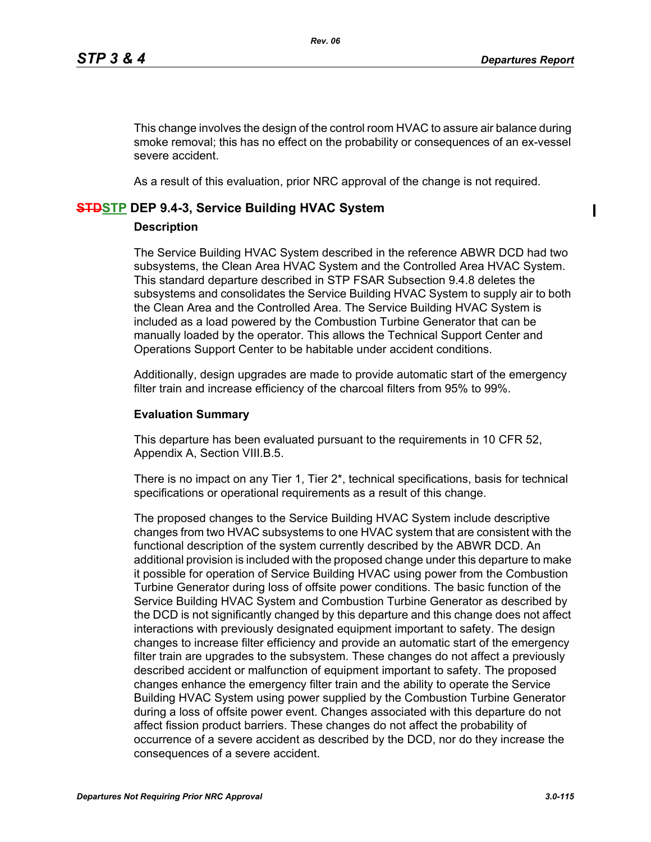$\mathbf I$ 

This change involves the design of the control room HVAC to assure air balance during smoke removal; this has no effect on the probability or consequences of an ex-vessel severe accident.

As a result of this evaluation, prior NRC approval of the change is not required.

#### **STDSTP DEP 9.4-3, Service Building HVAC System**

#### **Description**

The Service Building HVAC System described in the reference ABWR DCD had two subsystems, the Clean Area HVAC System and the Controlled Area HVAC System. This standard departure described in STP FSAR Subsection 9.4.8 deletes the subsystems and consolidates the Service Building HVAC System to supply air to both the Clean Area and the Controlled Area. The Service Building HVAC System is included as a load powered by the Combustion Turbine Generator that can be manually loaded by the operator. This allows the Technical Support Center and Operations Support Center to be habitable under accident conditions.

Additionally, design upgrades are made to provide automatic start of the emergency filter train and increase efficiency of the charcoal filters from 95% to 99%.

#### **Evaluation Summary**

This departure has been evaluated pursuant to the requirements in 10 CFR 52, Appendix A, Section VIII.B.5.

There is no impact on any Tier 1, Tier 2\*, technical specifications, basis for technical specifications or operational requirements as a result of this change.

The proposed changes to the Service Building HVAC System include descriptive changes from two HVAC subsystems to one HVAC system that are consistent with the functional description of the system currently described by the ABWR DCD. An additional provision is included with the proposed change under this departure to make it possible for operation of Service Building HVAC using power from the Combustion Turbine Generator during loss of offsite power conditions. The basic function of the Service Building HVAC System and Combustion Turbine Generator as described by the DCD is not significantly changed by this departure and this change does not affect interactions with previously designated equipment important to safety. The design changes to increase filter efficiency and provide an automatic start of the emergency filter train are upgrades to the subsystem. These changes do not affect a previously described accident or malfunction of equipment important to safety. The proposed changes enhance the emergency filter train and the ability to operate the Service Building HVAC System using power supplied by the Combustion Turbine Generator during a loss of offsite power event. Changes associated with this departure do not affect fission product barriers. These changes do not affect the probability of occurrence of a severe accident as described by the DCD, nor do they increase the consequences of a severe accident.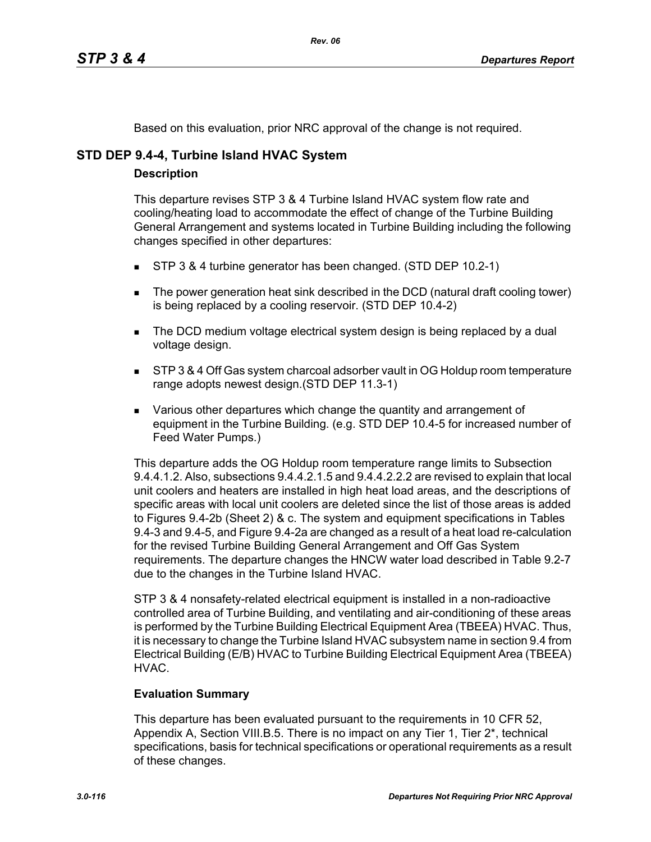Based on this evaluation, prior NRC approval of the change is not required.

# **STD DEP 9.4-4, Turbine Island HVAC System**

### **Description**

This departure revises STP 3 & 4 Turbine Island HVAC system flow rate and cooling/heating load to accommodate the effect of change of the Turbine Building General Arrangement and systems located in Turbine Building including the following changes specified in other departures:

- STP 3 & 4 turbine generator has been changed. (STD DEP 10.2-1)
- The power generation heat sink described in the DCD (natural draft cooling tower) is being replaced by a cooling reservoir. (STD DEP 10.4-2)
- The DCD medium voltage electrical system design is being replaced by a dual voltage design.
- **STP 3 & 4 Off Gas system charcoal adsorber vault in OG Holdup room temperature** range adopts newest design.(STD DEP 11.3-1)
- **EXECT** Various other departures which change the quantity and arrangement of equipment in the Turbine Building. (e.g. STD DEP 10.4-5 for increased number of Feed Water Pumps.)

This departure adds the OG Holdup room temperature range limits to Subsection 9.4.4.1.2. Also, subsections 9.4.4.2.1.5 and 9.4.4.2.2.2 are revised to explain that local unit coolers and heaters are installed in high heat load areas, and the descriptions of specific areas with local unit coolers are deleted since the list of those areas is added to Figures 9.4-2b (Sheet 2) & c. The system and equipment specifications in Tables 9.4-3 and 9.4-5, and Figure 9.4-2a are changed as a result of a heat load re-calculation for the revised Turbine Building General Arrangement and Off Gas System requirements. The departure changes the HNCW water load described in Table 9.2-7 due to the changes in the Turbine Island HVAC.

STP 3 & 4 nonsafety-related electrical equipment is installed in a non-radioactive controlled area of Turbine Building, and ventilating and air-conditioning of these areas is performed by the Turbine Building Electrical Equipment Area (TBEEA) HVAC. Thus, it is necessary to change the Turbine Island HVAC subsystem name in section 9.4 from Electrical Building (E/B) HVAC to Turbine Building Electrical Equipment Area (TBEEA) HVAC.

## **Evaluation Summary**

This departure has been evaluated pursuant to the requirements in 10 CFR 52, Appendix A, Section VIII.B.5. There is no impact on any Tier 1, Tier 2\*, technical specifications, basis for technical specifications or operational requirements as a result of these changes.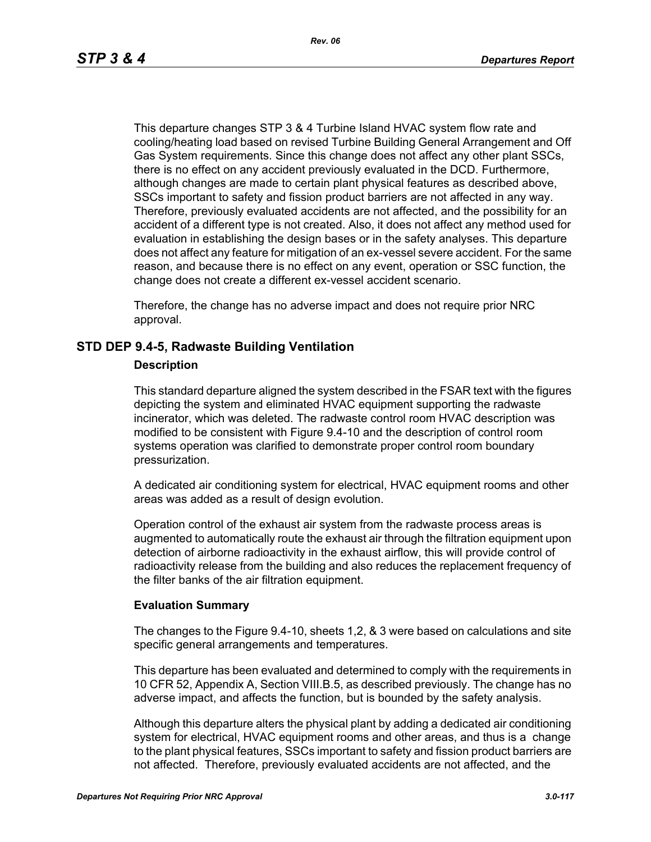This departure changes STP 3 & 4 Turbine Island HVAC system flow rate and cooling/heating load based on revised Turbine Building General Arrangement and Off Gas System requirements. Since this change does not affect any other plant SSCs, there is no effect on any accident previously evaluated in the DCD. Furthermore, although changes are made to certain plant physical features as described above, SSCs important to safety and fission product barriers are not affected in any way. Therefore, previously evaluated accidents are not affected, and the possibility for an accident of a different type is not created. Also, it does not affect any method used for evaluation in establishing the design bases or in the safety analyses. This departure does not affect any feature for mitigation of an ex-vessel severe accident. For the same reason, and because there is no effect on any event, operation or SSC function, the change does not create a different ex-vessel accident scenario.

Therefore, the change has no adverse impact and does not require prior NRC approval.

### **STD DEP 9.4-5, Radwaste Building Ventilation**

#### **Description**

This standard departure aligned the system described in the FSAR text with the figures depicting the system and eliminated HVAC equipment supporting the radwaste incinerator, which was deleted. The radwaste control room HVAC description was modified to be consistent with Figure 9.4-10 and the description of control room systems operation was clarified to demonstrate proper control room boundary pressurization.

A dedicated air conditioning system for electrical, HVAC equipment rooms and other areas was added as a result of design evolution.

Operation control of the exhaust air system from the radwaste process areas is augmented to automatically route the exhaust air through the filtration equipment upon detection of airborne radioactivity in the exhaust airflow, this will provide control of radioactivity release from the building and also reduces the replacement frequency of the filter banks of the air filtration equipment.

#### **Evaluation Summary**

The changes to the Figure 9.4-10, sheets 1,2, & 3 were based on calculations and site specific general arrangements and temperatures.

This departure has been evaluated and determined to comply with the requirements in 10 CFR 52, Appendix A, Section VIII.B.5, as described previously. The change has no adverse impact, and affects the function, but is bounded by the safety analysis.

Although this departure alters the physical plant by adding a dedicated air conditioning system for electrical, HVAC equipment rooms and other areas, and thus is a change to the plant physical features, SSCs important to safety and fission product barriers are not affected. Therefore, previously evaluated accidents are not affected, and the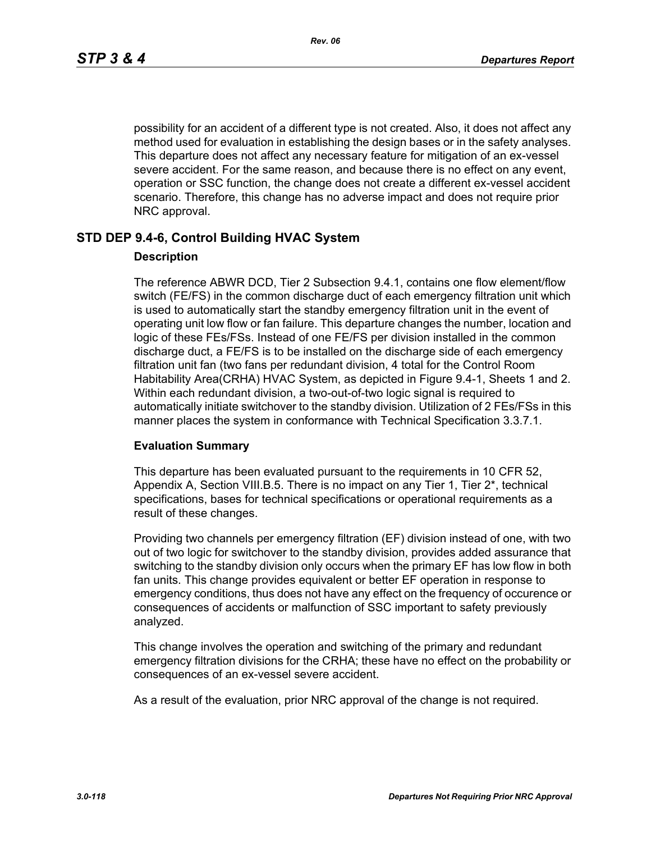possibility for an accident of a different type is not created. Also, it does not affect any method used for evaluation in establishing the design bases or in the safety analyses. This departure does not affect any necessary feature for mitigation of an ex-vessel severe accident. For the same reason, and because there is no effect on any event, operation or SSC function, the change does not create a different ex-vessel accident scenario. Therefore, this change has no adverse impact and does not require prior NRC approval.

### **STD DEP 9.4-6, Control Building HVAC System**

#### **Description**

The reference ABWR DCD, Tier 2 Subsection 9.4.1, contains one flow element/flow switch (FE/FS) in the common discharge duct of each emergency filtration unit which is used to automatically start the standby emergency filtration unit in the event of operating unit low flow or fan failure. This departure changes the number, location and logic of these FEs/FSs. Instead of one FE/FS per division installed in the common discharge duct, a FE/FS is to be installed on the discharge side of each emergency filtration unit fan (two fans per redundant division, 4 total for the Control Room Habitability Area(CRHA) HVAC System, as depicted in Figure 9.4-1, Sheets 1 and 2. Within each redundant division, a two-out-of-two logic signal is required to automatically initiate switchover to the standby division. Utilization of 2 FEs/FSs in this manner places the system in conformance with Technical Specification 3.3.7.1.

#### **Evaluation Summary**

This departure has been evaluated pursuant to the requirements in 10 CFR 52, Appendix A, Section VIII.B.5. There is no impact on any Tier 1, Tier 2<sup>\*</sup>, technical specifications, bases for technical specifications or operational requirements as a result of these changes.

Providing two channels per emergency filtration (EF) division instead of one, with two out of two logic for switchover to the standby division, provides added assurance that switching to the standby division only occurs when the primary EF has low flow in both fan units. This change provides equivalent or better EF operation in response to emergency conditions, thus does not have any effect on the frequency of occurence or consequences of accidents or malfunction of SSC important to safety previously analyzed.

This change involves the operation and switching of the primary and redundant emergency filtration divisions for the CRHA; these have no effect on the probability or consequences of an ex-vessel severe accident.

As a result of the evaluation, prior NRC approval of the change is not required.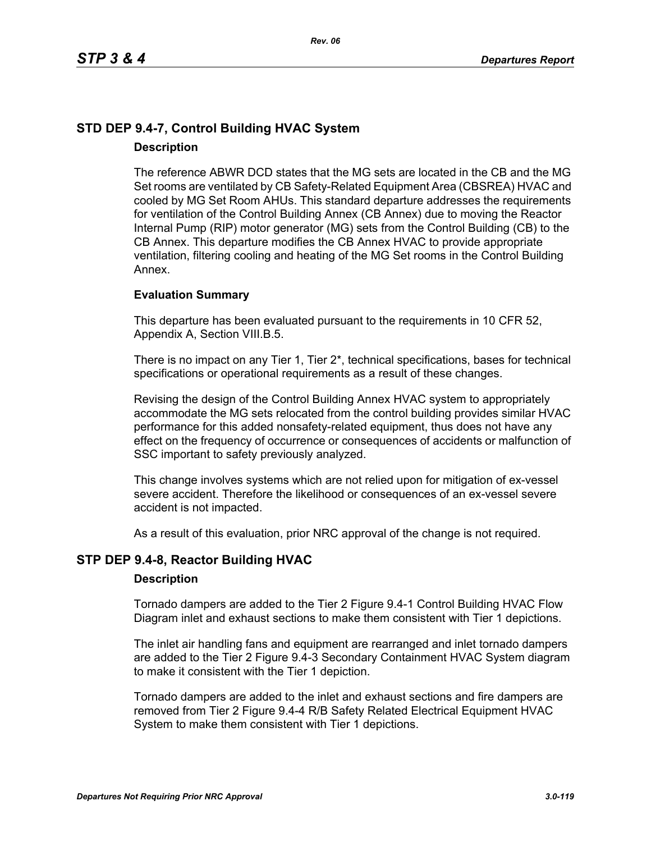# **STD DEP 9.4-7, Control Building HVAC System Description**

The reference ABWR DCD states that the MG sets are located in the CB and the MG Set rooms are ventilated by CB Safety-Related Equipment Area (CBSREA) HVAC and cooled by MG Set Room AHUs. This standard departure addresses the requirements for ventilation of the Control Building Annex (CB Annex) due to moving the Reactor Internal Pump (RIP) motor generator (MG) sets from the Control Building (CB) to the CB Annex. This departure modifies the CB Annex HVAC to provide appropriate ventilation, filtering cooling and heating of the MG Set rooms in the Control Building Annex.

#### **Evaluation Summary**

This departure has been evaluated pursuant to the requirements in 10 CFR 52, Appendix A, Section VIII.B.5.

There is no impact on any Tier 1, Tier 2\*, technical specifications, bases for technical specifications or operational requirements as a result of these changes.

Revising the design of the Control Building Annex HVAC system to appropriately accommodate the MG sets relocated from the control building provides similar HVAC performance for this added nonsafety-related equipment, thus does not have any effect on the frequency of occurrence or consequences of accidents or malfunction of SSC important to safety previously analyzed.

This change involves systems which are not relied upon for mitigation of ex-vessel severe accident. Therefore the likelihood or consequences of an ex-vessel severe accident is not impacted.

As a result of this evaluation, prior NRC approval of the change is not required.

### **STP DEP 9.4-8, Reactor Building HVAC**

#### **Description**

Tornado dampers are added to the Tier 2 Figure 9.4-1 Control Building HVAC Flow Diagram inlet and exhaust sections to make them consistent with Tier 1 depictions.

The inlet air handling fans and equipment are rearranged and inlet tornado dampers are added to the Tier 2 Figure 9.4-3 Secondary Containment HVAC System diagram to make it consistent with the Tier 1 depiction.

Tornado dampers are added to the inlet and exhaust sections and fire dampers are removed from Tier 2 Figure 9.4-4 R/B Safety Related Electrical Equipment HVAC System to make them consistent with Tier 1 depictions.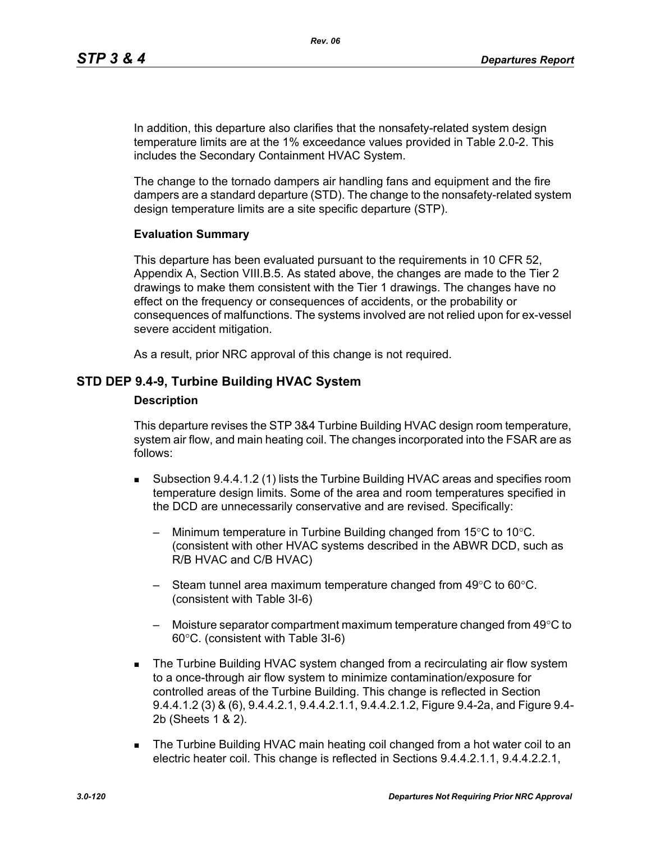In addition, this departure also clarifies that the nonsafety-related system design temperature limits are at the 1% exceedance values provided in Table 2.0-2. This includes the Secondary Containment HVAC System.

The change to the tornado dampers air handling fans and equipment and the fire dampers are a standard departure (STD). The change to the nonsafety-related system design temperature limits are a site specific departure (STP).

#### **Evaluation Summary**

This departure has been evaluated pursuant to the requirements in 10 CFR 52, Appendix A, Section VIII.B.5. As stated above, the changes are made to the Tier 2 drawings to make them consistent with the Tier 1 drawings. The changes have no effect on the frequency or consequences of accidents, or the probability or consequences of malfunctions. The systems involved are not relied upon for ex-vessel severe accident mitigation.

As a result, prior NRC approval of this change is not required.

### **STD DEP 9.4-9, Turbine Building HVAC System**

#### **Description**

This departure revises the STP 3&4 Turbine Building HVAC design room temperature, system air flow, and main heating coil. The changes incorporated into the FSAR are as follows:

- Subsection 9.4.4.1.2 (1) lists the Turbine Building HVAC areas and specifies room temperature design limits. Some of the area and room temperatures specified in the DCD are unnecessarily conservative and are revised. Specifically:
	- Minimum temperature in Turbine Building changed from 15°C to 10°C. (consistent with other HVAC systems described in the ABWR DCD, such as R/B HVAC and C/B HVAC)
	- Steam tunnel area maximum temperature changed from  $49^{\circ}$ C to 60 $^{\circ}$ C. (consistent with Table 3I-6)
	- Moisture separator compartment maximum temperature changed from 49°C to 60°C. (consistent with Table 3I-6)
- **The Turbine Building HVAC system changed from a recirculating air flow system** to a once-through air flow system to minimize contamination/exposure for controlled areas of the Turbine Building. This change is reflected in Section 9.4.4.1.2 (3) & (6), 9.4.4.2.1, 9.4.4.2.1.1, 9.4.4.2.1.2, Figure 9.4-2a, and Figure 9.4- 2b (Sheets 1 & 2).
- The Turbine Building HVAC main heating coil changed from a hot water coil to an electric heater coil. This change is reflected in Sections 9.4.4.2.1.1, 9.4.4.2.2.1,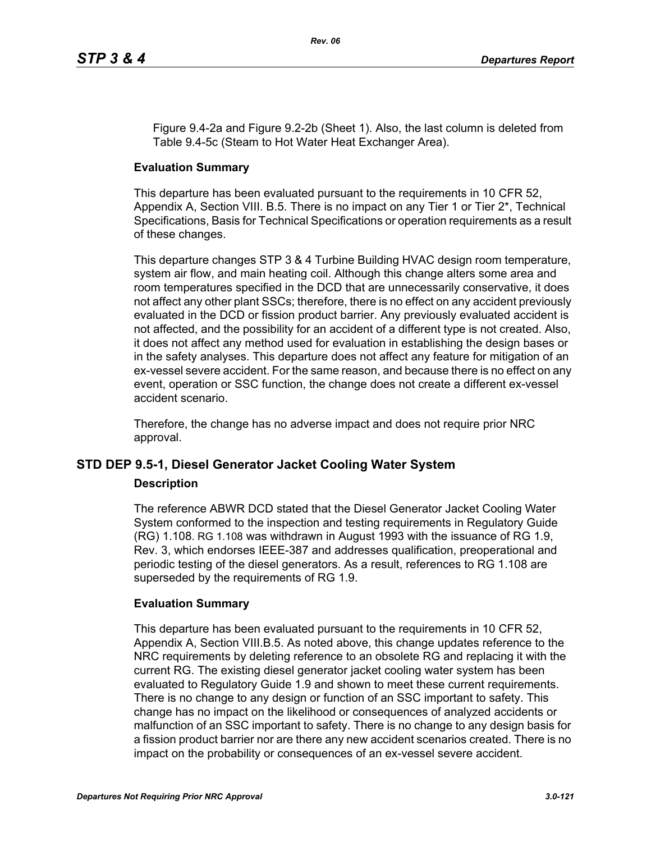Figure 9.4-2a and Figure 9.2-2b (Sheet 1). Also, the last column is deleted from Table 9.4-5c (Steam to Hot Water Heat Exchanger Area).

### **Evaluation Summary**

This departure has been evaluated pursuant to the requirements in 10 CFR 52, Appendix A, Section VIII. B.5. There is no impact on any Tier 1 or Tier 2<sup>\*</sup>, Technical Specifications, Basis for Technical Specifications or operation requirements as a result of these changes.

This departure changes STP 3 & 4 Turbine Building HVAC design room temperature, system air flow, and main heating coil. Although this change alters some area and room temperatures specified in the DCD that are unnecessarily conservative, it does not affect any other plant SSCs; therefore, there is no effect on any accident previously evaluated in the DCD or fission product barrier. Any previously evaluated accident is not affected, and the possibility for an accident of a different type is not created. Also, it does not affect any method used for evaluation in establishing the design bases or in the safety analyses. This departure does not affect any feature for mitigation of an ex-vessel severe accident. For the same reason, and because there is no effect on any event, operation or SSC function, the change does not create a different ex-vessel accident scenario.

Therefore, the change has no adverse impact and does not require prior NRC approval.

## **STD DEP 9.5-1, Diesel Generator Jacket Cooling Water System**

#### **Description**

The reference ABWR DCD stated that the Diesel Generator Jacket Cooling Water System conformed to the inspection and testing requirements in Regulatory Guide (RG) 1.108. RG 1.108 was withdrawn in August 1993 with the issuance of RG 1.9, Rev. 3, which endorses IEEE-387 and addresses qualification, preoperational and periodic testing of the diesel generators. As a result, references to RG 1.108 are superseded by the requirements of RG 1.9.

### **Evaluation Summary**

This departure has been evaluated pursuant to the requirements in 10 CFR 52, Appendix A, Section VIII.B.5. As noted above, this change updates reference to the NRC requirements by deleting reference to an obsolete RG and replacing it with the current RG. The existing diesel generator jacket cooling water system has been evaluated to Regulatory Guide 1.9 and shown to meet these current requirements. There is no change to any design or function of an SSC important to safety. This change has no impact on the likelihood or consequences of analyzed accidents or malfunction of an SSC important to safety. There is no change to any design basis for a fission product barrier nor are there any new accident scenarios created. There is no impact on the probability or consequences of an ex-vessel severe accident.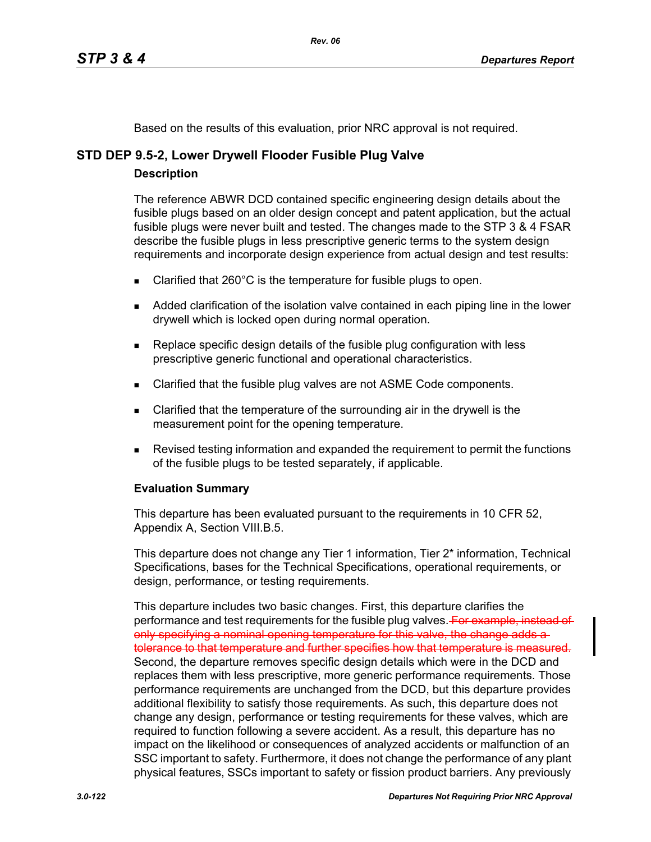Based on the results of this evaluation, prior NRC approval is not required.

# **STD DEP 9.5-2, Lower Drywell Flooder Fusible Plug Valve**

### **Description**

The reference ABWR DCD contained specific engineering design details about the fusible plugs based on an older design concept and patent application, but the actual fusible plugs were never built and tested. The changes made to the STP 3 & 4 FSAR describe the fusible plugs in less prescriptive generic terms to the system design requirements and incorporate design experience from actual design and test results:

- E Clarified that 260 $^{\circ}$ C is the temperature for fusible plugs to open.
- Added clarification of the isolation valve contained in each piping line in the lower drywell which is locked open during normal operation.
- **Replace specific design details of the fusible plug configuration with less** prescriptive generic functional and operational characteristics.
- **EXECLARE** Clarified that the fusible plug valves are not ASME Code components.
- Clarified that the temperature of the surrounding air in the drywell is the measurement point for the opening temperature.
- **Revised testing information and expanded the requirement to permit the functions** of the fusible plugs to be tested separately, if applicable.

## **Evaluation Summary**

This departure has been evaluated pursuant to the requirements in 10 CFR 52, Appendix A, Section VIII.B.5.

This departure does not change any Tier 1 information, Tier 2\* information, Technical Specifications, bases for the Technical Specifications, operational requirements, or design, performance, or testing requirements.

This departure includes two basic changes. First, this departure clarifies the performance and test requirements for the fusible plug valves. For example, instead of only specifying a nominal opening temperature for this valve, the change adds a tolerance to that temperature and further specifies how that temperature is measured. Second, the departure removes specific design details which were in the DCD and replaces them with less prescriptive, more generic performance requirements. Those performance requirements are unchanged from the DCD, but this departure provides additional flexibility to satisfy those requirements. As such, this departure does not change any design, performance or testing requirements for these valves, which are required to function following a severe accident. As a result, this departure has no impact on the likelihood or consequences of analyzed accidents or malfunction of an SSC important to safety. Furthermore, it does not change the performance of any plant physical features, SSCs important to safety or fission product barriers. Any previously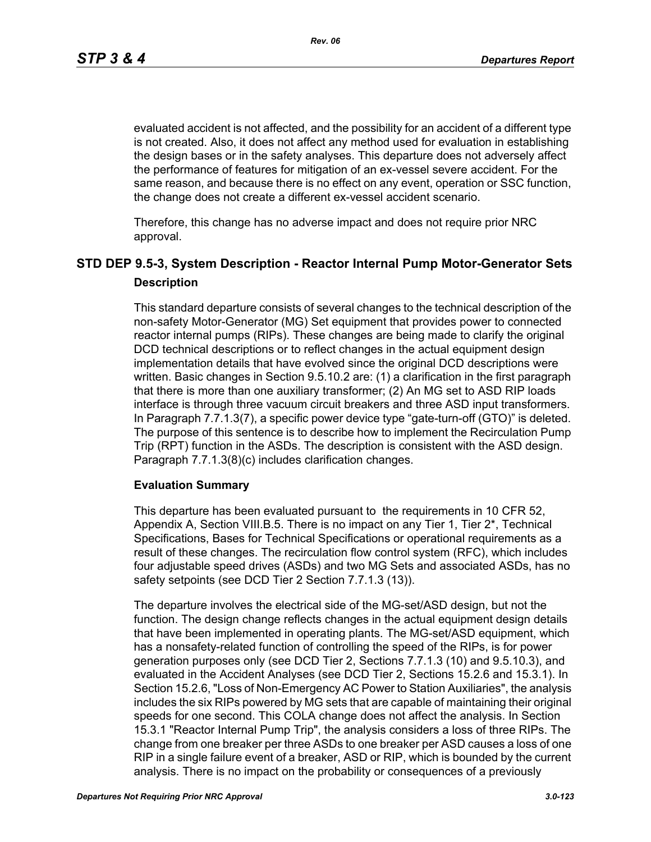evaluated accident is not affected, and the possibility for an accident of a different type is not created. Also, it does not affect any method used for evaluation in establishing the design bases or in the safety analyses. This departure does not adversely affect the performance of features for mitigation of an ex-vessel severe accident. For the same reason, and because there is no effect on any event, operation or SSC function, the change does not create a different ex-vessel accident scenario.

Therefore, this change has no adverse impact and does not require prior NRC approval.

# **STD DEP 9.5-3, System Description - Reactor Internal Pump Motor-Generator Sets Description**

This standard departure consists of several changes to the technical description of the non-safety Motor-Generator (MG) Set equipment that provides power to connected reactor internal pumps (RIPs). These changes are being made to clarify the original DCD technical descriptions or to reflect changes in the actual equipment design implementation details that have evolved since the original DCD descriptions were written. Basic changes in Section 9.5.10.2 are: (1) a clarification in the first paragraph that there is more than one auxiliary transformer; (2) An MG set to ASD RIP loads interface is through three vacuum circuit breakers and three ASD input transformers. In Paragraph 7.7.1.3(7), a specific power device type "gate-turn-off (GTO)" is deleted. The purpose of this sentence is to describe how to implement the Recirculation Pump Trip (RPT) function in the ASDs. The description is consistent with the ASD design. Paragraph 7.7.1.3(8)(c) includes clarification changes.

### **Evaluation Summary**

This departure has been evaluated pursuant to the requirements in 10 CFR 52, Appendix A, Section VIII.B.5. There is no impact on any Tier 1, Tier 2\*, Technical Specifications, Bases for Technical Specifications or operational requirements as a result of these changes. The recirculation flow control system (RFC), which includes four adjustable speed drives (ASDs) and two MG Sets and associated ASDs, has no safety setpoints (see DCD Tier 2 Section 7.7.1.3 (13)).

The departure involves the electrical side of the MG-set/ASD design, but not the function. The design change reflects changes in the actual equipment design details that have been implemented in operating plants. The MG-set/ASD equipment, which has a nonsafety-related function of controlling the speed of the RIPs, is for power generation purposes only (see DCD Tier 2, Sections 7.7.1.3 (10) and 9.5.10.3), and evaluated in the Accident Analyses (see DCD Tier 2, Sections 15.2.6 and 15.3.1). In Section 15.2.6, "Loss of Non-Emergency AC Power to Station Auxiliaries", the analysis includes the six RIPs powered by MG sets that are capable of maintaining their original speeds for one second. This COLA change does not affect the analysis. In Section 15.3.1 "Reactor Internal Pump Trip", the analysis considers a loss of three RIPs. The change from one breaker per three ASDs to one breaker per ASD causes a loss of one RIP in a single failure event of a breaker, ASD or RIP, which is bounded by the current analysis. There is no impact on the probability or consequences of a previously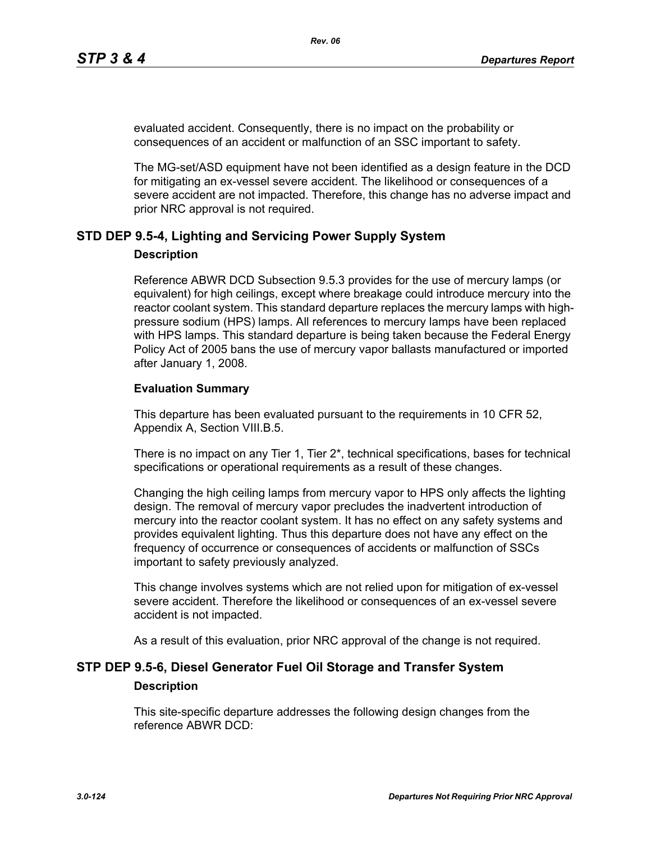evaluated accident. Consequently, there is no impact on the probability or consequences of an accident or malfunction of an SSC important to safety.

The MG-set/ASD equipment have not been identified as a design feature in the DCD for mitigating an ex-vessel severe accident. The likelihood or consequences of a severe accident are not impacted. Therefore, this change has no adverse impact and prior NRC approval is not required.

### **STD DEP 9.5-4, Lighting and Servicing Power Supply System**

#### **Description**

Reference ABWR DCD Subsection 9.5.3 provides for the use of mercury lamps (or equivalent) for high ceilings, except where breakage could introduce mercury into the reactor coolant system. This standard departure replaces the mercury lamps with highpressure sodium (HPS) lamps. All references to mercury lamps have been replaced with HPS lamps. This standard departure is being taken because the Federal Energy Policy Act of 2005 bans the use of mercury vapor ballasts manufactured or imported after January 1, 2008.

#### **Evaluation Summary**

This departure has been evaluated pursuant to the requirements in 10 CFR 52, Appendix A, Section VIII.B.5.

There is no impact on any Tier 1, Tier  $2^*$ , technical specifications, bases for technical specifications or operational requirements as a result of these changes.

Changing the high ceiling lamps from mercury vapor to HPS only affects the lighting design. The removal of mercury vapor precludes the inadvertent introduction of mercury into the reactor coolant system. It has no effect on any safety systems and provides equivalent lighting. Thus this departure does not have any effect on the frequency of occurrence or consequences of accidents or malfunction of SSCs important to safety previously analyzed.

This change involves systems which are not relied upon for mitigation of ex-vessel severe accident. Therefore the likelihood or consequences of an ex-vessel severe accident is not impacted.

As a result of this evaluation, prior NRC approval of the change is not required.

# **STP DEP 9.5-6, Diesel Generator Fuel Oil Storage and Transfer System Description**

This site-specific departure addresses the following design changes from the reference ABWR DCD: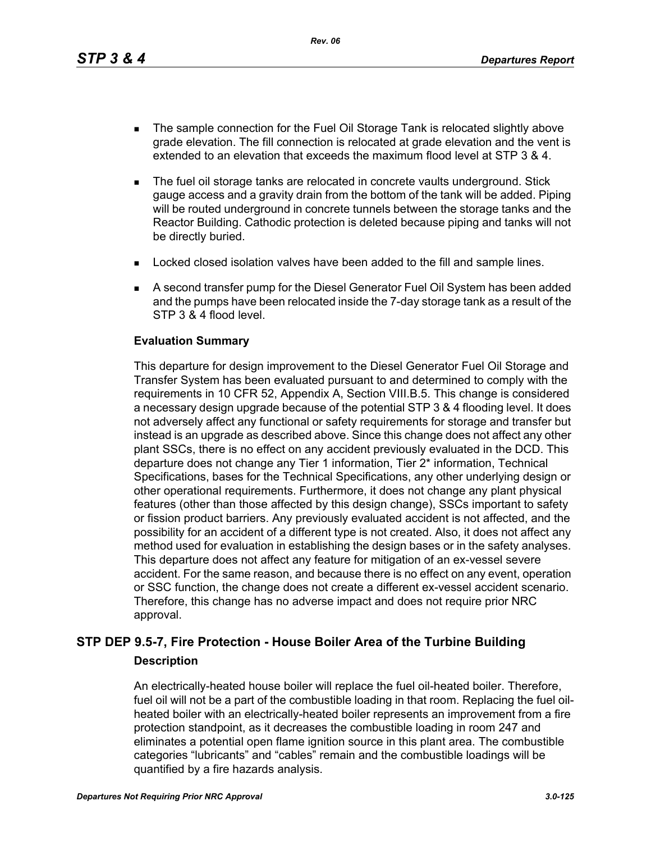- The sample connection for the Fuel Oil Storage Tank is relocated slightly above grade elevation. The fill connection is relocated at grade elevation and the vent is extended to an elevation that exceeds the maximum flood level at STP 3 & 4.
- The fuel oil storage tanks are relocated in concrete vaults underground. Stick gauge access and a gravity drain from the bottom of the tank will be added. Piping will be routed underground in concrete tunnels between the storage tanks and the Reactor Building. Cathodic protection is deleted because piping and tanks will not be directly buried.
- **Locked closed isolation valves have been added to the fill and sample lines.**
- A second transfer pump for the Diesel Generator Fuel Oil System has been added and the pumps have been relocated inside the 7-day storage tank as a result of the STP 3 & 4 flood level.

#### **Evaluation Summary**

This departure for design improvement to the Diesel Generator Fuel Oil Storage and Transfer System has been evaluated pursuant to and determined to comply with the requirements in 10 CFR 52, Appendix A, Section VIII.B.5. This change is considered a necessary design upgrade because of the potential STP 3 & 4 flooding level. It does not adversely affect any functional or safety requirements for storage and transfer but instead is an upgrade as described above. Since this change does not affect any other plant SSCs, there is no effect on any accident previously evaluated in the DCD. This departure does not change any Tier 1 information, Tier 2\* information, Technical Specifications, bases for the Technical Specifications, any other underlying design or other operational requirements. Furthermore, it does not change any plant physical features (other than those affected by this design change), SSCs important to safety or fission product barriers. Any previously evaluated accident is not affected, and the possibility for an accident of a different type is not created. Also, it does not affect any method used for evaluation in establishing the design bases or in the safety analyses. This departure does not affect any feature for mitigation of an ex-vessel severe accident. For the same reason, and because there is no effect on any event, operation or SSC function, the change does not create a different ex-vessel accident scenario. Therefore, this change has no adverse impact and does not require prior NRC approval.

# **STP DEP 9.5-7, Fire Protection - House Boiler Area of the Turbine Building Description**

An electrically-heated house boiler will replace the fuel oil-heated boiler. Therefore, fuel oil will not be a part of the combustible loading in that room. Replacing the fuel oilheated boiler with an electrically-heated boiler represents an improvement from a fire protection standpoint, as it decreases the combustible loading in room 247 and eliminates a potential open flame ignition source in this plant area. The combustible categories "lubricants" and "cables" remain and the combustible loadings will be quantified by a fire hazards analysis.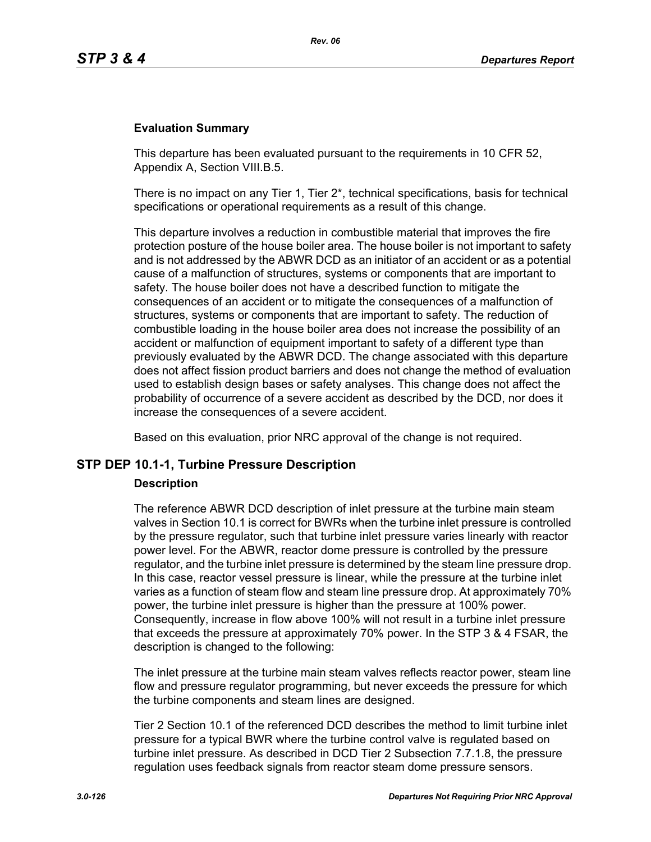#### **Evaluation Summary**

This departure has been evaluated pursuant to the requirements in 10 CFR 52, Appendix A, Section VIII.B.5.

There is no impact on any Tier 1, Tier  $2^*$ , technical specifications, basis for technical specifications or operational requirements as a result of this change.

This departure involves a reduction in combustible material that improves the fire protection posture of the house boiler area. The house boiler is not important to safety and is not addressed by the ABWR DCD as an initiator of an accident or as a potential cause of a malfunction of structures, systems or components that are important to safety. The house boiler does not have a described function to mitigate the consequences of an accident or to mitigate the consequences of a malfunction of structures, systems or components that are important to safety. The reduction of combustible loading in the house boiler area does not increase the possibility of an accident or malfunction of equipment important to safety of a different type than previously evaluated by the ABWR DCD. The change associated with this departure does not affect fission product barriers and does not change the method of evaluation used to establish design bases or safety analyses. This change does not affect the probability of occurrence of a severe accident as described by the DCD, nor does it increase the consequences of a severe accident.

Based on this evaluation, prior NRC approval of the change is not required.

#### **STP DEP 10.1-1, Turbine Pressure Description**

#### **Description**

The reference ABWR DCD description of inlet pressure at the turbine main steam valves in Section 10.1 is correct for BWRs when the turbine inlet pressure is controlled by the pressure regulator, such that turbine inlet pressure varies linearly with reactor power level. For the ABWR, reactor dome pressure is controlled by the pressure regulator, and the turbine inlet pressure is determined by the steam line pressure drop. In this case, reactor vessel pressure is linear, while the pressure at the turbine inlet varies as a function of steam flow and steam line pressure drop. At approximately 70% power, the turbine inlet pressure is higher than the pressure at 100% power. Consequently, increase in flow above 100% will not result in a turbine inlet pressure that exceeds the pressure at approximately 70% power. In the STP 3 & 4 FSAR, the description is changed to the following:

The inlet pressure at the turbine main steam valves reflects reactor power, steam line flow and pressure regulator programming, but never exceeds the pressure for which the turbine components and steam lines are designed.

Tier 2 Section 10.1 of the referenced DCD describes the method to limit turbine inlet pressure for a typical BWR where the turbine control valve is regulated based on turbine inlet pressure. As described in DCD Tier 2 Subsection 7.7.1.8, the pressure regulation uses feedback signals from reactor steam dome pressure sensors.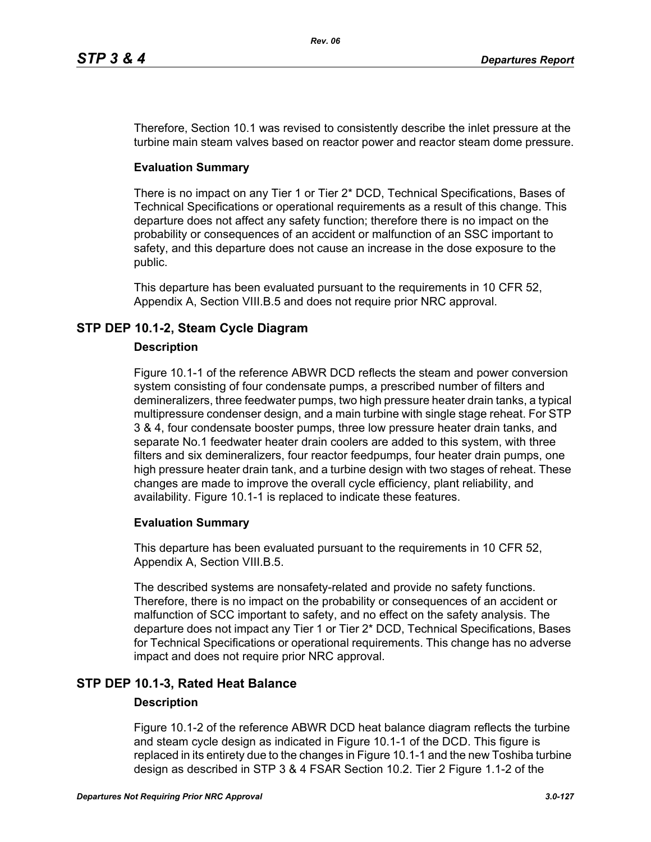Therefore, Section 10.1 was revised to consistently describe the inlet pressure at the turbine main steam valves based on reactor power and reactor steam dome pressure.

### **Evaluation Summary**

There is no impact on any Tier 1 or Tier 2\* DCD, Technical Specifications, Bases of Technical Specifications or operational requirements as a result of this change. This departure does not affect any safety function; therefore there is no impact on the probability or consequences of an accident or malfunction of an SSC important to safety, and this departure does not cause an increase in the dose exposure to the public.

This departure has been evaluated pursuant to the requirements in 10 CFR 52, Appendix A, Section VIII.B.5 and does not require prior NRC approval.

# **STP DEP 10.1-2, Steam Cycle Diagram**

#### **Description**

Figure 10.1-1 of the reference ABWR DCD reflects the steam and power conversion system consisting of four condensate pumps, a prescribed number of filters and demineralizers, three feedwater pumps, two high pressure heater drain tanks, a typical multipressure condenser design, and a main turbine with single stage reheat. For STP 3 & 4, four condensate booster pumps, three low pressure heater drain tanks, and separate No.1 feedwater heater drain coolers are added to this system, with three filters and six demineralizers, four reactor feedpumps, four heater drain pumps, one high pressure heater drain tank, and a turbine design with two stages of reheat. These changes are made to improve the overall cycle efficiency, plant reliability, and availability. Figure 10.1-1 is replaced to indicate these features.

### **Evaluation Summary**

This departure has been evaluated pursuant to the requirements in 10 CFR 52, Appendix A, Section VIII.B.5.

The described systems are nonsafety-related and provide no safety functions. Therefore, there is no impact on the probability or consequences of an accident or malfunction of SCC important to safety, and no effect on the safety analysis. The departure does not impact any Tier 1 or Tier 2\* DCD, Technical Specifications, Bases for Technical Specifications or operational requirements. This change has no adverse impact and does not require prior NRC approval.

## **STP DEP 10.1-3, Rated Heat Balance**

### **Description**

Figure 10.1-2 of the reference ABWR DCD heat balance diagram reflects the turbine and steam cycle design as indicated in Figure 10.1-1 of the DCD. This figure is replaced in its entirety due to the changes in Figure 10.1-1 and the new Toshiba turbine design as described in STP 3 & 4 FSAR Section 10.2. Tier 2 Figure 1.1-2 of the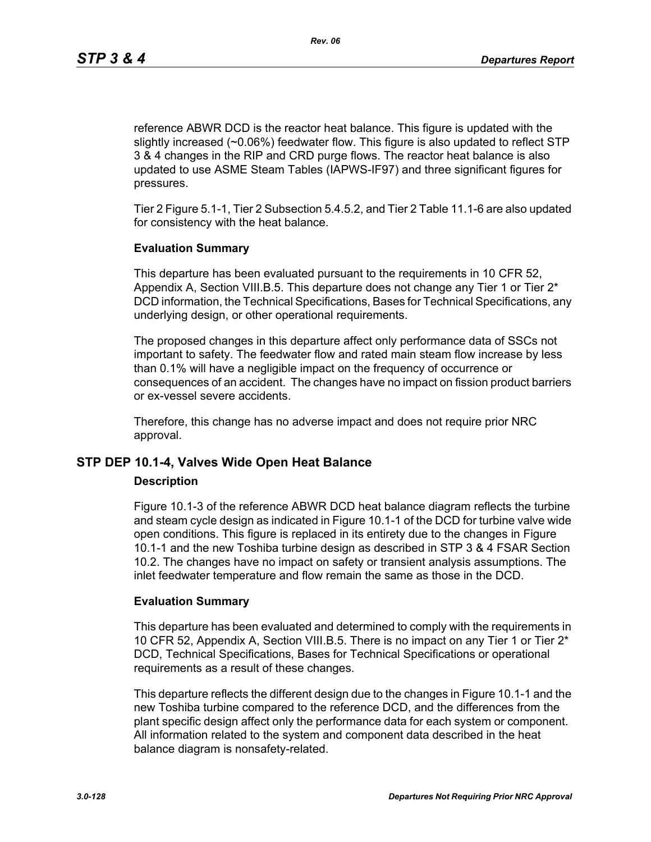reference ABWR DCD is the reactor heat balance. This figure is updated with the slightly increased (~0.06%) feedwater flow. This figure is also updated to reflect STP 3 & 4 changes in the RIP and CRD purge flows. The reactor heat balance is also updated to use ASME Steam Tables (IAPWS-IF97) and three significant figures for pressures.

Tier 2 Figure 5.1-1, Tier 2 Subsection 5.4.5.2, and Tier 2 Table 11.1-6 are also updated for consistency with the heat balance.

#### **Evaluation Summary**

This departure has been evaluated pursuant to the requirements in 10 CFR 52, Appendix A, Section VIII.B.5. This departure does not change any Tier 1 or Tier 2\* DCD information, the Technical Specifications, Bases for Technical Specifications, any underlying design, or other operational requirements.

The proposed changes in this departure affect only performance data of SSCs not important to safety. The feedwater flow and rated main steam flow increase by less than 0.1% will have a negligible impact on the frequency of occurrence or consequences of an accident. The changes have no impact on fission product barriers or ex-vessel severe accidents.

Therefore, this change has no adverse impact and does not require prior NRC approval.

### **STP DEP 10.1-4, Valves Wide Open Heat Balance**

#### **Description**

Figure 10.1-3 of the reference ABWR DCD heat balance diagram reflects the turbine and steam cycle design as indicated in Figure 10.1-1 of the DCD for turbine valve wide open conditions. This figure is replaced in its entirety due to the changes in Figure 10.1-1 and the new Toshiba turbine design as described in STP 3 & 4 FSAR Section 10.2. The changes have no impact on safety or transient analysis assumptions. The inlet feedwater temperature and flow remain the same as those in the DCD.

#### **Evaluation Summary**

This departure has been evaluated and determined to comply with the requirements in 10 CFR 52, Appendix A, Section VIII.B.5. There is no impact on any Tier 1 or Tier 2\* DCD, Technical Specifications, Bases for Technical Specifications or operational requirements as a result of these changes.

This departure reflects the different design due to the changes in Figure 10.1-1 and the new Toshiba turbine compared to the reference DCD, and the differences from the plant specific design affect only the performance data for each system or component. All information related to the system and component data described in the heat balance diagram is nonsafety-related.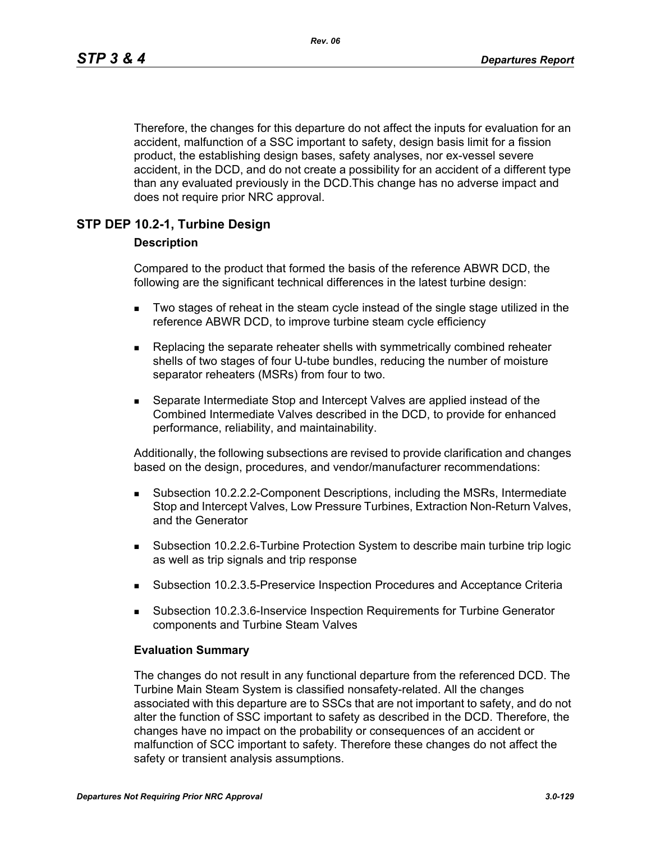Therefore, the changes for this departure do not affect the inputs for evaluation for an accident, malfunction of a SSC important to safety, design basis limit for a fission product, the establishing design bases, safety analyses, nor ex-vessel severe accident, in the DCD, and do not create a possibility for an accident of a different type than any evaluated previously in the DCD.This change has no adverse impact and does not require prior NRC approval.

### **STP DEP 10.2-1, Turbine Design**

#### **Description**

Compared to the product that formed the basis of the reference ABWR DCD, the following are the significant technical differences in the latest turbine design:

- Two stages of reheat in the steam cycle instead of the single stage utilized in the reference ABWR DCD, to improve turbine steam cycle efficiency
- **Replacing the separate reheater shells with symmetrically combined reheater** shells of two stages of four U-tube bundles, reducing the number of moisture separator reheaters (MSRs) from four to two.
- Separate Intermediate Stop and Intercept Valves are applied instead of the Combined Intermediate Valves described in the DCD, to provide for enhanced performance, reliability, and maintainability.

Additionally, the following subsections are revised to provide clarification and changes based on the design, procedures, and vendor/manufacturer recommendations:

- Subsection 10.2.2.2-Component Descriptions, including the MSRs, Intermediate Stop and Intercept Valves, Low Pressure Turbines, Extraction Non-Return Valves, and the Generator
- Subsection 10.2.2.6-Turbine Protection System to describe main turbine trip logic as well as trip signals and trip response
- Subsection 10.2.3.5-Preservice Inspection Procedures and Acceptance Criteria
- Subsection 10.2.3.6-Inservice Inspection Requirements for Turbine Generator components and Turbine Steam Valves

#### **Evaluation Summary**

The changes do not result in any functional departure from the referenced DCD. The Turbine Main Steam System is classified nonsafety-related. All the changes associated with this departure are to SSCs that are not important to safety, and do not alter the function of SSC important to safety as described in the DCD. Therefore, the changes have no impact on the probability or consequences of an accident or malfunction of SCC important to safety. Therefore these changes do not affect the safety or transient analysis assumptions.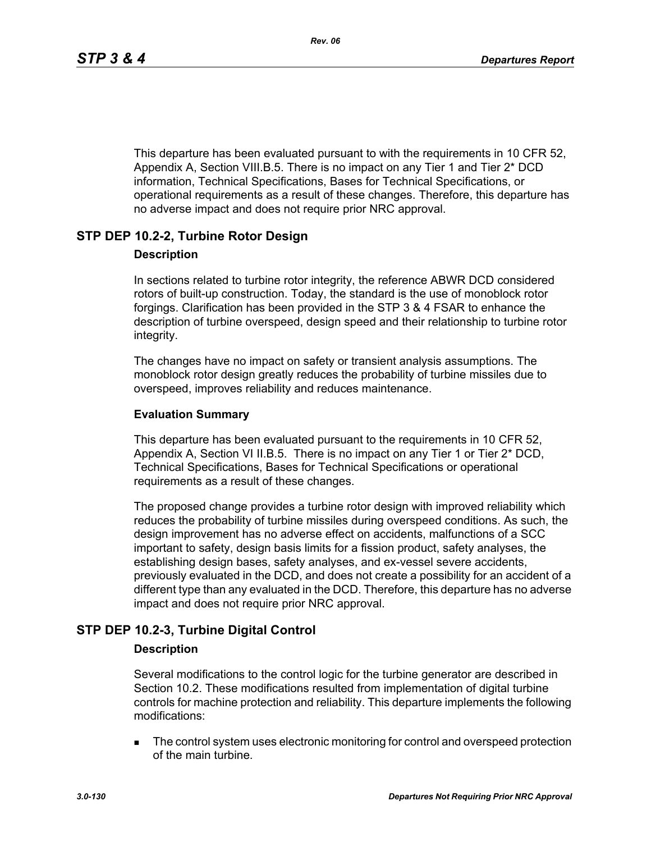This departure has been evaluated pursuant to with the requirements in 10 CFR 52, Appendix A, Section VIII.B.5. There is no impact on any Tier 1 and Tier 2\* DCD information, Technical Specifications, Bases for Technical Specifications, or operational requirements as a result of these changes. Therefore, this departure has no adverse impact and does not require prior NRC approval.

## **STP DEP 10.2-2, Turbine Rotor Design**

#### **Description**

In sections related to turbine rotor integrity, the reference ABWR DCD considered rotors of built-up construction. Today, the standard is the use of monoblock rotor forgings. Clarification has been provided in the STP 3 & 4 FSAR to enhance the description of turbine overspeed, design speed and their relationship to turbine rotor integrity.

The changes have no impact on safety or transient analysis assumptions. The monoblock rotor design greatly reduces the probability of turbine missiles due to overspeed, improves reliability and reduces maintenance.

### **Evaluation Summary**

This departure has been evaluated pursuant to the requirements in 10 CFR 52, Appendix A, Section VI II.B.5. There is no impact on any Tier 1 or Tier 2\* DCD, Technical Specifications, Bases for Technical Specifications or operational requirements as a result of these changes.

The proposed change provides a turbine rotor design with improved reliability which reduces the probability of turbine missiles during overspeed conditions. As such, the design improvement has no adverse effect on accidents, malfunctions of a SCC important to safety, design basis limits for a fission product, safety analyses, the establishing design bases, safety analyses, and ex-vessel severe accidents, previously evaluated in the DCD, and does not create a possibility for an accident of a different type than any evaluated in the DCD. Therefore, this departure has no adverse impact and does not require prior NRC approval.

## **STP DEP 10.2-3, Turbine Digital Control**

### **Description**

Several modifications to the control logic for the turbine generator are described in Section 10.2. These modifications resulted from implementation of digital turbine controls for machine protection and reliability. This departure implements the following modifications:

**The control system uses electronic monitoring for control and overspeed protection** of the main turbine.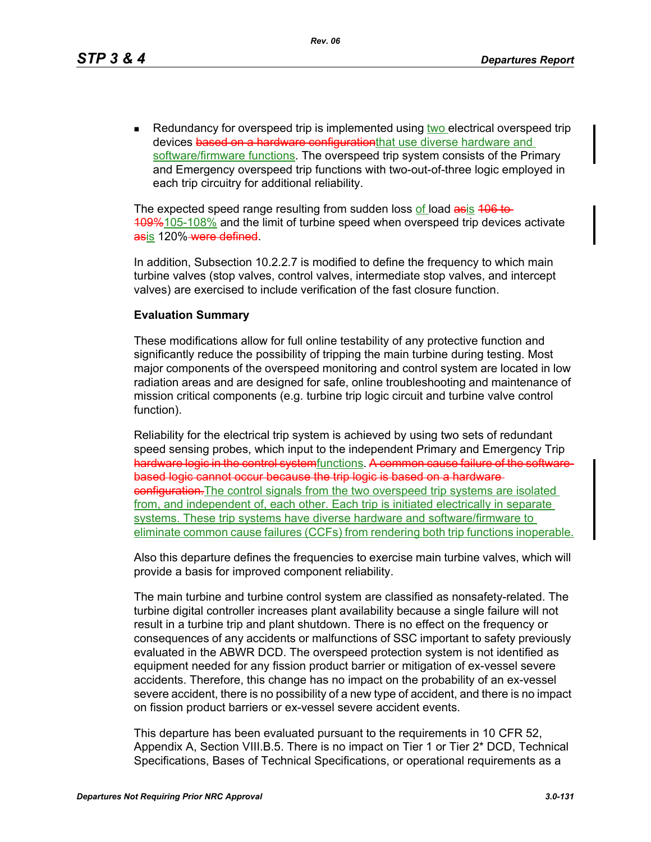Redundancy for overspeed trip is implemented using two electrical overspeed trip devices based on a hardware configurationthat use diverse hardware and software/firmware functions. The overspeed trip system consists of the Primary and Emergency overspeed trip functions with two-out-of-three logic employed in each trip circuitry for additional reliability.

The expected speed range resulting from sudden loss of load asis 406 to-109%105-108% and the limit of turbine speed when overspeed trip devices activate asis 120%-were defined.

In addition, Subsection 10.2.2.7 is modified to define the frequency to which main turbine valves (stop valves, control valves, intermediate stop valves, and intercept valves) are exercised to include verification of the fast closure function.

#### **Evaluation Summary**

These modifications allow for full online testability of any protective function and significantly reduce the possibility of tripping the main turbine during testing. Most major components of the overspeed monitoring and control system are located in low radiation areas and are designed for safe, online troubleshooting and maintenance of mission critical components (e.g. turbine trip logic circuit and turbine valve control function).

Reliability for the electrical trip system is achieved by using two sets of redundant speed sensing probes, which input to the independent Primary and Emergency Trip hardware logic in the control systemfunctions. A common cause failure of the softwarebased logic cannot occur because the trip logic is based on a hardware **configuration.** The control signals from the two overspeed trip systems are isolated from, and independent of, each other. Each trip is initiated electrically in separate systems. These trip systems have diverse hardware and software/firmware to eliminate common cause failures (CCFs) from rendering both trip functions inoperable.

Also this departure defines the frequencies to exercise main turbine valves, which will provide a basis for improved component reliability.

The main turbine and turbine control system are classified as nonsafety-related. The turbine digital controller increases plant availability because a single failure will not result in a turbine trip and plant shutdown. There is no effect on the frequency or consequences of any accidents or malfunctions of SSC important to safety previously evaluated in the ABWR DCD. The overspeed protection system is not identified as equipment needed for any fission product barrier or mitigation of ex-vessel severe accidents. Therefore, this change has no impact on the probability of an ex-vessel severe accident, there is no possibility of a new type of accident, and there is no impact on fission product barriers or ex-vessel severe accident events.

This departure has been evaluated pursuant to the requirements in 10 CFR 52, Appendix A, Section VIII.B.5. There is no impact on Tier 1 or Tier 2\* DCD, Technical Specifications, Bases of Technical Specifications, or operational requirements as a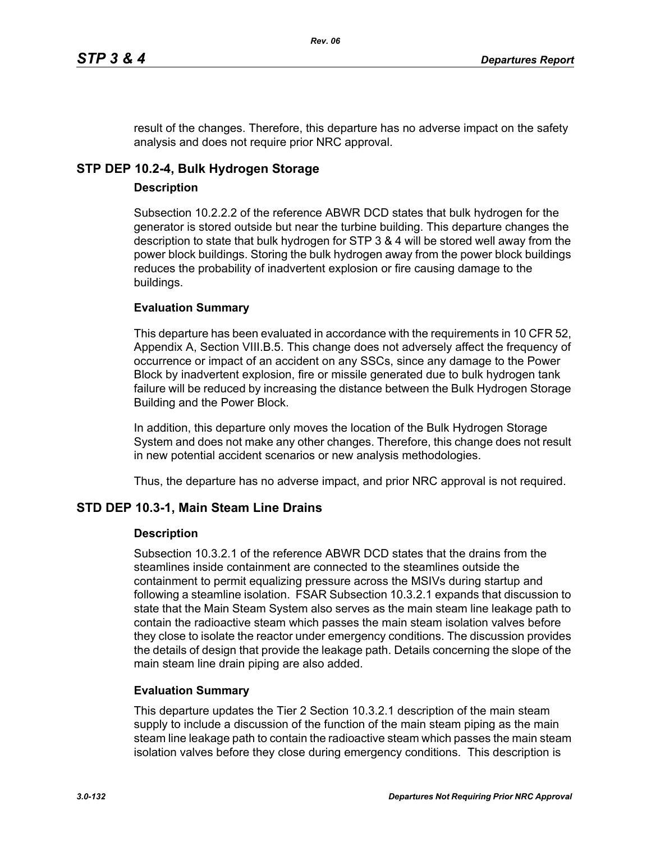result of the changes. Therefore, this departure has no adverse impact on the safety analysis and does not require prior NRC approval.

# **STP DEP 10.2-4, Bulk Hydrogen Storage**

### **Description**

Subsection 10.2.2.2 of the reference ABWR DCD states that bulk hydrogen for the generator is stored outside but near the turbine building. This departure changes the description to state that bulk hydrogen for STP 3 & 4 will be stored well away from the power block buildings. Storing the bulk hydrogen away from the power block buildings reduces the probability of inadvertent explosion or fire causing damage to the buildings.

## **Evaluation Summary**

This departure has been evaluated in accordance with the requirements in 10 CFR 52, Appendix A, Section VIII.B.5. This change does not adversely affect the frequency of occurrence or impact of an accident on any SSCs, since any damage to the Power Block by inadvertent explosion, fire or missile generated due to bulk hydrogen tank failure will be reduced by increasing the distance between the Bulk Hydrogen Storage Building and the Power Block.

In addition, this departure only moves the location of the Bulk Hydrogen Storage System and does not make any other changes. Therefore, this change does not result in new potential accident scenarios or new analysis methodologies.

Thus, the departure has no adverse impact, and prior NRC approval is not required.

## **STD DEP 10.3-1, Main Steam Line Drains**

### **Description**

Subsection 10.3.2.1 of the reference ABWR DCD states that the drains from the steamlines inside containment are connected to the steamlines outside the containment to permit equalizing pressure across the MSIVs during startup and following a steamline isolation. FSAR Subsection 10.3.2.1 expands that discussion to state that the Main Steam System also serves as the main steam line leakage path to contain the radioactive steam which passes the main steam isolation valves before they close to isolate the reactor under emergency conditions. The discussion provides the details of design that provide the leakage path. Details concerning the slope of the main steam line drain piping are also added.

### **Evaluation Summary**

This departure updates the Tier 2 Section 10.3.2.1 description of the main steam supply to include a discussion of the function of the main steam piping as the main steam line leakage path to contain the radioactive steam which passes the main steam isolation valves before they close during emergency conditions. This description is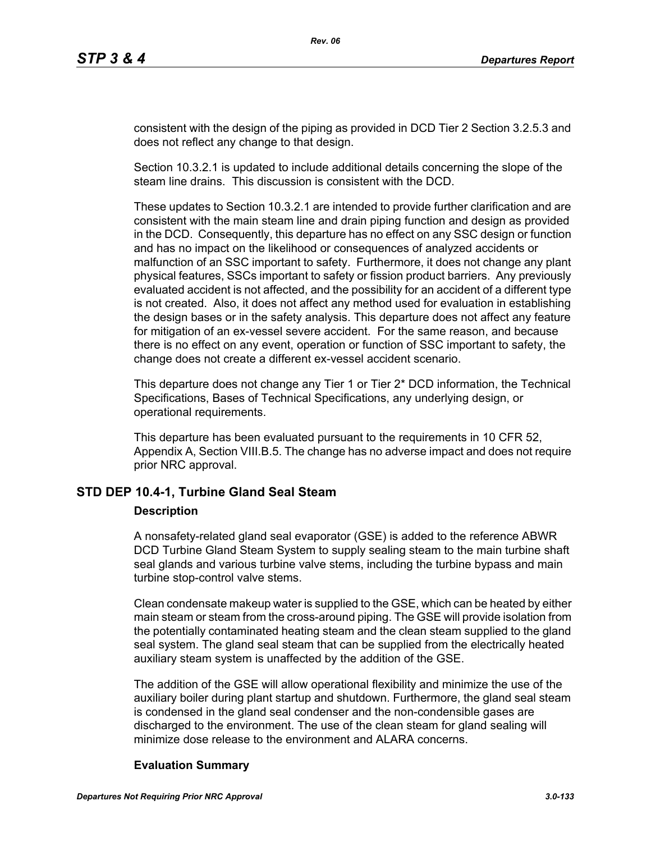consistent with the design of the piping as provided in DCD Tier 2 Section 3.2.5.3 and does not reflect any change to that design.

Section 10.3.2.1 is updated to include additional details concerning the slope of the steam line drains. This discussion is consistent with the DCD.

These updates to Section 10.3.2.1 are intended to provide further clarification and are consistent with the main steam line and drain piping function and design as provided in the DCD. Consequently, this departure has no effect on any SSC design or function and has no impact on the likelihood or consequences of analyzed accidents or malfunction of an SSC important to safety. Furthermore, it does not change any plant physical features, SSCs important to safety or fission product barriers. Any previously evaluated accident is not affected, and the possibility for an accident of a different type is not created. Also, it does not affect any method used for evaluation in establishing the design bases or in the safety analysis. This departure does not affect any feature for mitigation of an ex-vessel severe accident. For the same reason, and because there is no effect on any event, operation or function of SSC important to safety, the change does not create a different ex-vessel accident scenario.

This departure does not change any Tier 1 or Tier 2\* DCD information, the Technical Specifications, Bases of Technical Specifications, any underlying design, or operational requirements.

This departure has been evaluated pursuant to the requirements in 10 CFR 52, Appendix A, Section VIII.B.5. The change has no adverse impact and does not require prior NRC approval.

## **STD DEP 10.4-1, Turbine Gland Seal Steam**

### **Description**

A nonsafety-related gland seal evaporator (GSE) is added to the reference ABWR DCD Turbine Gland Steam System to supply sealing steam to the main turbine shaft seal glands and various turbine valve stems, including the turbine bypass and main turbine stop-control valve stems.

Clean condensate makeup water is supplied to the GSE, which can be heated by either main steam or steam from the cross-around piping. The GSE will provide isolation from the potentially contaminated heating steam and the clean steam supplied to the gland seal system. The gland seal steam that can be supplied from the electrically heated auxiliary steam system is unaffected by the addition of the GSE.

The addition of the GSE will allow operational flexibility and minimize the use of the auxiliary boiler during plant startup and shutdown. Furthermore, the gland seal steam is condensed in the gland seal condenser and the non-condensible gases are discharged to the environment. The use of the clean steam for gland sealing will minimize dose release to the environment and ALARA concerns.

### **Evaluation Summary**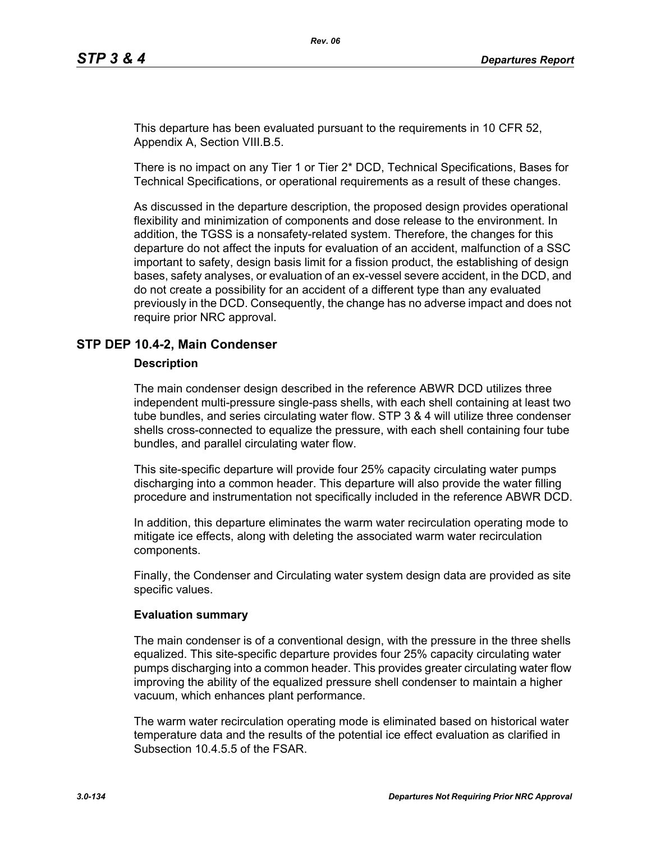This departure has been evaluated pursuant to the requirements in 10 CFR 52, Appendix A, Section VIII.B.5.

There is no impact on any Tier 1 or Tier 2\* DCD, Technical Specifications, Bases for Technical Specifications, or operational requirements as a result of these changes.

As discussed in the departure description, the proposed design provides operational flexibility and minimization of components and dose release to the environment. In addition, the TGSS is a nonsafety-related system. Therefore, the changes for this departure do not affect the inputs for evaluation of an accident, malfunction of a SSC important to safety, design basis limit for a fission product, the establishing of design bases, safety analyses, or evaluation of an ex-vessel severe accident, in the DCD, and do not create a possibility for an accident of a different type than any evaluated previously in the DCD. Consequently, the change has no adverse impact and does not require prior NRC approval.

### **STP DEP 10.4-2, Main Condenser**

#### **Description**

The main condenser design described in the reference ABWR DCD utilizes three independent multi-pressure single-pass shells, with each shell containing at least two tube bundles, and series circulating water flow. STP 3 & 4 will utilize three condenser shells cross-connected to equalize the pressure, with each shell containing four tube bundles, and parallel circulating water flow.

This site-specific departure will provide four 25% capacity circulating water pumps discharging into a common header. This departure will also provide the water filling procedure and instrumentation not specifically included in the reference ABWR DCD.

In addition, this departure eliminates the warm water recirculation operating mode to mitigate ice effects, along with deleting the associated warm water recirculation components.

Finally, the Condenser and Circulating water system design data are provided as site specific values.

#### **Evaluation summary**

The main condenser is of a conventional design, with the pressure in the three shells equalized. This site-specific departure provides four 25% capacity circulating water pumps discharging into a common header. This provides greater circulating water flow improving the ability of the equalized pressure shell condenser to maintain a higher vacuum, which enhances plant performance.

The warm water recirculation operating mode is eliminated based on historical water temperature data and the results of the potential ice effect evaluation as clarified in Subsection 10.4.5.5 of the FSAR.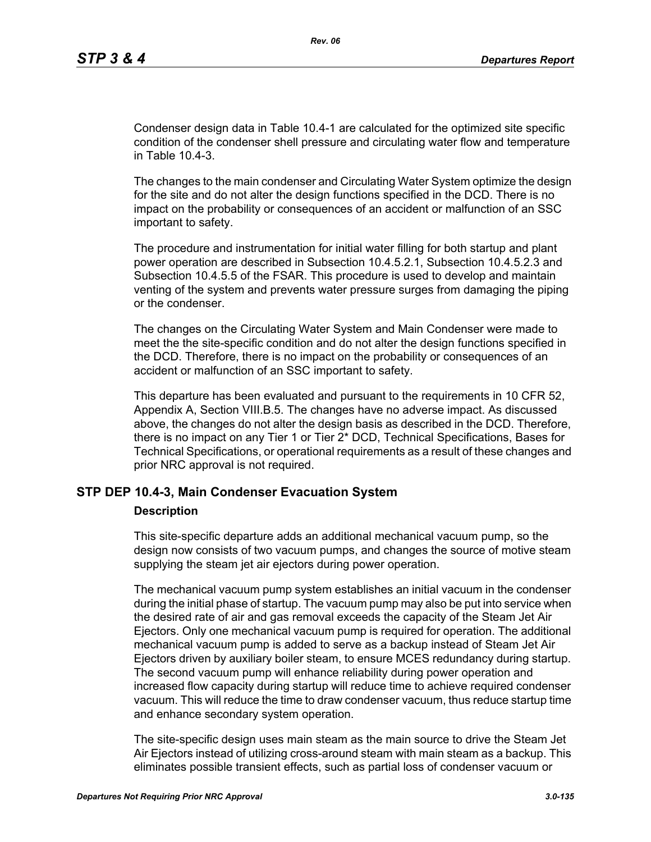Condenser design data in Table 10.4-1 are calculated for the optimized site specific condition of the condenser shell pressure and circulating water flow and temperature in Table 10.4-3.

The changes to the main condenser and Circulating Water System optimize the design for the site and do not alter the design functions specified in the DCD. There is no impact on the probability or consequences of an accident or malfunction of an SSC important to safety.

The procedure and instrumentation for initial water filling for both startup and plant power operation are described in Subsection 10.4.5.2.1, Subsection 10.4.5.2.3 and Subsection 10.4.5.5 of the FSAR. This procedure is used to develop and maintain venting of the system and prevents water pressure surges from damaging the piping or the condenser.

The changes on the Circulating Water System and Main Condenser were made to meet the the site-specific condition and do not alter the design functions specified in the DCD. Therefore, there is no impact on the probability or consequences of an accident or malfunction of an SSC important to safety.

This departure has been evaluated and pursuant to the requirements in 10 CFR 52, Appendix A, Section VIII.B.5. The changes have no adverse impact. As discussed above, the changes do not alter the design basis as described in the DCD. Therefore, there is no impact on any Tier 1 or Tier 2\* DCD, Technical Specifications, Bases for Technical Specifications, or operational requirements as a result of these changes and prior NRC approval is not required.

#### **STP DEP 10.4-3, Main Condenser Evacuation System**

#### **Description**

This site-specific departure adds an additional mechanical vacuum pump, so the design now consists of two vacuum pumps, and changes the source of motive steam supplying the steam jet air ejectors during power operation.

The mechanical vacuum pump system establishes an initial vacuum in the condenser during the initial phase of startup. The vacuum pump may also be put into service when the desired rate of air and gas removal exceeds the capacity of the Steam Jet Air Ejectors. Only one mechanical vacuum pump is required for operation. The additional mechanical vacuum pump is added to serve as a backup instead of Steam Jet Air Ejectors driven by auxiliary boiler steam, to ensure MCES redundancy during startup. The second vacuum pump will enhance reliability during power operation and increased flow capacity during startup will reduce time to achieve required condenser vacuum. This will reduce the time to draw condenser vacuum, thus reduce startup time and enhance secondary system operation.

The site-specific design uses main steam as the main source to drive the Steam Jet Air Ejectors instead of utilizing cross-around steam with main steam as a backup. This eliminates possible transient effects, such as partial loss of condenser vacuum or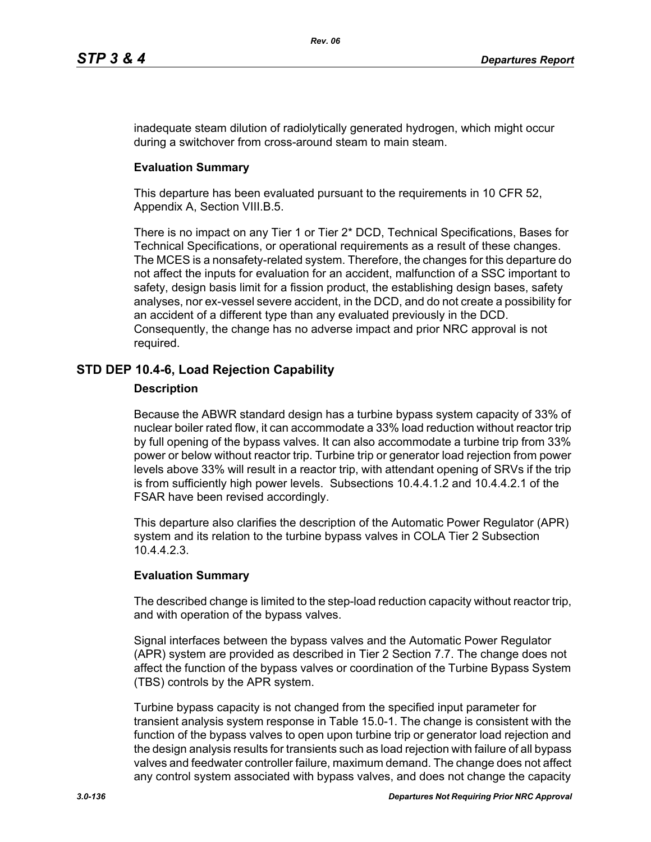inadequate steam dilution of radiolytically generated hydrogen, which might occur during a switchover from cross-around steam to main steam.

### **Evaluation Summary**

This departure has been evaluated pursuant to the requirements in 10 CFR 52, Appendix A, Section VIII.B.5.

There is no impact on any Tier 1 or Tier 2\* DCD, Technical Specifications, Bases for Technical Specifications, or operational requirements as a result of these changes. The MCES is a nonsafety-related system. Therefore, the changes for this departure do not affect the inputs for evaluation for an accident, malfunction of a SSC important to safety, design basis limit for a fission product, the establishing design bases, safety analyses, nor ex-vessel severe accident, in the DCD, and do not create a possibility for an accident of a different type than any evaluated previously in the DCD. Consequently, the change has no adverse impact and prior NRC approval is not required.

## **STD DEP 10.4-6, Load Rejection Capability**

#### **Description**

Because the ABWR standard design has a turbine bypass system capacity of 33% of nuclear boiler rated flow, it can accommodate a 33% load reduction without reactor trip by full opening of the bypass valves. It can also accommodate a turbine trip from 33% power or below without reactor trip. Turbine trip or generator load rejection from power levels above 33% will result in a reactor trip, with attendant opening of SRVs if the trip is from sufficiently high power levels. Subsections 10.4.4.1.2 and 10.4.4.2.1 of the FSAR have been revised accordingly.

This departure also clarifies the description of the Automatic Power Regulator (APR) system and its relation to the turbine bypass valves in COLA Tier 2 Subsection 10.4.4.2.3.

### **Evaluation Summary**

The described change is limited to the step-load reduction capacity without reactor trip, and with operation of the bypass valves.

Signal interfaces between the bypass valves and the Automatic Power Regulator (APR) system are provided as described in Tier 2 Section 7.7. The change does not affect the function of the bypass valves or coordination of the Turbine Bypass System (TBS) controls by the APR system.

Turbine bypass capacity is not changed from the specified input parameter for transient analysis system response in Table 15.0-1. The change is consistent with the function of the bypass valves to open upon turbine trip or generator load rejection and the design analysis results for transients such as load rejection with failure of all bypass valves and feedwater controller failure, maximum demand. The change does not affect any control system associated with bypass valves, and does not change the capacity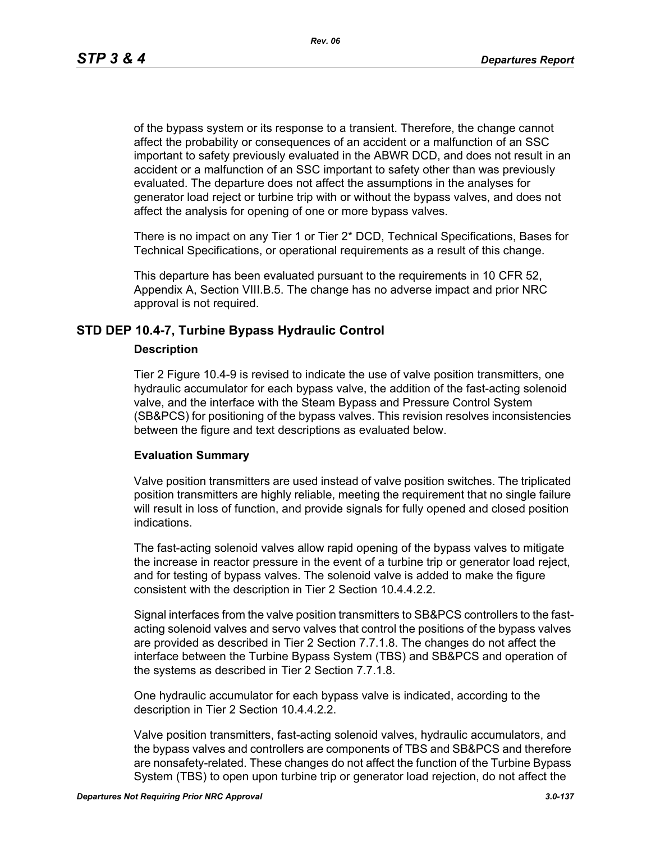of the bypass system or its response to a transient. Therefore, the change cannot affect the probability or consequences of an accident or a malfunction of an SSC important to safety previously evaluated in the ABWR DCD, and does not result in an accident or a malfunction of an SSC important to safety other than was previously evaluated. The departure does not affect the assumptions in the analyses for generator load reject or turbine trip with or without the bypass valves, and does not affect the analysis for opening of one or more bypass valves.

There is no impact on any Tier 1 or Tier 2\* DCD, Technical Specifications, Bases for Technical Specifications, or operational requirements as a result of this change.

This departure has been evaluated pursuant to the requirements in 10 CFR 52, Appendix A, Section VIII.B.5. The change has no adverse impact and prior NRC approval is not required.

### **STD DEP 10.4-7, Turbine Bypass Hydraulic Control**

#### **Description**

Tier 2 Figure 10.4-9 is revised to indicate the use of valve position transmitters, one hydraulic accumulator for each bypass valve, the addition of the fast-acting solenoid valve, and the interface with the Steam Bypass and Pressure Control System (SB&PCS) for positioning of the bypass valves. This revision resolves inconsistencies between the figure and text descriptions as evaluated below.

### **Evaluation Summary**

Valve position transmitters are used instead of valve position switches. The triplicated position transmitters are highly reliable, meeting the requirement that no single failure will result in loss of function, and provide signals for fully opened and closed position indications.

The fast-acting solenoid valves allow rapid opening of the bypass valves to mitigate the increase in reactor pressure in the event of a turbine trip or generator load reject, and for testing of bypass valves. The solenoid valve is added to make the figure consistent with the description in Tier 2 Section 10.4.4.2.2.

Signal interfaces from the valve position transmitters to SB&PCS controllers to the fastacting solenoid valves and servo valves that control the positions of the bypass valves are provided as described in Tier 2 Section 7.7.1.8. The changes do not affect the interface between the Turbine Bypass System (TBS) and SB&PCS and operation of the systems as described in Tier 2 Section 7.7.1.8.

One hydraulic accumulator for each bypass valve is indicated, according to the description in Tier 2 Section 10.4.4.2.2.

Valve position transmitters, fast-acting solenoid valves, hydraulic accumulators, and the bypass valves and controllers are components of TBS and SB&PCS and therefore are nonsafety-related. These changes do not affect the function of the Turbine Bypass System (TBS) to open upon turbine trip or generator load rejection, do not affect the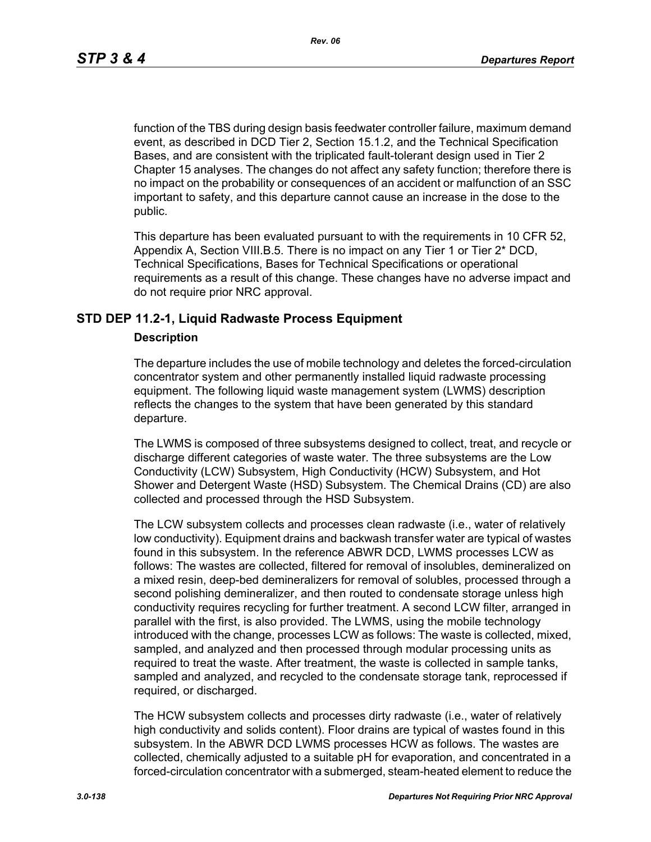function of the TBS during design basis feedwater controller failure, maximum demand event, as described in DCD Tier 2, Section 15.1.2, and the Technical Specification Bases, and are consistent with the triplicated fault-tolerant design used in Tier 2 Chapter 15 analyses. The changes do not affect any safety function; therefore there is no impact on the probability or consequences of an accident or malfunction of an SSC important to safety, and this departure cannot cause an increase in the dose to the public.

This departure has been evaluated pursuant to with the requirements in 10 CFR 52, Appendix A, Section VIII.B.5. There is no impact on any Tier 1 or Tier 2\* DCD, Technical Specifications, Bases for Technical Specifications or operational requirements as a result of this change. These changes have no adverse impact and do not require prior NRC approval.

#### **STD DEP 11.2-1, Liquid Radwaste Process Equipment**

#### **Description**

The departure includes the use of mobile technology and deletes the forced-circulation concentrator system and other permanently installed liquid radwaste processing equipment. The following liquid waste management system (LWMS) description reflects the changes to the system that have been generated by this standard departure.

The LWMS is composed of three subsystems designed to collect, treat, and recycle or discharge different categories of waste water. The three subsystems are the Low Conductivity (LCW) Subsystem, High Conductivity (HCW) Subsystem, and Hot Shower and Detergent Waste (HSD) Subsystem. The Chemical Drains (CD) are also collected and processed through the HSD Subsystem.

The LCW subsystem collects and processes clean radwaste (i.e., water of relatively low conductivity). Equipment drains and backwash transfer water are typical of wastes found in this subsystem. In the reference ABWR DCD, LWMS processes LCW as follows: The wastes are collected, filtered for removal of insolubles, demineralized on a mixed resin, deep-bed demineralizers for removal of solubles, processed through a second polishing demineralizer, and then routed to condensate storage unless high conductivity requires recycling for further treatment. A second LCW filter, arranged in parallel with the first, is also provided. The LWMS, using the mobile technology introduced with the change, processes LCW as follows: The waste is collected, mixed, sampled, and analyzed and then processed through modular processing units as required to treat the waste. After treatment, the waste is collected in sample tanks, sampled and analyzed, and recycled to the condensate storage tank, reprocessed if required, or discharged.

The HCW subsystem collects and processes dirty radwaste (i.e., water of relatively high conductivity and solids content). Floor drains are typical of wastes found in this subsystem. In the ABWR DCD LWMS processes HCW as follows. The wastes are collected, chemically adjusted to a suitable pH for evaporation, and concentrated in a forced-circulation concentrator with a submerged, steam-heated element to reduce the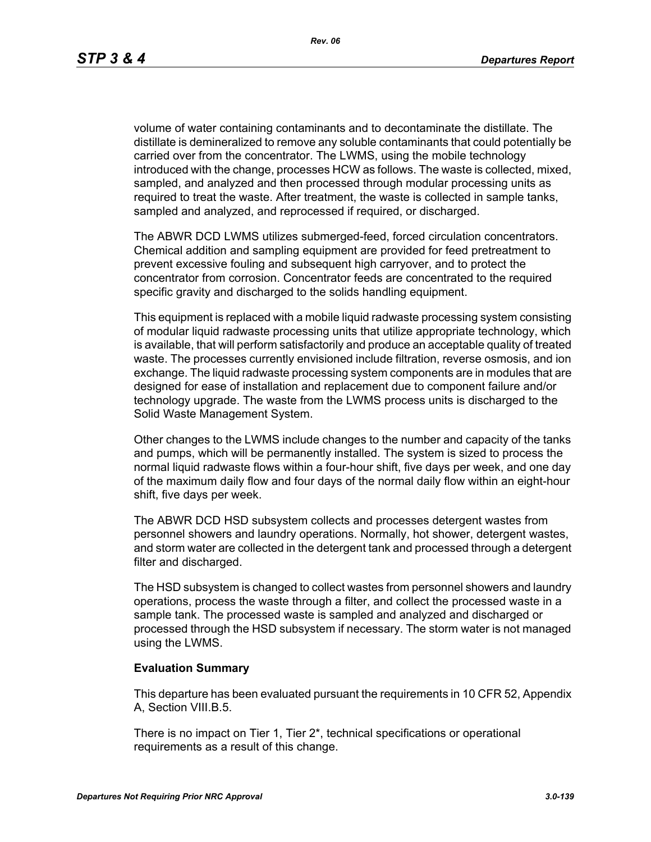volume of water containing contaminants and to decontaminate the distillate. The distillate is demineralized to remove any soluble contaminants that could potentially be carried over from the concentrator. The LWMS, using the mobile technology introduced with the change, processes HCW as follows. The waste is collected, mixed, sampled, and analyzed and then processed through modular processing units as required to treat the waste. After treatment, the waste is collected in sample tanks, sampled and analyzed, and reprocessed if required, or discharged.

The ABWR DCD LWMS utilizes submerged-feed, forced circulation concentrators. Chemical addition and sampling equipment are provided for feed pretreatment to prevent excessive fouling and subsequent high carryover, and to protect the concentrator from corrosion. Concentrator feeds are concentrated to the required specific gravity and discharged to the solids handling equipment.

This equipment is replaced with a mobile liquid radwaste processing system consisting of modular liquid radwaste processing units that utilize appropriate technology, which is available, that will perform satisfactorily and produce an acceptable quality of treated waste. The processes currently envisioned include filtration, reverse osmosis, and ion exchange. The liquid radwaste processing system components are in modules that are designed for ease of installation and replacement due to component failure and/or technology upgrade. The waste from the LWMS process units is discharged to the Solid Waste Management System.

Other changes to the LWMS include changes to the number and capacity of the tanks and pumps, which will be permanently installed. The system is sized to process the normal liquid radwaste flows within a four-hour shift, five days per week, and one day of the maximum daily flow and four days of the normal daily flow within an eight-hour shift, five days per week.

The ABWR DCD HSD subsystem collects and processes detergent wastes from personnel showers and laundry operations. Normally, hot shower, detergent wastes, and storm water are collected in the detergent tank and processed through a detergent filter and discharged.

The HSD subsystem is changed to collect wastes from personnel showers and laundry operations, process the waste through a filter, and collect the processed waste in a sample tank. The processed waste is sampled and analyzed and discharged or processed through the HSD subsystem if necessary. The storm water is not managed using the LWMS.

#### **Evaluation Summary**

This departure has been evaluated pursuant the requirements in 10 CFR 52, Appendix A, Section VIII.B.5.

There is no impact on Tier 1, Tier 2\*, technical specifications or operational requirements as a result of this change.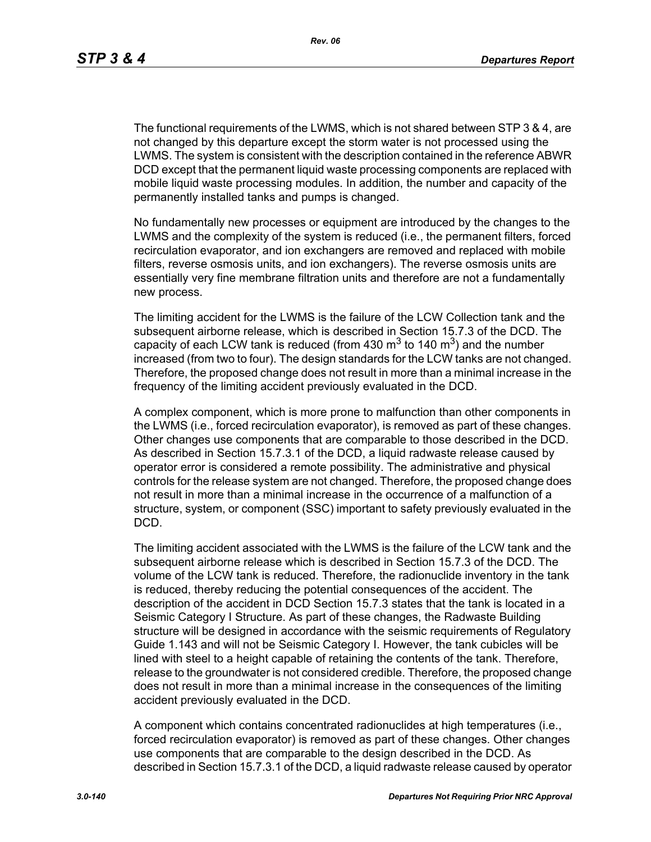The functional requirements of the LWMS, which is not shared between STP 3 & 4, are not changed by this departure except the storm water is not processed using the LWMS. The system is consistent with the description contained in the reference ABWR DCD except that the permanent liquid waste processing components are replaced with mobile liquid waste processing modules. In addition, the number and capacity of the permanently installed tanks and pumps is changed.

No fundamentally new processes or equipment are introduced by the changes to the LWMS and the complexity of the system is reduced (i.e., the permanent filters, forced recirculation evaporator, and ion exchangers are removed and replaced with mobile filters, reverse osmosis units, and ion exchangers). The reverse osmosis units are essentially very fine membrane filtration units and therefore are not a fundamentally new process.

The limiting accident for the LWMS is the failure of the LCW Collection tank and the subsequent airborne release, which is described in Section 15.7.3 of the DCD. The capacity of each LCW tank is reduced (from 430  $\text{m}^3$  to 140  $\text{m}^3$ ) and the number increased (from two to four). The design standards for the LCW tanks are not changed. Therefore, the proposed change does not result in more than a minimal increase in the frequency of the limiting accident previously evaluated in the DCD.

A complex component, which is more prone to malfunction than other components in the LWMS (i.e., forced recirculation evaporator), is removed as part of these changes. Other changes use components that are comparable to those described in the DCD. As described in Section 15.7.3.1 of the DCD, a liquid radwaste release caused by operator error is considered a remote possibility. The administrative and physical controls for the release system are not changed. Therefore, the proposed change does not result in more than a minimal increase in the occurrence of a malfunction of a structure, system, or component (SSC) important to safety previously evaluated in the DCD.

The limiting accident associated with the LWMS is the failure of the LCW tank and the subsequent airborne release which is described in Section 15.7.3 of the DCD. The volume of the LCW tank is reduced. Therefore, the radionuclide inventory in the tank is reduced, thereby reducing the potential consequences of the accident. The description of the accident in DCD Section 15.7.3 states that the tank is located in a Seismic Category I Structure. As part of these changes, the Radwaste Building structure will be designed in accordance with the seismic requirements of Regulatory Guide 1.143 and will not be Seismic Category I. However, the tank cubicles will be lined with steel to a height capable of retaining the contents of the tank. Therefore, release to the groundwater is not considered credible. Therefore, the proposed change does not result in more than a minimal increase in the consequences of the limiting accident previously evaluated in the DCD.

A component which contains concentrated radionuclides at high temperatures (i.e., forced recirculation evaporator) is removed as part of these changes. Other changes use components that are comparable to the design described in the DCD. As described in Section 15.7.3.1 of the DCD, a liquid radwaste release caused by operator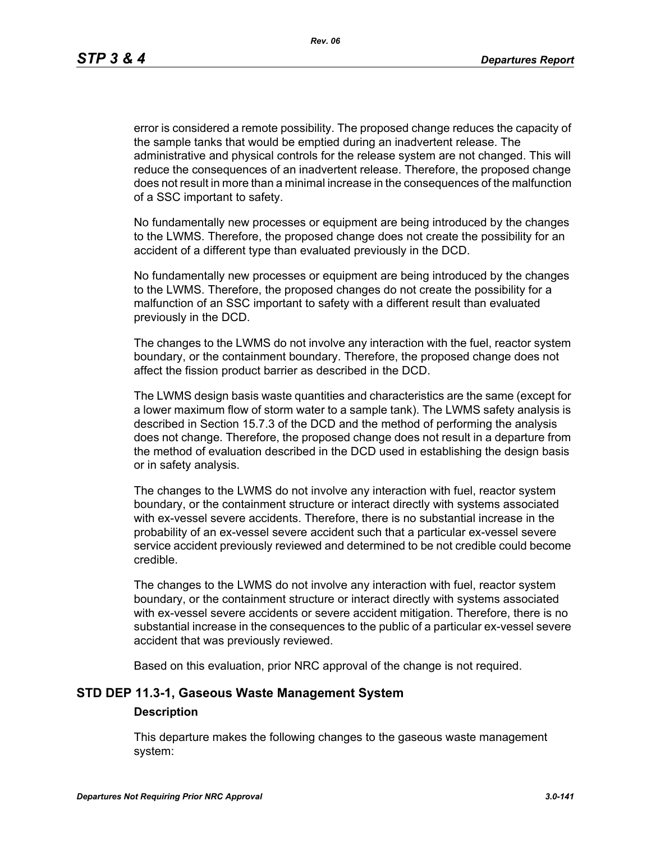error is considered a remote possibility. The proposed change reduces the capacity of the sample tanks that would be emptied during an inadvertent release. The administrative and physical controls for the release system are not changed. This will reduce the consequences of an inadvertent release. Therefore, the proposed change does not result in more than a minimal increase in the consequences of the malfunction of a SSC important to safety.

No fundamentally new processes or equipment are being introduced by the changes to the LWMS. Therefore, the proposed change does not create the possibility for an accident of a different type than evaluated previously in the DCD.

No fundamentally new processes or equipment are being introduced by the changes to the LWMS. Therefore, the proposed changes do not create the possibility for a malfunction of an SSC important to safety with a different result than evaluated previously in the DCD.

The changes to the LWMS do not involve any interaction with the fuel, reactor system boundary, or the containment boundary. Therefore, the proposed change does not affect the fission product barrier as described in the DCD.

The LWMS design basis waste quantities and characteristics are the same (except for a lower maximum flow of storm water to a sample tank). The LWMS safety analysis is described in Section 15.7.3 of the DCD and the method of performing the analysis does not change. Therefore, the proposed change does not result in a departure from the method of evaluation described in the DCD used in establishing the design basis or in safety analysis.

The changes to the LWMS do not involve any interaction with fuel, reactor system boundary, or the containment structure or interact directly with systems associated with ex-vessel severe accidents. Therefore, there is no substantial increase in the probability of an ex-vessel severe accident such that a particular ex-vessel severe service accident previously reviewed and determined to be not credible could become credible.

The changes to the LWMS do not involve any interaction with fuel, reactor system boundary, or the containment structure or interact directly with systems associated with ex-vessel severe accidents or severe accident mitigation. Therefore, there is no substantial increase in the consequences to the public of a particular ex-vessel severe accident that was previously reviewed.

Based on this evaluation, prior NRC approval of the change is not required.

### **STD DEP 11.3-1, Gaseous Waste Management System**

#### **Description**

This departure makes the following changes to the gaseous waste management system: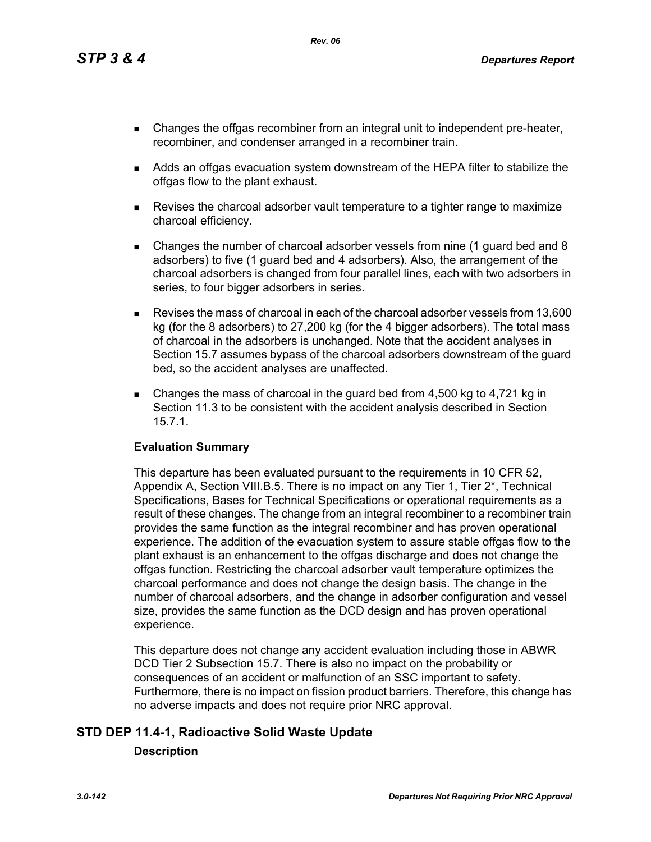- Changes the offgas recombiner from an integral unit to independent pre-heater, recombiner, and condenser arranged in a recombiner train.
- Adds an offgas evacuation system downstream of the HEPA filter to stabilize the offgas flow to the plant exhaust.
- Revises the charcoal adsorber vault temperature to a tighter range to maximize charcoal efficiency.
- Changes the number of charcoal adsorber vessels from nine (1 guard bed and 8 adsorbers) to five (1 guard bed and 4 adsorbers). Also, the arrangement of the charcoal adsorbers is changed from four parallel lines, each with two adsorbers in series, to four bigger adsorbers in series.
- Revises the mass of charcoal in each of the charcoal adsorber vessels from 13,600 kg (for the 8 adsorbers) to 27,200 kg (for the 4 bigger adsorbers). The total mass of charcoal in the adsorbers is unchanged. Note that the accident analyses in Section 15.7 assumes bypass of the charcoal adsorbers downstream of the guard bed, so the accident analyses are unaffected.
- Changes the mass of charcoal in the guard bed from  $4,500$  kg to  $4,721$  kg in Section 11.3 to be consistent with the accident analysis described in Section 15.7.1.

### **Evaluation Summary**

This departure has been evaluated pursuant to the requirements in 10 CFR 52, Appendix A, Section VIII.B.5. There is no impact on any Tier 1, Tier 2\*, Technical Specifications, Bases for Technical Specifications or operational requirements as a result of these changes. The change from an integral recombiner to a recombiner train provides the same function as the integral recombiner and has proven operational experience. The addition of the evacuation system to assure stable offgas flow to the plant exhaust is an enhancement to the offgas discharge and does not change the offgas function. Restricting the charcoal adsorber vault temperature optimizes the charcoal performance and does not change the design basis. The change in the number of charcoal adsorbers, and the change in adsorber configuration and vessel size, provides the same function as the DCD design and has proven operational experience.

This departure does not change any accident evaluation including those in ABWR DCD Tier 2 Subsection 15.7. There is also no impact on the probability or consequences of an accident or malfunction of an SSC important to safety. Furthermore, there is no impact on fission product barriers. Therefore, this change has no adverse impacts and does not require prior NRC approval.

# **STD DEP 11.4-1, Radioactive Solid Waste Update Description**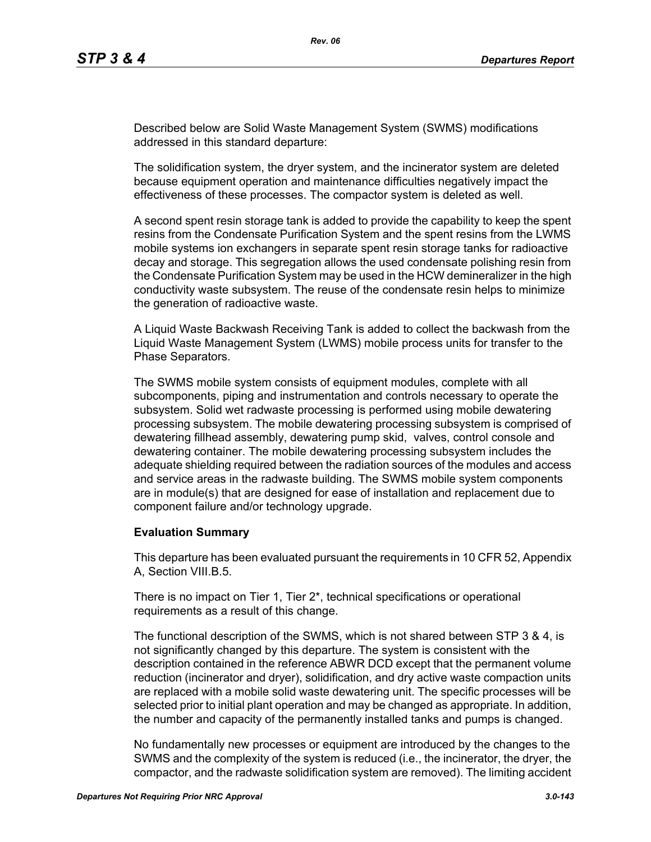Described below are Solid Waste Management System (SWMS) modifications addressed in this standard departure:

The solidification system, the dryer system, and the incinerator system are deleted because equipment operation and maintenance difficulties negatively impact the effectiveness of these processes. The compactor system is deleted as well.

A second spent resin storage tank is added to provide the capability to keep the spent resins from the Condensate Purification System and the spent resins from the LWMS mobile systems ion exchangers in separate spent resin storage tanks for radioactive decay and storage. This segregation allows the used condensate polishing resin from the Condensate Purification System may be used in the HCW demineralizer in the high conductivity waste subsystem. The reuse of the condensate resin helps to minimize the generation of radioactive waste.

A Liquid Waste Backwash Receiving Tank is added to collect the backwash from the Liquid Waste Management System (LWMS) mobile process units for transfer to the Phase Separators.

The SWMS mobile system consists of equipment modules, complete with all subcomponents, piping and instrumentation and controls necessary to operate the subsystem. Solid wet radwaste processing is performed using mobile dewatering processing subsystem. The mobile dewatering processing subsystem is comprised of dewatering fillhead assembly, dewatering pump skid, valves, control console and dewatering container. The mobile dewatering processing subsystem includes the adequate shielding required between the radiation sources of the modules and access and service areas in the radwaste building. The SWMS mobile system components are in module(s) that are designed for ease of installation and replacement due to component failure and/or technology upgrade.

### **Evaluation Summary**

This departure has been evaluated pursuant the requirements in 10 CFR 52, Appendix A, Section VIII.B.5.

There is no impact on Tier 1, Tier 2\*, technical specifications or operational requirements as a result of this change.

The functional description of the SWMS, which is not shared between STP 3 & 4, is not significantly changed by this departure. The system is consistent with the description contained in the reference ABWR DCD except that the permanent volume reduction (incinerator and dryer), solidification, and dry active waste compaction units are replaced with a mobile solid waste dewatering unit. The specific processes will be selected prior to initial plant operation and may be changed as appropriate. In addition, the number and capacity of the permanently installed tanks and pumps is changed.

No fundamentally new processes or equipment are introduced by the changes to the SWMS and the complexity of the system is reduced (i.e., the incinerator, the dryer, the compactor, and the radwaste solidification system are removed). The limiting accident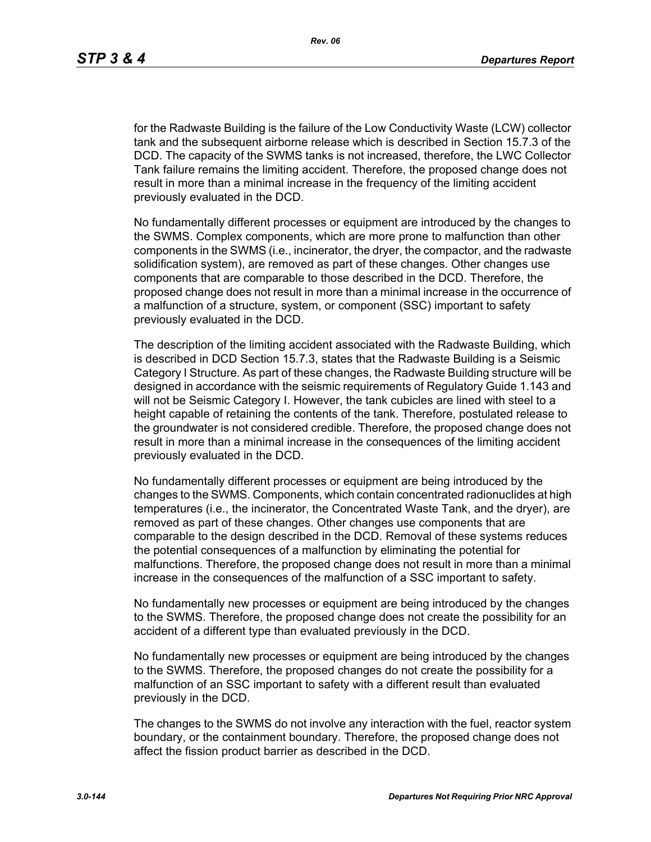for the Radwaste Building is the failure of the Low Conductivity Waste (LCW) collector tank and the subsequent airborne release which is described in Section 15.7.3 of the DCD. The capacity of the SWMS tanks is not increased, therefore, the LWC Collector Tank failure remains the limiting accident. Therefore, the proposed change does not result in more than a minimal increase in the frequency of the limiting accident previously evaluated in the DCD.

No fundamentally different processes or equipment are introduced by the changes to the SWMS. Complex components, which are more prone to malfunction than other components in the SWMS (i.e., incinerator, the dryer, the compactor, and the radwaste solidification system), are removed as part of these changes. Other changes use components that are comparable to those described in the DCD. Therefore, the proposed change does not result in more than a minimal increase in the occurrence of a malfunction of a structure, system, or component (SSC) important to safety previously evaluated in the DCD.

The description of the limiting accident associated with the Radwaste Building, which is described in DCD Section 15.7.3, states that the Radwaste Building is a Seismic Category I Structure. As part of these changes, the Radwaste Building structure will be designed in accordance with the seismic requirements of Regulatory Guide 1.143 and will not be Seismic Category I. However, the tank cubicles are lined with steel to a height capable of retaining the contents of the tank. Therefore, postulated release to the groundwater is not considered credible. Therefore, the proposed change does not result in more than a minimal increase in the consequences of the limiting accident previously evaluated in the DCD.

No fundamentally different processes or equipment are being introduced by the changes to the SWMS. Components, which contain concentrated radionuclides at high temperatures (i.e., the incinerator, the Concentrated Waste Tank, and the dryer), are removed as part of these changes. Other changes use components that are comparable to the design described in the DCD. Removal of these systems reduces the potential consequences of a malfunction by eliminating the potential for malfunctions. Therefore, the proposed change does not result in more than a minimal increase in the consequences of the malfunction of a SSC important to safety.

No fundamentally new processes or equipment are being introduced by the changes to the SWMS. Therefore, the proposed change does not create the possibility for an accident of a different type than evaluated previously in the DCD.

No fundamentally new processes or equipment are being introduced by the changes to the SWMS. Therefore, the proposed changes do not create the possibility for a malfunction of an SSC important to safety with a different result than evaluated previously in the DCD.

The changes to the SWMS do not involve any interaction with the fuel, reactor system boundary, or the containment boundary. Therefore, the proposed change does not affect the fission product barrier as described in the DCD.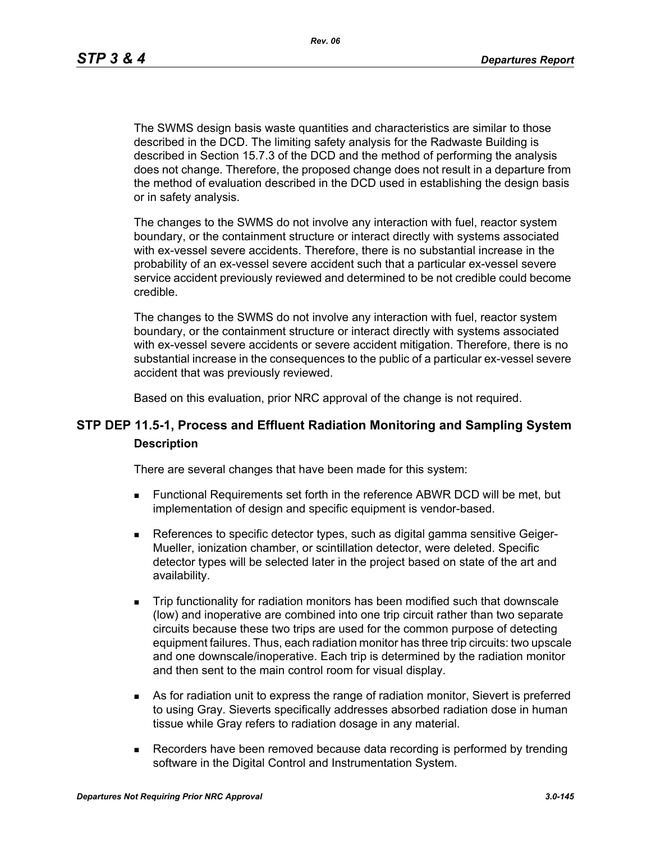*Rev. 06*

The SWMS design basis waste quantities and characteristics are similar to those described in the DCD. The limiting safety analysis for the Radwaste Building is described in Section 15.7.3 of the DCD and the method of performing the analysis does not change. Therefore, the proposed change does not result in a departure from the method of evaluation described in the DCD used in establishing the design basis or in safety analysis.

The changes to the SWMS do not involve any interaction with fuel, reactor system boundary, or the containment structure or interact directly with systems associated with ex-vessel severe accidents. Therefore, there is no substantial increase in the probability of an ex-vessel severe accident such that a particular ex-vessel severe service accident previously reviewed and determined to be not credible could become credible.

The changes to the SWMS do not involve any interaction with fuel, reactor system boundary, or the containment structure or interact directly with systems associated with ex-vessel severe accidents or severe accident mitigation. Therefore, there is no substantial increase in the consequences to the public of a particular ex-vessel severe accident that was previously reviewed.

Based on this evaluation, prior NRC approval of the change is not required.

# **STP DEP 11.5-1, Process and Effluent Radiation Monitoring and Sampling System Description**

There are several changes that have been made for this system:

- Functional Requirements set forth in the reference ABWR DCD will be met, but implementation of design and specific equipment is vendor-based.
- References to specific detector types, such as digital gamma sensitive Geiger-Mueller, ionization chamber, or scintillation detector, were deleted. Specific detector types will be selected later in the project based on state of the art and availability.
- Trip functionality for radiation monitors has been modified such that downscale (low) and inoperative are combined into one trip circuit rather than two separate circuits because these two trips are used for the common purpose of detecting equipment failures. Thus, each radiation monitor has three trip circuits: two upscale and one downscale/inoperative. Each trip is determined by the radiation monitor and then sent to the main control room for visual display.
- As for radiation unit to express the range of radiation monitor, Sievert is preferred to using Gray. Sieverts specifically addresses absorbed radiation dose in human tissue while Gray refers to radiation dosage in any material.
- Recorders have been removed because data recording is performed by trending software in the Digital Control and Instrumentation System.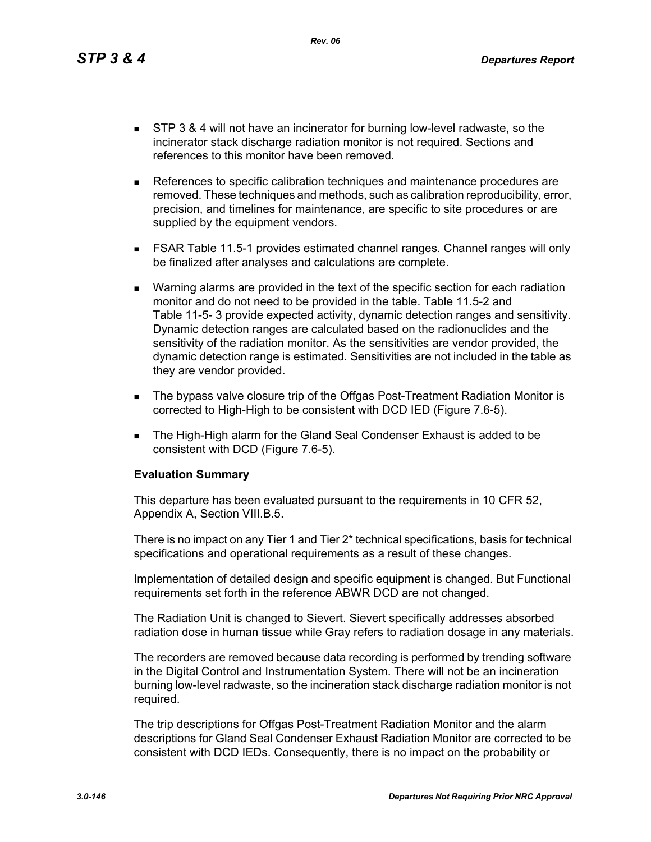*Rev. 06*

- **STP 3 & 4 will not have an incinerator for burning low-level radwaste, so the** incinerator stack discharge radiation monitor is not required. Sections and references to this monitor have been removed.
- References to specific calibration techniques and maintenance procedures are removed. These techniques and methods, such as calibration reproducibility, error, precision, and timelines for maintenance, are specific to site procedures or are supplied by the equipment vendors.
- FSAR Table 11.5-1 provides estimated channel ranges. Channel ranges will only be finalized after analyses and calculations are complete.
- Warning alarms are provided in the text of the specific section for each radiation monitor and do not need to be provided in the table. Table 11.5-2 and Table 11-5- 3 provide expected activity, dynamic detection ranges and sensitivity. Dynamic detection ranges are calculated based on the radionuclides and the sensitivity of the radiation monitor. As the sensitivities are vendor provided, the dynamic detection range is estimated. Sensitivities are not included in the table as they are vendor provided.
- The bypass valve closure trip of the Offgas Post-Treatment Radiation Monitor is corrected to High-High to be consistent with DCD IED (Figure 7.6-5).
- The High-High alarm for the Gland Seal Condenser Exhaust is added to be consistent with DCD (Figure 7.6-5).

#### **Evaluation Summary**

This departure has been evaluated pursuant to the requirements in 10 CFR 52, Appendix A, Section VIII.B.5.

There is no impact on any Tier 1 and Tier 2\* technical specifications, basis for technical specifications and operational requirements as a result of these changes.

Implementation of detailed design and specific equipment is changed. But Functional requirements set forth in the reference ABWR DCD are not changed.

The Radiation Unit is changed to Sievert. Sievert specifically addresses absorbed radiation dose in human tissue while Gray refers to radiation dosage in any materials.

The recorders are removed because data recording is performed by trending software in the Digital Control and Instrumentation System. There will not be an incineration burning low-level radwaste, so the incineration stack discharge radiation monitor is not required.

The trip descriptions for Offgas Post-Treatment Radiation Monitor and the alarm descriptions for Gland Seal Condenser Exhaust Radiation Monitor are corrected to be consistent with DCD IEDs. Consequently, there is no impact on the probability or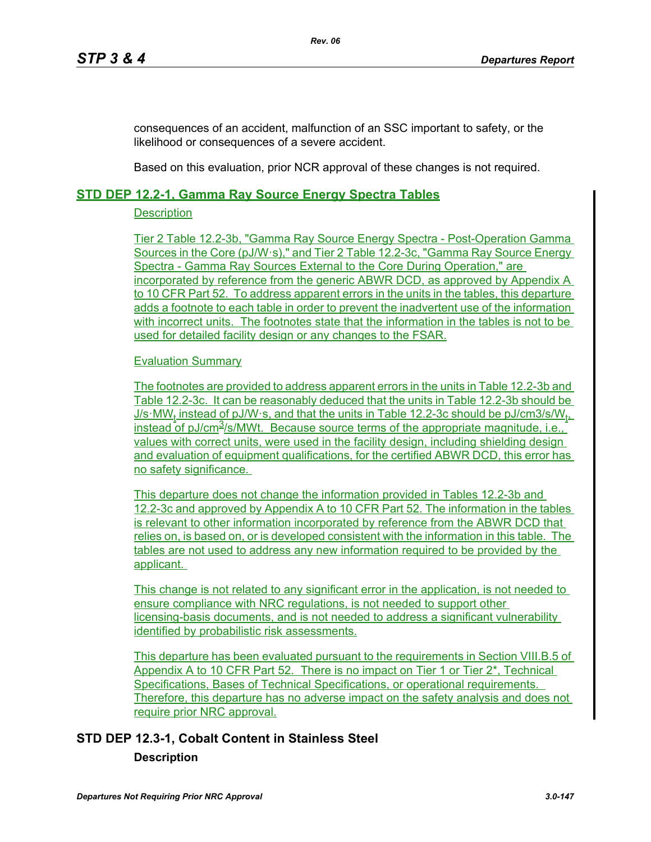consequences of an accident, malfunction of an SSC important to safety, or the likelihood or consequences of a severe accident.

Based on this evaluation, prior NCR approval of these changes is not required.

## **STD DEP 12.2-1, Gamma Ray Source Energy Spectra Tables**

#### **Description**

Tier 2 Table 12.2-3b, "Gamma Ray Source Energy Spectra - Post-Operation Gamma Sources in the Core (pJ/W·s)," and Tier 2 Table 12.2-3c, "Gamma Ray Source Energy Spectra - Gamma Ray Sources External to the Core During Operation," are incorporated by reference from the generic ABWR DCD, as approved by Appendix A to 10 CFR Part 52. To address apparent errors in the units in the tables, this departure adds a footnote to each table in order to prevent the inadvertent use of the information with incorrect units. The footnotes state that the information in the tables is not to be used for detailed facility design or any changes to the FSAR.

#### Evaluation Summary

The footnotes are provided to address apparent errors in the units in Table 12.2-3b and Table 12.2-3c. It can be reasonably deduced that the units in Table 12.2-3b should be J/s·MW<sub>t</sub> instead of pJ/W·s, and that the units in Table 12.2-3c should be pJ/cm3/s/W<sub>t</sub>, instead of pJ/cm $3$ /s/MWt. Because source terms of the appropriate magnitude, i.e., values with correct units, were used in the facility design, including shielding design and evaluation of equipment qualifications, for the certified ABWR DCD, this error has no safety significance.

This departure does not change the information provided in Tables 12.2-3b and 12.2-3c and approved by Appendix A to 10 CFR Part 52. The information in the tables is relevant to other information incorporated by reference from the ABWR DCD that relies on, is based on, or is developed consistent with the information in this table. The tables are not used to address any new information required to be provided by the applicant.

This change is not related to any significant error in the application, is not needed to ensure compliance with NRC regulations, is not needed to support other licensing-basis documents, and is not needed to address a significant vulnerability identified by probabilistic risk assessments.

This departure has been evaluated pursuant to the requirements in Section VIII.B.5 of Appendix A to 10 CFR Part 52. There is no impact on Tier 1 or Tier 2\*, Technical Specifications, Bases of Technical Specifications, or operational requirements. Therefore, this departure has no adverse impact on the safety analysis and does not require prior NRC approval.

# **STD DEP 12.3-1, Cobalt Content in Stainless Steel Description**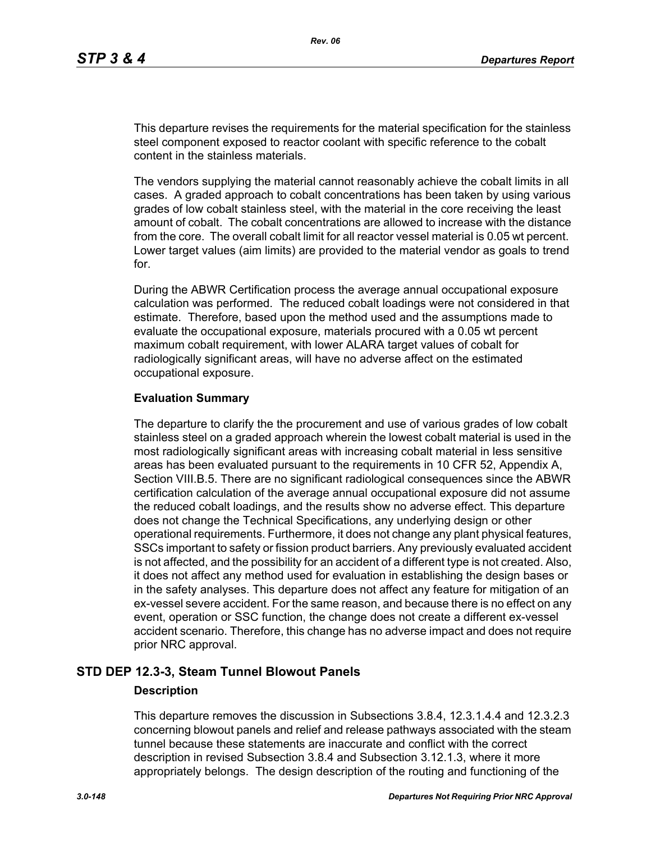This departure revises the requirements for the material specification for the stainless steel component exposed to reactor coolant with specific reference to the cobalt content in the stainless materials.

The vendors supplying the material cannot reasonably achieve the cobalt limits in all cases. A graded approach to cobalt concentrations has been taken by using various grades of low cobalt stainless steel, with the material in the core receiving the least amount of cobalt. The cobalt concentrations are allowed to increase with the distance from the core. The overall cobalt limit for all reactor vessel material is 0.05 wt percent. Lower target values (aim limits) are provided to the material vendor as goals to trend for.

During the ABWR Certification process the average annual occupational exposure calculation was performed. The reduced cobalt loadings were not considered in that estimate. Therefore, based upon the method used and the assumptions made to evaluate the occupational exposure, materials procured with a 0.05 wt percent maximum cobalt requirement, with lower ALARA target values of cobalt for radiologically significant areas, will have no adverse affect on the estimated occupational exposure.

#### **Evaluation Summary**

The departure to clarify the the procurement and use of various grades of low cobalt stainless steel on a graded approach wherein the lowest cobalt material is used in the most radiologically significant areas with increasing cobalt material in less sensitive areas has been evaluated pursuant to the requirements in 10 CFR 52, Appendix A, Section VIII.B.5. There are no significant radiological consequences since the ABWR certification calculation of the average annual occupational exposure did not assume the reduced cobalt loadings, and the results show no adverse effect. This departure does not change the Technical Specifications, any underlying design or other operational requirements. Furthermore, it does not change any plant physical features, SSCs important to safety or fission product barriers. Any previously evaluated accident is not affected, and the possibility for an accident of a different type is not created. Also, it does not affect any method used for evaluation in establishing the design bases or in the safety analyses. This departure does not affect any feature for mitigation of an ex-vessel severe accident. For the same reason, and because there is no effect on any event, operation or SSC function, the change does not create a different ex-vessel accident scenario. Therefore, this change has no adverse impact and does not require prior NRC approval.

## **STD DEP 12.3-3, Steam Tunnel Blowout Panels**

#### **Description**

This departure removes the discussion in Subsections 3.8.4, 12.3.1.4.4 and 12.3.2.3 concerning blowout panels and relief and release pathways associated with the steam tunnel because these statements are inaccurate and conflict with the correct description in revised Subsection 3.8.4 and Subsection 3.12.1.3, where it more appropriately belongs. The design description of the routing and functioning of the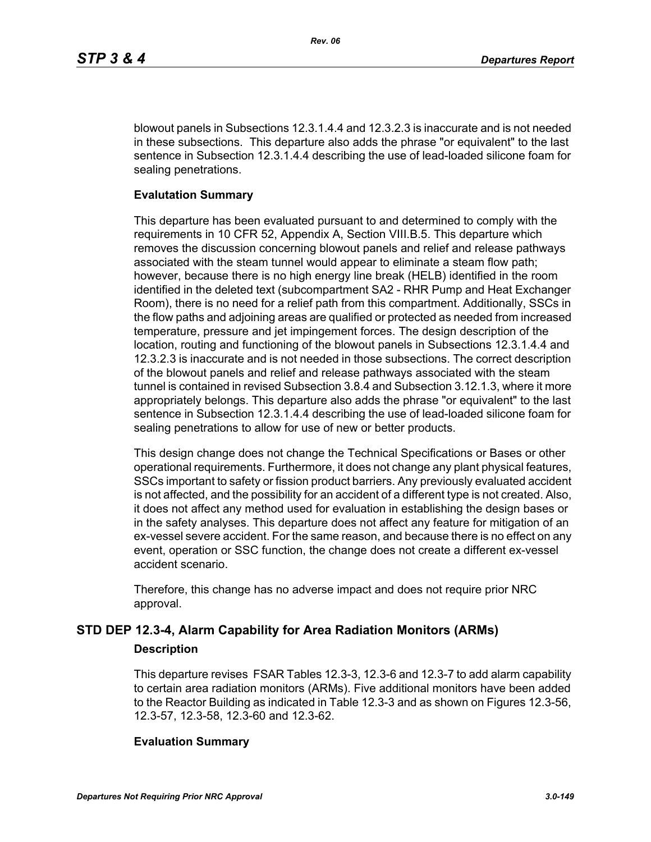blowout panels in Subsections 12.3.1.4.4 and 12.3.2.3 is inaccurate and is not needed in these subsections. This departure also adds the phrase "or equivalent" to the last sentence in Subsection 12.3.1.4.4 describing the use of lead-loaded silicone foam for sealing penetrations.

#### **Evalutation Summary**

This departure has been evaluated pursuant to and determined to comply with the requirements in 10 CFR 52, Appendix A, Section VIII.B.5. This departure which removes the discussion concerning blowout panels and relief and release pathways associated with the steam tunnel would appear to eliminate a steam flow path; however, because there is no high energy line break (HELB) identified in the room identified in the deleted text (subcompartment SA2 - RHR Pump and Heat Exchanger Room), there is no need for a relief path from this compartment. Additionally, SSCs in the flow paths and adjoining areas are qualified or protected as needed from increased temperature, pressure and jet impingement forces. The design description of the location, routing and functioning of the blowout panels in Subsections 12.3.1.4.4 and 12.3.2.3 is inaccurate and is not needed in those subsections. The correct description of the blowout panels and relief and release pathways associated with the steam tunnel is contained in revised Subsection 3.8.4 and Subsection 3.12.1.3, where it more appropriately belongs. This departure also adds the phrase "or equivalent" to the last sentence in Subsection 12.3.1.4.4 describing the use of lead-loaded silicone foam for sealing penetrations to allow for use of new or better products.

This design change does not change the Technical Specifications or Bases or other operational requirements. Furthermore, it does not change any plant physical features, SSCs important to safety or fission product barriers. Any previously evaluated accident is not affected, and the possibility for an accident of a different type is not created. Also, it does not affect any method used for evaluation in establishing the design bases or in the safety analyses. This departure does not affect any feature for mitigation of an ex-vessel severe accident. For the same reason, and because there is no effect on any event, operation or SSC function, the change does not create a different ex-vessel accident scenario.

Therefore, this change has no adverse impact and does not require prior NRC approval.

# **STD DEP 12.3-4, Alarm Capability for Area Radiation Monitors (ARMs)**

## **Description**

This departure revises FSAR Tables 12.3-3, 12.3-6 and 12.3-7 to add alarm capability to certain area radiation monitors (ARMs). Five additional monitors have been added to the Reactor Building as indicated in Table 12.3-3 and as shown on Figures 12.3-56, 12.3-57, 12.3-58, 12.3-60 and 12.3-62.

#### **Evaluation Summary**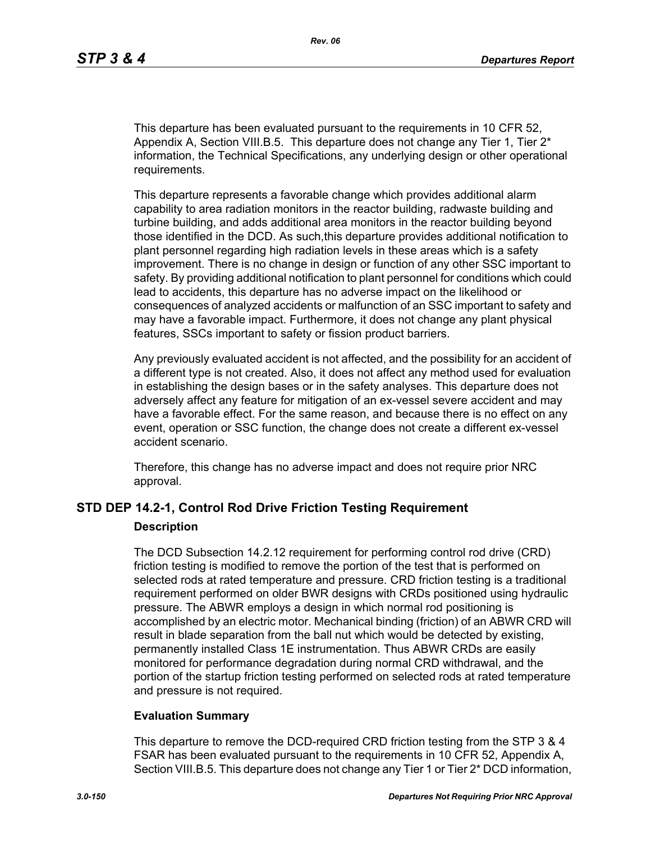This departure has been evaluated pursuant to the requirements in 10 CFR 52, Appendix A, Section VIII.B.5. This departure does not change any Tier 1, Tier  $2^*$ information, the Technical Specifications, any underlying design or other operational requirements.

This departure represents a favorable change which provides additional alarm capability to area radiation monitors in the reactor building, radwaste building and turbine building, and adds additional area monitors in the reactor building beyond those identified in the DCD. As such,this departure provides additional notification to plant personnel regarding high radiation levels in these areas which is a safety improvement. There is no change in design or function of any other SSC important to safety. By providing additional notification to plant personnel for conditions which could lead to accidents, this departure has no adverse impact on the likelihood or consequences of analyzed accidents or malfunction of an SSC important to safety and may have a favorable impact. Furthermore, it does not change any plant physical features, SSCs important to safety or fission product barriers.

Any previously evaluated accident is not affected, and the possibility for an accident of a different type is not created. Also, it does not affect any method used for evaluation in establishing the design bases or in the safety analyses. This departure does not adversely affect any feature for mitigation of an ex-vessel severe accident and may have a favorable effect. For the same reason, and because there is no effect on any event, operation or SSC function, the change does not create a different ex-vessel accident scenario.

Therefore, this change has no adverse impact and does not require prior NRC approval.

# **STD DEP 14.2-1, Control Rod Drive Friction Testing Requirement Description**

The DCD Subsection 14.2.12 requirement for performing control rod drive (CRD) friction testing is modified to remove the portion of the test that is performed on selected rods at rated temperature and pressure. CRD friction testing is a traditional requirement performed on older BWR designs with CRDs positioned using hydraulic pressure. The ABWR employs a design in which normal rod positioning is accomplished by an electric motor. Mechanical binding (friction) of an ABWR CRD will result in blade separation from the ball nut which would be detected by existing, permanently installed Class 1E instrumentation. Thus ABWR CRDs are easily monitored for performance degradation during normal CRD withdrawal, and the portion of the startup friction testing performed on selected rods at rated temperature and pressure is not required.

#### **Evaluation Summary**

This departure to remove the DCD-required CRD friction testing from the STP 3 & 4 FSAR has been evaluated pursuant to the requirements in 10 CFR 52, Appendix A, Section VIII.B.5. This departure does not change any Tier 1 or Tier 2\* DCD information,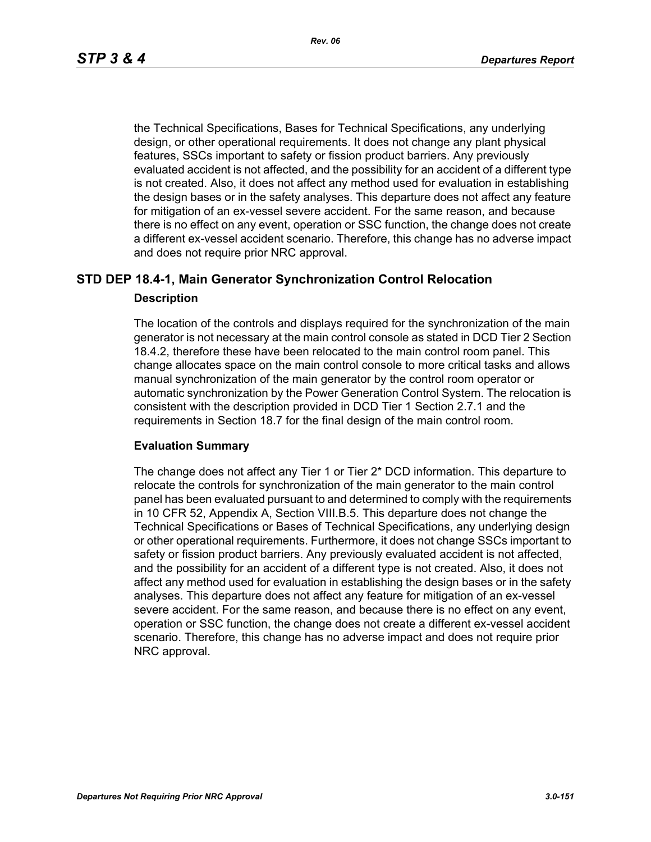the Technical Specifications, Bases for Technical Specifications, any underlying design, or other operational requirements. It does not change any plant physical features, SSCs important to safety or fission product barriers. Any previously evaluated accident is not affected, and the possibility for an accident of a different type is not created. Also, it does not affect any method used for evaluation in establishing the design bases or in the safety analyses. This departure does not affect any feature for mitigation of an ex-vessel severe accident. For the same reason, and because there is no effect on any event, operation or SSC function, the change does not create a different ex-vessel accident scenario. Therefore, this change has no adverse impact and does not require prior NRC approval.

# **STD DEP 18.4-1, Main Generator Synchronization Control Relocation**

#### **Description**

The location of the controls and displays required for the synchronization of the main generator is not necessary at the main control console as stated in DCD Tier 2 Section 18.4.2, therefore these have been relocated to the main control room panel. This change allocates space on the main control console to more critical tasks and allows manual synchronization of the main generator by the control room operator or automatic synchronization by the Power Generation Control System. The relocation is consistent with the description provided in DCD Tier 1 Section 2.7.1 and the requirements in Section 18.7 for the final design of the main control room.

#### **Evaluation Summary**

The change does not affect any Tier 1 or Tier 2\* DCD information. This departure to relocate the controls for synchronization of the main generator to the main control panel has been evaluated pursuant to and determined to comply with the requirements in 10 CFR 52, Appendix A, Section VIII.B.5. This departure does not change the Technical Specifications or Bases of Technical Specifications, any underlying design or other operational requirements. Furthermore, it does not change SSCs important to safety or fission product barriers. Any previously evaluated accident is not affected, and the possibility for an accident of a different type is not created. Also, it does not affect any method used for evaluation in establishing the design bases or in the safety analyses. This departure does not affect any feature for mitigation of an ex-vessel severe accident. For the same reason, and because there is no effect on any event, operation or SSC function, the change does not create a different ex-vessel accident scenario. Therefore, this change has no adverse impact and does not require prior NRC approval.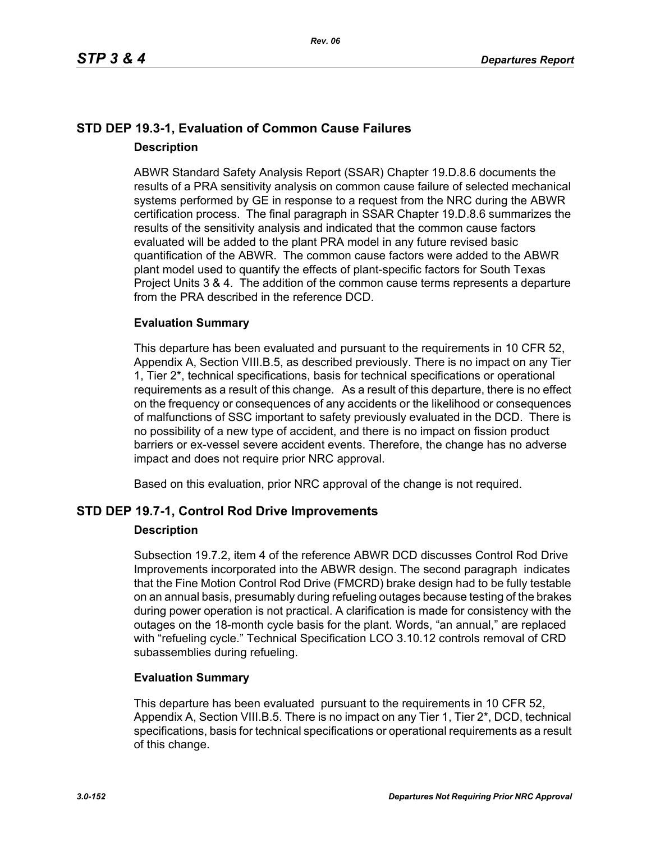# **STD DEP 19.3-1, Evaluation of Common Cause Failures Description**

ABWR Standard Safety Analysis Report (SSAR) Chapter 19.D.8.6 documents the results of a PRA sensitivity analysis on common cause failure of selected mechanical systems performed by GE in response to a request from the NRC during the ABWR certification process. The final paragraph in SSAR Chapter 19.D.8.6 summarizes the results of the sensitivity analysis and indicated that the common cause factors evaluated will be added to the plant PRA model in any future revised basic quantification of the ABWR. The common cause factors were added to the ABWR plant model used to quantify the effects of plant-specific factors for South Texas Project Units 3 & 4. The addition of the common cause terms represents a departure from the PRA described in the reference DCD.

# **Evaluation Summary**

This departure has been evaluated and pursuant to the requirements in 10 CFR 52, Appendix A, Section VIII.B.5, as described previously. There is no impact on any Tier 1, Tier 2\*, technical specifications, basis for technical specifications or operational requirements as a result of this change. As a result of this departure, there is no effect on the frequency or consequences of any accidents or the likelihood or consequences of malfunctions of SSC important to safety previously evaluated in the DCD. There is no possibility of a new type of accident, and there is no impact on fission product barriers or ex-vessel severe accident events. Therefore, the change has no adverse impact and does not require prior NRC approval.

Based on this evaluation, prior NRC approval of the change is not required.

# **STD DEP 19.7-1, Control Rod Drive Improvements**

## **Description**

Subsection 19.7.2, item 4 of the reference ABWR DCD discusses Control Rod Drive Improvements incorporated into the ABWR design. The second paragraph indicates that the Fine Motion Control Rod Drive (FMCRD) brake design had to be fully testable on an annual basis, presumably during refueling outages because testing of the brakes during power operation is not practical. A clarification is made for consistency with the outages on the 18-month cycle basis for the plant. Words, "an annual," are replaced with "refueling cycle." Technical Specification LCO 3.10.12 controls removal of CRD subassemblies during refueling.

## **Evaluation Summary**

This departure has been evaluated pursuant to the requirements in 10 CFR 52, Appendix A, Section VIII.B.5. There is no impact on any Tier 1, Tier 2<sup>\*</sup>, DCD, technical specifications, basis for technical specifications or operational requirements as a result of this change.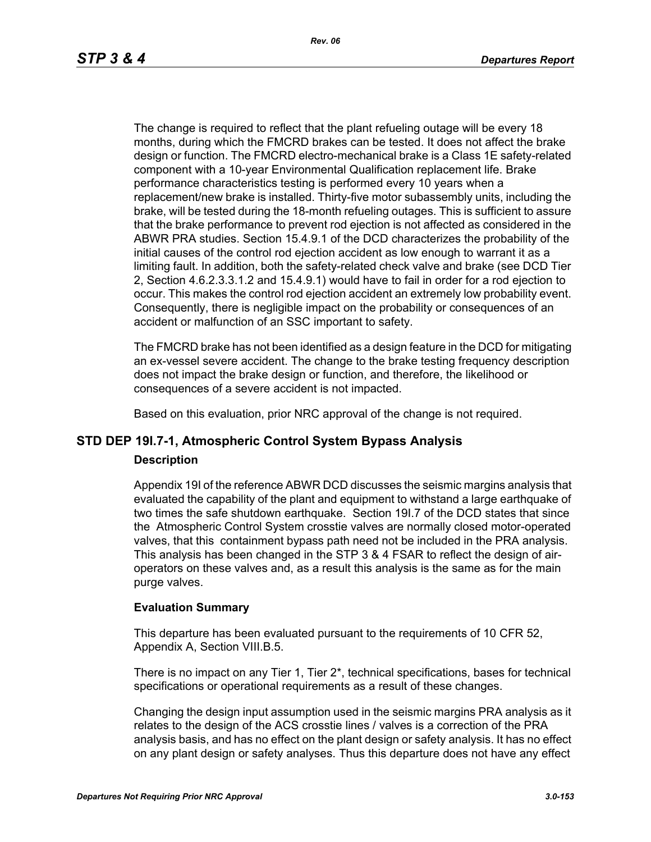The change is required to reflect that the plant refueling outage will be every 18 months, during which the FMCRD brakes can be tested. It does not affect the brake design or function. The FMCRD electro-mechanical brake is a Class 1E safety-related component with a 10-year Environmental Qualification replacement life. Brake performance characteristics testing is performed every 10 years when a replacement/new brake is installed. Thirty-five motor subassembly units, including the brake, will be tested during the 18-month refueling outages. This is sufficient to assure that the brake performance to prevent rod ejection is not affected as considered in the ABWR PRA studies. Section 15.4.9.1 of the DCD characterizes the probability of the initial causes of the control rod ejection accident as low enough to warrant it as a limiting fault. In addition, both the safety-related check valve and brake (see DCD Tier 2, Section 4.6.2.3.3.1.2 and 15.4.9.1) would have to fail in order for a rod ejection to occur. This makes the control rod ejection accident an extremely low probability event. Consequently, there is negligible impact on the probability or consequences of an accident or malfunction of an SSC important to safety.

The FMCRD brake has not been identified as a design feature in the DCD for mitigating an ex-vessel severe accident. The change to the brake testing frequency description does not impact the brake design or function, and therefore, the likelihood or consequences of a severe accident is not impacted.

Based on this evaluation, prior NRC approval of the change is not required.

# **STD DEP 19I.7-1, Atmospheric Control System Bypass Analysis**

#### **Description**

Appendix 19I of the reference ABWR DCD discusses the seismic margins analysis that evaluated the capability of the plant and equipment to withstand a large earthquake of two times the safe shutdown earthquake. Section 19I.7 of the DCD states that since the Atmospheric Control System crosstie valves are normally closed motor-operated valves, that this containment bypass path need not be included in the PRA analysis. This analysis has been changed in the STP 3 & 4 FSAR to reflect the design of airoperators on these valves and, as a result this analysis is the same as for the main purge valves.

#### **Evaluation Summary**

This departure has been evaluated pursuant to the requirements of 10 CFR 52, Appendix A, Section VIII.B.5.

There is no impact on any Tier 1, Tier 2\*, technical specifications, bases for technical specifications or operational requirements as a result of these changes.

Changing the design input assumption used in the seismic margins PRA analysis as it relates to the design of the ACS crosstie lines / valves is a correction of the PRA analysis basis, and has no effect on the plant design or safety analysis. It has no effect on any plant design or safety analyses. Thus this departure does not have any effect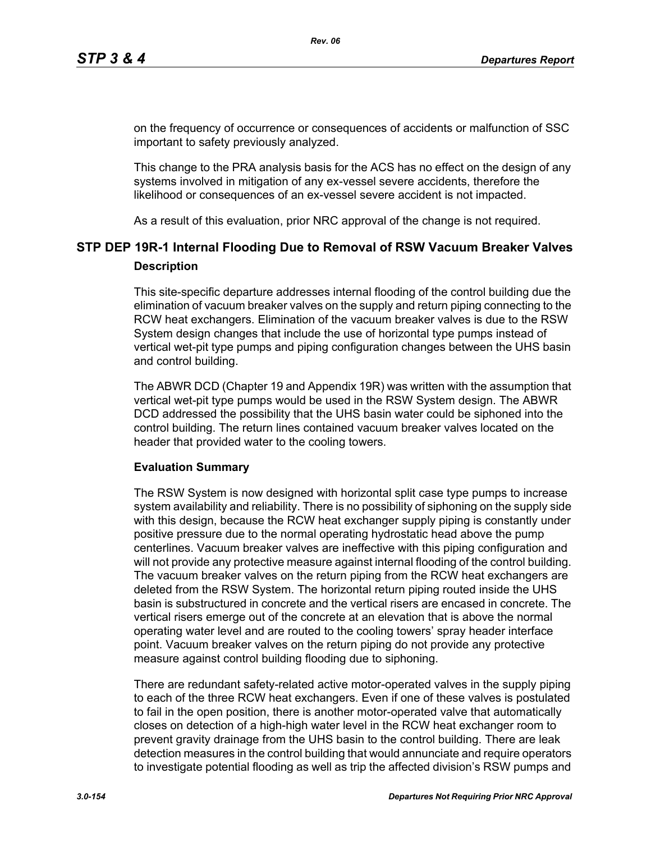on the frequency of occurrence or consequences of accidents or malfunction of SSC important to safety previously analyzed.

This change to the PRA analysis basis for the ACS has no effect on the design of any systems involved in mitigation of any ex-vessel severe accidents, therefore the likelihood or consequences of an ex-vessel severe accident is not impacted.

As a result of this evaluation, prior NRC approval of the change is not required.

# **STP DEP 19R-1 Internal Flooding Due to Removal of RSW Vacuum Breaker Valves Description**

This site-specific departure addresses internal flooding of the control building due the elimination of vacuum breaker valves on the supply and return piping connecting to the RCW heat exchangers. Elimination of the vacuum breaker valves is due to the RSW System design changes that include the use of horizontal type pumps instead of vertical wet-pit type pumps and piping configuration changes between the UHS basin and control building.

The ABWR DCD (Chapter 19 and Appendix 19R) was written with the assumption that vertical wet-pit type pumps would be used in the RSW System design. The ABWR DCD addressed the possibility that the UHS basin water could be siphoned into the control building. The return lines contained vacuum breaker valves located on the header that provided water to the cooling towers.

#### **Evaluation Summary**

The RSW System is now designed with horizontal split case type pumps to increase system availability and reliability. There is no possibility of siphoning on the supply side with this design, because the RCW heat exchanger supply piping is constantly under positive pressure due to the normal operating hydrostatic head above the pump centerlines. Vacuum breaker valves are ineffective with this piping configuration and will not provide any protective measure against internal flooding of the control building. The vacuum breaker valves on the return piping from the RCW heat exchangers are deleted from the RSW System. The horizontal return piping routed inside the UHS basin is substructured in concrete and the vertical risers are encased in concrete. The vertical risers emerge out of the concrete at an elevation that is above the normal operating water level and are routed to the cooling towers' spray header interface point. Vacuum breaker valves on the return piping do not provide any protective measure against control building flooding due to siphoning.

There are redundant safety-related active motor-operated valves in the supply piping to each of the three RCW heat exchangers. Even if one of these valves is postulated to fail in the open position, there is another motor-operated valve that automatically closes on detection of a high-high water level in the RCW heat exchanger room to prevent gravity drainage from the UHS basin to the control building. There are leak detection measures in the control building that would annunciate and require operators to investigate potential flooding as well as trip the affected division's RSW pumps and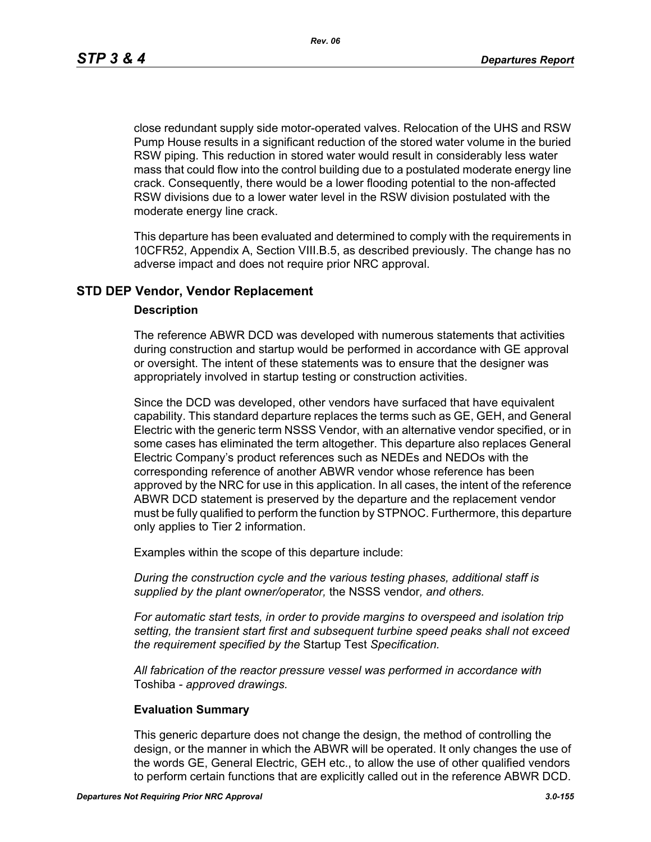*Rev. 06*

close redundant supply side motor-operated valves. Relocation of the UHS and RSW Pump House results in a significant reduction of the stored water volume in the buried RSW piping. This reduction in stored water would result in considerably less water mass that could flow into the control building due to a postulated moderate energy line crack. Consequently, there would be a lower flooding potential to the non-affected RSW divisions due to a lower water level in the RSW division postulated with the moderate energy line crack.

This departure has been evaluated and determined to comply with the requirements in 10CFR52, Appendix A, Section VIII.B.5, as described previously. The change has no adverse impact and does not require prior NRC approval.

## **STD DEP Vendor, Vendor Replacement**

#### **Description**

The reference ABWR DCD was developed with numerous statements that activities during construction and startup would be performed in accordance with GE approval or oversight. The intent of these statements was to ensure that the designer was appropriately involved in startup testing or construction activities.

Since the DCD was developed, other vendors have surfaced that have equivalent capability. This standard departure replaces the terms such as GE, GEH, and General Electric with the generic term NSSS Vendor, with an alternative vendor specified, or in some cases has eliminated the term altogether. This departure also replaces General Electric Company's product references such as NEDEs and NEDOs with the corresponding reference of another ABWR vendor whose reference has been approved by the NRC for use in this application. In all cases, the intent of the reference ABWR DCD statement is preserved by the departure and the replacement vendor must be fully qualified to perform the function by STPNOC. Furthermore, this departure only applies to Tier 2 information.

Examples within the scope of this departure include:

*During the construction cycle and the various testing phases, additional staff is supplied by the plant owner/operator,* the NSSS vendor*, and others.*

*For automatic start tests, in order to provide margins to overspeed and isolation trip setting, the transient start first and subsequent turbine speed peaks shall not exceed the requirement specified by the* Startup Test *Specification.*

*All fabrication of the reactor pressure vessel was performed in accordance with*  Toshiba *- approved drawings.*

#### **Evaluation Summary**

This generic departure does not change the design, the method of controlling the design, or the manner in which the ABWR will be operated. It only changes the use of the words GE, General Electric, GEH etc., to allow the use of other qualified vendors to perform certain functions that are explicitly called out in the reference ABWR DCD.